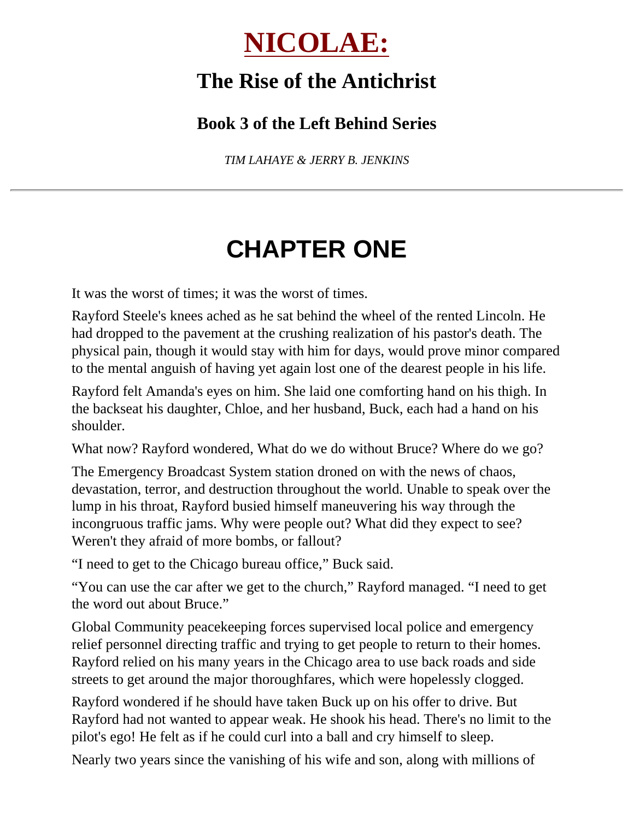## **NICOLAE:**

#### **The Rise of the Antichrist**

#### **Book 3 of the Left Behind Series**

*TIM LAHAYE & JERRY B. JENKINS*

# **CHAPTER ONE**

It was the worst of times; it was the worst of times.

Rayford Steele's knees ached as he sat behind the wheel of the rented Lincoln. He had dropped to the pavement at the crushing realization of his pastor's death. The physical pain, though it would stay with him for days, would prove minor compared to the mental anguish of having yet again lost one of the dearest people in his life.

Rayford felt Amanda's eyes on him. She laid one comforting hand on his thigh. In the backseat his daughter, Chloe, and her husband, Buck, each had a hand on his shoulder.

What now? Rayford wondered, What do we do without Bruce? Where do we go?

The Emergency Broadcast System station droned on with the news of chaos, devastation, terror, and destruction throughout the world. Unable to speak over the lump in his throat, Rayford busied himself maneuvering his way through the incongruous traffic jams. Why were people out? What did they expect to see? Weren't they afraid of more bombs, or fallout?

"I need to get to the Chicago bureau office," Buck said.

"You can use the car after we get to the church," Rayford managed. "I need to get the word out about Bruce."

Global Community peacekeeping forces supervised local police and emergency relief personnel directing traffic and trying to get people to return to their homes. Rayford relied on his many years in the Chicago area to use back roads and side streets to get around the major thoroughfares, which were hopelessly clogged.

Rayford wondered if he should have taken Buck up on his offer to drive. But Rayford had not wanted to appear weak. He shook his head. There's no limit to the pilot's ego! He felt as if he could curl into a ball and cry himself to sleep.

Nearly two years since the vanishing of his wife and son, along with millions of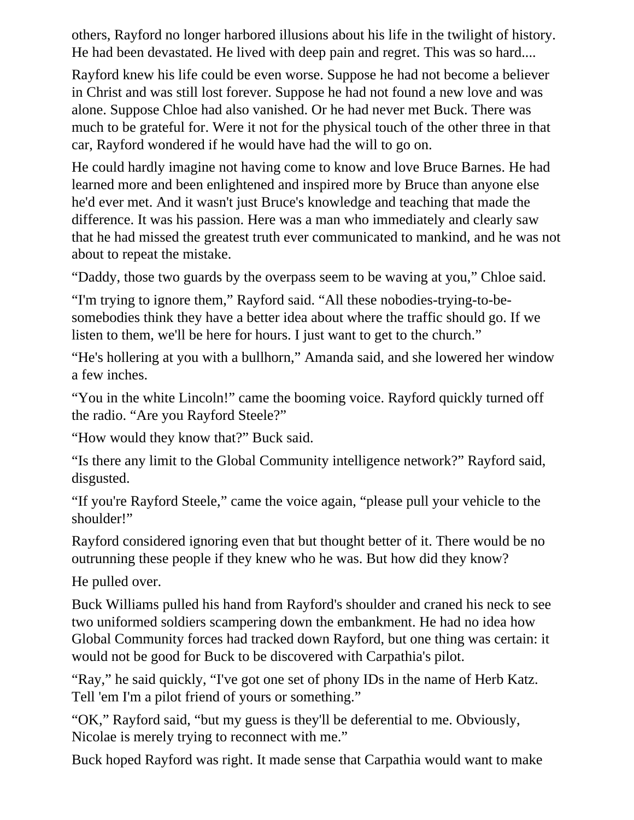others, Rayford no longer harbored illusions about his life in the twilight of history. He had been devastated. He lived with deep pain and regret. This was so hard....

Rayford knew his life could be even worse. Suppose he had not become a believer in Christ and was still lost forever. Suppose he had not found a new love and was alone. Suppose Chloe had also vanished. Or he had never met Buck. There was much to be grateful for. Were it not for the physical touch of the other three in that car, Rayford wondered if he would have had the will to go on.

He could hardly imagine not having come to know and love Bruce Barnes. He had learned more and been enlightened and inspired more by Bruce than anyone else he'd ever met. And it wasn't just Bruce's knowledge and teaching that made the difference. It was his passion. Here was a man who immediately and clearly saw that he had missed the greatest truth ever communicated to mankind, and he was not about to repeat the mistake.

"Daddy, those two guards by the overpass seem to be waving at you," Chloe said.

"I'm trying to ignore them," Rayford said. "All these nobodies-trying-to-besomebodies think they have a better idea about where the traffic should go. If we listen to them, we'll be here for hours. I just want to get to the church."

"He's hollering at you with a bullhorn," Amanda said, and she lowered her window a few inches.

"You in the white Lincoln!" came the booming voice. Rayford quickly turned off the radio. "Are you Rayford Steele?"

"How would they know that?" Buck said.

"Is there any limit to the Global Community intelligence network?" Rayford said, disgusted.

"If you're Rayford Steele," came the voice again, "please pull your vehicle to the shoulder!"

Rayford considered ignoring even that but thought better of it. There would be no outrunning these people if they knew who he was. But how did they know?

He pulled over.

Buck Williams pulled his hand from Rayford's shoulder and craned his neck to see two uniformed soldiers scampering down the embankment. He had no idea how Global Community forces had tracked down Rayford, but one thing was certain: it would not be good for Buck to be discovered with Carpathia's pilot.

"Ray," he said quickly, "I've got one set of phony IDs in the name of Herb Katz. Tell 'em I'm a pilot friend of yours or something."

"OK," Rayford said, "but my guess is they'll be deferential to me. Obviously, Nicolae is merely trying to reconnect with me."

Buck hoped Rayford was right. It made sense that Carpathia would want to make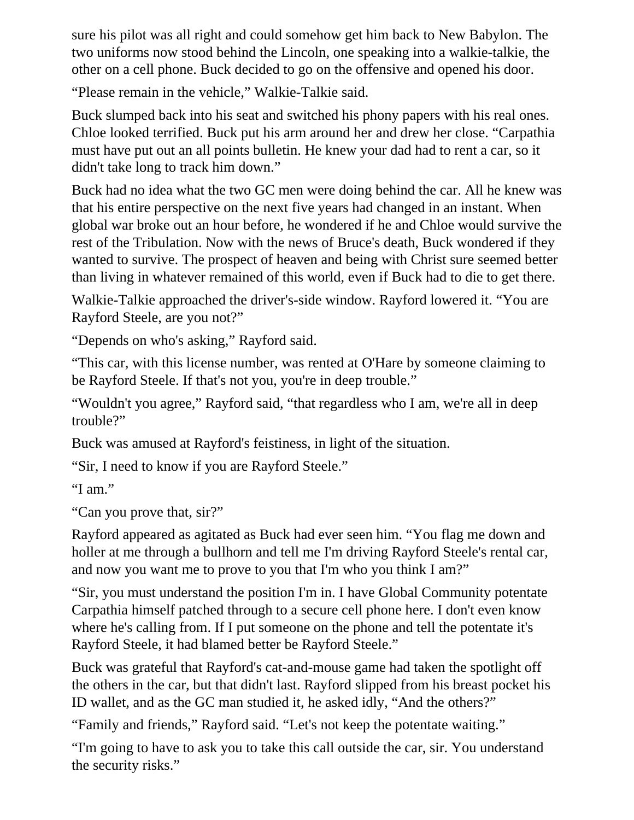sure his pilot was all right and could somehow get him back to New Babylon. The two uniforms now stood behind the Lincoln, one speaking into a walkie-talkie, the other on a cell phone. Buck decided to go on the offensive and opened his door.

"Please remain in the vehicle," Walkie-Talkie said.

Buck slumped back into his seat and switched his phony papers with his real ones. Chloe looked terrified. Buck put his arm around her and drew her close. "Carpathia must have put out an all points bulletin. He knew your dad had to rent a car, so it didn't take long to track him down."

Buck had no idea what the two GC men were doing behind the car. All he knew was that his entire perspective on the next five years had changed in an instant. When global war broke out an hour before, he wondered if he and Chloe would survive the rest of the Tribulation. Now with the news of Bruce's death, Buck wondered if they wanted to survive. The prospect of heaven and being with Christ sure seemed better than living in whatever remained of this world, even if Buck had to die to get there.

Walkie-Talkie approached the driver's-side window. Rayford lowered it. "You are Rayford Steele, are you not?"

"Depends on who's asking," Rayford said.

"This car, with this license number, was rented at O'Hare by someone claiming to be Rayford Steele. If that's not you, you're in deep trouble."

"Wouldn't you agree," Rayford said, "that regardless who I am, we're all in deep trouble?"

Buck was amused at Rayford's feistiness, in light of the situation.

"Sir, I need to know if you are Rayford Steele."

"I am."

"Can you prove that, sir?"

Rayford appeared as agitated as Buck had ever seen him. "You flag me down and holler at me through a bullhorn and tell me I'm driving Rayford Steele's rental car, and now you want me to prove to you that I'm who you think I am?"

"Sir, you must understand the position I'm in. I have Global Community potentate Carpathia himself patched through to a secure cell phone here. I don't even know where he's calling from. If I put someone on the phone and tell the potentate it's Rayford Steele, it had blamed better be Rayford Steele."

Buck was grateful that Rayford's cat-and-mouse game had taken the spotlight off the others in the car, but that didn't last. Rayford slipped from his breast pocket his ID wallet, and as the GC man studied it, he asked idly, "And the others?"

"Family and friends," Rayford said. "Let's not keep the potentate waiting."

"I'm going to have to ask you to take this call outside the car, sir. You understand the security risks."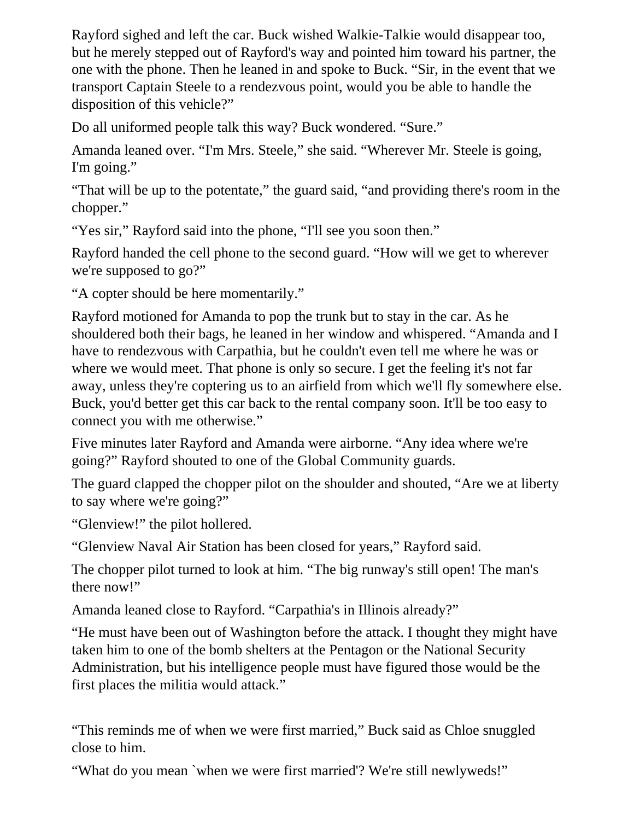Rayford sighed and left the car. Buck wished Walkie-Talkie would disappear too, but he merely stepped out of Rayford's way and pointed him toward his partner, the one with the phone. Then he leaned in and spoke to Buck. "Sir, in the event that we transport Captain Steele to a rendezvous point, would you be able to handle the disposition of this vehicle?"

Do all uniformed people talk this way? Buck wondered. "Sure."

Amanda leaned over. "I'm Mrs. Steele," she said. "Wherever Mr. Steele is going, I'm going."

"That will be up to the potentate," the guard said, "and providing there's room in the chopper."

"Yes sir," Rayford said into the phone, "I'll see you soon then."

Rayford handed the cell phone to the second guard. "How will we get to wherever we're supposed to go?"

"A copter should be here momentarily."

Rayford motioned for Amanda to pop the trunk but to stay in the car. As he shouldered both their bags, he leaned in her window and whispered. "Amanda and I have to rendezvous with Carpathia, but he couldn't even tell me where he was or where we would meet. That phone is only so secure. I get the feeling it's not far away, unless they're coptering us to an airfield from which we'll fly somewhere else. Buck, you'd better get this car back to the rental company soon. It'll be too easy to connect you with me otherwise."

Five minutes later Rayford and Amanda were airborne. "Any idea where we're going?" Rayford shouted to one of the Global Community guards.

The guard clapped the chopper pilot on the shoulder and shouted, "Are we at liberty to say where we're going?"

"Glenview!" the pilot hollered.

"Glenview Naval Air Station has been closed for years," Rayford said.

The chopper pilot turned to look at him. "The big runway's still open! The man's there now!"

Amanda leaned close to Rayford. "Carpathia's in Illinois already?"

"He must have been out of Washington before the attack. I thought they might have taken him to one of the bomb shelters at the Pentagon or the National Security Administration, but his intelligence people must have figured those would be the first places the militia would attack."

"This reminds me of when we were first married," Buck said as Chloe snuggled close to him.

"What do you mean `when we were first married'? We're still newlyweds!"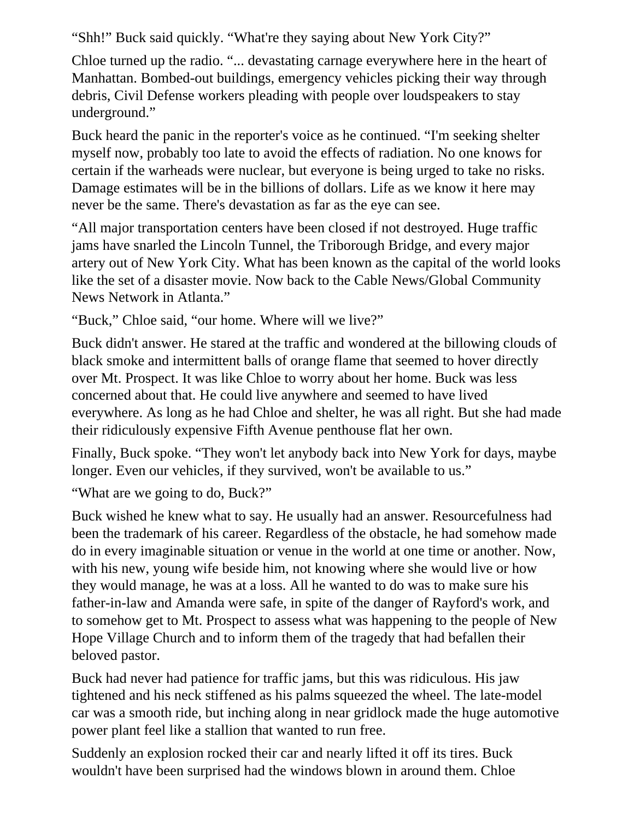"Shh!" Buck said quickly. "What're they saying about New York City?"

Chloe turned up the radio. "... devastating carnage everywhere here in the heart of Manhattan. Bombed-out buildings, emergency vehicles picking their way through debris, Civil Defense workers pleading with people over loudspeakers to stay underground."

Buck heard the panic in the reporter's voice as he continued. "I'm seeking shelter myself now, probably too late to avoid the effects of radiation. No one knows for certain if the warheads were nuclear, but everyone is being urged to take no risks. Damage estimates will be in the billions of dollars. Life as we know it here may never be the same. There's devastation as far as the eye can see.

"All major transportation centers have been closed if not destroyed. Huge traffic jams have snarled the Lincoln Tunnel, the Triborough Bridge, and every major artery out of New York City. What has been known as the capital of the world looks like the set of a disaster movie. Now back to the Cable News/Global Community News Network in Atlanta."

"Buck," Chloe said, "our home. Where will we live?"

Buck didn't answer. He stared at the traffic and wondered at the billowing clouds of black smoke and intermittent balls of orange flame that seemed to hover directly over Mt. Prospect. It was like Chloe to worry about her home. Buck was less concerned about that. He could live anywhere and seemed to have lived everywhere. As long as he had Chloe and shelter, he was all right. But she had made their ridiculously expensive Fifth Avenue penthouse flat her own.

Finally, Buck spoke. "They won't let anybody back into New York for days, maybe longer. Even our vehicles, if they survived, won't be available to us."

"What are we going to do, Buck?"

Buck wished he knew what to say. He usually had an answer. Resourcefulness had been the trademark of his career. Regardless of the obstacle, he had somehow made do in every imaginable situation or venue in the world at one time or another. Now, with his new, young wife beside him, not knowing where she would live or how they would manage, he was at a loss. All he wanted to do was to make sure his father-in-law and Amanda were safe, in spite of the danger of Rayford's work, and to somehow get to Mt. Prospect to assess what was happening to the people of New Hope Village Church and to inform them of the tragedy that had befallen their beloved pastor.

Buck had never had patience for traffic jams, but this was ridiculous. His jaw tightened and his neck stiffened as his palms squeezed the wheel. The late-model car was a smooth ride, but inching along in near gridlock made the huge automotive power plant feel like a stallion that wanted to run free.

Suddenly an explosion rocked their car and nearly lifted it off its tires. Buck wouldn't have been surprised had the windows blown in around them. Chloe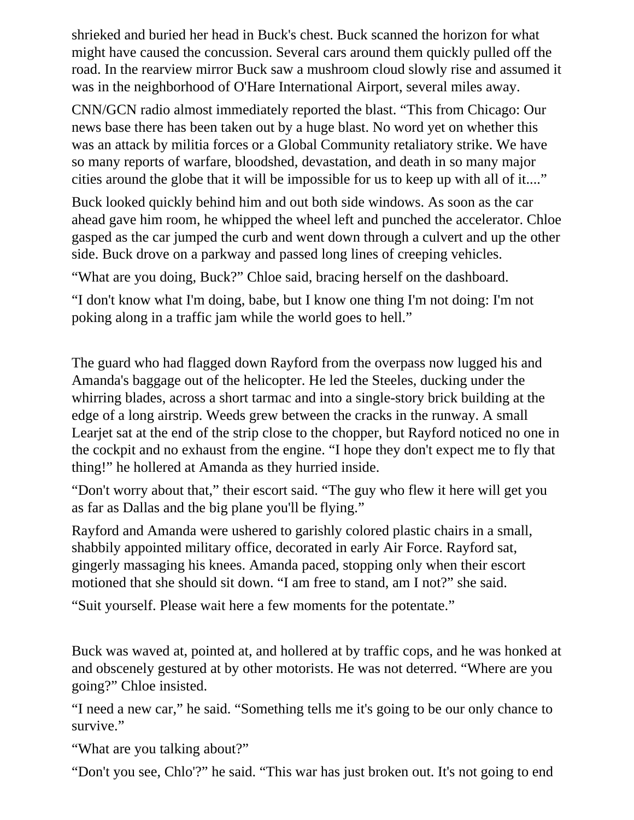shrieked and buried her head in Buck's chest. Buck scanned the horizon for what might have caused the concussion. Several cars around them quickly pulled off the road. In the rearview mirror Buck saw a mushroom cloud slowly rise and assumed it was in the neighborhood of O'Hare International Airport, several miles away.

CNN/GCN radio almost immediately reported the blast. "This from Chicago: Our news base there has been taken out by a huge blast. No word yet on whether this was an attack by militia forces or a Global Community retaliatory strike. We have so many reports of warfare, bloodshed, devastation, and death in so many major cities around the globe that it will be impossible for us to keep up with all of it...."

Buck looked quickly behind him and out both side windows. As soon as the car ahead gave him room, he whipped the wheel left and punched the accelerator. Chloe gasped as the car jumped the curb and went down through a culvert and up the other side. Buck drove on a parkway and passed long lines of creeping vehicles.

"What are you doing, Buck?" Chloe said, bracing herself on the dashboard.

"I don't know what I'm doing, babe, but I know one thing I'm not doing: I'm not poking along in a traffic jam while the world goes to hell."

The guard who had flagged down Rayford from the overpass now lugged his and Amanda's baggage out of the helicopter. He led the Steeles, ducking under the whirring blades, across a short tarmac and into a single-story brick building at the edge of a long airstrip. Weeds grew between the cracks in the runway. A small Learjet sat at the end of the strip close to the chopper, but Rayford noticed no one in the cockpit and no exhaust from the engine. "I hope they don't expect me to fly that thing!" he hollered at Amanda as they hurried inside.

"Don't worry about that," their escort said. "The guy who flew it here will get you as far as Dallas and the big plane you'll be flying."

Rayford and Amanda were ushered to garishly colored plastic chairs in a small, shabbily appointed military office, decorated in early Air Force. Rayford sat, gingerly massaging his knees. Amanda paced, stopping only when their escort motioned that she should sit down. "I am free to stand, am I not?" she said.

"Suit yourself. Please wait here a few moments for the potentate."

Buck was waved at, pointed at, and hollered at by traffic cops, and he was honked at and obscenely gestured at by other motorists. He was not deterred. "Where are you going?" Chloe insisted.

"I need a new car," he said. "Something tells me it's going to be our only chance to survive."

"What are you talking about?"

"Don't you see, Chlo'?" he said. "This war has just broken out. It's not going to end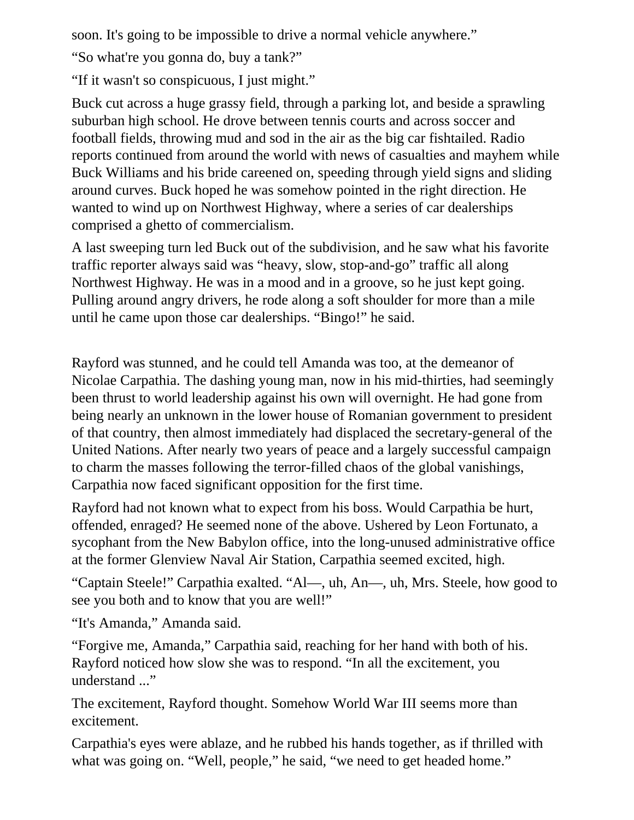soon. It's going to be impossible to drive a normal vehicle anywhere."

"So what're you gonna do, buy a tank?"

"If it wasn't so conspicuous, I just might."

Buck cut across a huge grassy field, through a parking lot, and beside a sprawling suburban high school. He drove between tennis courts and across soccer and football fields, throwing mud and sod in the air as the big car fishtailed. Radio reports continued from around the world with news of casualties and mayhem while Buck Williams and his bride careened on, speeding through yield signs and sliding around curves. Buck hoped he was somehow pointed in the right direction. He wanted to wind up on Northwest Highway, where a series of car dealerships comprised a ghetto of commercialism.

A last sweeping turn led Buck out of the subdivision, and he saw what his favorite traffic reporter always said was "heavy, slow, stop-and-go" traffic all along Northwest Highway. He was in a mood and in a groove, so he just kept going. Pulling around angry drivers, he rode along a soft shoulder for more than a mile until he came upon those car dealerships. "Bingo!" he said.

Rayford was stunned, and he could tell Amanda was too, at the demeanor of Nicolae Carpathia. The dashing young man, now in his mid-thirties, had seemingly been thrust to world leadership against his own will overnight. He had gone from being nearly an unknown in the lower house of Romanian government to president of that country, then almost immediately had displaced the secretary-general of the United Nations. After nearly two years of peace and a largely successful campaign to charm the masses following the terror-filled chaos of the global vanishings, Carpathia now faced significant opposition for the first time.

Rayford had not known what to expect from his boss. Would Carpathia be hurt, offended, enraged? He seemed none of the above. Ushered by Leon Fortunato, a sycophant from the New Babylon office, into the long-unused administrative office at the former Glenview Naval Air Station, Carpathia seemed excited, high.

"Captain Steele!" Carpathia exalted. "Al—, uh, An—, uh, Mrs. Steele, how good to see you both and to know that you are well!"

"It's Amanda," Amanda said.

"Forgive me, Amanda," Carpathia said, reaching for her hand with both of his. Rayford noticed how slow she was to respond. "In all the excitement, you understand ..."

The excitement, Rayford thought. Somehow World War III seems more than excitement.

Carpathia's eyes were ablaze, and he rubbed his hands together, as if thrilled with what was going on. "Well, people," he said, "we need to get headed home."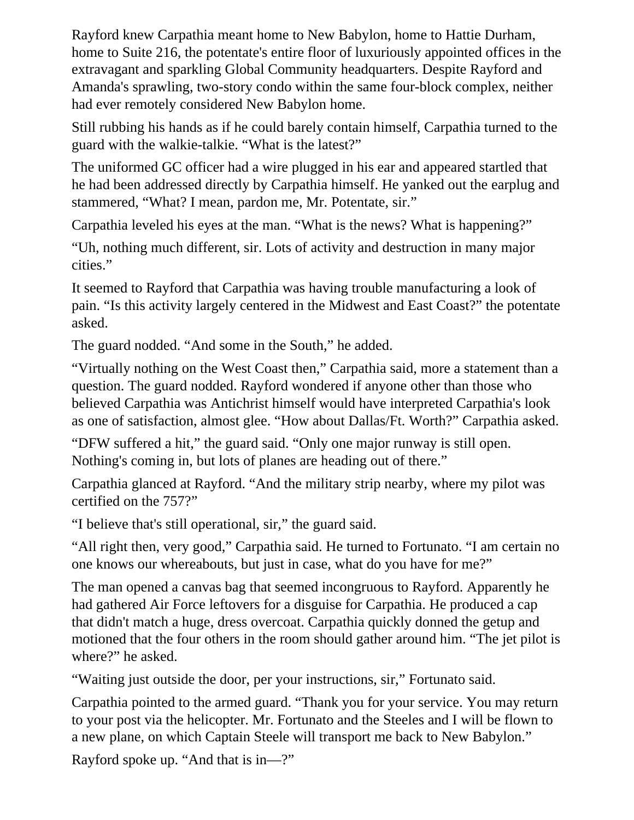Rayford knew Carpathia meant home to New Babylon, home to Hattie Durham, home to Suite 216, the potentate's entire floor of luxuriously appointed offices in the extravagant and sparkling Global Community headquarters. Despite Rayford and Amanda's sprawling, two-story condo within the same four-block complex, neither had ever remotely considered New Babylon home.

Still rubbing his hands as if he could barely contain himself, Carpathia turned to the guard with the walkie-talkie. "What is the latest?"

The uniformed GC officer had a wire plugged in his ear and appeared startled that he had been addressed directly by Carpathia himself. He yanked out the earplug and stammered, "What? I mean, pardon me, Mr. Potentate, sir."

Carpathia leveled his eyes at the man. "What is the news? What is happening?"

"Uh, nothing much different, sir. Lots of activity and destruction in many major cities."

It seemed to Rayford that Carpathia was having trouble manufacturing a look of pain. "Is this activity largely centered in the Midwest and East Coast?" the potentate asked.

The guard nodded. "And some in the South," he added.

"Virtually nothing on the West Coast then," Carpathia said, more a statement than a question. The guard nodded. Rayford wondered if anyone other than those who believed Carpathia was Antichrist himself would have interpreted Carpathia's look as one of satisfaction, almost glee. "How about Dallas/Ft. Worth?" Carpathia asked.

"DFW suffered a hit," the guard said. "Only one major runway is still open. Nothing's coming in, but lots of planes are heading out of there."

Carpathia glanced at Rayford. "And the military strip nearby, where my pilot was certified on the 757?"

"I believe that's still operational, sir," the guard said.

"All right then, very good," Carpathia said. He turned to Fortunato. "I am certain no one knows our whereabouts, but just in case, what do you have for me?"

The man opened a canvas bag that seemed incongruous to Rayford. Apparently he had gathered Air Force leftovers for a disguise for Carpathia. He produced a cap that didn't match a huge, dress overcoat. Carpathia quickly donned the getup and motioned that the four others in the room should gather around him. "The jet pilot is where?" he asked.

"Waiting just outside the door, per your instructions, sir," Fortunato said.

Carpathia pointed to the armed guard. "Thank you for your service. You may return to your post via the helicopter. Mr. Fortunato and the Steeles and I will be flown to a new plane, on which Captain Steele will transport me back to New Babylon."

Rayford spoke up. "And that is in—?"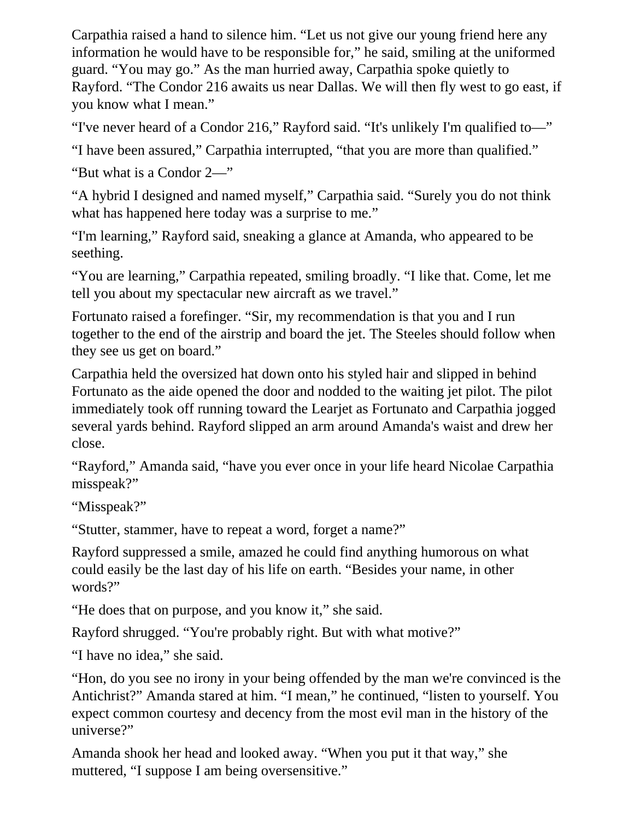Carpathia raised a hand to silence him. "Let us not give our young friend here any information he would have to be responsible for," he said, smiling at the uniformed guard. "You may go." As the man hurried away, Carpathia spoke quietly to Rayford. "The Condor 216 awaits us near Dallas. We will then fly west to go east, if you know what I mean."

"I've never heard of a Condor 216," Rayford said. "It's unlikely I'm qualified to—"

"I have been assured," Carpathia interrupted, "that you are more than qualified."

"But what is a Condor 2—"

"A hybrid I designed and named myself," Carpathia said. "Surely you do not think what has happened here today was a surprise to me."

"I'm learning," Rayford said, sneaking a glance at Amanda, who appeared to be seething.

"You are learning," Carpathia repeated, smiling broadly. "I like that. Come, let me tell you about my spectacular new aircraft as we travel."

Fortunato raised a forefinger. "Sir, my recommendation is that you and I run together to the end of the airstrip and board the jet. The Steeles should follow when they see us get on board."

Carpathia held the oversized hat down onto his styled hair and slipped in behind Fortunato as the aide opened the door and nodded to the waiting jet pilot. The pilot immediately took off running toward the Learjet as Fortunato and Carpathia jogged several yards behind. Rayford slipped an arm around Amanda's waist and drew her close.

"Rayford," Amanda said, "have you ever once in your life heard Nicolae Carpathia misspeak?"

"Misspeak?"

"Stutter, stammer, have to repeat a word, forget a name?"

Rayford suppressed a smile, amazed he could find anything humorous on what could easily be the last day of his life on earth. "Besides your name, in other words?"

"He does that on purpose, and you know it," she said.

Rayford shrugged. "You're probably right. But with what motive?"

"I have no idea," she said.

"Hon, do you see no irony in your being offended by the man we're convinced is the Antichrist?" Amanda stared at him. "I mean," he continued, "listen to yourself. You expect common courtesy and decency from the most evil man in the history of the universe?"

Amanda shook her head and looked away. "When you put it that way," she muttered, "I suppose I am being oversensitive."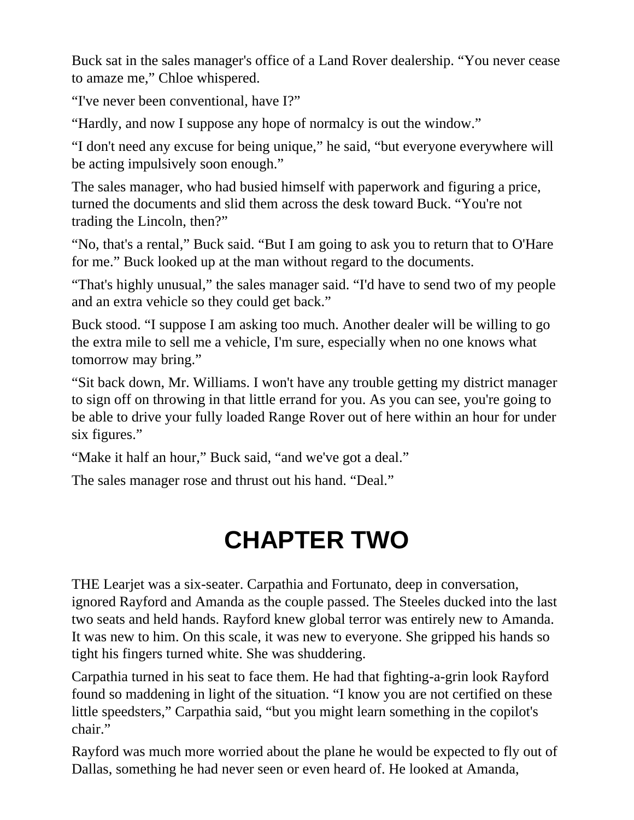Buck sat in the sales manager's office of a Land Rover dealership. "You never cease to amaze me," Chloe whispered.

"I've never been conventional, have I?"

"Hardly, and now I suppose any hope of normalcy is out the window."

"I don't need any excuse for being unique," he said, "but everyone everywhere will be acting impulsively soon enough."

The sales manager, who had busied himself with paperwork and figuring a price, turned the documents and slid them across the desk toward Buck. "You're not trading the Lincoln, then?"

"No, that's a rental," Buck said. "But I am going to ask you to return that to O'Hare for me." Buck looked up at the man without regard to the documents.

"That's highly unusual," the sales manager said. "I'd have to send two of my people and an extra vehicle so they could get back."

Buck stood. "I suppose I am asking too much. Another dealer will be willing to go the extra mile to sell me a vehicle, I'm sure, especially when no one knows what tomorrow may bring."

"Sit back down, Mr. Williams. I won't have any trouble getting my district manager to sign off on throwing in that little errand for you. As you can see, you're going to be able to drive your fully loaded Range Rover out of here within an hour for under six figures."

"Make it half an hour," Buck said, "and we've got a deal."

The sales manager rose and thrust out his hand. "Deal."

### **CHAPTER TWO**

THE Learjet was a six-seater. Carpathia and Fortunato, deep in conversation, ignored Rayford and Amanda as the couple passed. The Steeles ducked into the last two seats and held hands. Rayford knew global terror was entirely new to Amanda. It was new to him. On this scale, it was new to everyone. She gripped his hands so tight his fingers turned white. She was shuddering.

Carpathia turned in his seat to face them. He had that fighting-a-grin look Rayford found so maddening in light of the situation. "I know you are not certified on these little speedsters," Carpathia said, "but you might learn something in the copilot's chair."

Rayford was much more worried about the plane he would be expected to fly out of Dallas, something he had never seen or even heard of. He looked at Amanda,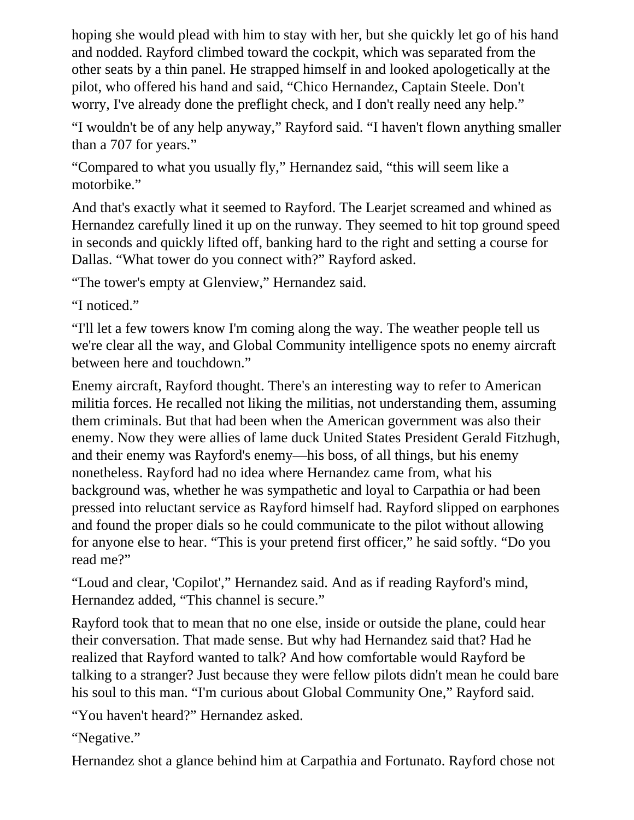hoping she would plead with him to stay with her, but she quickly let go of his hand and nodded. Rayford climbed toward the cockpit, which was separated from the other seats by a thin panel. He strapped himself in and looked apologetically at the pilot, who offered his hand and said, "Chico Hernandez, Captain Steele. Don't worry, I've already done the preflight check, and I don't really need any help."

"I wouldn't be of any help anyway," Rayford said. "I haven't flown anything smaller than a 707 for years."

"Compared to what you usually fly," Hernandez said, "this will seem like a motorbike."

And that's exactly what it seemed to Rayford. The Learjet screamed and whined as Hernandez carefully lined it up on the runway. They seemed to hit top ground speed in seconds and quickly lifted off, banking hard to the right and setting a course for Dallas. "What tower do you connect with?" Rayford asked.

"The tower's empty at Glenview," Hernandez said.

"I noticed."

"I'll let a few towers know I'm coming along the way. The weather people tell us we're clear all the way, and Global Community intelligence spots no enemy aircraft between here and touchdown."

Enemy aircraft, Rayford thought. There's an interesting way to refer to American militia forces. He recalled not liking the militias, not understanding them, assuming them criminals. But that had been when the American government was also their enemy. Now they were allies of lame duck United States President Gerald Fitzhugh, and their enemy was Rayford's enemy—his boss, of all things, but his enemy nonetheless. Rayford had no idea where Hernandez came from, what his background was, whether he was sympathetic and loyal to Carpathia or had been pressed into reluctant service as Rayford himself had. Rayford slipped on earphones and found the proper dials so he could communicate to the pilot without allowing for anyone else to hear. "This is your pretend first officer," he said softly. "Do you read me?"

"Loud and clear, 'Copilot'," Hernandez said. And as if reading Rayford's mind, Hernandez added, "This channel is secure."

Rayford took that to mean that no one else, inside or outside the plane, could hear their conversation. That made sense. But why had Hernandez said that? Had he realized that Rayford wanted to talk? And how comfortable would Rayford be talking to a stranger? Just because they were fellow pilots didn't mean he could bare his soul to this man. "I'm curious about Global Community One," Rayford said.

"You haven't heard?" Hernandez asked.

"Negative."

Hernandez shot a glance behind him at Carpathia and Fortunato. Rayford chose not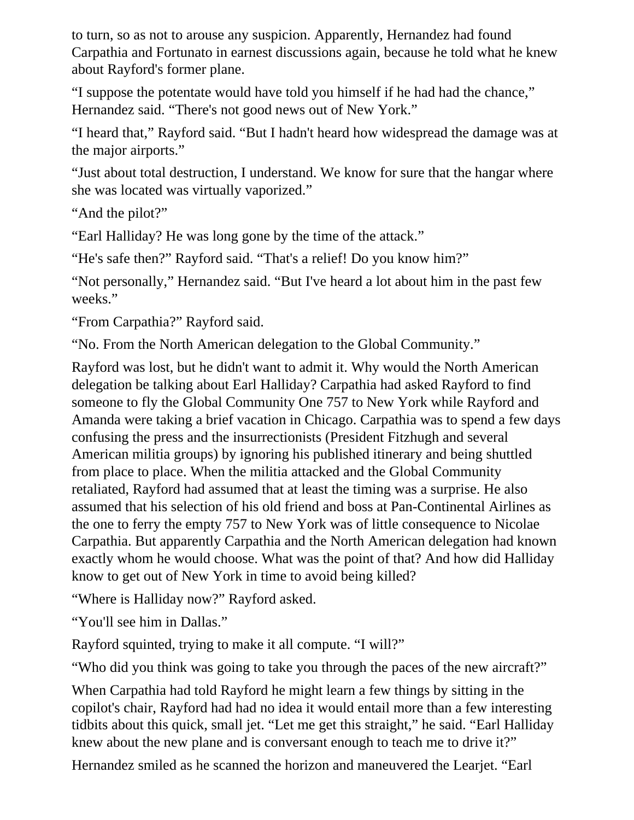to turn, so as not to arouse any suspicion. Apparently, Hernandez had found Carpathia and Fortunato in earnest discussions again, because he told what he knew about Rayford's former plane.

"I suppose the potentate would have told you himself if he had had the chance," Hernandez said. "There's not good news out of New York."

"I heard that," Rayford said. "But I hadn't heard how widespread the damage was at the major airports."

"Just about total destruction, I understand. We know for sure that the hangar where she was located was virtually vaporized."

"And the pilot?"

"Earl Halliday? He was long gone by the time of the attack."

"He's safe then?" Rayford said. "That's a relief! Do you know him?"

"Not personally," Hernandez said. "But I've heard a lot about him in the past few weeks."

"From Carpathia?" Rayford said.

"No. From the North American delegation to the Global Community."

Rayford was lost, but he didn't want to admit it. Why would the North American delegation be talking about Earl Halliday? Carpathia had asked Rayford to find someone to fly the Global Community One 757 to New York while Rayford and Amanda were taking a brief vacation in Chicago. Carpathia was to spend a few days confusing the press and the insurrectionists (President Fitzhugh and several American militia groups) by ignoring his published itinerary and being shuttled from place to place. When the militia attacked and the Global Community retaliated, Rayford had assumed that at least the timing was a surprise. He also assumed that his selection of his old friend and boss at Pan-Continental Airlines as the one to ferry the empty 757 to New York was of little consequence to Nicolae Carpathia. But apparently Carpathia and the North American delegation had known exactly whom he would choose. What was the point of that? And how did Halliday know to get out of New York in time to avoid being killed?

"Where is Halliday now?" Rayford asked.

"You'll see him in Dallas."

Rayford squinted, trying to make it all compute. "I will?"

"Who did you think was going to take you through the paces of the new aircraft?"

When Carpathia had told Rayford he might learn a few things by sitting in the copilot's chair, Rayford had had no idea it would entail more than a few interesting tidbits about this quick, small jet. "Let me get this straight," he said. "Earl Halliday knew about the new plane and is conversant enough to teach me to drive it?"

Hernandez smiled as he scanned the horizon and maneuvered the Learjet. "Earl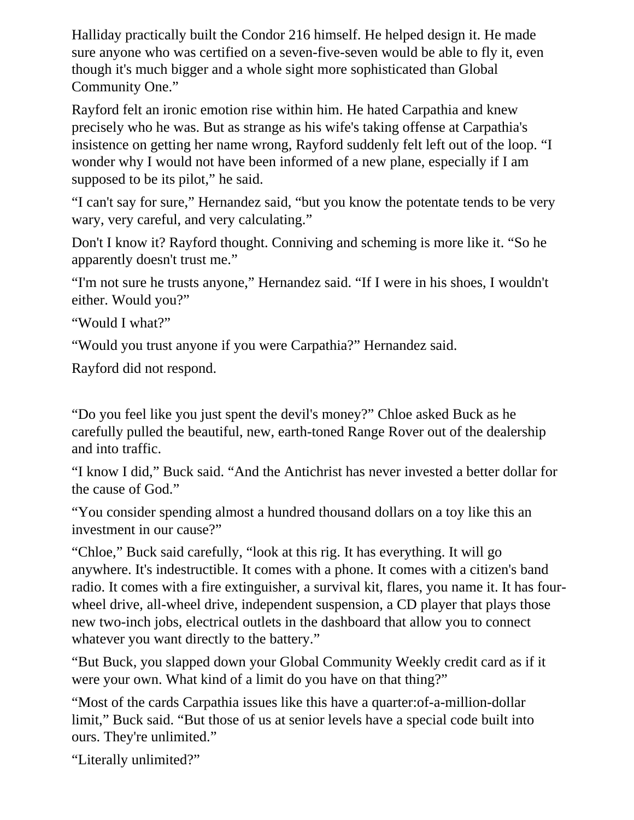Halliday practically built the Condor 216 himself. He helped design it. He made sure anyone who was certified on a seven-five-seven would be able to fly it, even though it's much bigger and a whole sight more sophisticated than Global Community One."

Rayford felt an ironic emotion rise within him. He hated Carpathia and knew precisely who he was. But as strange as his wife's taking offense at Carpathia's insistence on getting her name wrong, Rayford suddenly felt left out of the loop. "I wonder why I would not have been informed of a new plane, especially if I am supposed to be its pilot," he said.

"I can't say for sure," Hernandez said, "but you know the potentate tends to be very wary, very careful, and very calculating."

Don't I know it? Rayford thought. Conniving and scheming is more like it. "So he apparently doesn't trust me."

"I'm not sure he trusts anyone," Hernandez said. "If I were in his shoes, I wouldn't either. Would you?"

"Would I what?"

"Would you trust anyone if you were Carpathia?" Hernandez said.

Rayford did not respond.

"Do you feel like you just spent the devil's money?" Chloe asked Buck as he carefully pulled the beautiful, new, earth-toned Range Rover out of the dealership and into traffic.

"I know I did," Buck said. "And the Antichrist has never invested a better dollar for the cause of God."

"You consider spending almost a hundred thousand dollars on a toy like this an investment in our cause?"

"Chloe," Buck said carefully, "look at this rig. It has everything. It will go anywhere. It's indestructible. It comes with a phone. It comes with a citizen's band radio. It comes with a fire extinguisher, a survival kit, flares, you name it. It has fourwheel drive, all-wheel drive, independent suspension, a CD player that plays those new two-inch jobs, electrical outlets in the dashboard that allow you to connect whatever you want directly to the battery."

"But Buck, you slapped down your Global Community Weekly credit card as if it were your own. What kind of a limit do you have on that thing?"

"Most of the cards Carpathia issues like this have a quarter:of-a-million-dollar limit," Buck said. "But those of us at senior levels have a special code built into ours. They're unlimited."

"Literally unlimited?"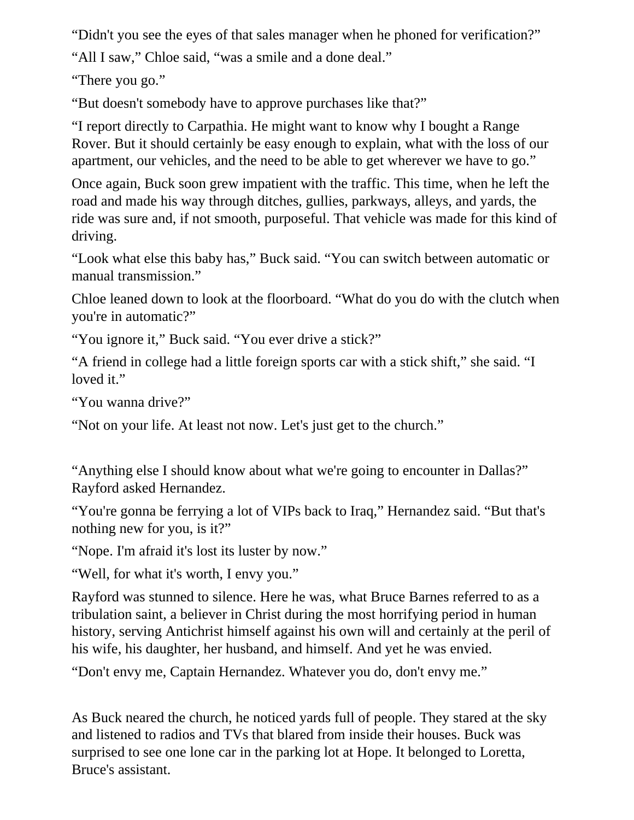"Didn't you see the eyes of that sales manager when he phoned for verification?"

"All I saw," Chloe said, "was a smile and a done deal."

"There you go."

"But doesn't somebody have to approve purchases like that?"

"I report directly to Carpathia. He might want to know why I bought a Range Rover. But it should certainly be easy enough to explain, what with the loss of our apartment, our vehicles, and the need to be able to get wherever we have to go."

Once again, Buck soon grew impatient with the traffic. This time, when he left the road and made his way through ditches, gullies, parkways, alleys, and yards, the ride was sure and, if not smooth, purposeful. That vehicle was made for this kind of driving.

"Look what else this baby has," Buck said. "You can switch between automatic or manual transmission."

Chloe leaned down to look at the floorboard. "What do you do with the clutch when you're in automatic?"

"You ignore it," Buck said. "You ever drive a stick?"

"A friend in college had a little foreign sports car with a stick shift," she said. "I loved it."

"You wanna drive?"

"Not on your life. At least not now. Let's just get to the church."

"Anything else I should know about what we're going to encounter in Dallas?" Rayford asked Hernandez.

"You're gonna be ferrying a lot of VIPs back to Iraq," Hernandez said. "But that's nothing new for you, is it?"

"Nope. I'm afraid it's lost its luster by now."

"Well, for what it's worth, I envy you."

Rayford was stunned to silence. Here he was, what Bruce Barnes referred to as a tribulation saint, a believer in Christ during the most horrifying period in human history, serving Antichrist himself against his own will and certainly at the peril of his wife, his daughter, her husband, and himself. And yet he was envied.

"Don't envy me, Captain Hernandez. Whatever you do, don't envy me."

As Buck neared the church, he noticed yards full of people. They stared at the sky and listened to radios and TVs that blared from inside their houses. Buck was surprised to see one lone car in the parking lot at Hope. It belonged to Loretta, Bruce's assistant.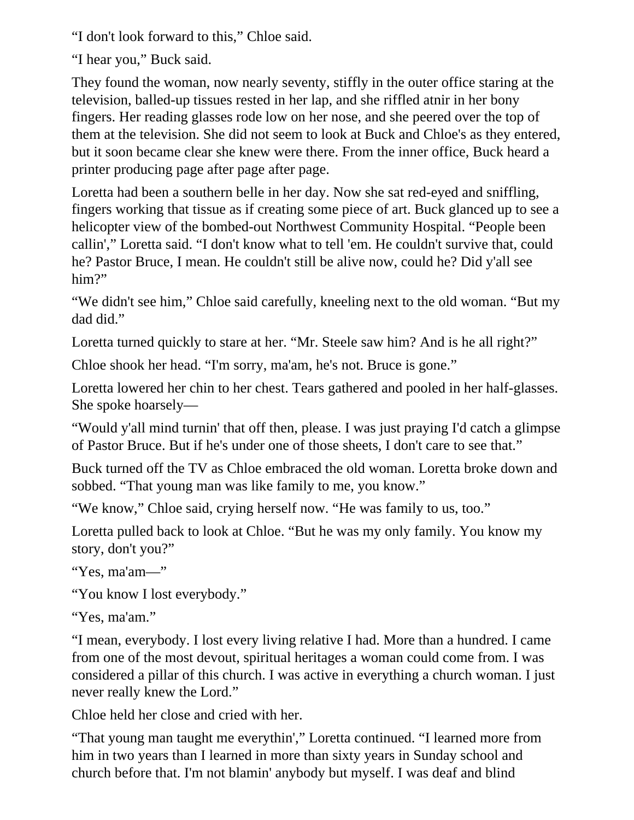"I don't look forward to this," Chloe said.

"I hear you," Buck said.

They found the woman, now nearly seventy, stiffly in the outer office staring at the television, balled-up tissues rested in her lap, and she riffled atnir in her bony fingers. Her reading glasses rode low on her nose, and she peered over the top of them at the television. She did not seem to look at Buck and Chloe's as they entered, but it soon became clear she knew were there. From the inner office, Buck heard a printer producing page after page after page.

Loretta had been a southern belle in her day. Now she sat red-eyed and sniffling, fingers working that tissue as if creating some piece of art. Buck glanced up to see a helicopter view of the bombed-out Northwest Community Hospital. "People been callin'," Loretta said. "I don't know what to tell 'em. He couldn't survive that, could he? Pastor Bruce, I mean. He couldn't still be alive now, could he? Did y'all see him?"

"We didn't see him," Chloe said carefully, kneeling next to the old woman. "But my dad did."

Loretta turned quickly to stare at her. "Mr. Steele saw him? And is he all right?"

Chloe shook her head. "I'm sorry, ma'am, he's not. Bruce is gone."

Loretta lowered her chin to her chest. Tears gathered and pooled in her half-glasses. She spoke hoarsely—

"Would y'all mind turnin' that off then, please. I was just praying I'd catch a glimpse of Pastor Bruce. But if he's under one of those sheets, I don't care to see that."

Buck turned off the TV as Chloe embraced the old woman. Loretta broke down and sobbed. "That young man was like family to me, you know."

"We know," Chloe said, crying herself now. "He was family to us, too."

Loretta pulled back to look at Chloe. "But he was my only family. You know my story, don't you?"

"Yes, ma'am—"

"You know I lost everybody."

"Yes, ma'am."

"I mean, everybody. I lost every living relative I had. More than a hundred. I came from one of the most devout, spiritual heritages a woman could come from. I was considered a pillar of this church. I was active in everything a church woman. I just never really knew the Lord."

Chloe held her close and cried with her.

"That young man taught me everythin'," Loretta continued. "I learned more from him in two years than I learned in more than sixty years in Sunday school and church before that. I'm not blamin' anybody but myself. I was deaf and blind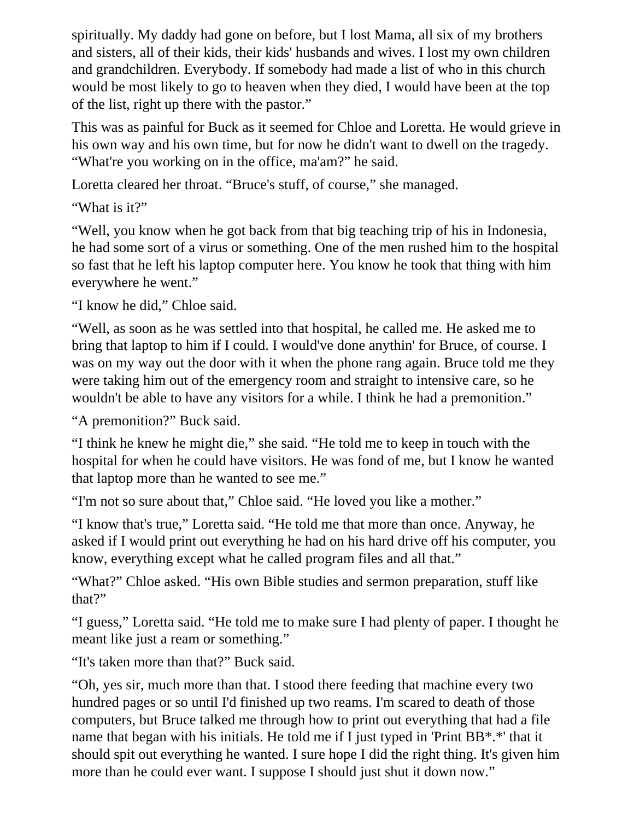spiritually. My daddy had gone on before, but I lost Mama, all six of my brothers and sisters, all of their kids, their kids' husbands and wives. I lost my own children and grandchildren. Everybody. If somebody had made a list of who in this church would be most likely to go to heaven when they died, I would have been at the top of the list, right up there with the pastor."

This was as painful for Buck as it seemed for Chloe and Loretta. He would grieve in his own way and his own time, but for now he didn't want to dwell on the tragedy. "What're you working on in the office, ma'am?" he said.

Loretta cleared her throat. "Bruce's stuff, of course," she managed.

"What is it?"

"Well, you know when he got back from that big teaching trip of his in Indonesia, he had some sort of a virus or something. One of the men rushed him to the hospital so fast that he left his laptop computer here. You know he took that thing with him everywhere he went."

"I know he did," Chloe said.

"Well, as soon as he was settled into that hospital, he called me. He asked me to bring that laptop to him if I could. I would've done anythin' for Bruce, of course. I was on my way out the door with it when the phone rang again. Bruce told me they were taking him out of the emergency room and straight to intensive care, so he wouldn't be able to have any visitors for a while. I think he had a premonition."

"A premonition?" Buck said.

"I think he knew he might die," she said. "He told me to keep in touch with the hospital for when he could have visitors. He was fond of me, but I know he wanted that laptop more than he wanted to see me."

"I'm not so sure about that," Chloe said. "He loved you like a mother."

"I know that's true," Loretta said. "He told me that more than once. Anyway, he asked if I would print out everything he had on his hard drive off his computer, you know, everything except what he called program files and all that."

"What?" Chloe asked. "His own Bible studies and sermon preparation, stuff like that?"

"I guess," Loretta said. "He told me to make sure I had plenty of paper. I thought he meant like just a ream or something."

"It's taken more than that?" Buck said.

"Oh, yes sir, much more than that. I stood there feeding that machine every two hundred pages or so until I'd finished up two reams. I'm scared to death of those computers, but Bruce talked me through how to print out everything that had a file name that began with his initials. He told me if I just typed in 'Print BB\*.\*' that it should spit out everything he wanted. I sure hope I did the right thing. It's given him more than he could ever want. I suppose I should just shut it down now."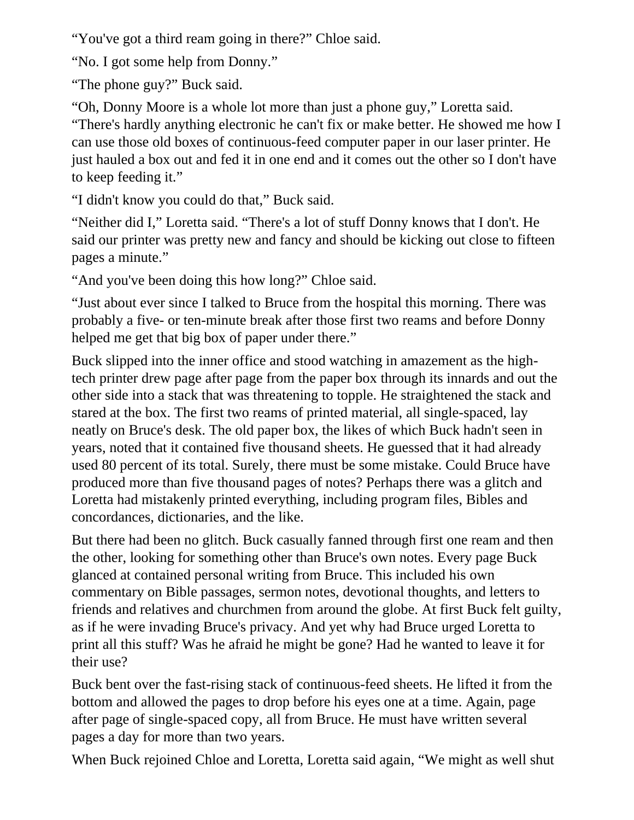"You've got a third ream going in there?" Chloe said.

"No. I got some help from Donny."

"The phone guy?" Buck said.

"Oh, Donny Moore is a whole lot more than just a phone guy," Loretta said. "There's hardly anything electronic he can't fix or make better. He showed me how I can use those old boxes of continuous-feed computer paper in our laser printer. He just hauled a box out and fed it in one end and it comes out the other so I don't have to keep feeding it."

"I didn't know you could do that," Buck said.

"Neither did I," Loretta said. "There's a lot of stuff Donny knows that I don't. He said our printer was pretty new and fancy and should be kicking out close to fifteen pages a minute."

"And you've been doing this how long?" Chloe said.

"Just about ever since I talked to Bruce from the hospital this morning. There was probably a five- or ten-minute break after those first two reams and before Donny helped me get that big box of paper under there."

Buck slipped into the inner office and stood watching in amazement as the hightech printer drew page after page from the paper box through its innards and out the other side into a stack that was threatening to topple. He straightened the stack and stared at the box. The first two reams of printed material, all single-spaced, lay neatly on Bruce's desk. The old paper box, the likes of which Buck hadn't seen in years, noted that it contained five thousand sheets. He guessed that it had already used 80 percent of its total. Surely, there must be some mistake. Could Bruce have produced more than five thousand pages of notes? Perhaps there was a glitch and Loretta had mistakenly printed everything, including program files, Bibles and concordances, dictionaries, and the like.

But there had been no glitch. Buck casually fanned through first one ream and then the other, looking for something other than Bruce's own notes. Every page Buck glanced at contained personal writing from Bruce. This included his own commentary on Bible passages, sermon notes, devotional thoughts, and letters to friends and relatives and churchmen from around the globe. At first Buck felt guilty, as if he were invading Bruce's privacy. And yet why had Bruce urged Loretta to print all this stuff? Was he afraid he might be gone? Had he wanted to leave it for their use?

Buck bent over the fast-rising stack of continuous-feed sheets. He lifted it from the bottom and allowed the pages to drop before his eyes one at a time. Again, page after page of single-spaced copy, all from Bruce. He must have written several pages a day for more than two years.

When Buck rejoined Chloe and Loretta, Loretta said again, "We might as well shut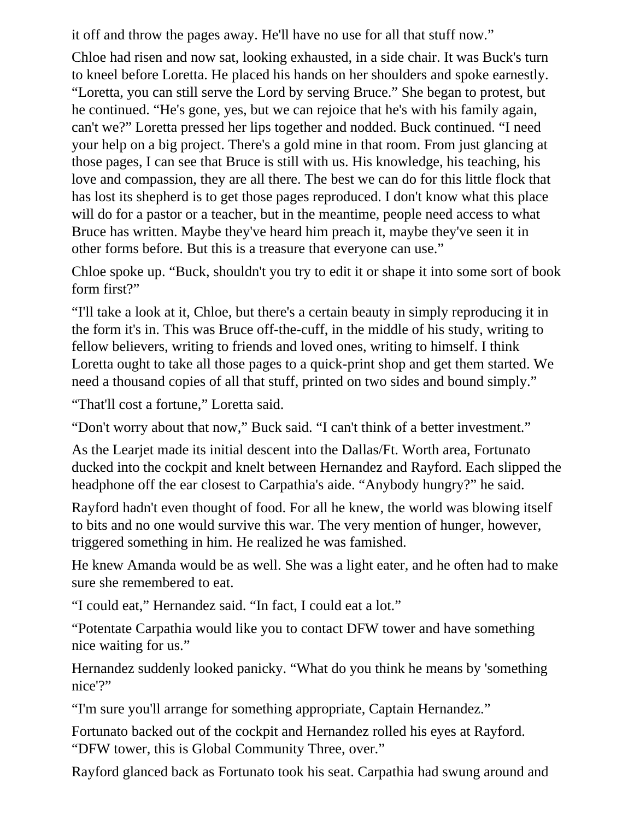it off and throw the pages away. He'll have no use for all that stuff now."

Chloe had risen and now sat, looking exhausted, in a side chair. It was Buck's turn to kneel before Loretta. He placed his hands on her shoulders and spoke earnestly. "Loretta, you can still serve the Lord by serving Bruce." She began to protest, but he continued. "He's gone, yes, but we can rejoice that he's with his family again, can't we?" Loretta pressed her lips together and nodded. Buck continued. "I need your help on a big project. There's a gold mine in that room. From just glancing at those pages, I can see that Bruce is still with us. His knowledge, his teaching, his love and compassion, they are all there. The best we can do for this little flock that has lost its shepherd is to get those pages reproduced. I don't know what this place will do for a pastor or a teacher, but in the meantime, people need access to what Bruce has written. Maybe they've heard him preach it, maybe they've seen it in other forms before. But this is a treasure that everyone can use."

Chloe spoke up. "Buck, shouldn't you try to edit it or shape it into some sort of book form first?"

"I'll take a look at it, Chloe, but there's a certain beauty in simply reproducing it in the form it's in. This was Bruce off-the-cuff, in the middle of his study, writing to fellow believers, writing to friends and loved ones, writing to himself. I think Loretta ought to take all those pages to a quick-print shop and get them started. We need a thousand copies of all that stuff, printed on two sides and bound simply."

"That'll cost a fortune," Loretta said.

"Don't worry about that now," Buck said. "I can't think of a better investment."

As the Learjet made its initial descent into the Dallas/Ft. Worth area, Fortunato ducked into the cockpit and knelt between Hernandez and Rayford. Each slipped the headphone off the ear closest to Carpathia's aide. "Anybody hungry?" he said.

Rayford hadn't even thought of food. For all he knew, the world was blowing itself to bits and no one would survive this war. The very mention of hunger, however, triggered something in him. He realized he was famished.

He knew Amanda would be as well. She was a light eater, and he often had to make sure she remembered to eat.

"I could eat," Hernandez said. "In fact, I could eat a lot."

"Potentate Carpathia would like you to contact DFW tower and have something nice waiting for us."

Hernandez suddenly looked panicky. "What do you think he means by 'something nice'?"

"I'm sure you'll arrange for something appropriate, Captain Hernandez."

Fortunato backed out of the cockpit and Hernandez rolled his eyes at Rayford. "DFW tower, this is Global Community Three, over."

Rayford glanced back as Fortunato took his seat. Carpathia had swung around and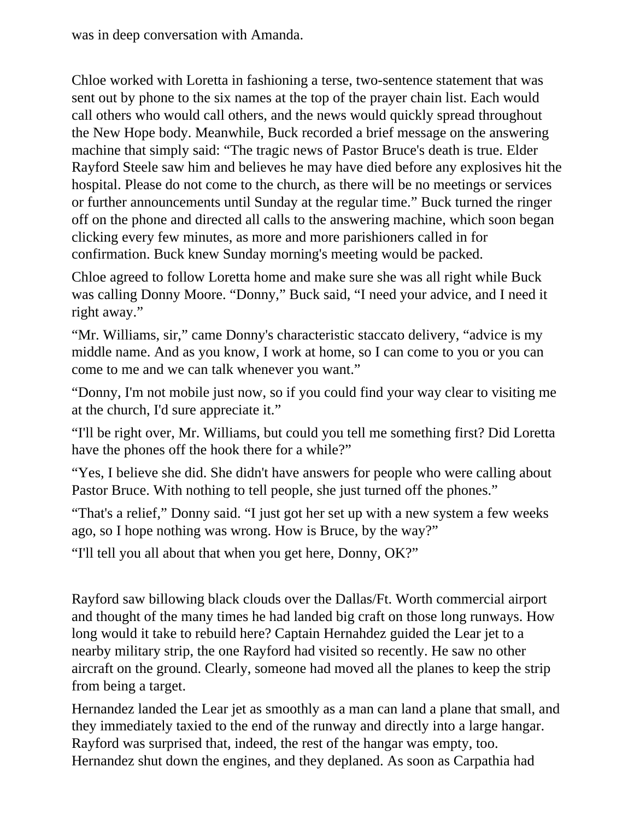was in deep conversation with Amanda.

Chloe worked with Loretta in fashioning a terse, two-sentence statement that was sent out by phone to the six names at the top of the prayer chain list. Each would call others who would call others, and the news would quickly spread throughout the New Hope body. Meanwhile, Buck recorded a brief message on the answering machine that simply said: "The tragic news of Pastor Bruce's death is true. Elder Rayford Steele saw him and believes he may have died before any explosives hit the hospital. Please do not come to the church, as there will be no meetings or services or further announcements until Sunday at the regular time." Buck turned the ringer off on the phone and directed all calls to the answering machine, which soon began clicking every few minutes, as more and more parishioners called in for confirmation. Buck knew Sunday morning's meeting would be packed.

Chloe agreed to follow Loretta home and make sure she was all right while Buck was calling Donny Moore. "Donny," Buck said, "I need your advice, and I need it right away."

"Mr. Williams, sir," came Donny's characteristic staccato delivery, "advice is my middle name. And as you know, I work at home, so I can come to you or you can come to me and we can talk whenever you want."

"Donny, I'm not mobile just now, so if you could find your way clear to visiting me at the church, I'd sure appreciate it."

"I'll be right over, Mr. Williams, but could you tell me something first? Did Loretta have the phones off the hook there for a while?"

"Yes, I believe she did. She didn't have answers for people who were calling about Pastor Bruce. With nothing to tell people, she just turned off the phones."

"That's a relief," Donny said. "I just got her set up with a new system a few weeks ago, so I hope nothing was wrong. How is Bruce, by the way?"

"I'll tell you all about that when you get here, Donny, OK?"

Rayford saw billowing black clouds over the Dallas/Ft. Worth commercial airport and thought of the many times he had landed big craft on those long runways. How long would it take to rebuild here? Captain Hernahdez guided the Lear jet to a nearby military strip, the one Rayford had visited so recently. He saw no other aircraft on the ground. Clearly, someone had moved all the planes to keep the strip from being a target.

Hernandez landed the Lear jet as smoothly as a man can land a plane that small, and they immediately taxied to the end of the runway and directly into a large hangar. Rayford was surprised that, indeed, the rest of the hangar was empty, too. Hernandez shut down the engines, and they deplaned. As soon as Carpathia had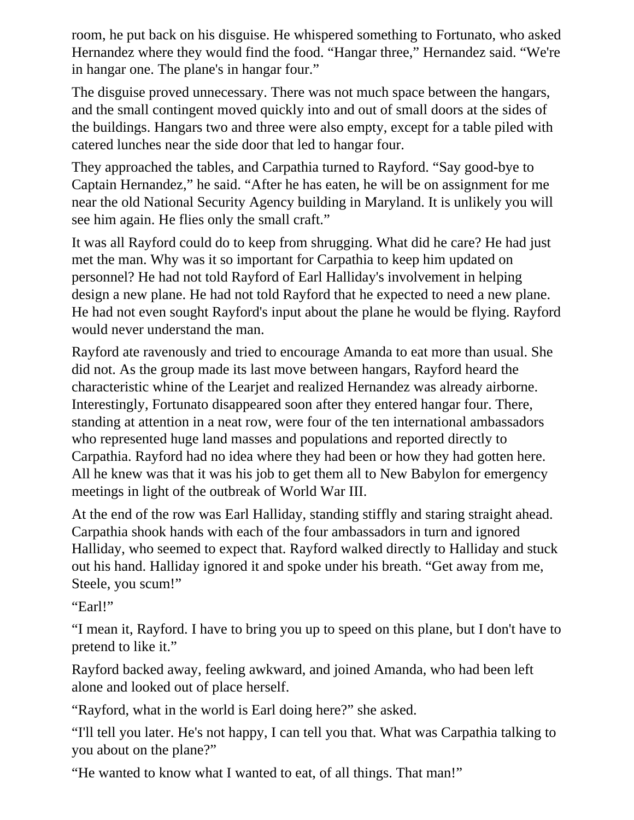room, he put back on his disguise. He whispered something to Fortunato, who asked Hernandez where they would find the food. "Hangar three," Hernandez said. "We're in hangar one. The plane's in hangar four."

The disguise proved unnecessary. There was not much space between the hangars, and the small contingent moved quickly into and out of small doors at the sides of the buildings. Hangars two and three were also empty, except for a table piled with catered lunches near the side door that led to hangar four.

They approached the tables, and Carpathia turned to Rayford. "Say good-bye to Captain Hernandez," he said. "After he has eaten, he will be on assignment for me near the old National Security Agency building in Maryland. It is unlikely you will see him again. He flies only the small craft."

It was all Rayford could do to keep from shrugging. What did he care? He had just met the man. Why was it so important for Carpathia to keep him updated on personnel? He had not told Rayford of Earl Halliday's involvement in helping design a new plane. He had not told Rayford that he expected to need a new plane. He had not even sought Rayford's input about the plane he would be flying. Rayford would never understand the man.

Rayford ate ravenously and tried to encourage Amanda to eat more than usual. She did not. As the group made its last move between hangars, Rayford heard the characteristic whine of the Learjet and realized Hernandez was already airborne. Interestingly, Fortunato disappeared soon after they entered hangar four. There, standing at attention in a neat row, were four of the ten international ambassadors who represented huge land masses and populations and reported directly to Carpathia. Rayford had no idea where they had been or how they had gotten here. All he knew was that it was his job to get them all to New Babylon for emergency meetings in light of the outbreak of World War III.

At the end of the row was Earl Halliday, standing stiffly and staring straight ahead. Carpathia shook hands with each of the four ambassadors in turn and ignored Halliday, who seemed to expect that. Rayford walked directly to Halliday and stuck out his hand. Halliday ignored it and spoke under his breath. "Get away from me, Steele, you scum!"

"Earl!"

"I mean it, Rayford. I have to bring you up to speed on this plane, but I don't have to pretend to like it."

Rayford backed away, feeling awkward, and joined Amanda, who had been left alone and looked out of place herself.

"Rayford, what in the world is Earl doing here?" she asked.

"I'll tell you later. He's not happy, I can tell you that. What was Carpathia talking to you about on the plane?"

"He wanted to know what I wanted to eat, of all things. That man!"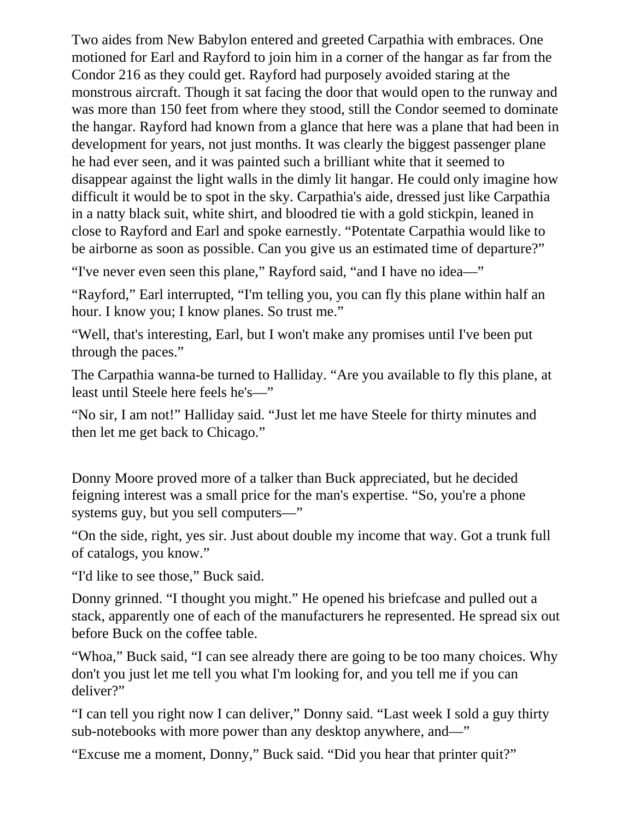Two aides from New Babylon entered and greeted Carpathia with embraces. One motioned for Earl and Rayford to join him in a corner of the hangar as far from the Condor 216 as they could get. Rayford had purposely avoided staring at the monstrous aircraft. Though it sat facing the door that would open to the runway and was more than 150 feet from where they stood, still the Condor seemed to dominate the hangar. Rayford had known from a glance that here was a plane that had been in development for years, not just months. It was clearly the biggest passenger plane he had ever seen, and it was painted such a brilliant white that it seemed to disappear against the light walls in the dimly lit hangar. He could only imagine how difficult it would be to spot in the sky. Carpathia's aide, dressed just like Carpathia in a natty black suit, white shirt, and bloodred tie with a gold stickpin, leaned in close to Rayford and Earl and spoke earnestly. "Potentate Carpathia would like to be airborne as soon as possible. Can you give us an estimated time of departure?"

"I've never even seen this plane," Rayford said, "and I have no idea—"

"Rayford," Earl interrupted, "I'm telling you, you can fly this plane within half an hour. I know you; I know planes. So trust me."

"Well, that's interesting, Earl, but I won't make any promises until I've been put through the paces."

The Carpathia wanna-be turned to Halliday. "Are you available to fly this plane, at least until Steele here feels he's—"

"No sir, I am not!" Halliday said. "Just let me have Steele for thirty minutes and then let me get back to Chicago."

Donny Moore proved more of a talker than Buck appreciated, but he decided feigning interest was a small price for the man's expertise. "So, you're a phone systems guy, but you sell computers—"

"On the side, right, yes sir. Just about double my income that way. Got a trunk full of catalogs, you know."

"I'd like to see those," Buck said.

Donny grinned. "I thought you might." He opened his briefcase and pulled out a stack, apparently one of each of the manufacturers he represented. He spread six out before Buck on the coffee table.

"Whoa," Buck said, "I can see already there are going to be too many choices. Why don't you just let me tell you what I'm looking for, and you tell me if you can deliver?"

"I can tell you right now I can deliver," Donny said. "Last week I sold a guy thirty sub-notebooks with more power than any desktop anywhere, and—"

"Excuse me a moment, Donny," Buck said. "Did you hear that printer quit?"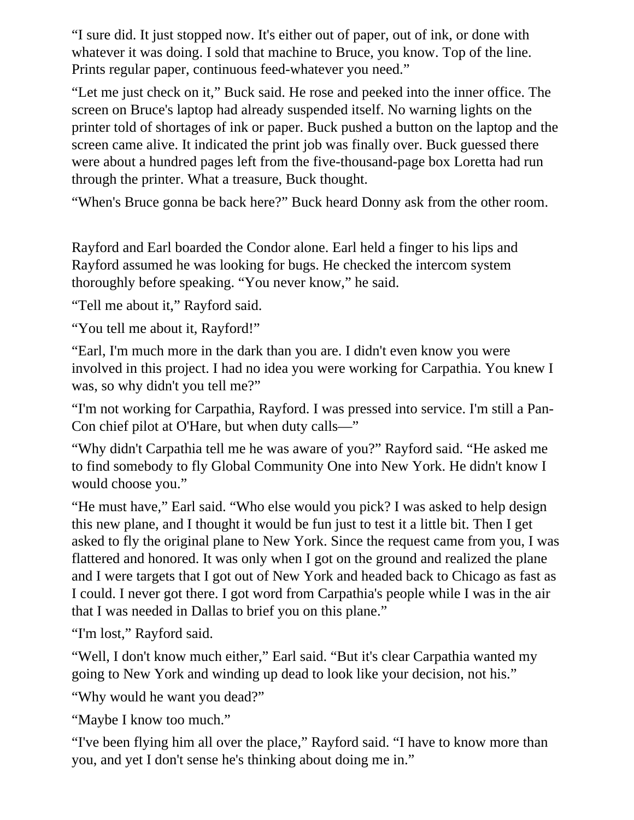"I sure did. It just stopped now. It's either out of paper, out of ink, or done with whatever it was doing. I sold that machine to Bruce, you know. Top of the line. Prints regular paper, continuous feed-whatever you need."

"Let me just check on it," Buck said. He rose and peeked into the inner office. The screen on Bruce's laptop had already suspended itself. No warning lights on the printer told of shortages of ink or paper. Buck pushed a button on the laptop and the screen came alive. It indicated the print job was finally over. Buck guessed there were about a hundred pages left from the five-thousand-page box Loretta had run through the printer. What a treasure, Buck thought.

"When's Bruce gonna be back here?" Buck heard Donny ask from the other room.

Rayford and Earl boarded the Condor alone. Earl held a finger to his lips and Rayford assumed he was looking for bugs. He checked the intercom system thoroughly before speaking. "You never know," he said.

"Tell me about it," Rayford said.

"You tell me about it, Rayford!"

"Earl, I'm much more in the dark than you are. I didn't even know you were involved in this project. I had no idea you were working for Carpathia. You knew I was, so why didn't you tell me?"

"I'm not working for Carpathia, Rayford. I was pressed into service. I'm still a Pan-Con chief pilot at O'Hare, but when duty calls—"

"Why didn't Carpathia tell me he was aware of you?" Rayford said. "He asked me to find somebody to fly Global Community One into New York. He didn't know I would choose you."

"He must have," Earl said. "Who else would you pick? I was asked to help design this new plane, and I thought it would be fun just to test it a little bit. Then I get asked to fly the original plane to New York. Since the request came from you, I was flattered and honored. It was only when I got on the ground and realized the plane and I were targets that I got out of New York and headed back to Chicago as fast as I could. I never got there. I got word from Carpathia's people while I was in the air that I was needed in Dallas to brief you on this plane."

"I'm lost," Rayford said.

"Well, I don't know much either," Earl said. "But it's clear Carpathia wanted my going to New York and winding up dead to look like your decision, not his."

"Why would he want you dead?"

"Maybe I know too much."

"I've been flying him all over the place," Rayford said. "I have to know more than you, and yet I don't sense he's thinking about doing me in."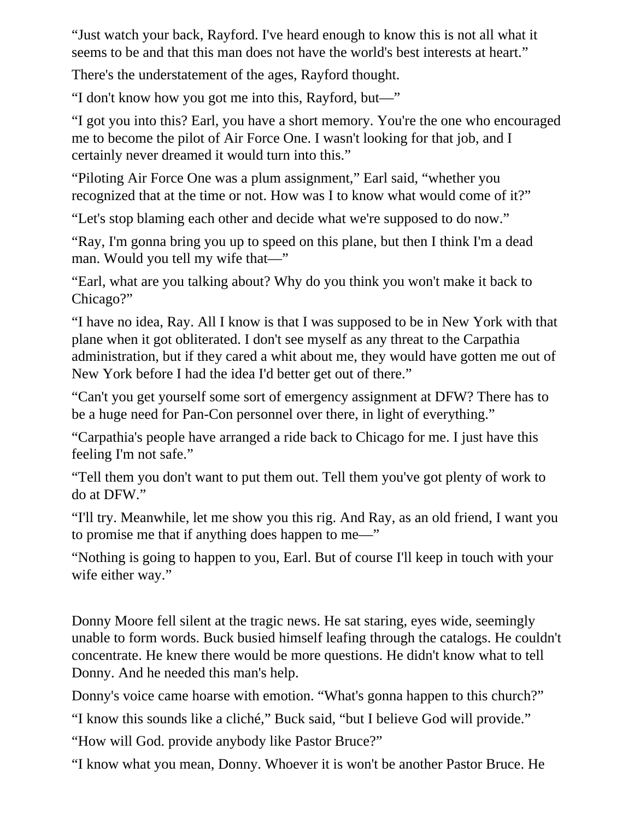"Just watch your back, Rayford. I've heard enough to know this is not all what it seems to be and that this man does not have the world's best interests at heart."

There's the understatement of the ages, Rayford thought.

"I don't know how you got me into this, Rayford, but—"

"I got you into this? Earl, you have a short memory. You're the one who encouraged me to become the pilot of Air Force One. I wasn't looking for that job, and I certainly never dreamed it would turn into this."

"Piloting Air Force One was a plum assignment," Earl said, "whether you recognized that at the time or not. How was I to know what would come of it?"

"Let's stop blaming each other and decide what we're supposed to do now."

"Ray, I'm gonna bring you up to speed on this plane, but then I think I'm a dead man. Would you tell my wife that—"

"Earl, what are you talking about? Why do you think you won't make it back to Chicago?"

"I have no idea, Ray. All I know is that I was supposed to be in New York with that plane when it got obliterated. I don't see myself as any threat to the Carpathia administration, but if they cared a whit about me, they would have gotten me out of New York before I had the idea I'd better get out of there."

"Can't you get yourself some sort of emergency assignment at DFW? There has to be a huge need for Pan-Con personnel over there, in light of everything."

"Carpathia's people have arranged a ride back to Chicago for me. I just have this feeling I'm not safe."

"Tell them you don't want to put them out. Tell them you've got plenty of work to do at DFW."

"I'll try. Meanwhile, let me show you this rig. And Ray, as an old friend, I want you to promise me that if anything does happen to me—"

"Nothing is going to happen to you, Earl. But of course I'll keep in touch with your wife either way."

Donny Moore fell silent at the tragic news. He sat staring, eyes wide, seemingly unable to form words. Buck busied himself leafing through the catalogs. He couldn't concentrate. He knew there would be more questions. He didn't know what to tell Donny. And he needed this man's help.

Donny's voice came hoarse with emotion. "What's gonna happen to this church?"

"I know this sounds like a cliché," Buck said, "but I believe God will provide."

"How will God. provide anybody like Pastor Bruce?"

"I know what you mean, Donny. Whoever it is won't be another Pastor Bruce. He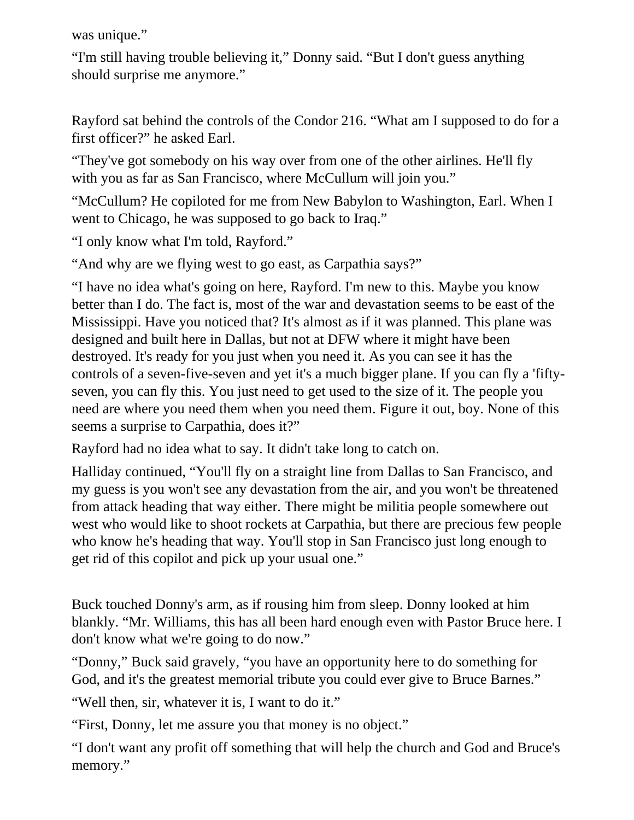was unique."

"I'm still having trouble believing it," Donny said. "But I don't guess anything should surprise me anymore."

Rayford sat behind the controls of the Condor 216. "What am I supposed to do for a first officer?" he asked Earl.

"They've got somebody on his way over from one of the other airlines. He'll fly with you as far as San Francisco, where McCullum will join you."

"McCullum? He copiloted for me from New Babylon to Washington, Earl. When I went to Chicago, he was supposed to go back to Iraq."

"I only know what I'm told, Rayford."

"And why are we flying west to go east, as Carpathia says?"

"I have no idea what's going on here, Rayford. I'm new to this. Maybe you know better than I do. The fact is, most of the war and devastation seems to be east of the Mississippi. Have you noticed that? It's almost as if it was planned. This plane was designed and built here in Dallas, but not at DFW where it might have been destroyed. It's ready for you just when you need it. As you can see it has the controls of a seven-five-seven and yet it's a much bigger plane. If you can fly a 'fiftyseven, you can fly this. You just need to get used to the size of it. The people you need are where you need them when you need them. Figure it out, boy. None of this seems a surprise to Carpathia, does it?"

Rayford had no idea what to say. It didn't take long to catch on.

Halliday continued, "You'll fly on a straight line from Dallas to San Francisco, and my guess is you won't see any devastation from the air, and you won't be threatened from attack heading that way either. There might be militia people somewhere out west who would like to shoot rockets at Carpathia, but there are precious few people who know he's heading that way. You'll stop in San Francisco just long enough to get rid of this copilot and pick up your usual one."

Buck touched Donny's arm, as if rousing him from sleep. Donny looked at him blankly. "Mr. Williams, this has all been hard enough even with Pastor Bruce here. I don't know what we're going to do now."

"Donny," Buck said gravely, "you have an opportunity here to do something for God, and it's the greatest memorial tribute you could ever give to Bruce Barnes."

"Well then, sir, whatever it is, I want to do it."

"First, Donny, let me assure you that money is no object."

"I don't want any profit off something that will help the church and God and Bruce's memory."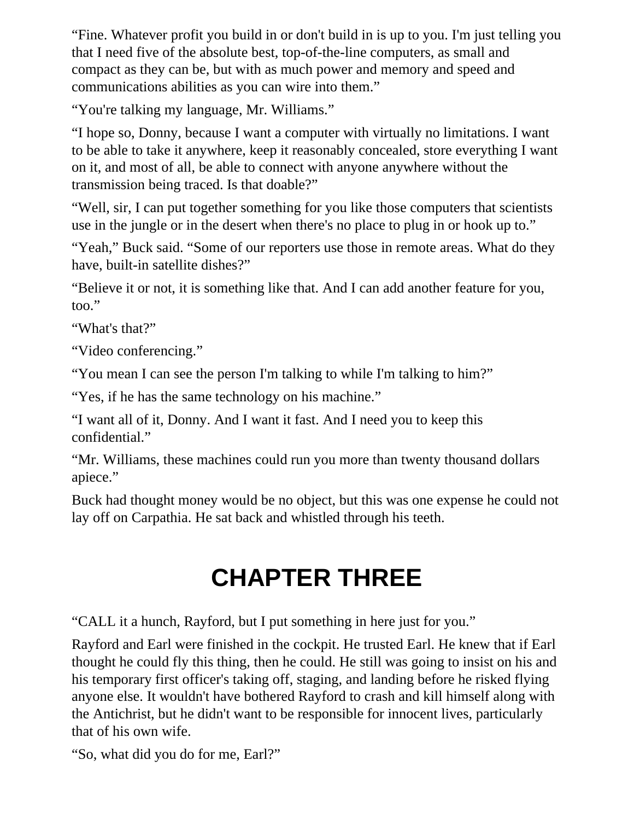"Fine. Whatever profit you build in or don't build in is up to you. I'm just telling you that I need five of the absolute best, top-of-the-line computers, as small and compact as they can be, but with as much power and memory and speed and communications abilities as you can wire into them."

"You're talking my language, Mr. Williams."

"I hope so, Donny, because I want a computer with virtually no limitations. I want to be able to take it anywhere, keep it reasonably concealed, store everything I want on it, and most of all, be able to connect with anyone anywhere without the transmission being traced. Is that doable?"

"Well, sir, I can put together something for you like those computers that scientists use in the jungle or in the desert when there's no place to plug in or hook up to."

"Yeah," Buck said. "Some of our reporters use those in remote areas. What do they have, built-in satellite dishes?"

"Believe it or not, it is something like that. And I can add another feature for you, too."

"What's that?"

"Video conferencing."

"You mean I can see the person I'm talking to while I'm talking to him?"

"Yes, if he has the same technology on his machine."

"I want all of it, Donny. And I want it fast. And I need you to keep this confidential."

"Mr. Williams, these machines could run you more than twenty thousand dollars apiece."

Buck had thought money would be no object, but this was one expense he could not lay off on Carpathia. He sat back and whistled through his teeth.

## **CHAPTER THREE**

"CALL it a hunch, Rayford, but I put something in here just for you."

Rayford and Earl were finished in the cockpit. He trusted Earl. He knew that if Earl thought he could fly this thing, then he could. He still was going to insist on his and his temporary first officer's taking off, staging, and landing before he risked flying anyone else. It wouldn't have bothered Rayford to crash and kill himself along with the Antichrist, but he didn't want to be responsible for innocent lives, particularly that of his own wife.

"So, what did you do for me, Earl?"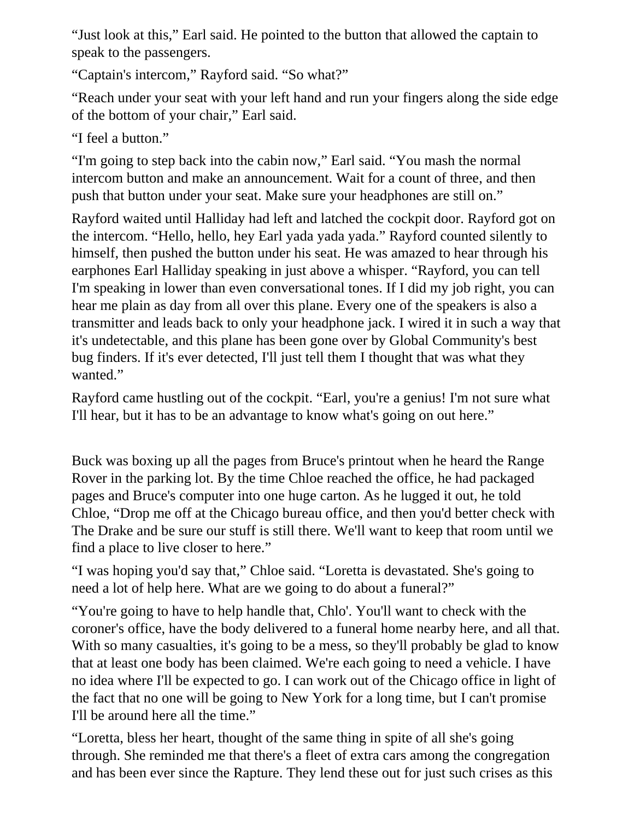"Just look at this," Earl said. He pointed to the button that allowed the captain to speak to the passengers.

"Captain's intercom," Rayford said. "So what?"

"Reach under your seat with your left hand and run your fingers along the side edge of the bottom of your chair," Earl said.

"I feel a button."

"I'm going to step back into the cabin now," Earl said. "You mash the normal intercom button and make an announcement. Wait for a count of three, and then push that button under your seat. Make sure your headphones are still on."

Rayford waited until Halliday had left and latched the cockpit door. Rayford got on the intercom. "Hello, hello, hey Earl yada yada yada." Rayford counted silently to himself, then pushed the button under his seat. He was amazed to hear through his earphones Earl Halliday speaking in just above a whisper. "Rayford, you can tell I'm speaking in lower than even conversational tones. If I did my job right, you can hear me plain as day from all over this plane. Every one of the speakers is also a transmitter and leads back to only your headphone jack. I wired it in such a way that it's undetectable, and this plane has been gone over by Global Community's best bug finders. If it's ever detected, I'll just tell them I thought that was what they wanted."

Rayford came hustling out of the cockpit. "Earl, you're a genius! I'm not sure what I'll hear, but it has to be an advantage to know what's going on out here."

Buck was boxing up all the pages from Bruce's printout when he heard the Range Rover in the parking lot. By the time Chloe reached the office, he had packaged pages and Bruce's computer into one huge carton. As he lugged it out, he told Chloe, "Drop me off at the Chicago bureau office, and then you'd better check with The Drake and be sure our stuff is still there. We'll want to keep that room until we find a place to live closer to here."

"I was hoping you'd say that," Chloe said. "Loretta is devastated. She's going to need a lot of help here. What are we going to do about a funeral?"

"You're going to have to help handle that, Chlo'. You'll want to check with the coroner's office, have the body delivered to a funeral home nearby here, and all that. With so many casualties, it's going to be a mess, so they'll probably be glad to know that at least one body has been claimed. We're each going to need a vehicle. I have no idea where I'll be expected to go. I can work out of the Chicago office in light of the fact that no one will be going to New York for a long time, but I can't promise I'll be around here all the time."

"Loretta, bless her heart, thought of the same thing in spite of all she's going through. She reminded me that there's a fleet of extra cars among the congregation and has been ever since the Rapture. They lend these out for just such crises as this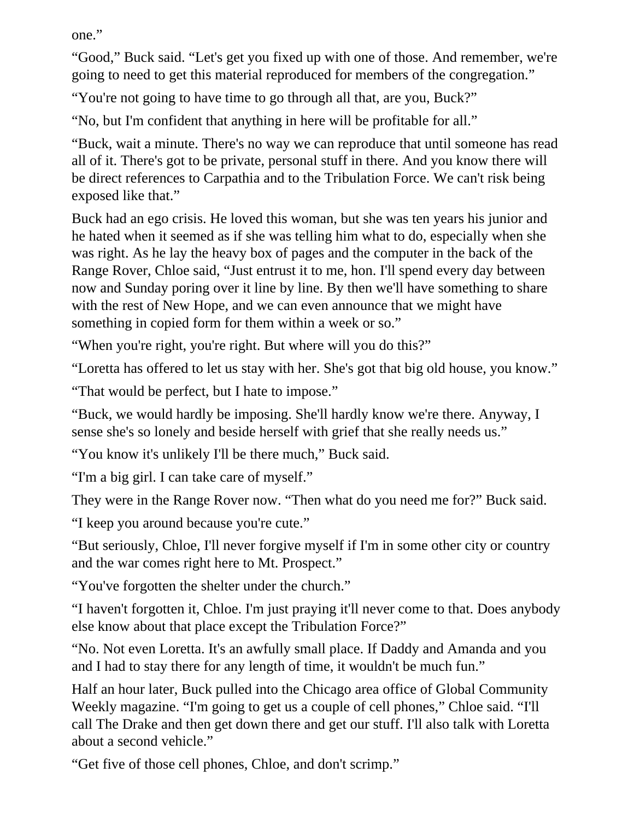one."

"Good," Buck said. "Let's get you fixed up with one of those. And remember, we're going to need to get this material reproduced for members of the congregation."

"You're not going to have time to go through all that, are you, Buck?"

"No, but I'm confident that anything in here will be profitable for all."

"Buck, wait a minute. There's no way we can reproduce that until someone has read all of it. There's got to be private, personal stuff in there. And you know there will be direct references to Carpathia and to the Tribulation Force. We can't risk being exposed like that."

Buck had an ego crisis. He loved this woman, but she was ten years his junior and he hated when it seemed as if she was telling him what to do, especially when she was right. As he lay the heavy box of pages and the computer in the back of the Range Rover, Chloe said, "Just entrust it to me, hon. I'll spend every day between now and Sunday poring over it line by line. By then we'll have something to share with the rest of New Hope, and we can even announce that we might have something in copied form for them within a week or so."

"When you're right, you're right. But where will you do this?"

"Loretta has offered to let us stay with her. She's got that big old house, you know."

"That would be perfect, but I hate to impose."

"Buck, we would hardly be imposing. She'll hardly know we're there. Anyway, I sense she's so lonely and beside herself with grief that she really needs us."

"You know it's unlikely I'll be there much," Buck said.

"I'm a big girl. I can take care of myself."

They were in the Range Rover now. "Then what do you need me for?" Buck said.

"I keep you around because you're cute."

"But seriously, Chloe, I'll never forgive myself if I'm in some other city or country and the war comes right here to Mt. Prospect."

"You've forgotten the shelter under the church."

"I haven't forgotten it, Chloe. I'm just praying it'll never come to that. Does anybody else know about that place except the Tribulation Force?"

"No. Not even Loretta. It's an awfully small place. If Daddy and Amanda and you and I had to stay there for any length of time, it wouldn't be much fun."

Half an hour later, Buck pulled into the Chicago area office of Global Community Weekly magazine. "I'm going to get us a couple of cell phones," Chloe said. "I'll call The Drake and then get down there and get our stuff. I'll also talk with Loretta about a second vehicle."

"Get five of those cell phones, Chloe, and don't scrimp."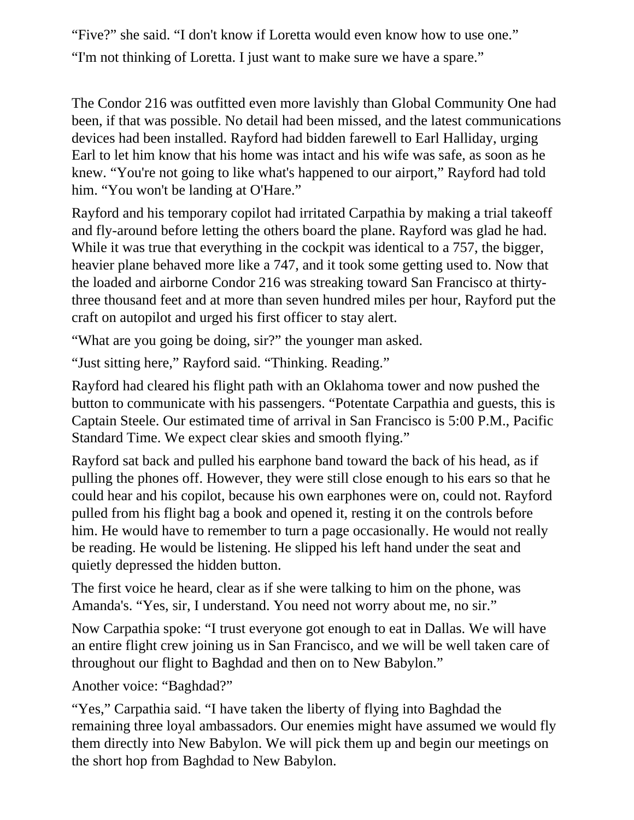"Five?" she said. "I don't know if Loretta would even know how to use one." "I'm not thinking of Loretta. I just want to make sure we have a spare."

The Condor 216 was outfitted even more lavishly than Global Community One had been, if that was possible. No detail had been missed, and the latest communications devices had been installed. Rayford had bidden farewell to Earl Halliday, urging Earl to let him know that his home was intact and his wife was safe, as soon as he knew. "You're not going to like what's happened to our airport," Rayford had told him. "You won't be landing at O'Hare."

Rayford and his temporary copilot had irritated Carpathia by making a trial takeoff and fly-around before letting the others board the plane. Rayford was glad he had. While it was true that everything in the cockpit was identical to a 757, the bigger, heavier plane behaved more like a 747, and it took some getting used to. Now that the loaded and airborne Condor 216 was streaking toward San Francisco at thirtythree thousand feet and at more than seven hundred miles per hour, Rayford put the craft on autopilot and urged his first officer to stay alert.

"What are you going be doing, sir?" the younger man asked.

"Just sitting here," Rayford said. "Thinking. Reading."

Rayford had cleared his flight path with an Oklahoma tower and now pushed the button to communicate with his passengers. "Potentate Carpathia and guests, this is Captain Steele. Our estimated time of arrival in San Francisco is 5:00 P.M., Pacific Standard Time. We expect clear skies and smooth flying."

Rayford sat back and pulled his earphone band toward the back of his head, as if pulling the phones off. However, they were still close enough to his ears so that he could hear and his copilot, because his own earphones were on, could not. Rayford pulled from his flight bag a book and opened it, resting it on the controls before him. He would have to remember to turn a page occasionally. He would not really be reading. He would be listening. He slipped his left hand under the seat and quietly depressed the hidden button.

The first voice he heard, clear as if she were talking to him on the phone, was Amanda's. "Yes, sir, I understand. You need not worry about me, no sir."

Now Carpathia spoke: "I trust everyone got enough to eat in Dallas. We will have an entire flight crew joining us in San Francisco, and we will be well taken care of throughout our flight to Baghdad and then on to New Babylon."

Another voice: "Baghdad?"

"Yes," Carpathia said. "I have taken the liberty of flying into Baghdad the remaining three loyal ambassadors. Our enemies might have assumed we would fly them directly into New Babylon. We will pick them up and begin our meetings on the short hop from Baghdad to New Babylon.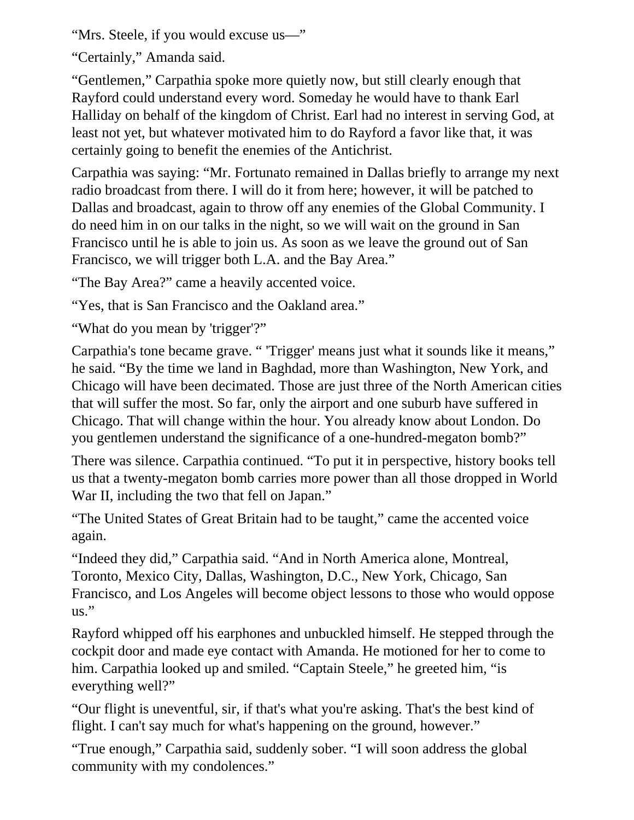"Mrs. Steele, if you would excuse us—"

"Certainly," Amanda said.

"Gentlemen," Carpathia spoke more quietly now, but still clearly enough that Rayford could understand every word. Someday he would have to thank Earl Halliday on behalf of the kingdom of Christ. Earl had no interest in serving God, at least not yet, but whatever motivated him to do Rayford a favor like that, it was certainly going to benefit the enemies of the Antichrist.

Carpathia was saying: "Mr. Fortunato remained in Dallas briefly to arrange my next radio broadcast from there. I will do it from here; however, it will be patched to Dallas and broadcast, again to throw off any enemies of the Global Community. I do need him in on our talks in the night, so we will wait on the ground in San Francisco until he is able to join us. As soon as we leave the ground out of San Francisco, we will trigger both L.A. and the Bay Area."

"The Bay Area?" came a heavily accented voice.

"Yes, that is San Francisco and the Oakland area."

"What do you mean by 'trigger'?"

Carpathia's tone became grave. " 'Trigger' means just what it sounds like it means," he said. "By the time we land in Baghdad, more than Washington, New York, and Chicago will have been decimated. Those are just three of the North American cities that will suffer the most. So far, only the airport and one suburb have suffered in Chicago. That will change within the hour. You already know about London. Do you gentlemen understand the significance of a one-hundred-megaton bomb?"

There was silence. Carpathia continued. "To put it in perspective, history books tell us that a twenty-megaton bomb carries more power than all those dropped in World War II, including the two that fell on Japan."

"The United States of Great Britain had to be taught," came the accented voice again.

"Indeed they did," Carpathia said. "And in North America alone, Montreal, Toronto, Mexico City, Dallas, Washington, D.C., New York, Chicago, San Francisco, and Los Angeles will become object lessons to those who would oppose us."

Rayford whipped off his earphones and unbuckled himself. He stepped through the cockpit door and made eye contact with Amanda. He motioned for her to come to him. Carpathia looked up and smiled. "Captain Steele," he greeted him, "is everything well?"

"Our flight is uneventful, sir, if that's what you're asking. That's the best kind of flight. I can't say much for what's happening on the ground, however."

"True enough," Carpathia said, suddenly sober. "I will soon address the global community with my condolences."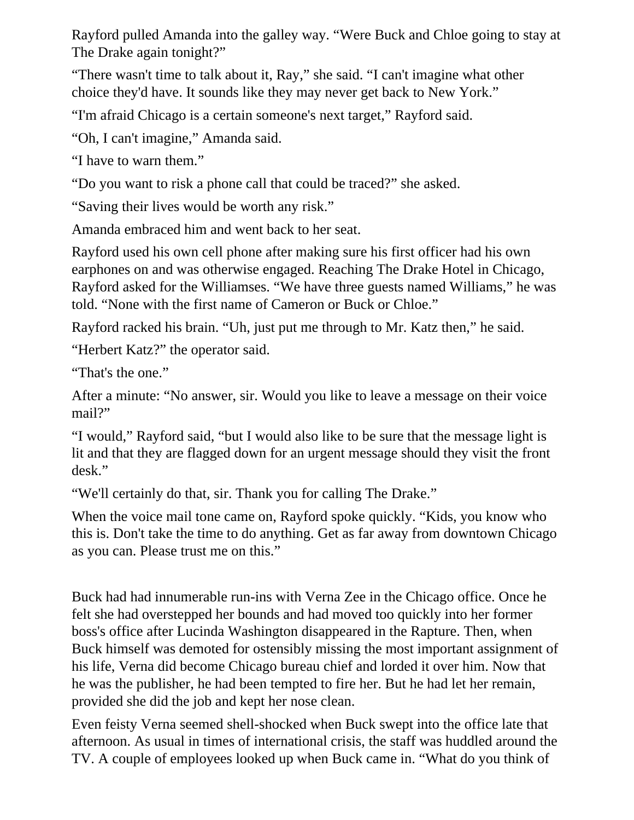Rayford pulled Amanda into the galley way. "Were Buck and Chloe going to stay at The Drake again tonight?"

"There wasn't time to talk about it, Ray," she said. "I can't imagine what other choice they'd have. It sounds like they may never get back to New York."

"I'm afraid Chicago is a certain someone's next target," Rayford said.

"Oh, I can't imagine," Amanda said.

"I have to warn them."

"Do you want to risk a phone call that could be traced?" she asked.

"Saving their lives would be worth any risk."

Amanda embraced him and went back to her seat.

Rayford used his own cell phone after making sure his first officer had his own earphones on and was otherwise engaged. Reaching The Drake Hotel in Chicago, Rayford asked for the Williamses. "We have three guests named Williams," he was told. "None with the first name of Cameron or Buck or Chloe."

Rayford racked his brain. "Uh, just put me through to Mr. Katz then," he said.

"Herbert Katz?" the operator said.

"That's the one."

After a minute: "No answer, sir. Would you like to leave a message on their voice mail?"

"I would," Rayford said, "but I would also like to be sure that the message light is lit and that they are flagged down for an urgent message should they visit the front desk."

"We'll certainly do that, sir. Thank you for calling The Drake."

When the voice mail tone came on, Rayford spoke quickly. "Kids, you know who this is. Don't take the time to do anything. Get as far away from downtown Chicago as you can. Please trust me on this."

Buck had had innumerable run-ins with Verna Zee in the Chicago office. Once he felt she had overstepped her bounds and had moved too quickly into her former boss's office after Lucinda Washington disappeared in the Rapture. Then, when Buck himself was demoted for ostensibly missing the most important assignment of his life, Verna did become Chicago bureau chief and lorded it over him. Now that he was the publisher, he had been tempted to fire her. But he had let her remain, provided she did the job and kept her nose clean.

Even feisty Verna seemed shell-shocked when Buck swept into the office late that afternoon. As usual in times of international crisis, the staff was huddled around the TV. A couple of employees looked up when Buck came in. "What do you think of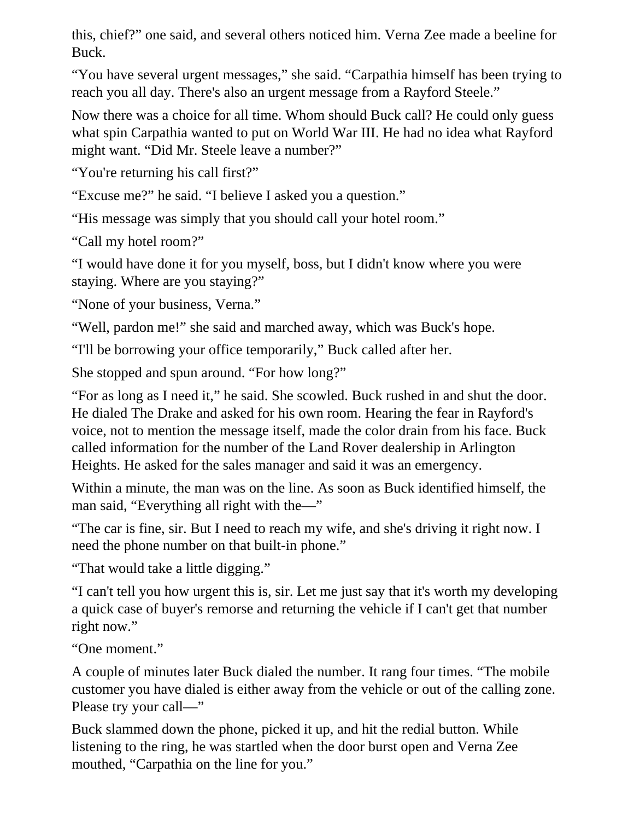this, chief?" one said, and several others noticed him. Verna Zee made a beeline for Buck.

"You have several urgent messages," she said. "Carpathia himself has been trying to reach you all day. There's also an urgent message from a Rayford Steele."

Now there was a choice for all time. Whom should Buck call? He could only guess what spin Carpathia wanted to put on World War III. He had no idea what Rayford might want. "Did Mr. Steele leave a number?"

"You're returning his call first?"

"Excuse me?" he said. "I believe I asked you a question."

"His message was simply that you should call your hotel room."

"Call my hotel room?"

"I would have done it for you myself, boss, but I didn't know where you were staying. Where are you staying?"

"None of your business, Verna."

"Well, pardon me!" she said and marched away, which was Buck's hope.

"I'll be borrowing your office temporarily," Buck called after her.

She stopped and spun around. "For how long?"

"For as long as I need it," he said. She scowled. Buck rushed in and shut the door. He dialed The Drake and asked for his own room. Hearing the fear in Rayford's voice, not to mention the message itself, made the color drain from his face. Buck called information for the number of the Land Rover dealership in Arlington Heights. He asked for the sales manager and said it was an emergency.

Within a minute, the man was on the line. As soon as Buck identified himself, the man said, "Everything all right with the—"

"The car is fine, sir. But I need to reach my wife, and she's driving it right now. I need the phone number on that built-in phone."

"That would take a little digging."

"I can't tell you how urgent this is, sir. Let me just say that it's worth my developing a quick case of buyer's remorse and returning the vehicle if I can't get that number right now."

"One moment."

A couple of minutes later Buck dialed the number. It rang four times. "The mobile customer you have dialed is either away from the vehicle or out of the calling zone. Please try your call—"

Buck slammed down the phone, picked it up, and hit the redial button. While listening to the ring, he was startled when the door burst open and Verna Zee mouthed, "Carpathia on the line for you."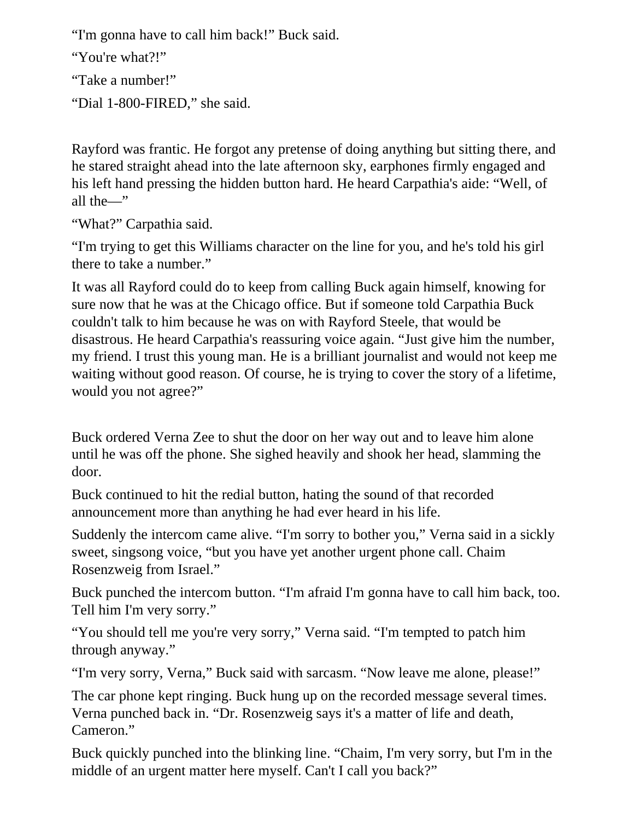"I'm gonna have to call him back!" Buck said.

"You're what?!"

"Take a number!"

"Dial 1-800-FIRED," she said.

Rayford was frantic. He forgot any pretense of doing anything but sitting there, and he stared straight ahead into the late afternoon sky, earphones firmly engaged and his left hand pressing the hidden button hard. He heard Carpathia's aide: "Well, of all the—"

"What?" Carpathia said.

"I'm trying to get this Williams character on the line for you, and he's told his girl there to take a number."

It was all Rayford could do to keep from calling Buck again himself, knowing for sure now that he was at the Chicago office. But if someone told Carpathia Buck couldn't talk to him because he was on with Rayford Steele, that would be disastrous. He heard Carpathia's reassuring voice again. "Just give him the number, my friend. I trust this young man. He is a brilliant journalist and would not keep me waiting without good reason. Of course, he is trying to cover the story of a lifetime, would you not agree?"

Buck ordered Verna Zee to shut the door on her way out and to leave him alone until he was off the phone. She sighed heavily and shook her head, slamming the door.

Buck continued to hit the redial button, hating the sound of that recorded announcement more than anything he had ever heard in his life.

Suddenly the intercom came alive. "I'm sorry to bother you," Verna said in a sickly sweet, singsong voice, "but you have yet another urgent phone call. Chaim Rosenzweig from Israel."

Buck punched the intercom button. "I'm afraid I'm gonna have to call him back, too. Tell him I'm very sorry."

"You should tell me you're very sorry," Verna said. "I'm tempted to patch him through anyway."

"I'm very sorry, Verna," Buck said with sarcasm. "Now leave me alone, please!"

The car phone kept ringing. Buck hung up on the recorded message several times. Verna punched back in. "Dr. Rosenzweig says it's a matter of life and death, Cameron."

Buck quickly punched into the blinking line. "Chaim, I'm very sorry, but I'm in the middle of an urgent matter here myself. Can't I call you back?"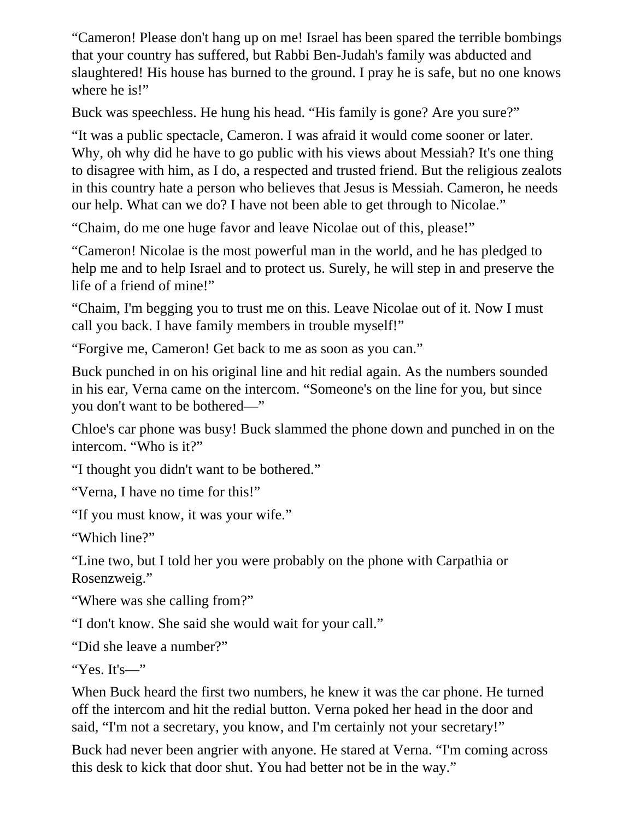"Cameron! Please don't hang up on me! Israel has been spared the terrible bombings that your country has suffered, but Rabbi Ben-Judah's family was abducted and slaughtered! His house has burned to the ground. I pray he is safe, but no one knows where he is!"

Buck was speechless. He hung his head. "His family is gone? Are you sure?"

"It was a public spectacle, Cameron. I was afraid it would come sooner or later. Why, oh why did he have to go public with his views about Messiah? It's one thing to disagree with him, as I do, a respected and trusted friend. But the religious zealots in this country hate a person who believes that Jesus is Messiah. Cameron, he needs our help. What can we do? I have not been able to get through to Nicolae."

"Chaim, do me one huge favor and leave Nicolae out of this, please!"

"Cameron! Nicolae is the most powerful man in the world, and he has pledged to help me and to help Israel and to protect us. Surely, he will step in and preserve the life of a friend of mine!"

"Chaim, I'm begging you to trust me on this. Leave Nicolae out of it. Now I must call you back. I have family members in trouble myself!"

"Forgive me, Cameron! Get back to me as soon as you can."

Buck punched in on his original line and hit redial again. As the numbers sounded in his ear, Verna came on the intercom. "Someone's on the line for you, but since you don't want to be bothered—"

Chloe's car phone was busy! Buck slammed the phone down and punched in on the intercom. "Who is it?"

"I thought you didn't want to be bothered."

"Verna, I have no time for this!"

"If you must know, it was your wife."

"Which line?"

"Line two, but I told her you were probably on the phone with Carpathia or Rosenzweig."

"Where was she calling from?"

"I don't know. She said she would wait for your call."

"Did she leave a number?"

"Yes. It's—"

When Buck heard the first two numbers, he knew it was the car phone. He turned off the intercom and hit the redial button. Verna poked her head in the door and said, "I'm not a secretary, you know, and I'm certainly not your secretary!"

Buck had never been angrier with anyone. He stared at Verna. "I'm coming across this desk to kick that door shut. You had better not be in the way."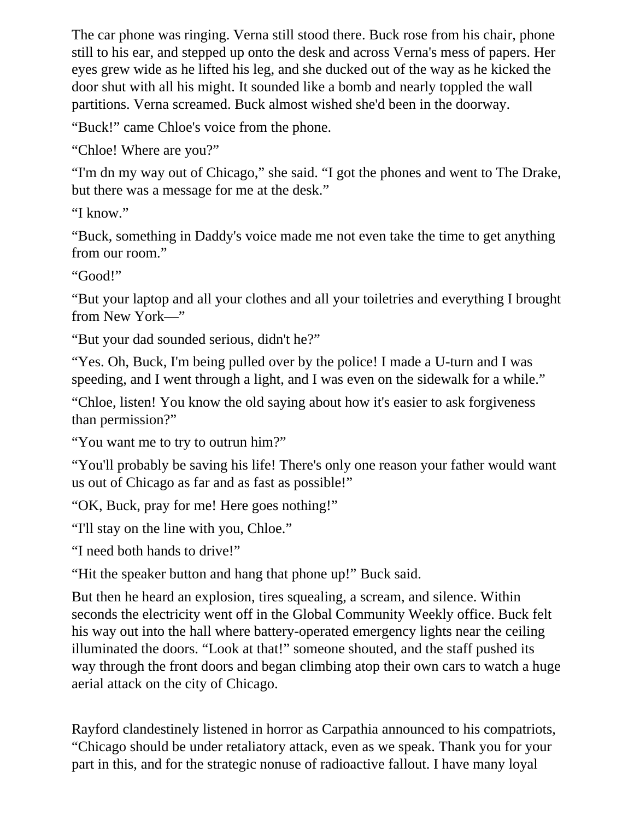The car phone was ringing. Verna still stood there. Buck rose from his chair, phone still to his ear, and stepped up onto the desk and across Verna's mess of papers. Her eyes grew wide as he lifted his leg, and she ducked out of the way as he kicked the door shut with all his might. It sounded like a bomb and nearly toppled the wall partitions. Verna screamed. Buck almost wished she'd been in the doorway.

"Buck!" came Chloe's voice from the phone.

"Chloe! Where are you?"

"I'm dn my way out of Chicago," she said. "I got the phones and went to The Drake, but there was a message for me at the desk."

"I know."

"Buck, something in Daddy's voice made me not even take the time to get anything from our room."

"Good!"

"But your laptop and all your clothes and all your toiletries and everything I brought from New York—"

"But your dad sounded serious, didn't he?"

"Yes. Oh, Buck, I'm being pulled over by the police! I made a U-turn and I was speeding, and I went through a light, and I was even on the sidewalk for a while."

"Chloe, listen! You know the old saying about how it's easier to ask forgiveness than permission?"

"You want me to try to outrun him?"

"You'll probably be saving his life! There's only one reason your father would want us out of Chicago as far and as fast as possible!"

"OK, Buck, pray for me! Here goes nothing!"

"I'll stay on the line with you, Chloe."

"I need both hands to drive!"

"Hit the speaker button and hang that phone up!" Buck said.

But then he heard an explosion, tires squealing, a scream, and silence. Within seconds the electricity went off in the Global Community Weekly office. Buck felt his way out into the hall where battery-operated emergency lights near the ceiling illuminated the doors. "Look at that!" someone shouted, and the staff pushed its way through the front doors and began climbing atop their own cars to watch a huge aerial attack on the city of Chicago.

Rayford clandestinely listened in horror as Carpathia announced to his compatriots, "Chicago should be under retaliatory attack, even as we speak. Thank you for your part in this, and for the strategic nonuse of radioactive fallout. I have many loyal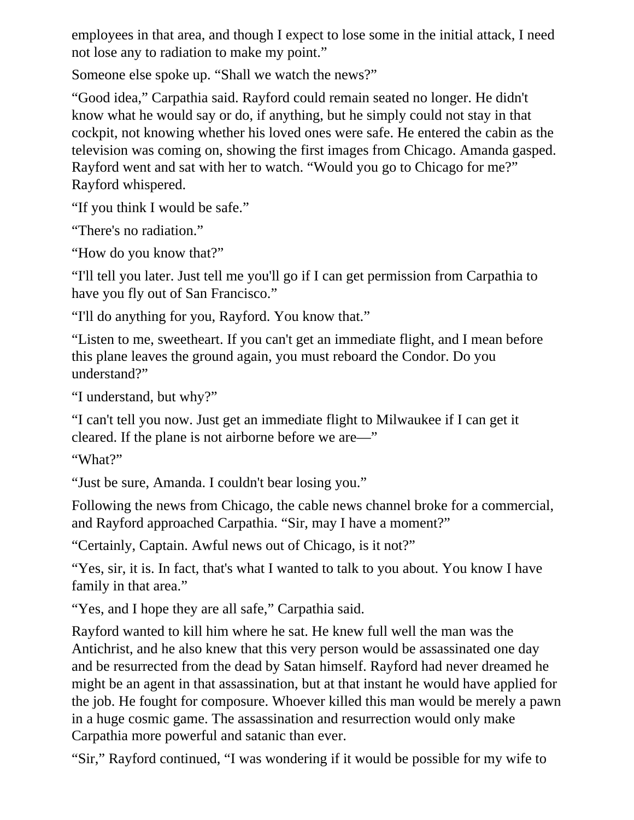employees in that area, and though I expect to lose some in the initial attack, I need not lose any to radiation to make my point."

Someone else spoke up. "Shall we watch the news?"

"Good idea," Carpathia said. Rayford could remain seated no longer. He didn't know what he would say or do, if anything, but he simply could not stay in that cockpit, not knowing whether his loved ones were safe. He entered the cabin as the television was coming on, showing the first images from Chicago. Amanda gasped. Rayford went and sat with her to watch. "Would you go to Chicago for me?" Rayford whispered.

"If you think I would be safe."

"There's no radiation."

"How do you know that?"

"I'll tell you later. Just tell me you'll go if I can get permission from Carpathia to have you fly out of San Francisco."

"I'll do anything for you, Rayford. You know that."

"Listen to me, sweetheart. If you can't get an immediate flight, and I mean before this plane leaves the ground again, you must reboard the Condor. Do you understand?"

"I understand, but why?"

"I can't tell you now. Just get an immediate flight to Milwaukee if I can get it cleared. If the plane is not airborne before we are—"

"What?"

"Just be sure, Amanda. I couldn't bear losing you."

Following the news from Chicago, the cable news channel broke for a commercial, and Rayford approached Carpathia. "Sir, may I have a moment?"

"Certainly, Captain. Awful news out of Chicago, is it not?"

"Yes, sir, it is. In fact, that's what I wanted to talk to you about. You know I have family in that area."

"Yes, and I hope they are all safe," Carpathia said.

Rayford wanted to kill him where he sat. He knew full well the man was the Antichrist, and he also knew that this very person would be assassinated one day and be resurrected from the dead by Satan himself. Rayford had never dreamed he might be an agent in that assassination, but at that instant he would have applied for the job. He fought for composure. Whoever killed this man would be merely a pawn in a huge cosmic game. The assassination and resurrection would only make Carpathia more powerful and satanic than ever.

"Sir," Rayford continued, "I was wondering if it would be possible for my wife to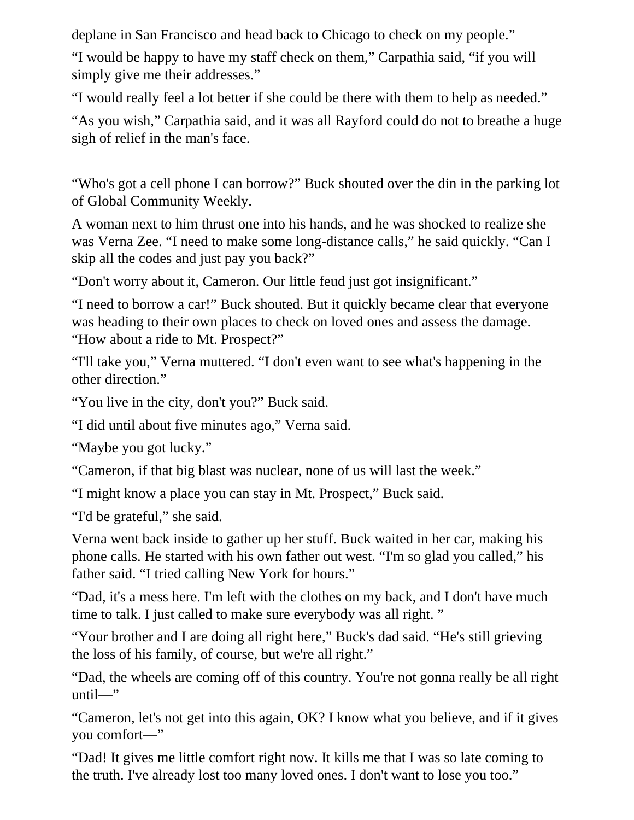deplane in San Francisco and head back to Chicago to check on my people."

"I would be happy to have my staff check on them," Carpathia said, "if you will simply give me their addresses."

"I would really feel a lot better if she could be there with them to help as needed."

"As you wish," Carpathia said, and it was all Rayford could do not to breathe a huge sigh of relief in the man's face.

"Who's got a cell phone I can borrow?" Buck shouted over the din in the parking lot of Global Community Weekly.

A woman next to him thrust one into his hands, and he was shocked to realize she was Verna Zee. "I need to make some long-distance calls," he said quickly. "Can I skip all the codes and just pay you back?"

"Don't worry about it, Cameron. Our little feud just got insignificant."

"I need to borrow a car!" Buck shouted. But it quickly became clear that everyone was heading to their own places to check on loved ones and assess the damage. "How about a ride to Mt. Prospect?"

"I'll take you," Verna muttered. "I don't even want to see what's happening in the other direction."

"You live in the city, don't you?" Buck said.

"I did until about five minutes ago," Verna said.

"Maybe you got lucky."

"Cameron, if that big blast was nuclear, none of us will last the week."

"I might know a place you can stay in Mt. Prospect," Buck said.

"I'd be grateful," she said.

Verna went back inside to gather up her stuff. Buck waited in her car, making his phone calls. He started with his own father out west. "I'm so glad you called," his father said. "I tried calling New York for hours."

"Dad, it's a mess here. I'm left with the clothes on my back, and I don't have much time to talk. I just called to make sure everybody was all right. "

"Your brother and I are doing all right here," Buck's dad said. "He's still grieving the loss of his family, of course, but we're all right."

"Dad, the wheels are coming off of this country. You're not gonna really be all right until—"

"Cameron, let's not get into this again, OK? I know what you believe, and if it gives you comfort—"

"Dad! It gives me little comfort right now. It kills me that I was so late coming to the truth. I've already lost too many loved ones. I don't want to lose you too."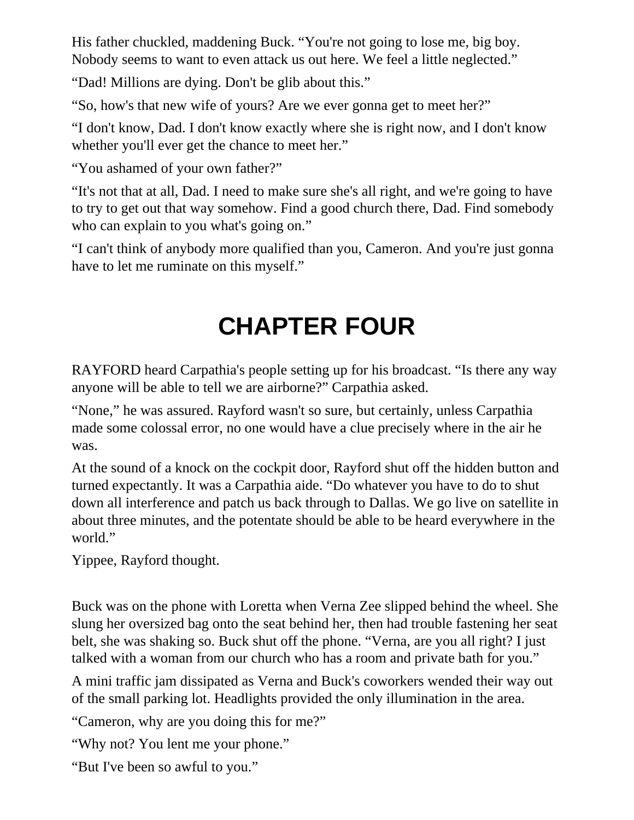His father chuckled, maddening Buck. "You're not going to lose me, big boy. Nobody seems to want to even attack us out here. We feel a little neglected."

"Dad! Millions are dying. Don't be glib about this."

"So, how's that new wife of yours? Are we ever gonna get to meet her?"

"I don't know, Dad. I don't know exactly where she is right now, and I don't know whether you'll ever get the chance to meet her."

"You ashamed of your own father?"

"It's not that at all, Dad. I need to make sure she's all right, and we're going to have to try to get out that way somehow. Find a good church there, Dad. Find somebody who can explain to you what's going on."

"I can't think of anybody more qualified than you, Cameron. And you're just gonna have to let me ruminate on this myself."

## **CHAPTER FOUR**

RAYFORD heard Carpathia's people setting up for his broadcast. "Is there any way anyone will be able to tell we are airborne?" Carpathia asked.

"None," he was assured. Rayford wasn't so sure, but certainly, unless Carpathia made some colossal error, no one would have a clue precisely where in the air he was.

At the sound of a knock on the cockpit door, Rayford shut off the hidden button and turned expectantly. It was a Carpathia aide. "Do whatever you have to do to shut down all interference and patch us back through to Dallas. We go live on satellite in about three minutes, and the potentate should be able to be heard everywhere in the world."

Yippee, Rayford thought.

Buck was on the phone with Loretta when Verna Zee slipped behind the wheel. She slung her oversized bag onto the seat behind her, then had trouble fastening her seat belt, she was shaking so. Buck shut off the phone. "Verna, are you all right? I just talked with a woman from our church who has a room and private bath for you."

A mini traffic jam dissipated as Verna and Buck's coworkers wended their way out of the small parking lot. Headlights provided the only illumination in the area.

"Cameron, why are you doing this for me?"

"Why not? You lent me your phone."

"But I've been so awful to you."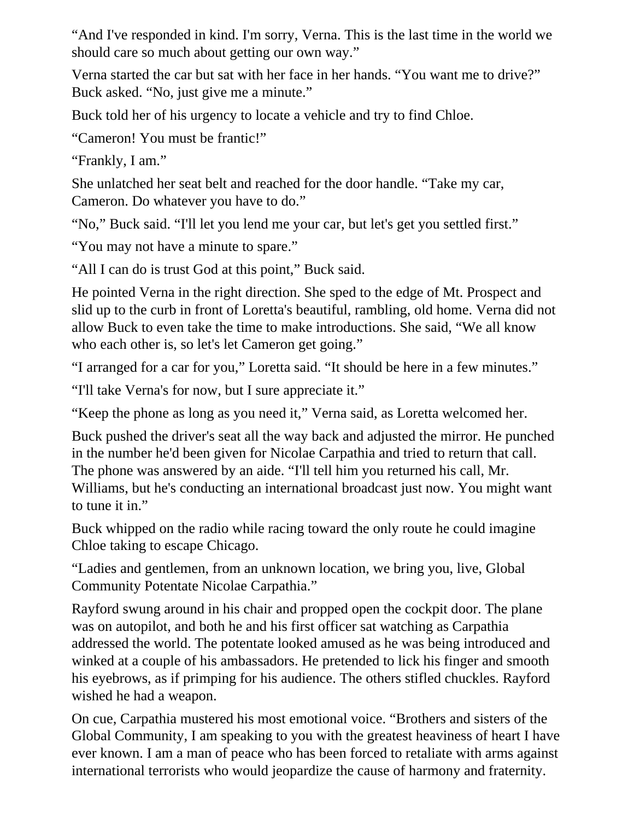"And I've responded in kind. I'm sorry, Verna. This is the last time in the world we should care so much about getting our own way."

Verna started the car but sat with her face in her hands. "You want me to drive?" Buck asked. "No, just give me a minute."

Buck told her of his urgency to locate a vehicle and try to find Chloe.

"Cameron! You must be frantic!"

"Frankly, I am."

She unlatched her seat belt and reached for the door handle. "Take my car, Cameron. Do whatever you have to do."

"No," Buck said. "I'll let you lend me your car, but let's get you settled first."

"You may not have a minute to spare."

"All I can do is trust God at this point," Buck said.

He pointed Verna in the right direction. She sped to the edge of Mt. Prospect and slid up to the curb in front of Loretta's beautiful, rambling, old home. Verna did not allow Buck to even take the time to make introductions. She said, "We all know who each other is, so let's let Cameron get going."

"I arranged for a car for you," Loretta said. "It should be here in a few minutes."

"I'll take Verna's for now, but I sure appreciate it."

"Keep the phone as long as you need it," Verna said, as Loretta welcomed her.

Buck pushed the driver's seat all the way back and adjusted the mirror. He punched in the number he'd been given for Nicolae Carpathia and tried to return that call. The phone was answered by an aide. "I'll tell him you returned his call, Mr. Williams, but he's conducting an international broadcast just now. You might want to tune it in."

Buck whipped on the radio while racing toward the only route he could imagine Chloe taking to escape Chicago.

"Ladies and gentlemen, from an unknown location, we bring you, live, Global Community Potentate Nicolae Carpathia."

Rayford swung around in his chair and propped open the cockpit door. The plane was on autopilot, and both he and his first officer sat watching as Carpathia addressed the world. The potentate looked amused as he was being introduced and winked at a couple of his ambassadors. He pretended to lick his finger and smooth his eyebrows, as if primping for his audience. The others stifled chuckles. Rayford wished he had a weapon.

On cue, Carpathia mustered his most emotional voice. "Brothers and sisters of the Global Community, I am speaking to you with the greatest heaviness of heart I have ever known. I am a man of peace who has been forced to retaliate with arms against international terrorists who would jeopardize the cause of harmony and fraternity.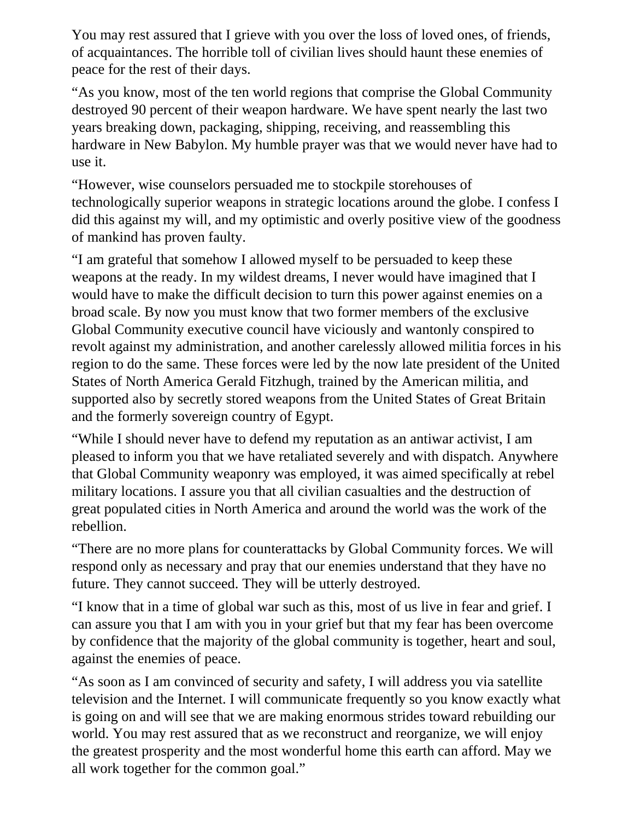You may rest assured that I grieve with you over the loss of loved ones, of friends, of acquaintances. The horrible toll of civilian lives should haunt these enemies of peace for the rest of their days.

"As you know, most of the ten world regions that comprise the Global Community destroyed 90 percent of their weapon hardware. We have spent nearly the last two years breaking down, packaging, shipping, receiving, and reassembling this hardware in New Babylon. My humble prayer was that we would never have had to use it.

"However, wise counselors persuaded me to stockpile storehouses of technologically superior weapons in strategic locations around the globe. I confess I did this against my will, and my optimistic and overly positive view of the goodness of mankind has proven faulty.

"I am grateful that somehow I allowed myself to be persuaded to keep these weapons at the ready. In my wildest dreams, I never would have imagined that I would have to make the difficult decision to turn this power against enemies on a broad scale. By now you must know that two former members of the exclusive Global Community executive council have viciously and wantonly conspired to revolt against my administration, and another carelessly allowed militia forces in his region to do the same. These forces were led by the now late president of the United States of North America Gerald Fitzhugh, trained by the American militia, and supported also by secretly stored weapons from the United States of Great Britain and the formerly sovereign country of Egypt.

"While I should never have to defend my reputation as an antiwar activist, I am pleased to inform you that we have retaliated severely and with dispatch. Anywhere that Global Community weaponry was employed, it was aimed specifically at rebel military locations. I assure you that all civilian casualties and the destruction of great populated cities in North America and around the world was the work of the rebellion.

"There are no more plans for counterattacks by Global Community forces. We will respond only as necessary and pray that our enemies understand that they have no future. They cannot succeed. They will be utterly destroyed.

"I know that in a time of global war such as this, most of us live in fear and grief. I can assure you that I am with you in your grief but that my fear has been overcome by confidence that the majority of the global community is together, heart and soul, against the enemies of peace.

"As soon as I am convinced of security and safety, I will address you via satellite television and the Internet. I will communicate frequently so you know exactly what is going on and will see that we are making enormous strides toward rebuilding our world. You may rest assured that as we reconstruct and reorganize, we will enjoy the greatest prosperity and the most wonderful home this earth can afford. May we all work together for the common goal."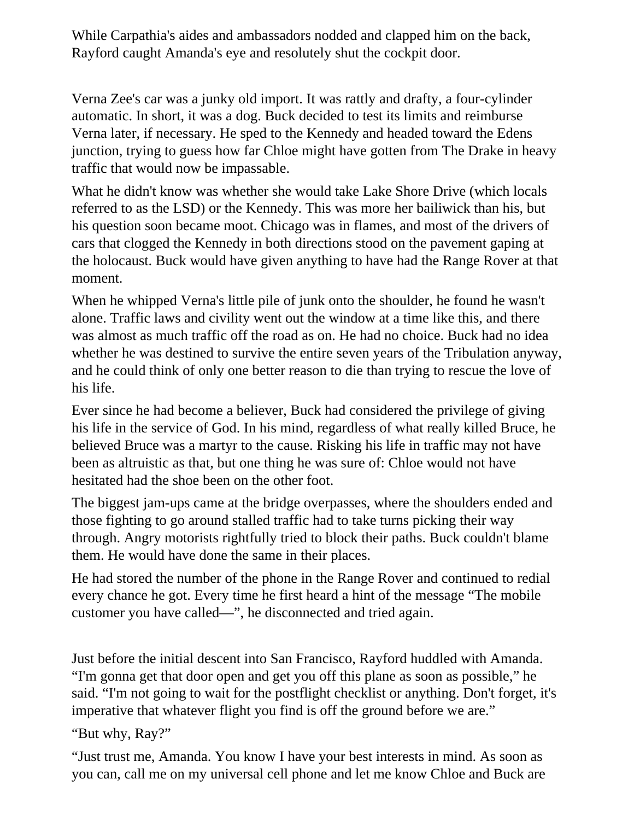While Carpathia's aides and ambassadors nodded and clapped him on the back, Rayford caught Amanda's eye and resolutely shut the cockpit door.

Verna Zee's car was a junky old import. It was rattly and drafty, a four-cylinder automatic. In short, it was a dog. Buck decided to test its limits and reimburse Verna later, if necessary. He sped to the Kennedy and headed toward the Edens junction, trying to guess how far Chloe might have gotten from The Drake in heavy traffic that would now be impassable.

What he didn't know was whether she would take Lake Shore Drive (which locals referred to as the LSD) or the Kennedy. This was more her bailiwick than his, but his question soon became moot. Chicago was in flames, and most of the drivers of cars that clogged the Kennedy in both directions stood on the pavement gaping at the holocaust. Buck would have given anything to have had the Range Rover at that moment.

When he whipped Verna's little pile of junk onto the shoulder, he found he wasn't alone. Traffic laws and civility went out the window at a time like this, and there was almost as much traffic off the road as on. He had no choice. Buck had no idea whether he was destined to survive the entire seven years of the Tribulation anyway, and he could think of only one better reason to die than trying to rescue the love of his life.

Ever since he had become a believer, Buck had considered the privilege of giving his life in the service of God. In his mind, regardless of what really killed Bruce, he believed Bruce was a martyr to the cause. Risking his life in traffic may not have been as altruistic as that, but one thing he was sure of: Chloe would not have hesitated had the shoe been on the other foot.

The biggest jam-ups came at the bridge overpasses, where the shoulders ended and those fighting to go around stalled traffic had to take turns picking their way through. Angry motorists rightfully tried to block their paths. Buck couldn't blame them. He would have done the same in their places.

He had stored the number of the phone in the Range Rover and continued to redial every chance he got. Every time he first heard a hint of the message "The mobile customer you have called—", he disconnected and tried again.

Just before the initial descent into San Francisco, Rayford huddled with Amanda. "I'm gonna get that door open and get you off this plane as soon as possible," he said. "I'm not going to wait for the postflight checklist or anything. Don't forget, it's imperative that whatever flight you find is off the ground before we are."

"But why, Ray?"

"Just trust me, Amanda. You know I have your best interests in mind. As soon as you can, call me on my universal cell phone and let me know Chloe and Buck are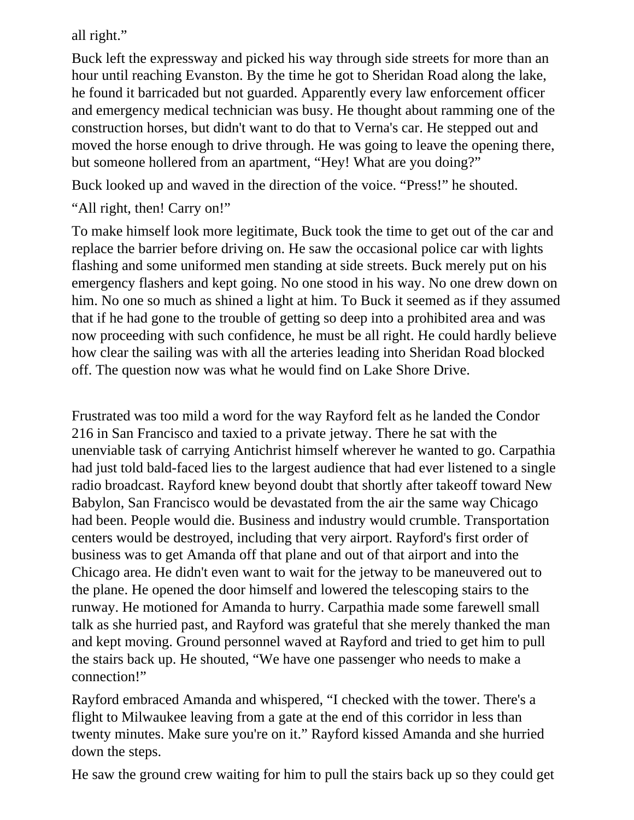all right."

Buck left the expressway and picked his way through side streets for more than an hour until reaching Evanston. By the time he got to Sheridan Road along the lake, he found it barricaded but not guarded. Apparently every law enforcement officer and emergency medical technician was busy. He thought about ramming one of the construction horses, but didn't want to do that to Verna's car. He stepped out and moved the horse enough to drive through. He was going to leave the opening there, but someone hollered from an apartment, "Hey! What are you doing?"

Buck looked up and waved in the direction of the voice. "Press!" he shouted.

"All right, then! Carry on!"

To make himself look more legitimate, Buck took the time to get out of the car and replace the barrier before driving on. He saw the occasional police car with lights flashing and some uniformed men standing at side streets. Buck merely put on his emergency flashers and kept going. No one stood in his way. No one drew down on him. No one so much as shined a light at him. To Buck it seemed as if they assumed that if he had gone to the trouble of getting so deep into a prohibited area and was now proceeding with such confidence, he must be all right. He could hardly believe how clear the sailing was with all the arteries leading into Sheridan Road blocked off. The question now was what he would find on Lake Shore Drive.

Frustrated was too mild a word for the way Rayford felt as he landed the Condor 216 in San Francisco and taxied to a private jetway. There he sat with the unenviable task of carrying Antichrist himself wherever he wanted to go. Carpathia had just told bald-faced lies to the largest audience that had ever listened to a single radio broadcast. Rayford knew beyond doubt that shortly after takeoff toward New Babylon, San Francisco would be devastated from the air the same way Chicago had been. People would die. Business and industry would crumble. Transportation centers would be destroyed, including that very airport. Rayford's first order of business was to get Amanda off that plane and out of that airport and into the Chicago area. He didn't even want to wait for the jetway to be maneuvered out to the plane. He opened the door himself and lowered the telescoping stairs to the runway. He motioned for Amanda to hurry. Carpathia made some farewell small talk as she hurried past, and Rayford was grateful that she merely thanked the man and kept moving. Ground personnel waved at Rayford and tried to get him to pull the stairs back up. He shouted, "We have one passenger who needs to make a connection!"

Rayford embraced Amanda and whispered, "I checked with the tower. There's a flight to Milwaukee leaving from a gate at the end of this corridor in less than twenty minutes. Make sure you're on it." Rayford kissed Amanda and she hurried down the steps.

He saw the ground crew waiting for him to pull the stairs back up so they could get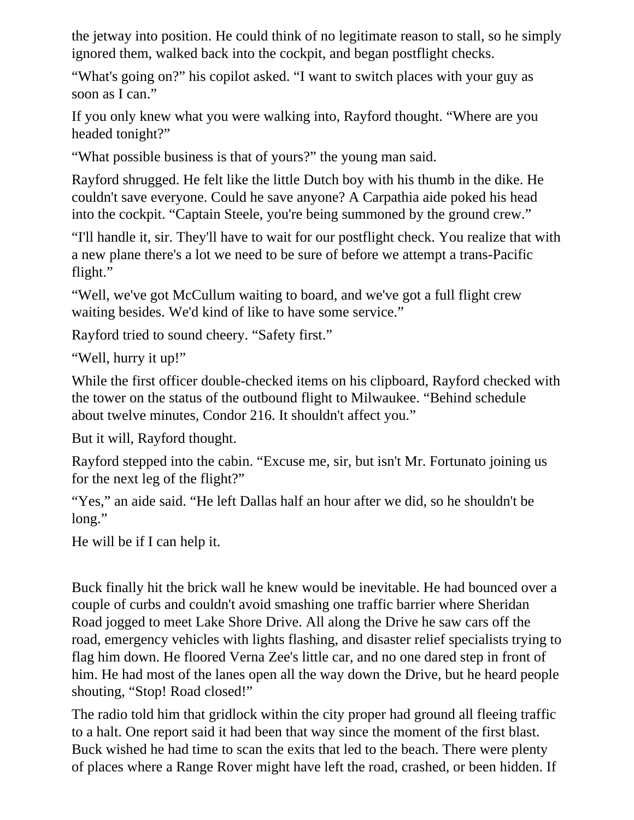the jetway into position. He could think of no legitimate reason to stall, so he simply ignored them, walked back into the cockpit, and began postflight checks.

"What's going on?" his copilot asked. "I want to switch places with your guy as soon as I can."

If you only knew what you were walking into, Rayford thought. "Where are you headed tonight?"

"What possible business is that of yours?" the young man said.

Rayford shrugged. He felt like the little Dutch boy with his thumb in the dike. He couldn't save everyone. Could he save anyone? A Carpathia aide poked his head into the cockpit. "Captain Steele, you're being summoned by the ground crew."

"I'll handle it, sir. They'll have to wait for our postflight check. You realize that with a new plane there's a lot we need to be sure of before we attempt a trans-Pacific flight."

"Well, we've got McCullum waiting to board, and we've got a full flight crew waiting besides. We'd kind of like to have some service."

Rayford tried to sound cheery. "Safety first."

"Well, hurry it up!"

While the first officer double-checked items on his clipboard, Rayford checked with the tower on the status of the outbound flight to Milwaukee. "Behind schedule about twelve minutes, Condor 216. It shouldn't affect you."

But it will, Rayford thought.

Rayford stepped into the cabin. "Excuse me, sir, but isn't Mr. Fortunato joining us for the next leg of the flight?"

"Yes," an aide said. "He left Dallas half an hour after we did, so he shouldn't be long."

He will be if I can help it.

Buck finally hit the brick wall he knew would be inevitable. He had bounced over a couple of curbs and couldn't avoid smashing one traffic barrier where Sheridan Road jogged to meet Lake Shore Drive. All along the Drive he saw cars off the road, emergency vehicles with lights flashing, and disaster relief specialists trying to flag him down. He floored Verna Zee's little car, and no one dared step in front of him. He had most of the lanes open all the way down the Drive, but he heard people shouting, "Stop! Road closed!"

The radio told him that gridlock within the city proper had ground all fleeing traffic to a halt. One report said it had been that way since the moment of the first blast. Buck wished he had time to scan the exits that led to the beach. There were plenty of places where a Range Rover might have left the road, crashed, or been hidden. If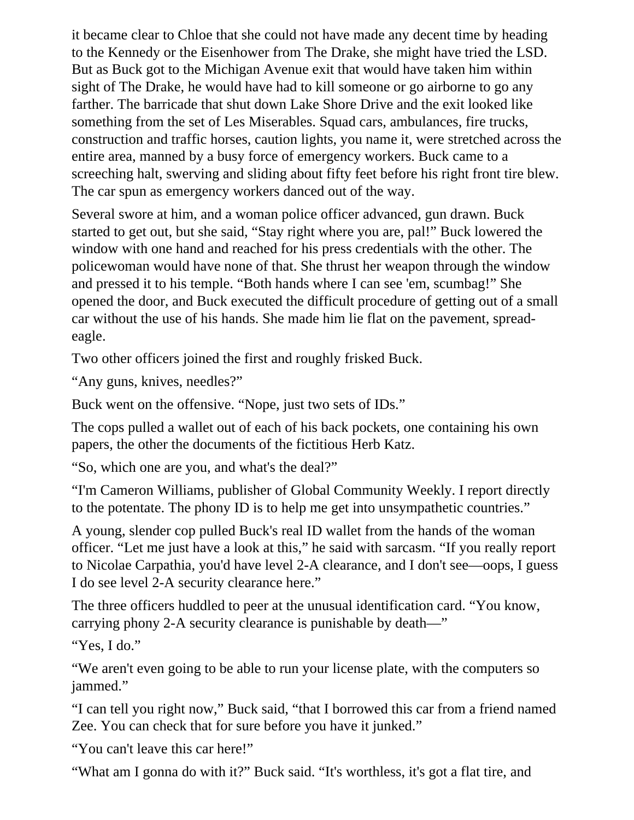it became clear to Chloe that she could not have made any decent time by heading to the Kennedy or the Eisenhower from The Drake, she might have tried the LSD. But as Buck got to the Michigan Avenue exit that would have taken him within sight of The Drake, he would have had to kill someone or go airborne to go any farther. The barricade that shut down Lake Shore Drive and the exit looked like something from the set of Les Miserables. Squad cars, ambulances, fire trucks, construction and traffic horses, caution lights, you name it, were stretched across the entire area, manned by a busy force of emergency workers. Buck came to a screeching halt, swerving and sliding about fifty feet before his right front tire blew. The car spun as emergency workers danced out of the way.

Several swore at him, and a woman police officer advanced, gun drawn. Buck started to get out, but she said, "Stay right where you are, pal!" Buck lowered the window with one hand and reached for his press credentials with the other. The policewoman would have none of that. She thrust her weapon through the window and pressed it to his temple. "Both hands where I can see 'em, scumbag!" She opened the door, and Buck executed the difficult procedure of getting out of a small car without the use of his hands. She made him lie flat on the pavement, spreadeagle.

Two other officers joined the first and roughly frisked Buck.

"Any guns, knives, needles?"

Buck went on the offensive. "Nope, just two sets of IDs."

The cops pulled a wallet out of each of his back pockets, one containing his own papers, the other the documents of the fictitious Herb Katz.

"So, which one are you, and what's the deal?"

"I'm Cameron Williams, publisher of Global Community Weekly. I report directly to the potentate. The phony ID is to help me get into unsympathetic countries."

A young, slender cop pulled Buck's real ID wallet from the hands of the woman officer. "Let me just have a look at this," he said with sarcasm. "If you really report to Nicolae Carpathia, you'd have level 2-A clearance, and I don't see—oops, I guess I do see level 2-A security clearance here."

The three officers huddled to peer at the unusual identification card. "You know, carrying phony 2-A security clearance is punishable by death—"

"Yes, I do."

"We aren't even going to be able to run your license plate, with the computers so iammed."

"I can tell you right now," Buck said, "that I borrowed this car from a friend named Zee. You can check that for sure before you have it junked."

"You can't leave this car here!"

"What am I gonna do with it?" Buck said. "It's worthless, it's got a flat tire, and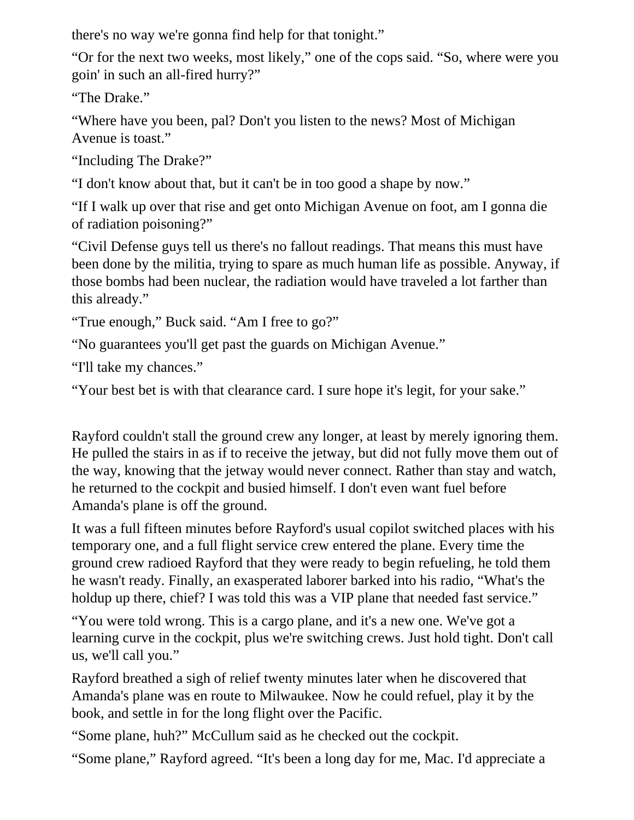there's no way we're gonna find help for that tonight."

"Or for the next two weeks, most likely," one of the cops said. "So, where were you goin' in such an all-fired hurry?"

"The Drake."

"Where have you been, pal? Don't you listen to the news? Most of Michigan Avenue is toast."

"Including The Drake?"

"I don't know about that, but it can't be in too good a shape by now."

"If I walk up over that rise and get onto Michigan Avenue on foot, am I gonna die of radiation poisoning?"

"Civil Defense guys tell us there's no fallout readings. That means this must have been done by the militia, trying to spare as much human life as possible. Anyway, if those bombs had been nuclear, the radiation would have traveled a lot farther than this already."

"True enough," Buck said. "Am I free to go?"

"No guarantees you'll get past the guards on Michigan Avenue."

"I'll take my chances."

"Your best bet is with that clearance card. I sure hope it's legit, for your sake."

Rayford couldn't stall the ground crew any longer, at least by merely ignoring them. He pulled the stairs in as if to receive the jetway, but did not fully move them out of the way, knowing that the jetway would never connect. Rather than stay and watch, he returned to the cockpit and busied himself. I don't even want fuel before Amanda's plane is off the ground.

It was a full fifteen minutes before Rayford's usual copilot switched places with his temporary one, and a full flight service crew entered the plane. Every time the ground crew radioed Rayford that they were ready to begin refueling, he told them he wasn't ready. Finally, an exasperated laborer barked into his radio, "What's the holdup up there, chief? I was told this was a VIP plane that needed fast service."

"You were told wrong. This is a cargo plane, and it's a new one. We've got a learning curve in the cockpit, plus we're switching crews. Just hold tight. Don't call us, we'll call you."

Rayford breathed a sigh of relief twenty minutes later when he discovered that Amanda's plane was en route to Milwaukee. Now he could refuel, play it by the book, and settle in for the long flight over the Pacific.

"Some plane, huh?" McCullum said as he checked out the cockpit.

"Some plane," Rayford agreed. "It's been a long day for me, Mac. I'd appreciate a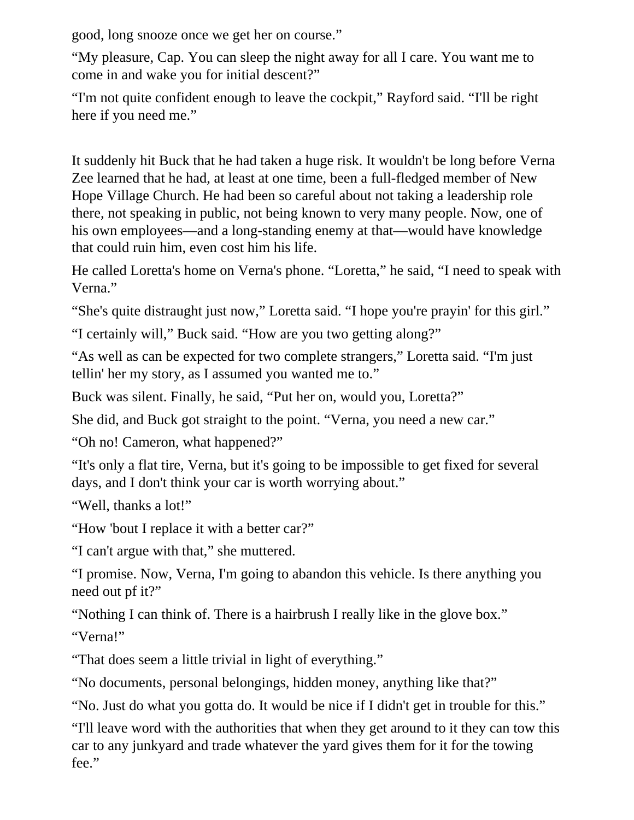good, long snooze once we get her on course."

"My pleasure, Cap. You can sleep the night away for all I care. You want me to come in and wake you for initial descent?"

"I'm not quite confident enough to leave the cockpit," Rayford said. "I'll be right here if you need me."

It suddenly hit Buck that he had taken a huge risk. It wouldn't be long before Verna Zee learned that he had, at least at one time, been a full-fledged member of New Hope Village Church. He had been so careful about not taking a leadership role there, not speaking in public, not being known to very many people. Now, one of his own employees—and a long-standing enemy at that—would have knowledge that could ruin him, even cost him his life.

He called Loretta's home on Verna's phone. "Loretta," he said, "I need to speak with Verna."

"She's quite distraught just now," Loretta said. "I hope you're prayin' for this girl."

"I certainly will," Buck said. "How are you two getting along?"

"As well as can be expected for two complete strangers," Loretta said. "I'm just tellin' her my story, as I assumed you wanted me to."

Buck was silent. Finally, he said, "Put her on, would you, Loretta?"

She did, and Buck got straight to the point. "Verna, you need a new car."

"Oh no! Cameron, what happened?"

"It's only a flat tire, Verna, but it's going to be impossible to get fixed for several days, and I don't think your car is worth worrying about."

"Well, thanks a lot!"

"How 'bout I replace it with a better car?"

"I can't argue with that," she muttered.

"I promise. Now, Verna, I'm going to abandon this vehicle. Is there anything you need out pf it?"

"Nothing I can think of. There is a hairbrush I really like in the glove box."

"Verna!"

"That does seem a little trivial in light of everything."

"No documents, personal belongings, hidden money, anything like that?"

"No. Just do what you gotta do. It would be nice if I didn't get in trouble for this."

"I'll leave word with the authorities that when they get around to it they can tow this car to any junkyard and trade whatever the yard gives them for it for the towing fee."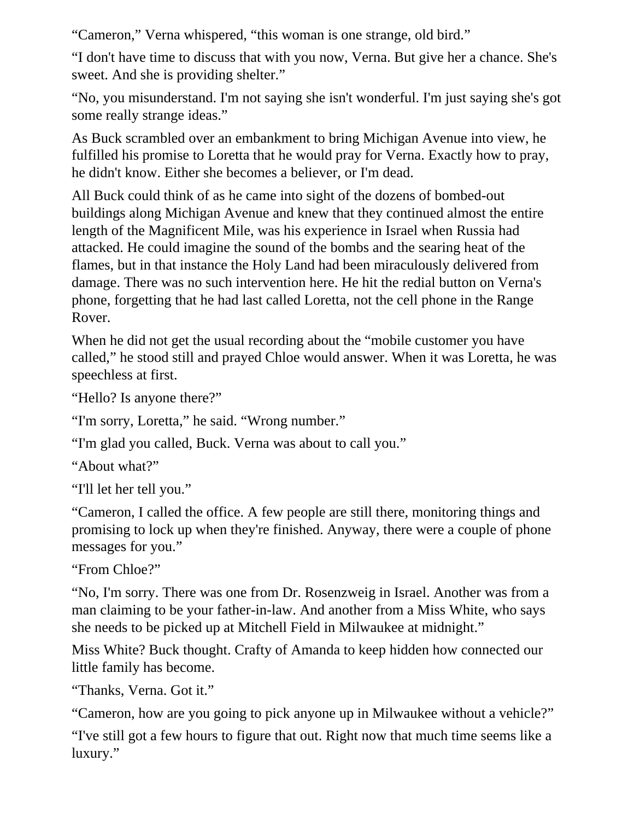"Cameron," Verna whispered, "this woman is one strange, old bird."

"I don't have time to discuss that with you now, Verna. But give her a chance. She's sweet. And she is providing shelter."

"No, you misunderstand. I'm not saying she isn't wonderful. I'm just saying she's got some really strange ideas."

As Buck scrambled over an embankment to bring Michigan Avenue into view, he fulfilled his promise to Loretta that he would pray for Verna. Exactly how to pray, he didn't know. Either she becomes a believer, or I'm dead.

All Buck could think of as he came into sight of the dozens of bombed-out buildings along Michigan Avenue and knew that they continued almost the entire length of the Magnificent Mile, was his experience in Israel when Russia had attacked. He could imagine the sound of the bombs and the searing heat of the flames, but in that instance the Holy Land had been miraculously delivered from damage. There was no such intervention here. He hit the redial button on Verna's phone, forgetting that he had last called Loretta, not the cell phone in the Range Rover.

When he did not get the usual recording about the "mobile customer you have called," he stood still and prayed Chloe would answer. When it was Loretta, he was speechless at first.

"Hello? Is anyone there?"

"I'm sorry, Loretta," he said. "Wrong number."

"I'm glad you called, Buck. Verna was about to call you."

"About what?"

"I'll let her tell you."

"Cameron, I called the office. A few people are still there, monitoring things and promising to lock up when they're finished. Anyway, there were a couple of phone messages for you."

"From Chloe?"

"No, I'm sorry. There was one from Dr. Rosenzweig in Israel. Another was from a man claiming to be your father-in-law. And another from a Miss White, who says she needs to be picked up at Mitchell Field in Milwaukee at midnight."

Miss White? Buck thought. Crafty of Amanda to keep hidden how connected our little family has become.

"Thanks, Verna. Got it."

"Cameron, how are you going to pick anyone up in Milwaukee without a vehicle?"

"I've still got a few hours to figure that out. Right now that much time seems like a luxury."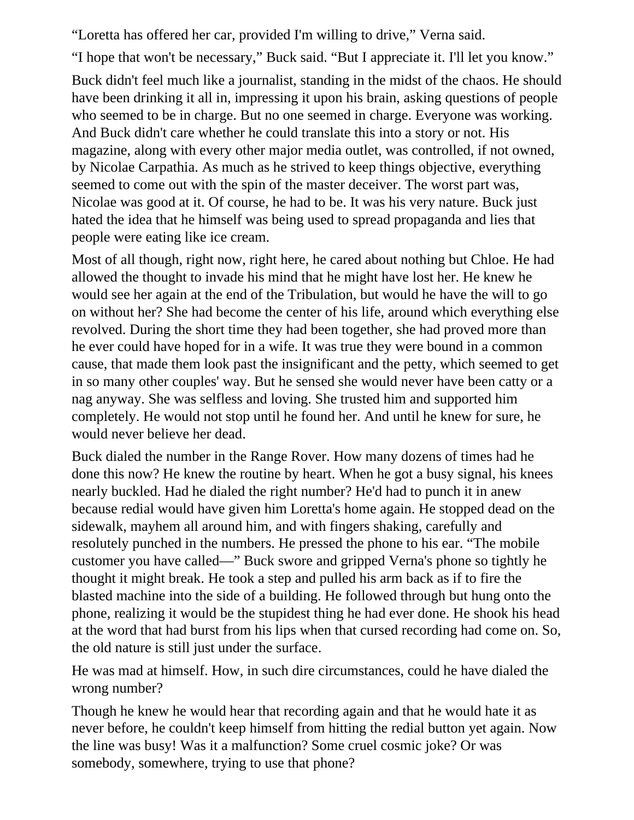"Loretta has offered her car, provided I'm willing to drive," Verna said.

"I hope that won't be necessary," Buck said. "But I appreciate it. I'll let you know."

Buck didn't feel much like a journalist, standing in the midst of the chaos. He should have been drinking it all in, impressing it upon his brain, asking questions of people who seemed to be in charge. But no one seemed in charge. Everyone was working. And Buck didn't care whether he could translate this into a story or not. His magazine, along with every other major media outlet, was controlled, if not owned, by Nicolae Carpathia. As much as he strived to keep things objective, everything seemed to come out with the spin of the master deceiver. The worst part was, Nicolae was good at it. Of course, he had to be. It was his very nature. Buck just hated the idea that he himself was being used to spread propaganda and lies that people were eating like ice cream.

Most of all though, right now, right here, he cared about nothing but Chloe. He had allowed the thought to invade his mind that he might have lost her. He knew he would see her again at the end of the Tribulation, but would he have the will to go on without her? She had become the center of his life, around which everything else revolved. During the short time they had been together, she had proved more than he ever could have hoped for in a wife. It was true they were bound in a common cause, that made them look past the insignificant and the petty, which seemed to get in so many other couples' way. But he sensed she would never have been catty or a nag anyway. She was selfless and loving. She trusted him and supported him completely. He would not stop until he found her. And until he knew for sure, he would never believe her dead.

Buck dialed the number in the Range Rover. How many dozens of times had he done this now? He knew the routine by heart. When he got a busy signal, his knees nearly buckled. Had he dialed the right number? He'd had to punch it in anew because redial would have given him Loretta's home again. He stopped dead on the sidewalk, mayhem all around him, and with fingers shaking, carefully and resolutely punched in the numbers. He pressed the phone to his ear. "The mobile customer you have called—" Buck swore and gripped Verna's phone so tightly he thought it might break. He took a step and pulled his arm back as if to fire the blasted machine into the side of a building. He followed through but hung onto the phone, realizing it would be the stupidest thing he had ever done. He shook his head at the word that had burst from his lips when that cursed recording had come on. So, the old nature is still just under the surface.

He was mad at himself. How, in such dire circumstances, could he have dialed the wrong number?

Though he knew he would hear that recording again and that he would hate it as never before, he couldn't keep himself from hitting the redial button yet again. Now the line was busy! Was it a malfunction? Some cruel cosmic joke? Or was somebody, somewhere, trying to use that phone?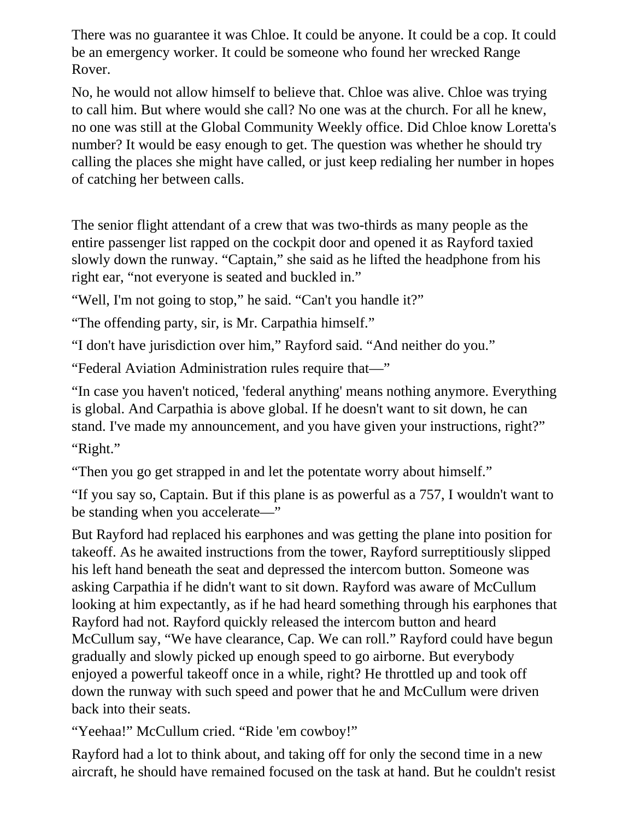There was no guarantee it was Chloe. It could be anyone. It could be a cop. It could be an emergency worker. It could be someone who found her wrecked Range Rover.

No, he would not allow himself to believe that. Chloe was alive. Chloe was trying to call him. But where would she call? No one was at the church. For all he knew, no one was still at the Global Community Weekly office. Did Chloe know Loretta's number? It would be easy enough to get. The question was whether he should try calling the places she might have called, or just keep redialing her number in hopes of catching her between calls.

The senior flight attendant of a crew that was two-thirds as many people as the entire passenger list rapped on the cockpit door and opened it as Rayford taxied slowly down the runway. "Captain," she said as he lifted the headphone from his right ear, "not everyone is seated and buckled in."

"Well, I'm not going to stop," he said. "Can't you handle it?"

"The offending party, sir, is Mr. Carpathia himself."

"I don't have jurisdiction over him," Rayford said. "And neither do you."

"Federal Aviation Administration rules require that—"

"In case you haven't noticed, 'federal anything' means nothing anymore. Everything is global. And Carpathia is above global. If he doesn't want to sit down, he can stand. I've made my announcement, and you have given your instructions, right?" "Right."

"Then you go get strapped in and let the potentate worry about himself."

"If you say so, Captain. But if this plane is as powerful as a 757, I wouldn't want to be standing when you accelerate—"

But Rayford had replaced his earphones and was getting the plane into position for takeoff. As he awaited instructions from the tower, Rayford surreptitiously slipped his left hand beneath the seat and depressed the intercom button. Someone was asking Carpathia if he didn't want to sit down. Rayford was aware of McCullum looking at him expectantly, as if he had heard something through his earphones that Rayford had not. Rayford quickly released the intercom button and heard McCullum say, "We have clearance, Cap. We can roll." Rayford could have begun gradually and slowly picked up enough speed to go airborne. But everybody enjoyed a powerful takeoff once in a while, right? He throttled up and took off down the runway with such speed and power that he and McCullum were driven back into their seats.

"Yeehaa!" McCullum cried. "Ride 'em cowboy!"

Rayford had a lot to think about, and taking off for only the second time in a new aircraft, he should have remained focused on the task at hand. But he couldn't resist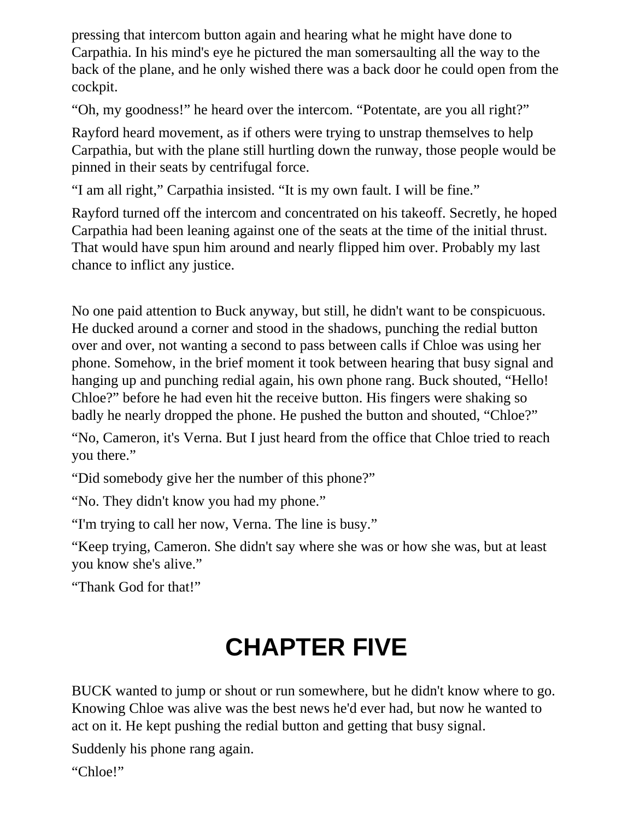pressing that intercom button again and hearing what he might have done to Carpathia. In his mind's eye he pictured the man somersaulting all the way to the back of the plane, and he only wished there was a back door he could open from the cockpit.

"Oh, my goodness!" he heard over the intercom. "Potentate, are you all right?"

Rayford heard movement, as if others were trying to unstrap themselves to help Carpathia, but with the plane still hurtling down the runway, those people would be pinned in their seats by centrifugal force.

"I am all right," Carpathia insisted. "It is my own fault. I will be fine."

Rayford turned off the intercom and concentrated on his takeoff. Secretly, he hoped Carpathia had been leaning against one of the seats at the time of the initial thrust. That would have spun him around and nearly flipped him over. Probably my last chance to inflict any justice.

No one paid attention to Buck anyway, but still, he didn't want to be conspicuous. He ducked around a corner and stood in the shadows, punching the redial button over and over, not wanting a second to pass between calls if Chloe was using her phone. Somehow, in the brief moment it took between hearing that busy signal and hanging up and punching redial again, his own phone rang. Buck shouted, "Hello! Chloe?" before he had even hit the receive button. His fingers were shaking so badly he nearly dropped the phone. He pushed the button and shouted, "Chloe?"

"No, Cameron, it's Verna. But I just heard from the office that Chloe tried to reach you there."

"Did somebody give her the number of this phone?"

"No. They didn't know you had my phone."

"I'm trying to call her now, Verna. The line is busy."

"Keep trying, Cameron. She didn't say where she was or how she was, but at least you know she's alive."

"Thank God for that!"

## **CHAPTER FIVE**

BUCK wanted to jump or shout or run somewhere, but he didn't know where to go. Knowing Chloe was alive was the best news he'd ever had, but now he wanted to act on it. He kept pushing the redial button and getting that busy signal.

Suddenly his phone rang again.

"Chloe!"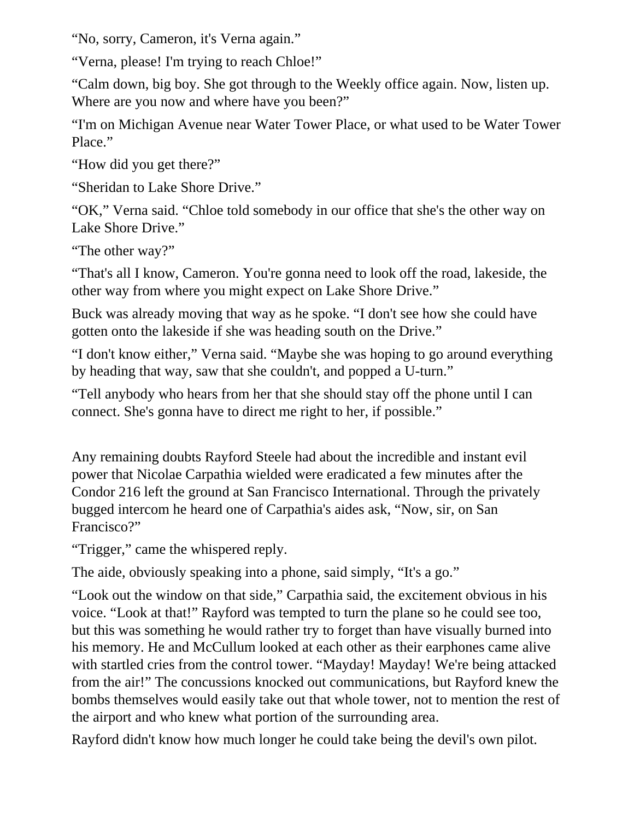"No, sorry, Cameron, it's Verna again."

"Verna, please! I'm trying to reach Chloe!"

"Calm down, big boy. She got through to the Weekly office again. Now, listen up. Where are you now and where have you been?"

"I'm on Michigan Avenue near Water Tower Place, or what used to be Water Tower Place."

"How did you get there?"

"Sheridan to Lake Shore Drive."

"OK," Verna said. "Chloe told somebody in our office that she's the other way on Lake Shore Drive."

"The other way?"

"That's all I know, Cameron. You're gonna need to look off the road, lakeside, the other way from where you might expect on Lake Shore Drive."

Buck was already moving that way as he spoke. "I don't see how she could have gotten onto the lakeside if she was heading south on the Drive."

"I don't know either," Verna said. "Maybe she was hoping to go around everything by heading that way, saw that she couldn't, and popped a U-turn."

"Tell anybody who hears from her that she should stay off the phone until I can connect. She's gonna have to direct me right to her, if possible."

Any remaining doubts Rayford Steele had about the incredible and instant evil power that Nicolae Carpathia wielded were eradicated a few minutes after the Condor 216 left the ground at San Francisco International. Through the privately bugged intercom he heard one of Carpathia's aides ask, "Now, sir, on San Francisco?"

"Trigger," came the whispered reply.

The aide, obviously speaking into a phone, said simply, "It's a go."

"Look out the window on that side," Carpathia said, the excitement obvious in his voice. "Look at that!" Rayford was tempted to turn the plane so he could see too, but this was something he would rather try to forget than have visually burned into his memory. He and McCullum looked at each other as their earphones came alive with startled cries from the control tower. "Mayday! Mayday! We're being attacked from the air!" The concussions knocked out communications, but Rayford knew the bombs themselves would easily take out that whole tower, not to mention the rest of the airport and who knew what portion of the surrounding area.

Rayford didn't know how much longer he could take being the devil's own pilot.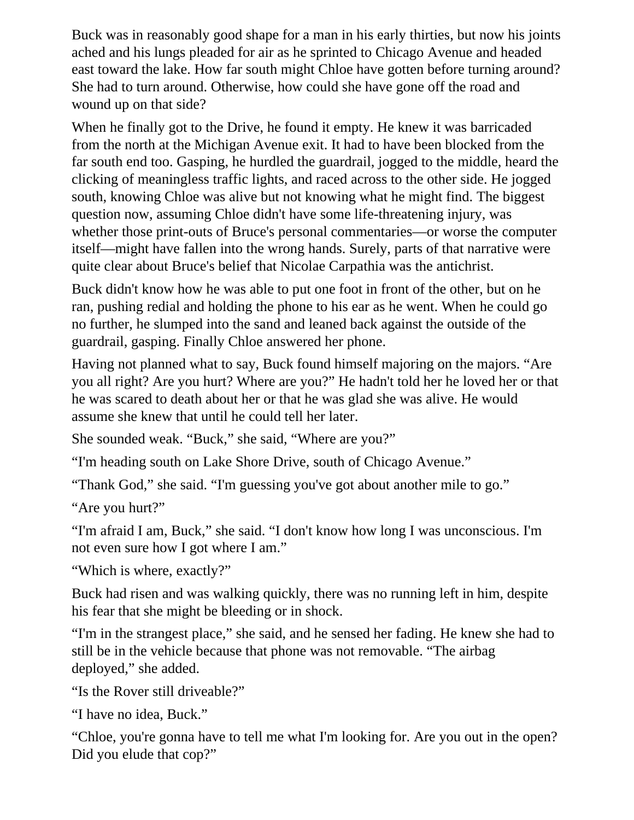Buck was in reasonably good shape for a man in his early thirties, but now his joints ached and his lungs pleaded for air as he sprinted to Chicago Avenue and headed east toward the lake. How far south might Chloe have gotten before turning around? She had to turn around. Otherwise, how could she have gone off the road and wound up on that side?

When he finally got to the Drive, he found it empty. He knew it was barricaded from the north at the Michigan Avenue exit. It had to have been blocked from the far south end too. Gasping, he hurdled the guardrail, jogged to the middle, heard the clicking of meaningless traffic lights, and raced across to the other side. He jogged south, knowing Chloe was alive but not knowing what he might find. The biggest question now, assuming Chloe didn't have some life-threatening injury, was whether those print-outs of Bruce's personal commentaries—or worse the computer itself—might have fallen into the wrong hands. Surely, parts of that narrative were quite clear about Bruce's belief that Nicolae Carpathia was the antichrist.

Buck didn't know how he was able to put one foot in front of the other, but on he ran, pushing redial and holding the phone to his ear as he went. When he could go no further, he slumped into the sand and leaned back against the outside of the guardrail, gasping. Finally Chloe answered her phone.

Having not planned what to say, Buck found himself majoring on the majors. "Are you all right? Are you hurt? Where are you?" He hadn't told her he loved her or that he was scared to death about her or that he was glad she was alive. He would assume she knew that until he could tell her later.

She sounded weak. "Buck," she said, "Where are you?"

"I'm heading south on Lake Shore Drive, south of Chicago Avenue."

"Thank God," she said. "I'm guessing you've got about another mile to go."

"Are you hurt?"

"I'm afraid I am, Buck," she said. "I don't know how long I was unconscious. I'm not even sure how I got where I am."

"Which is where, exactly?"

Buck had risen and was walking quickly, there was no running left in him, despite his fear that she might be bleeding or in shock.

"I'm in the strangest place," she said, and he sensed her fading. He knew she had to still be in the vehicle because that phone was not removable. "The airbag deployed," she added.

"Is the Rover still driveable?"

"I have no idea, Buck."

"Chloe, you're gonna have to tell me what I'm looking for. Are you out in the open? Did you elude that cop?"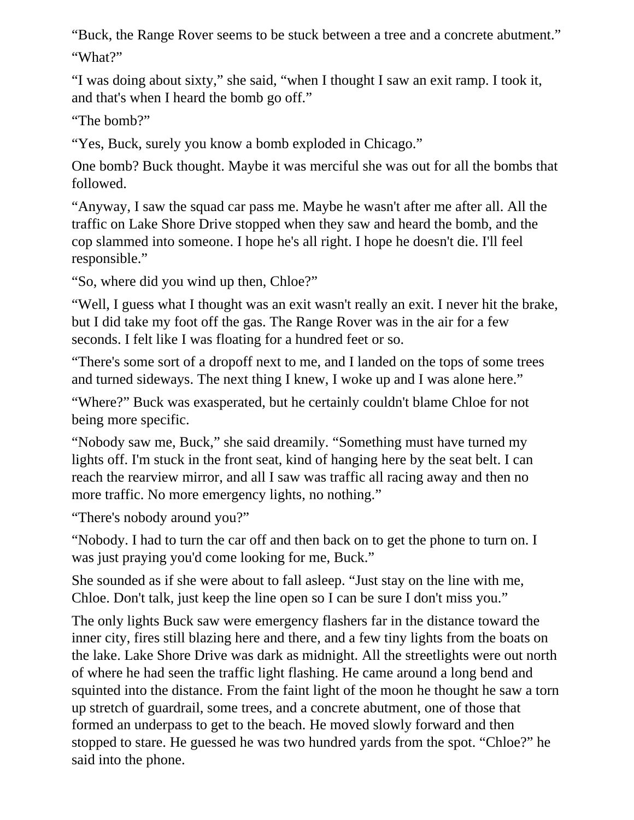"Buck, the Range Rover seems to be stuck between a tree and a concrete abutment." "What?"

"I was doing about sixty," she said, "when I thought I saw an exit ramp. I took it, and that's when I heard the bomb go off."

"The bomb?"

"Yes, Buck, surely you know a bomb exploded in Chicago."

One bomb? Buck thought. Maybe it was merciful she was out for all the bombs that followed.

"Anyway, I saw the squad car pass me. Maybe he wasn't after me after all. All the traffic on Lake Shore Drive stopped when they saw and heard the bomb, and the cop slammed into someone. I hope he's all right. I hope he doesn't die. I'll feel responsible."

"So, where did you wind up then, Chloe?"

"Well, I guess what I thought was an exit wasn't really an exit. I never hit the brake, but I did take my foot off the gas. The Range Rover was in the air for a few seconds. I felt like I was floating for a hundred feet or so.

"There's some sort of a dropoff next to me, and I landed on the tops of some trees and turned sideways. The next thing I knew, I woke up and I was alone here."

"Where?" Buck was exasperated, but he certainly couldn't blame Chloe for not being more specific.

"Nobody saw me, Buck," she said dreamily. "Something must have turned my lights off. I'm stuck in the front seat, kind of hanging here by the seat belt. I can reach the rearview mirror, and all I saw was traffic all racing away and then no more traffic. No more emergency lights, no nothing."

"There's nobody around you?"

"Nobody. I had to turn the car off and then back on to get the phone to turn on. I was just praying you'd come looking for me, Buck."

She sounded as if she were about to fall asleep. "Just stay on the line with me, Chloe. Don't talk, just keep the line open so I can be sure I don't miss you."

The only lights Buck saw were emergency flashers far in the distance toward the inner city, fires still blazing here and there, and a few tiny lights from the boats on the lake. Lake Shore Drive was dark as midnight. All the streetlights were out north of where he had seen the traffic light flashing. He came around a long bend and squinted into the distance. From the faint light of the moon he thought he saw a torn up stretch of guardrail, some trees, and a concrete abutment, one of those that formed an underpass to get to the beach. He moved slowly forward and then stopped to stare. He guessed he was two hundred yards from the spot. "Chloe?" he said into the phone.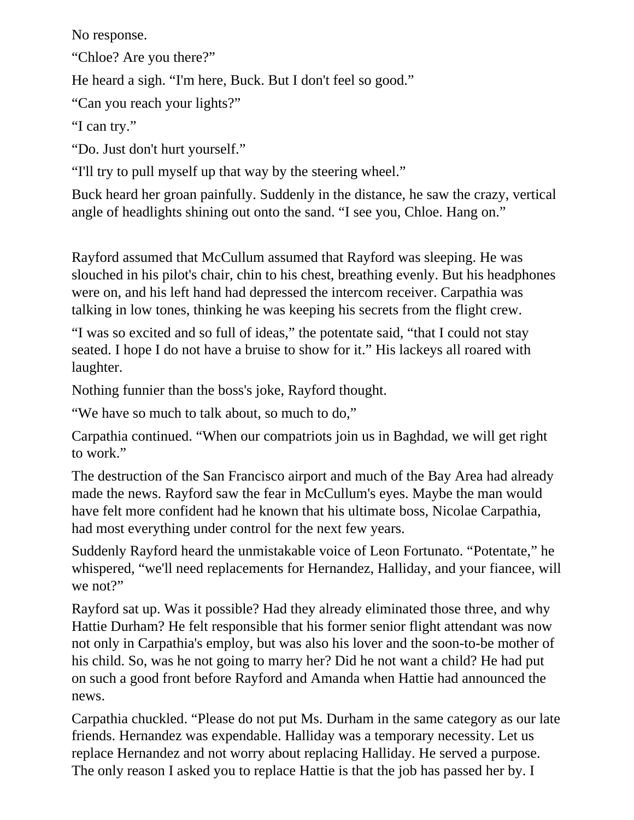No response.

"Chloe? Are you there?"

He heard a sigh. "I'm here, Buck. But I don't feel so good."

"Can you reach your lights?"

"I can try."

"Do. Just don't hurt yourself."

"I'll try to pull myself up that way by the steering wheel."

Buck heard her groan painfully. Suddenly in the distance, he saw the crazy, vertical angle of headlights shining out onto the sand. "I see you, Chloe. Hang on."

Rayford assumed that McCullum assumed that Rayford was sleeping. He was slouched in his pilot's chair, chin to his chest, breathing evenly. But his headphones were on, and his left hand had depressed the intercom receiver. Carpathia was talking in low tones, thinking he was keeping his secrets from the flight crew.

"I was so excited and so full of ideas," the potentate said, "that I could not stay seated. I hope I do not have a bruise to show for it." His lackeys all roared with laughter.

Nothing funnier than the boss's joke, Rayford thought.

"We have so much to talk about, so much to do,"

Carpathia continued. "When our compatriots join us in Baghdad, we will get right to work."

The destruction of the San Francisco airport and much of the Bay Area had already made the news. Rayford saw the fear in McCullum's eyes. Maybe the man would have felt more confident had he known that his ultimate boss, Nicolae Carpathia, had most everything under control for the next few years.

Suddenly Rayford heard the unmistakable voice of Leon Fortunato. "Potentate," he whispered, "we'll need replacements for Hernandez, Halliday, and your fiancee, will we not?"

Rayford sat up. Was it possible? Had they already eliminated those three, and why Hattie Durham? He felt responsible that his former senior flight attendant was now not only in Carpathia's employ, but was also his lover and the soon-to-be mother of his child. So, was he not going to marry her? Did he not want a child? He had put on such a good front before Rayford and Amanda when Hattie had announced the news.

Carpathia chuckled. "Please do not put Ms. Durham in the same category as our late friends. Hernandez was expendable. Halliday was a temporary necessity. Let us replace Hernandez and not worry about replacing Halliday. He served a purpose. The only reason I asked you to replace Hattie is that the job has passed her by. I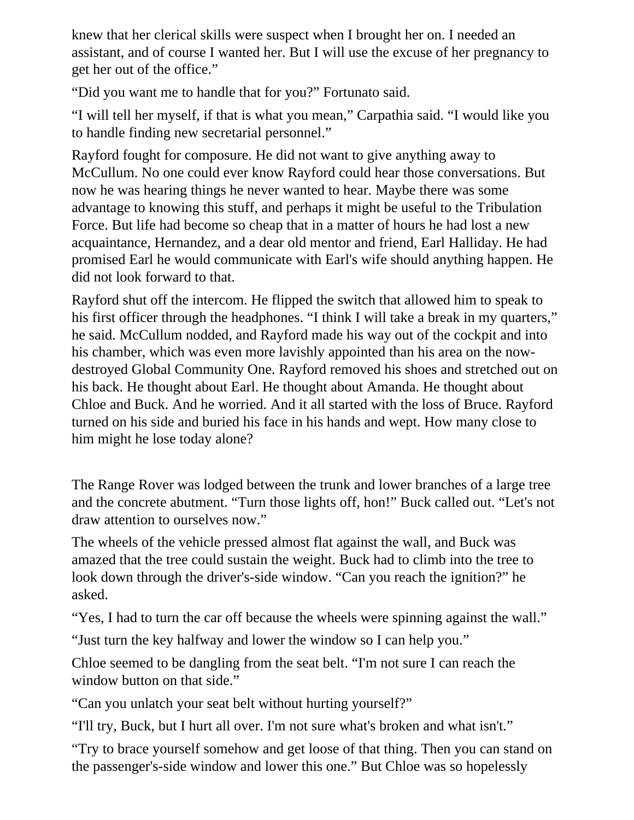knew that her clerical skills were suspect when I brought her on. I needed an assistant, and of course I wanted her. But I will use the excuse of her pregnancy to get her out of the office."

"Did you want me to handle that for you?" Fortunato said.

"I will tell her myself, if that is what you mean," Carpathia said. "I would like you to handle finding new secretarial personnel."

Rayford fought for composure. He did not want to give anything away to McCullum. No one could ever know Rayford could hear those conversations. But now he was hearing things he never wanted to hear. Maybe there was some advantage to knowing this stuff, and perhaps it might be useful to the Tribulation Force. But life had become so cheap that in a matter of hours he had lost a new acquaintance, Hernandez, and a dear old mentor and friend, Earl Halliday. He had promised Earl he would communicate with Earl's wife should anything happen. He did not look forward to that.

Rayford shut off the intercom. He flipped the switch that allowed him to speak to his first officer through the headphones. "I think I will take a break in my quarters," he said. McCullum nodded, and Rayford made his way out of the cockpit and into his chamber, which was even more lavishly appointed than his area on the nowdestroyed Global Community One. Rayford removed his shoes and stretched out on his back. He thought about Earl. He thought about Amanda. He thought about Chloe and Buck. And he worried. And it all started with the loss of Bruce. Rayford turned on his side and buried his face in his hands and wept. How many close to him might he lose today alone?

The Range Rover was lodged between the trunk and lower branches of a large tree and the concrete abutment. "Turn those lights off, hon!" Buck called out. "Let's not draw attention to ourselves now."

The wheels of the vehicle pressed almost flat against the wall, and Buck was amazed that the tree could sustain the weight. Buck had to climb into the tree to look down through the driver's-side window. "Can you reach the ignition?" he asked.

"Yes, I had to turn the car off because the wheels were spinning against the wall."

"Just turn the key halfway and lower the window so I can help you."

Chloe seemed to be dangling from the seat belt. "I'm not sure I can reach the window button on that side."

"Can you unlatch your seat belt without hurting yourself?"

"I'll try, Buck, but I hurt all over. I'm not sure what's broken and what isn't."

"Try to brace yourself somehow and get loose of that thing. Then you can stand on the passenger's-side window and lower this one." But Chloe was so hopelessly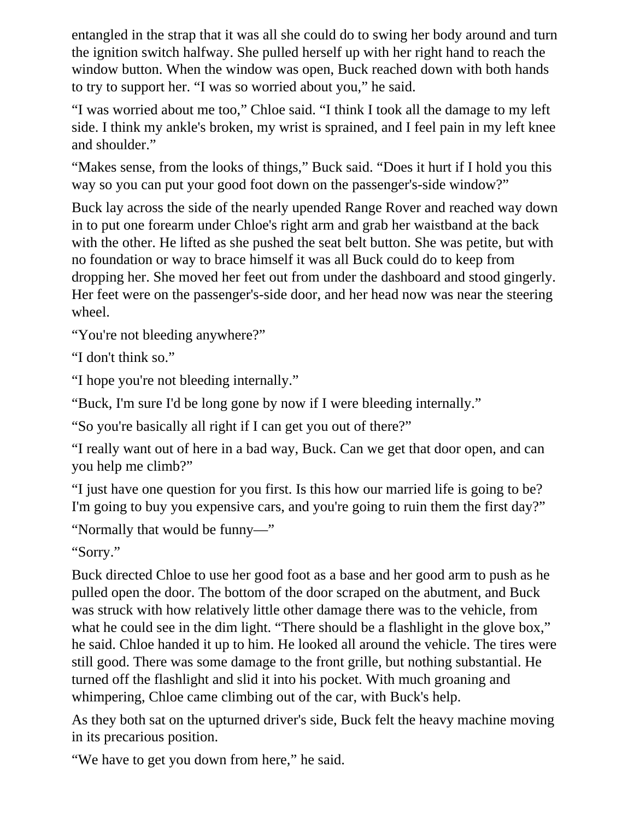entangled in the strap that it was all she could do to swing her body around and turn the ignition switch halfway. She pulled herself up with her right hand to reach the window button. When the window was open, Buck reached down with both hands to try to support her. "I was so worried about you," he said.

"I was worried about me too," Chloe said. "I think I took all the damage to my left side. I think my ankle's broken, my wrist is sprained, and I feel pain in my left knee and shoulder."

"Makes sense, from the looks of things," Buck said. "Does it hurt if I hold you this way so you can put your good foot down on the passenger's-side window?"

Buck lay across the side of the nearly upended Range Rover and reached way down in to put one forearm under Chloe's right arm and grab her waistband at the back with the other. He lifted as she pushed the seat belt button. She was petite, but with no foundation or way to brace himself it was all Buck could do to keep from dropping her. She moved her feet out from under the dashboard and stood gingerly. Her feet were on the passenger's-side door, and her head now was near the steering wheel.

"You're not bleeding anywhere?"

"I don't think so."

"I hope you're not bleeding internally."

"Buck, I'm sure I'd be long gone by now if I were bleeding internally."

"So you're basically all right if I can get you out of there?"

"I really want out of here in a bad way, Buck. Can we get that door open, and can you help me climb?"

"I just have one question for you first. Is this how our married life is going to be? I'm going to buy you expensive cars, and you're going to ruin them the first day?"

"Normally that would be funny—"

"Sorry."

Buck directed Chloe to use her good foot as a base and her good arm to push as he pulled open the door. The bottom of the door scraped on the abutment, and Buck was struck with how relatively little other damage there was to the vehicle, from what he could see in the dim light. "There should be a flashlight in the glove box," he said. Chloe handed it up to him. He looked all around the vehicle. The tires were still good. There was some damage to the front grille, but nothing substantial. He turned off the flashlight and slid it into his pocket. With much groaning and whimpering, Chloe came climbing out of the car, with Buck's help.

As they both sat on the upturned driver's side, Buck felt the heavy machine moving in its precarious position.

"We have to get you down from here," he said.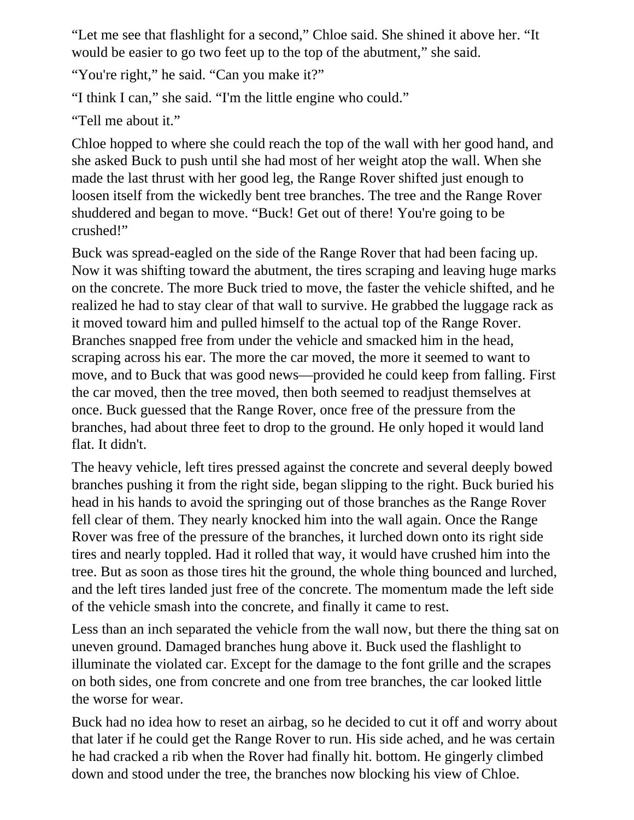"Let me see that flashlight for a second," Chloe said. She shined it above her. "It would be easier to go two feet up to the top of the abutment," she said.

"You're right," he said. "Can you make it?"

"I think I can," she said. "I'm the little engine who could."

"Tell me about it."

Chloe hopped to where she could reach the top of the wall with her good hand, and she asked Buck to push until she had most of her weight atop the wall. When she made the last thrust with her good leg, the Range Rover shifted just enough to loosen itself from the wickedly bent tree branches. The tree and the Range Rover shuddered and began to move. "Buck! Get out of there! You're going to be crushed!"

Buck was spread-eagled on the side of the Range Rover that had been facing up. Now it was shifting toward the abutment, the tires scraping and leaving huge marks on the concrete. The more Buck tried to move, the faster the vehicle shifted, and he realized he had to stay clear of that wall to survive. He grabbed the luggage rack as it moved toward him and pulled himself to the actual top of the Range Rover. Branches snapped free from under the vehicle and smacked him in the head, scraping across his ear. The more the car moved, the more it seemed to want to move, and to Buck that was good news—provided he could keep from falling. First the car moved, then the tree moved, then both seemed to readjust themselves at once. Buck guessed that the Range Rover, once free of the pressure from the branches, had about three feet to drop to the ground. He only hoped it would land flat. It didn't.

The heavy vehicle, left tires pressed against the concrete and several deeply bowed branches pushing it from the right side, began slipping to the right. Buck buried his head in his hands to avoid the springing out of those branches as the Range Rover fell clear of them. They nearly knocked him into the wall again. Once the Range Rover was free of the pressure of the branches, it lurched down onto its right side tires and nearly toppled. Had it rolled that way, it would have crushed him into the tree. But as soon as those tires hit the ground, the whole thing bounced and lurched, and the left tires landed just free of the concrete. The momentum made the left side of the vehicle smash into the concrete, and finally it came to rest.

Less than an inch separated the vehicle from the wall now, but there the thing sat on uneven ground. Damaged branches hung above it. Buck used the flashlight to illuminate the violated car. Except for the damage to the font grille and the scrapes on both sides, one from concrete and one from tree branches, the car looked little the worse for wear.

Buck had no idea how to reset an airbag, so he decided to cut it off and worry about that later if he could get the Range Rover to run. His side ached, and he was certain he had cracked a rib when the Rover had finally hit. bottom. He gingerly climbed down and stood under the tree, the branches now blocking his view of Chloe.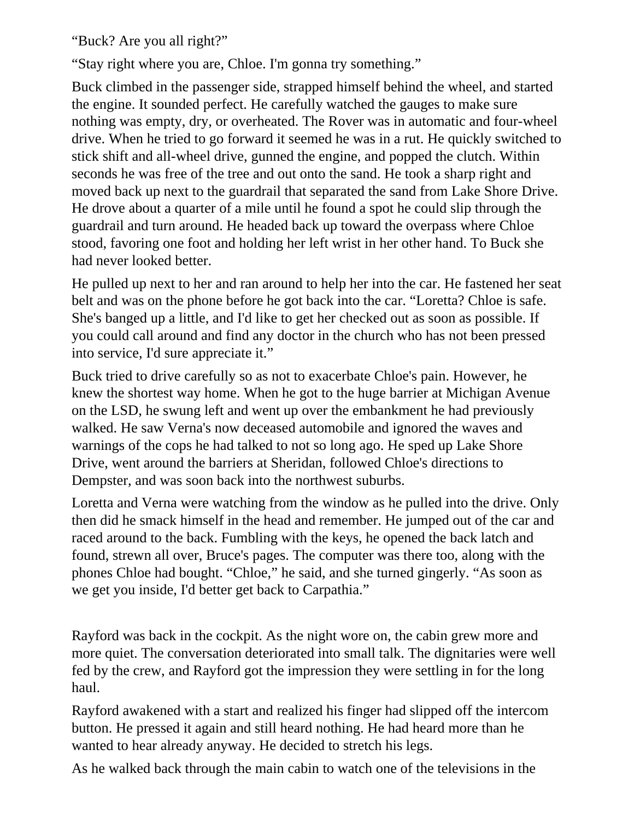"Buck? Are you all right?"

"Stay right where you are, Chloe. I'm gonna try something."

Buck climbed in the passenger side, strapped himself behind the wheel, and started the engine. It sounded perfect. He carefully watched the gauges to make sure nothing was empty, dry, or overheated. The Rover was in automatic and four-wheel drive. When he tried to go forward it seemed he was in a rut. He quickly switched to stick shift and all-wheel drive, gunned the engine, and popped the clutch. Within seconds he was free of the tree and out onto the sand. He took a sharp right and moved back up next to the guardrail that separated the sand from Lake Shore Drive. He drove about a quarter of a mile until he found a spot he could slip through the guardrail and turn around. He headed back up toward the overpass where Chloe stood, favoring one foot and holding her left wrist in her other hand. To Buck she had never looked better.

He pulled up next to her and ran around to help her into the car. He fastened her seat belt and was on the phone before he got back into the car. "Loretta? Chloe is safe. She's banged up a little, and I'd like to get her checked out as soon as possible. If you could call around and find any doctor in the church who has not been pressed into service, I'd sure appreciate it."

Buck tried to drive carefully so as not to exacerbate Chloe's pain. However, he knew the shortest way home. When he got to the huge barrier at Michigan Avenue on the LSD, he swung left and went up over the embankment he had previously walked. He saw Verna's now deceased automobile and ignored the waves and warnings of the cops he had talked to not so long ago. He sped up Lake Shore Drive, went around the barriers at Sheridan, followed Chloe's directions to Dempster, and was soon back into the northwest suburbs.

Loretta and Verna were watching from the window as he pulled into the drive. Only then did he smack himself in the head and remember. He jumped out of the car and raced around to the back. Fumbling with the keys, he opened the back latch and found, strewn all over, Bruce's pages. The computer was there too, along with the phones Chloe had bought. "Chloe," he said, and she turned gingerly. "As soon as we get you inside, I'd better get back to Carpathia."

Rayford was back in the cockpit. As the night wore on, the cabin grew more and more quiet. The conversation deteriorated into small talk. The dignitaries were well fed by the crew, and Rayford got the impression they were settling in for the long haul.

Rayford awakened with a start and realized his finger had slipped off the intercom button. He pressed it again and still heard nothing. He had heard more than he wanted to hear already anyway. He decided to stretch his legs.

As he walked back through the main cabin to watch one of the televisions in the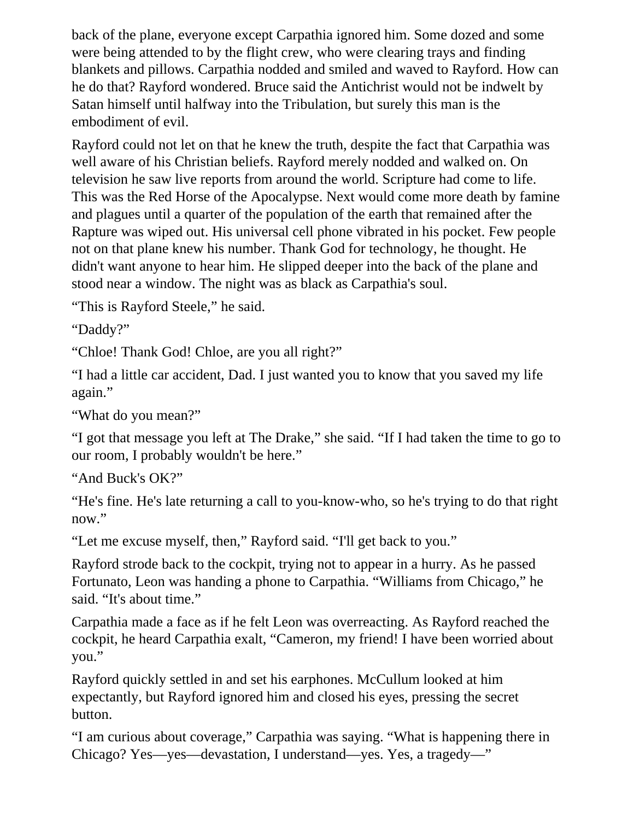back of the plane, everyone except Carpathia ignored him. Some dozed and some were being attended to by the flight crew, who were clearing trays and finding blankets and pillows. Carpathia nodded and smiled and waved to Rayford. How can he do that? Rayford wondered. Bruce said the Antichrist would not be indwelt by Satan himself until halfway into the Tribulation, but surely this man is the embodiment of evil.

Rayford could not let on that he knew the truth, despite the fact that Carpathia was well aware of his Christian beliefs. Rayford merely nodded and walked on. On television he saw live reports from around the world. Scripture had come to life. This was the Red Horse of the Apocalypse. Next would come more death by famine and plagues until a quarter of the population of the earth that remained after the Rapture was wiped out. His universal cell phone vibrated in his pocket. Few people not on that plane knew his number. Thank God for technology, he thought. He didn't want anyone to hear him. He slipped deeper into the back of the plane and stood near a window. The night was as black as Carpathia's soul.

"This is Rayford Steele," he said.

"Daddy?"

"Chloe! Thank God! Chloe, are you all right?"

"I had a little car accident, Dad. I just wanted you to know that you saved my life again."

"What do you mean?"

"I got that message you left at The Drake," she said. "If I had taken the time to go to our room, I probably wouldn't be here."

"And Buck's OK?"

"He's fine. He's late returning a call to you-know-who, so he's trying to do that right now."

"Let me excuse myself, then," Rayford said. "I'll get back to you."

Rayford strode back to the cockpit, trying not to appear in a hurry. As he passed Fortunato, Leon was handing a phone to Carpathia. "Williams from Chicago," he said. "It's about time."

Carpathia made a face as if he felt Leon was overreacting. As Rayford reached the cockpit, he heard Carpathia exalt, "Cameron, my friend! I have been worried about you."

Rayford quickly settled in and set his earphones. McCullum looked at him expectantly, but Rayford ignored him and closed his eyes, pressing the secret button.

"I am curious about coverage," Carpathia was saying. "What is happening there in Chicago? Yes—yes—devastation, I understand—yes. Yes, a tragedy—"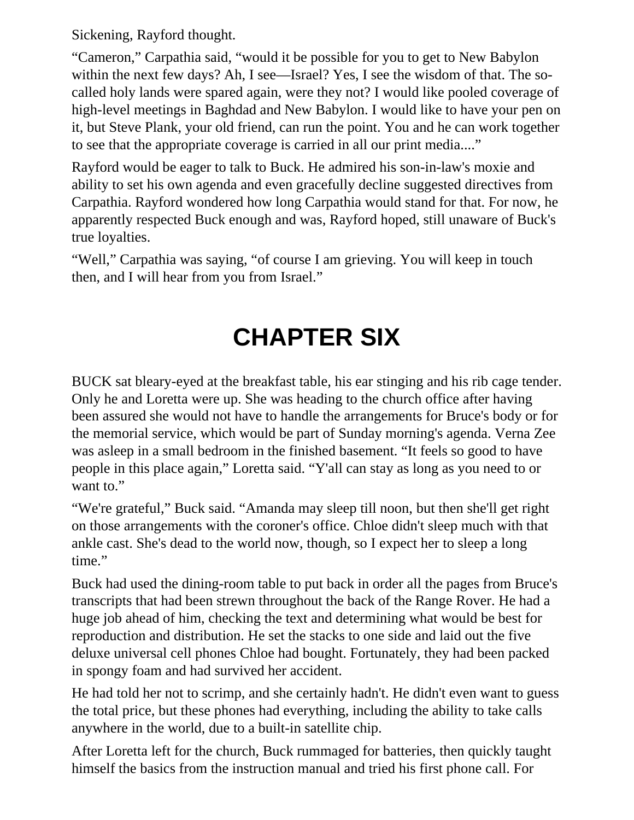Sickening, Rayford thought.

"Cameron," Carpathia said, "would it be possible for you to get to New Babylon within the next few days? Ah, I see—Israel? Yes, I see the wisdom of that. The socalled holy lands were spared again, were they not? I would like pooled coverage of high-level meetings in Baghdad and New Babylon. I would like to have your pen on it, but Steve Plank, your old friend, can run the point. You and he can work together to see that the appropriate coverage is carried in all our print media...."

Rayford would be eager to talk to Buck. He admired his son-in-law's moxie and ability to set his own agenda and even gracefully decline suggested directives from Carpathia. Rayford wondered how long Carpathia would stand for that. For now, he apparently respected Buck enough and was, Rayford hoped, still unaware of Buck's true loyalties.

"Well," Carpathia was saying, "of course I am grieving. You will keep in touch then, and I will hear from you from Israel."

## **CHAPTER SIX**

BUCK sat bleary-eyed at the breakfast table, his ear stinging and his rib cage tender. Only he and Loretta were up. She was heading to the church office after having been assured she would not have to handle the arrangements for Bruce's body or for the memorial service, which would be part of Sunday morning's agenda. Verna Zee was asleep in a small bedroom in the finished basement. "It feels so good to have people in this place again," Loretta said. "Y'all can stay as long as you need to or want to."

"We're grateful," Buck said. "Amanda may sleep till noon, but then she'll get right on those arrangements with the coroner's office. Chloe didn't sleep much with that ankle cast. She's dead to the world now, though, so I expect her to sleep a long time."

Buck had used the dining-room table to put back in order all the pages from Bruce's transcripts that had been strewn throughout the back of the Range Rover. He had a huge job ahead of him, checking the text and determining what would be best for reproduction and distribution. He set the stacks to one side and laid out the five deluxe universal cell phones Chloe had bought. Fortunately, they had been packed in spongy foam and had survived her accident.

He had told her not to scrimp, and she certainly hadn't. He didn't even want to guess the total price, but these phones had everything, including the ability to take calls anywhere in the world, due to a built-in satellite chip.

After Loretta left for the church, Buck rummaged for batteries, then quickly taught himself the basics from the instruction manual and tried his first phone call. For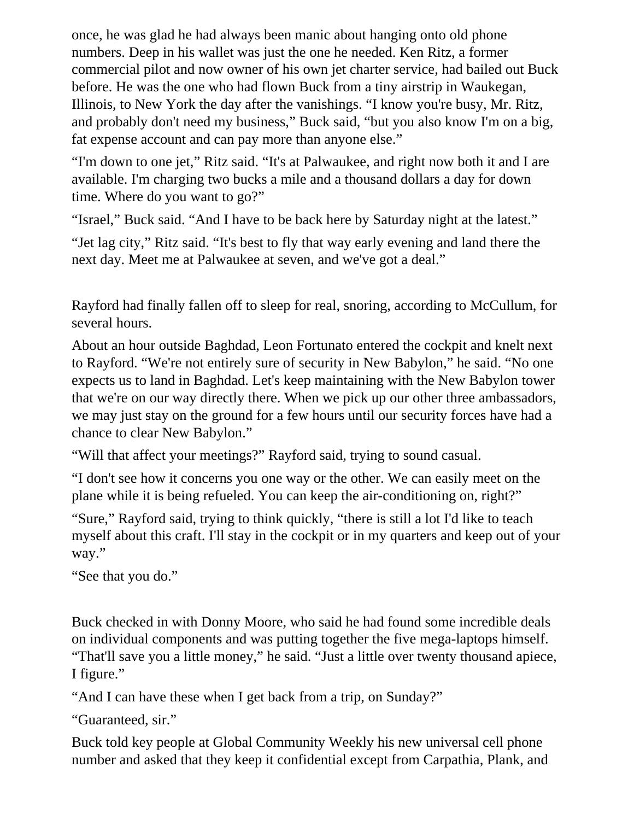once, he was glad he had always been manic about hanging onto old phone numbers. Deep in his wallet was just the one he needed. Ken Ritz, a former commercial pilot and now owner of his own jet charter service, had bailed out Buck before. He was the one who had flown Buck from a tiny airstrip in Waukegan, Illinois, to New York the day after the vanishings. "I know you're busy, Mr. Ritz, and probably don't need my business," Buck said, "but you also know I'm on a big, fat expense account and can pay more than anyone else."

"I'm down to one jet," Ritz said. "It's at Palwaukee, and right now both it and I are available. I'm charging two bucks a mile and a thousand dollars a day for down time. Where do you want to go?"

"Israel," Buck said. "And I have to be back here by Saturday night at the latest."

"Jet lag city," Ritz said. "It's best to fly that way early evening and land there the next day. Meet me at Palwaukee at seven, and we've got a deal."

Rayford had finally fallen off to sleep for real, snoring, according to McCullum, for several hours.

About an hour outside Baghdad, Leon Fortunato entered the cockpit and knelt next to Rayford. "We're not entirely sure of security in New Babylon," he said. "No one expects us to land in Baghdad. Let's keep maintaining with the New Babylon tower that we're on our way directly there. When we pick up our other three ambassadors, we may just stay on the ground for a few hours until our security forces have had a chance to clear New Babylon."

"Will that affect your meetings?" Rayford said, trying to sound casual.

"I don't see how it concerns you one way or the other. We can easily meet on the plane while it is being refueled. You can keep the air-conditioning on, right?"

"Sure," Rayford said, trying to think quickly, "there is still a lot I'd like to teach myself about this craft. I'll stay in the cockpit or in my quarters and keep out of your way."

"See that you do."

Buck checked in with Donny Moore, who said he had found some incredible deals on individual components and was putting together the five mega-laptops himself. "That'll save you a little money," he said. "Just a little over twenty thousand apiece, I figure."

"And I can have these when I get back from a trip, on Sunday?"

"Guaranteed, sir."

Buck told key people at Global Community Weekly his new universal cell phone number and asked that they keep it confidential except from Carpathia, Plank, and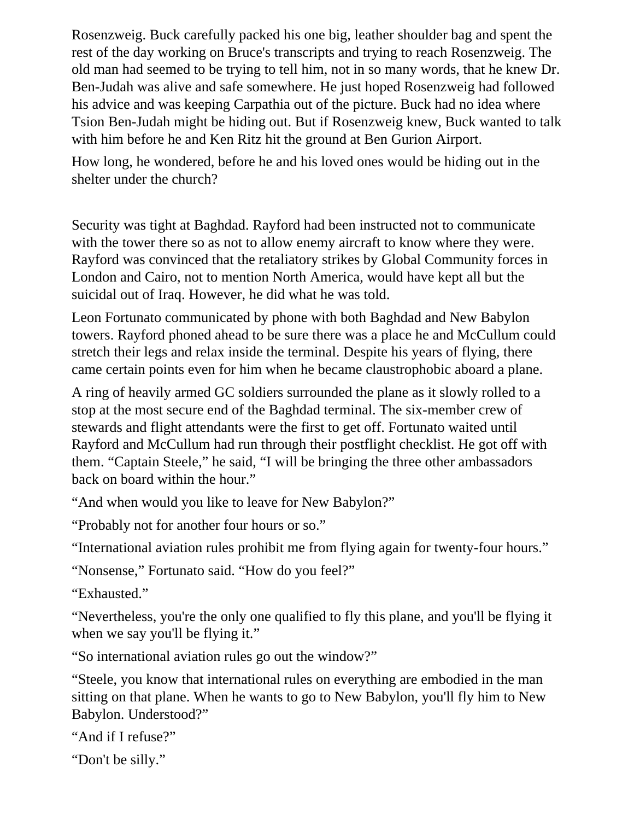Rosenzweig. Buck carefully packed his one big, leather shoulder bag and spent the rest of the day working on Bruce's transcripts and trying to reach Rosenzweig. The old man had seemed to be trying to tell him, not in so many words, that he knew Dr. Ben-Judah was alive and safe somewhere. He just hoped Rosenzweig had followed his advice and was keeping Carpathia out of the picture. Buck had no idea where Tsion Ben-Judah might be hiding out. But if Rosenzweig knew, Buck wanted to talk with him before he and Ken Ritz hit the ground at Ben Gurion Airport.

How long, he wondered, before he and his loved ones would be hiding out in the shelter under the church?

Security was tight at Baghdad. Rayford had been instructed not to communicate with the tower there so as not to allow enemy aircraft to know where they were. Rayford was convinced that the retaliatory strikes by Global Community forces in London and Cairo, not to mention North America, would have kept all but the suicidal out of Iraq. However, he did what he was told.

Leon Fortunato communicated by phone with both Baghdad and New Babylon towers. Rayford phoned ahead to be sure there was a place he and McCullum could stretch their legs and relax inside the terminal. Despite his years of flying, there came certain points even for him when he became claustrophobic aboard a plane.

A ring of heavily armed GC soldiers surrounded the plane as it slowly rolled to a stop at the most secure end of the Baghdad terminal. The six-member crew of stewards and flight attendants were the first to get off. Fortunato waited until Rayford and McCullum had run through their postflight checklist. He got off with them. "Captain Steele," he said, "I will be bringing the three other ambassadors back on board within the hour."

"And when would you like to leave for New Babylon?"

"Probably not for another four hours or so."

"International aviation rules prohibit me from flying again for twenty-four hours."

"Nonsense," Fortunato said. "How do you feel?"

"Exhausted."

"Nevertheless, you're the only one qualified to fly this plane, and you'll be flying it when we say you'll be flying it."

"So international aviation rules go out the window?"

"Steele, you know that international rules on everything are embodied in the man sitting on that plane. When he wants to go to New Babylon, you'll fly him to New Babylon. Understood?"

"And if I refuse?"

"Don't be silly."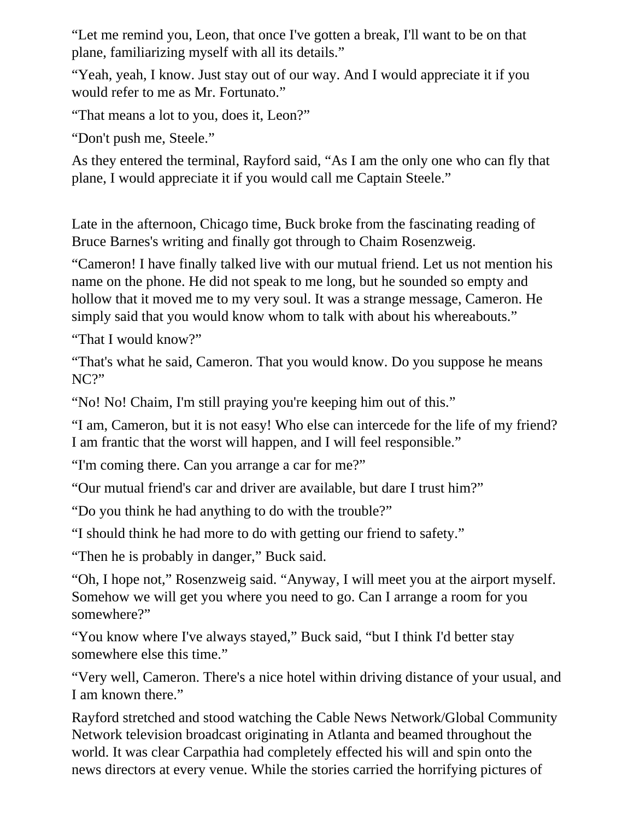"Let me remind you, Leon, that once I've gotten a break, I'll want to be on that plane, familiarizing myself with all its details."

"Yeah, yeah, I know. Just stay out of our way. And I would appreciate it if you would refer to me as Mr. Fortunato."

"That means a lot to you, does it, Leon?"

"Don't push me, Steele."

As they entered the terminal, Rayford said, "As I am the only one who can fly that plane, I would appreciate it if you would call me Captain Steele."

Late in the afternoon, Chicago time, Buck broke from the fascinating reading of Bruce Barnes's writing and finally got through to Chaim Rosenzweig.

"Cameron! I have finally talked live with our mutual friend. Let us not mention his name on the phone. He did not speak to me long, but he sounded so empty and hollow that it moved me to my very soul. It was a strange message, Cameron. He simply said that you would know whom to talk with about his whereabouts."

"That I would know?"

"That's what he said, Cameron. That you would know. Do you suppose he means NC?"

"No! No! Chaim, I'm still praying you're keeping him out of this."

"I am, Cameron, but it is not easy! Who else can intercede for the life of my friend? I am frantic that the worst will happen, and I will feel responsible."

"I'm coming there. Can you arrange a car for me?"

"Our mutual friend's car and driver are available, but dare I trust him?"

"Do you think he had anything to do with the trouble?"

"I should think he had more to do with getting our friend to safety."

"Then he is probably in danger," Buck said.

"Oh, I hope not," Rosenzweig said. "Anyway, I will meet you at the airport myself. Somehow we will get you where you need to go. Can I arrange a room for you somewhere?"

"You know where I've always stayed," Buck said, "but I think I'd better stay somewhere else this time."

"Very well, Cameron. There's a nice hotel within driving distance of your usual, and I am known there."

Rayford stretched and stood watching the Cable News Network/Global Community Network television broadcast originating in Atlanta and beamed throughout the world. It was clear Carpathia had completely effected his will and spin onto the news directors at every venue. While the stories carried the horrifying pictures of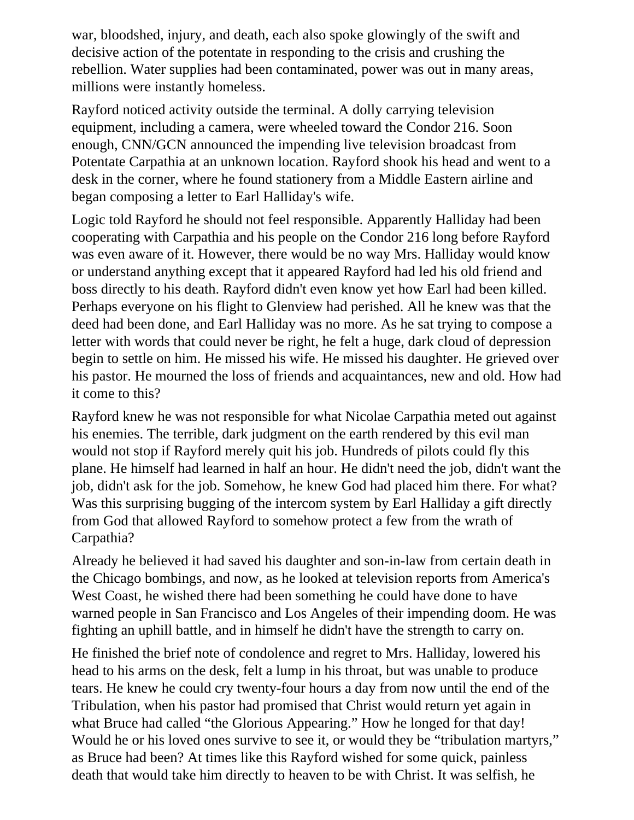war, bloodshed, injury, and death, each also spoke glowingly of the swift and decisive action of the potentate in responding to the crisis and crushing the rebellion. Water supplies had been contaminated, power was out in many areas, millions were instantly homeless.

Rayford noticed activity outside the terminal. A dolly carrying television equipment, including a camera, were wheeled toward the Condor 216. Soon enough, CNN/GCN announced the impending live television broadcast from Potentate Carpathia at an unknown location. Rayford shook his head and went to a desk in the corner, where he found stationery from a Middle Eastern airline and began composing a letter to Earl Halliday's wife.

Logic told Rayford he should not feel responsible. Apparently Halliday had been cooperating with Carpathia and his people on the Condor 216 long before Rayford was even aware of it. However, there would be no way Mrs. Halliday would know or understand anything except that it appeared Rayford had led his old friend and boss directly to his death. Rayford didn't even know yet how Earl had been killed. Perhaps everyone on his flight to Glenview had perished. All he knew was that the deed had been done, and Earl Halliday was no more. As he sat trying to compose a letter with words that could never be right, he felt a huge, dark cloud of depression begin to settle on him. He missed his wife. He missed his daughter. He grieved over his pastor. He mourned the loss of friends and acquaintances, new and old. How had it come to this?

Rayford knew he was not responsible for what Nicolae Carpathia meted out against his enemies. The terrible, dark judgment on the earth rendered by this evil man would not stop if Rayford merely quit his job. Hundreds of pilots could fly this plane. He himself had learned in half an hour. He didn't need the job, didn't want the job, didn't ask for the job. Somehow, he knew God had placed him there. For what? Was this surprising bugging of the intercom system by Earl Halliday a gift directly from God that allowed Rayford to somehow protect a few from the wrath of Carpathia?

Already he believed it had saved his daughter and son-in-law from certain death in the Chicago bombings, and now, as he looked at television reports from America's West Coast, he wished there had been something he could have done to have warned people in San Francisco and Los Angeles of their impending doom. He was fighting an uphill battle, and in himself he didn't have the strength to carry on.

He finished the brief note of condolence and regret to Mrs. Halliday, lowered his head to his arms on the desk, felt a lump in his throat, but was unable to produce tears. He knew he could cry twenty-four hours a day from now until the end of the Tribulation, when his pastor had promised that Christ would return yet again in what Bruce had called "the Glorious Appearing." How he longed for that day! Would he or his loved ones survive to see it, or would they be "tribulation martyrs," as Bruce had been? At times like this Rayford wished for some quick, painless death that would take him directly to heaven to be with Christ. It was selfish, he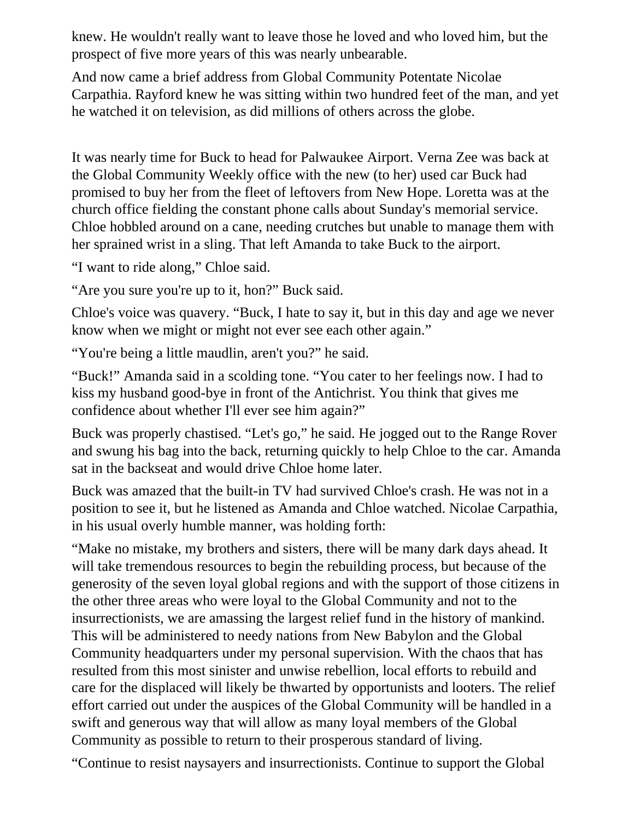knew. He wouldn't really want to leave those he loved and who loved him, but the prospect of five more years of this was nearly unbearable.

And now came a brief address from Global Community Potentate Nicolae Carpathia. Rayford knew he was sitting within two hundred feet of the man, and yet he watched it on television, as did millions of others across the globe.

It was nearly time for Buck to head for Palwaukee Airport. Verna Zee was back at the Global Community Weekly office with the new (to her) used car Buck had promised to buy her from the fleet of leftovers from New Hope. Loretta was at the church office fielding the constant phone calls about Sunday's memorial service. Chloe hobbled around on a cane, needing crutches but unable to manage them with her sprained wrist in a sling. That left Amanda to take Buck to the airport.

"I want to ride along," Chloe said.

"Are you sure you're up to it, hon?" Buck said.

Chloe's voice was quavery. "Buck, I hate to say it, but in this day and age we never know when we might or might not ever see each other again."

"You're being a little maudlin, aren't you?" he said.

"Buck!" Amanda said in a scolding tone. "You cater to her feelings now. I had to kiss my husband good-bye in front of the Antichrist. You think that gives me confidence about whether I'll ever see him again?"

Buck was properly chastised. "Let's go," he said. He jogged out to the Range Rover and swung his bag into the back, returning quickly to help Chloe to the car. Amanda sat in the backseat and would drive Chloe home later.

Buck was amazed that the built-in TV had survived Chloe's crash. He was not in a position to see it, but he listened as Amanda and Chloe watched. Nicolae Carpathia, in his usual overly humble manner, was holding forth:

"Make no mistake, my brothers and sisters, there will be many dark days ahead. It will take tremendous resources to begin the rebuilding process, but because of the generosity of the seven loyal global regions and with the support of those citizens in the other three areas who were loyal to the Global Community and not to the insurrectionists, we are amassing the largest relief fund in the history of mankind. This will be administered to needy nations from New Babylon and the Global Community headquarters under my personal supervision. With the chaos that has resulted from this most sinister and unwise rebellion, local efforts to rebuild and care for the displaced will likely be thwarted by opportunists and looters. The relief effort carried out under the auspices of the Global Community will be handled in a swift and generous way that will allow as many loyal members of the Global Community as possible to return to their prosperous standard of living.

"Continue to resist naysayers and insurrectionists. Continue to support the Global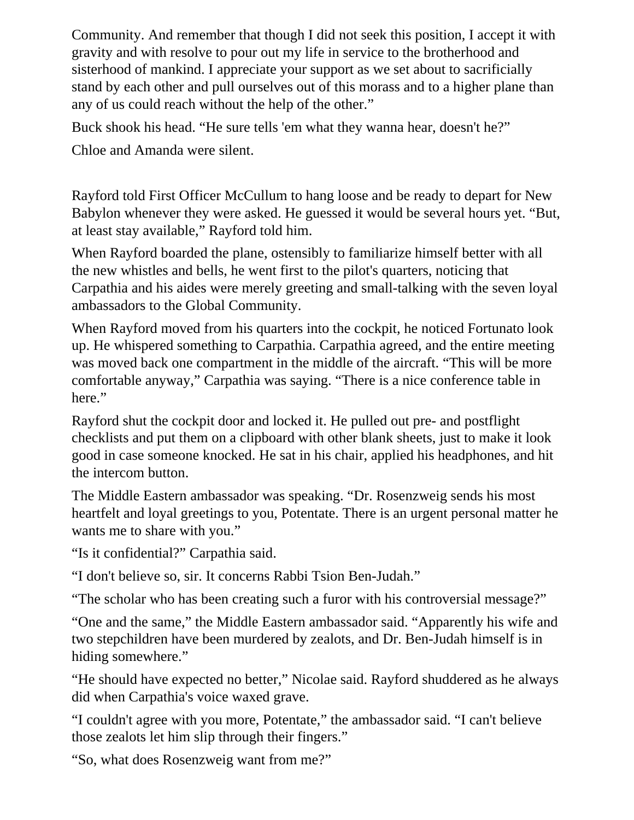Community. And remember that though I did not seek this position, I accept it with gravity and with resolve to pour out my life in service to the brotherhood and sisterhood of mankind. I appreciate your support as we set about to sacrificially stand by each other and pull ourselves out of this morass and to a higher plane than any of us could reach without the help of the other."

Buck shook his head. "He sure tells 'em what they wanna hear, doesn't he?" Chloe and Amanda were silent.

Rayford told First Officer McCullum to hang loose and be ready to depart for New Babylon whenever they were asked. He guessed it would be several hours yet. "But, at least stay available," Rayford told him.

When Rayford boarded the plane, ostensibly to familiarize himself better with all the new whistles and bells, he went first to the pilot's quarters, noticing that Carpathia and his aides were merely greeting and small-talking with the seven loyal ambassadors to the Global Community.

When Rayford moved from his quarters into the cockpit, he noticed Fortunato look up. He whispered something to Carpathia. Carpathia agreed, and the entire meeting was moved back one compartment in the middle of the aircraft. "This will be more comfortable anyway," Carpathia was saying. "There is a nice conference table in here."

Rayford shut the cockpit door and locked it. He pulled out pre- and postflight checklists and put them on a clipboard with other blank sheets, just to make it look good in case someone knocked. He sat in his chair, applied his headphones, and hit the intercom button.

The Middle Eastern ambassador was speaking. "Dr. Rosenzweig sends his most heartfelt and loyal greetings to you, Potentate. There is an urgent personal matter he wants me to share with you."

"Is it confidential?" Carpathia said.

"I don't believe so, sir. It concerns Rabbi Tsion Ben-Judah."

"The scholar who has been creating such a furor with his controversial message?"

"One and the same," the Middle Eastern ambassador said. "Apparently his wife and two stepchildren have been murdered by zealots, and Dr. Ben-Judah himself is in hiding somewhere."

"He should have expected no better," Nicolae said. Rayford shuddered as he always did when Carpathia's voice waxed grave.

"I couldn't agree with you more, Potentate," the ambassador said. "I can't believe those zealots let him slip through their fingers."

"So, what does Rosenzweig want from me?"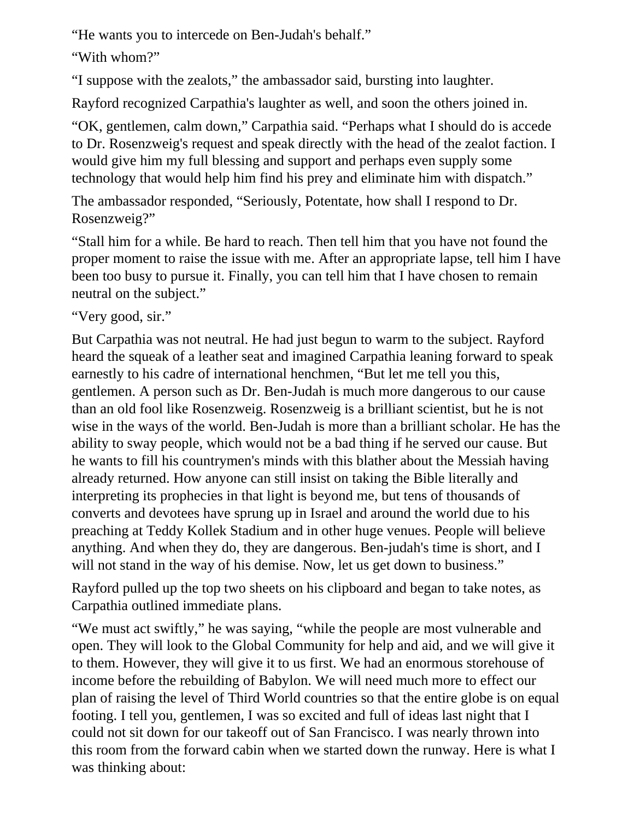"He wants you to intercede on Ben-Judah's behalf."

"With whom?"

"I suppose with the zealots," the ambassador said, bursting into laughter.

Rayford recognized Carpathia's laughter as well, and soon the others joined in.

"OK, gentlemen, calm down," Carpathia said. "Perhaps what I should do is accede to Dr. Rosenzweig's request and speak directly with the head of the zealot faction. I would give him my full blessing and support and perhaps even supply some technology that would help him find his prey and eliminate him with dispatch."

The ambassador responded, "Seriously, Potentate, how shall I respond to Dr. Rosenzweig?"

"Stall him for a while. Be hard to reach. Then tell him that you have not found the proper moment to raise the issue with me. After an appropriate lapse, tell him I have been too busy to pursue it. Finally, you can tell him that I have chosen to remain neutral on the subject."

"Very good, sir."

But Carpathia was not neutral. He had just begun to warm to the subject. Rayford heard the squeak of a leather seat and imagined Carpathia leaning forward to speak earnestly to his cadre of international henchmen, "But let me tell you this, gentlemen. A person such as Dr. Ben-Judah is much more dangerous to our cause than an old fool like Rosenzweig. Rosenzweig is a brilliant scientist, but he is not wise in the ways of the world. Ben-Judah is more than a brilliant scholar. He has the ability to sway people, which would not be a bad thing if he served our cause. But he wants to fill his countrymen's minds with this blather about the Messiah having already returned. How anyone can still insist on taking the Bible literally and interpreting its prophecies in that light is beyond me, but tens of thousands of converts and devotees have sprung up in Israel and around the world due to his preaching at Teddy Kollek Stadium and in other huge venues. People will believe anything. And when they do, they are dangerous. Ben-judah's time is short, and I will not stand in the way of his demise. Now, let us get down to business."

Rayford pulled up the top two sheets on his clipboard and began to take notes, as Carpathia outlined immediate plans.

"We must act swiftly," he was saying, "while the people are most vulnerable and open. They will look to the Global Community for help and aid, and we will give it to them. However, they will give it to us first. We had an enormous storehouse of income before the rebuilding of Babylon. We will need much more to effect our plan of raising the level of Third World countries so that the entire globe is on equal footing. I tell you, gentlemen, I was so excited and full of ideas last night that I could not sit down for our takeoff out of San Francisco. I was nearly thrown into this room from the forward cabin when we started down the runway. Here is what I was thinking about: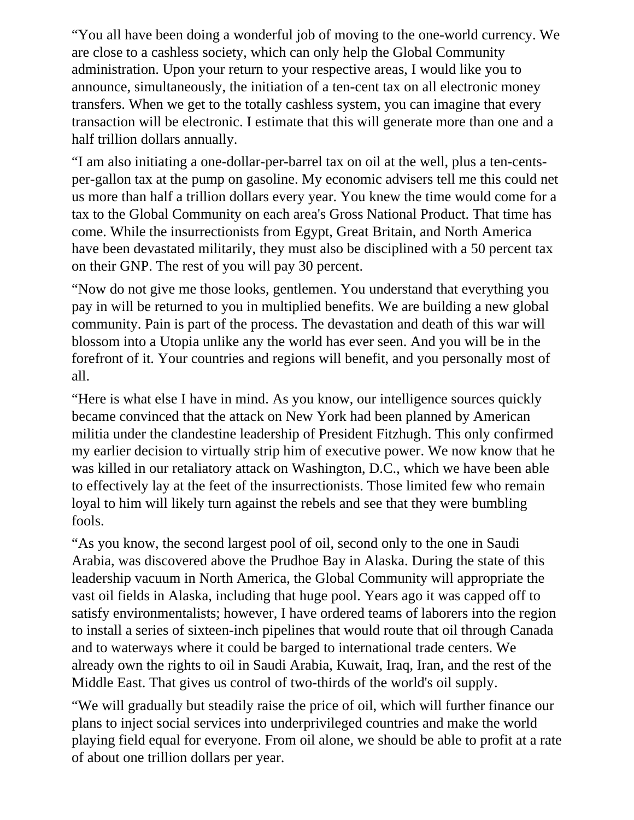"You all have been doing a wonderful job of moving to the one-world currency. We are close to a cashless society, which can only help the Global Community administration. Upon your return to your respective areas, I would like you to announce, simultaneously, the initiation of a ten-cent tax on all electronic money transfers. When we get to the totally cashless system, you can imagine that every transaction will be electronic. I estimate that this will generate more than one and a half trillion dollars annually.

"I am also initiating a one-dollar-per-barrel tax on oil at the well, plus a ten-centsper-gallon tax at the pump on gasoline. My economic advisers tell me this could net us more than half a trillion dollars every year. You knew the time would come for a tax to the Global Community on each area's Gross National Product. That time has come. While the insurrectionists from Egypt, Great Britain, and North America have been devastated militarily, they must also be disciplined with a 50 percent tax on their GNP. The rest of you will pay 30 percent.

"Now do not give me those looks, gentlemen. You understand that everything you pay in will be returned to you in multiplied benefits. We are building a new global community. Pain is part of the process. The devastation and death of this war will blossom into a Utopia unlike any the world has ever seen. And you will be in the forefront of it. Your countries and regions will benefit, and you personally most of all.

"Here is what else I have in mind. As you know, our intelligence sources quickly became convinced that the attack on New York had been planned by American militia under the clandestine leadership of President Fitzhugh. This only confirmed my earlier decision to virtually strip him of executive power. We now know that he was killed in our retaliatory attack on Washington, D.C., which we have been able to effectively lay at the feet of the insurrectionists. Those limited few who remain loyal to him will likely turn against the rebels and see that they were bumbling fools.

"As you know, the second largest pool of oil, second only to the one in Saudi Arabia, was discovered above the Prudhoe Bay in Alaska. During the state of this leadership vacuum in North America, the Global Community will appropriate the vast oil fields in Alaska, including that huge pool. Years ago it was capped off to satisfy environmentalists; however, I have ordered teams of laborers into the region to install a series of sixteen-inch pipelines that would route that oil through Canada and to waterways where it could be barged to international trade centers. We already own the rights to oil in Saudi Arabia, Kuwait, Iraq, Iran, and the rest of the Middle East. That gives us control of two-thirds of the world's oil supply.

"We will gradually but steadily raise the price of oil, which will further finance our plans to inject social services into underprivileged countries and make the world playing field equal for everyone. From oil alone, we should be able to profit at a rate of about one trillion dollars per year.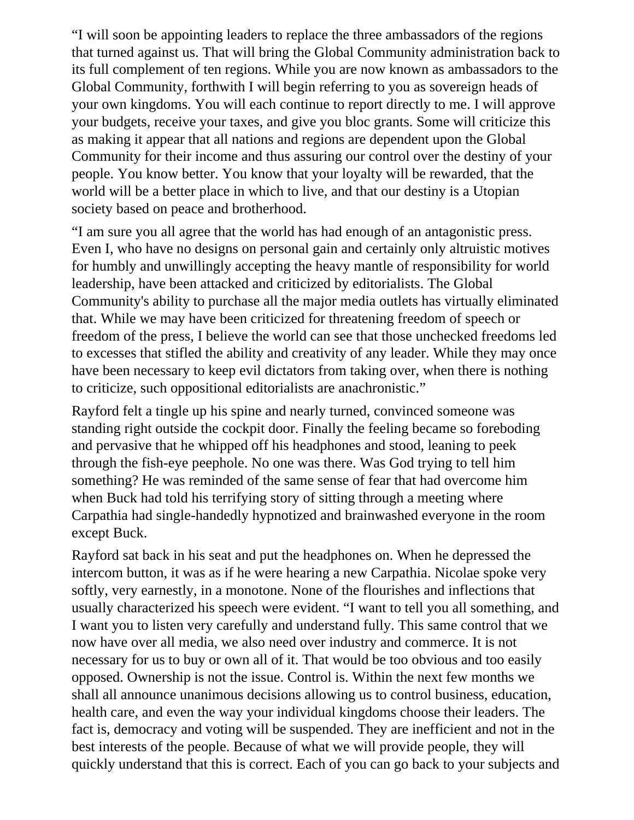"I will soon be appointing leaders to replace the three ambassadors of the regions that turned against us. That will bring the Global Community administration back to its full complement of ten regions. While you are now known as ambassadors to the Global Community, forthwith I will begin referring to you as sovereign heads of your own kingdoms. You will each continue to report directly to me. I will approve your budgets, receive your taxes, and give you bloc grants. Some will criticize this as making it appear that all nations and regions are dependent upon the Global Community for their income and thus assuring our control over the destiny of your people. You know better. You know that your loyalty will be rewarded, that the world will be a better place in which to live, and that our destiny is a Utopian society based on peace and brotherhood.

"I am sure you all agree that the world has had enough of an antagonistic press. Even I, who have no designs on personal gain and certainly only altruistic motives for humbly and unwillingly accepting the heavy mantle of responsibility for world leadership, have been attacked and criticized by editorialists. The Global Community's ability to purchase all the major media outlets has virtually eliminated that. While we may have been criticized for threatening freedom of speech or freedom of the press, I believe the world can see that those unchecked freedoms led to excesses that stifled the ability and creativity of any leader. While they may once have been necessary to keep evil dictators from taking over, when there is nothing to criticize, such oppositional editorialists are anachronistic."

Rayford felt a tingle up his spine and nearly turned, convinced someone was standing right outside the cockpit door. Finally the feeling became so foreboding and pervasive that he whipped off his headphones and stood, leaning to peek through the fish-eye peephole. No one was there. Was God trying to tell him something? He was reminded of the same sense of fear that had overcome him when Buck had told his terrifying story of sitting through a meeting where Carpathia had single-handedly hypnotized and brainwashed everyone in the room except Buck.

Rayford sat back in his seat and put the headphones on. When he depressed the intercom button, it was as if he were hearing a new Carpathia. Nicolae spoke very softly, very earnestly, in a monotone. None of the flourishes and inflections that usually characterized his speech were evident. "I want to tell you all something, and I want you to listen very carefully and understand fully. This same control that we now have over all media, we also need over industry and commerce. It is not necessary for us to buy or own all of it. That would be too obvious and too easily opposed. Ownership is not the issue. Control is. Within the next few months we shall all announce unanimous decisions allowing us to control business, education, health care, and even the way your individual kingdoms choose their leaders. The fact is, democracy and voting will be suspended. They are inefficient and not in the best interests of the people. Because of what we will provide people, they will quickly understand that this is correct. Each of you can go back to your subjects and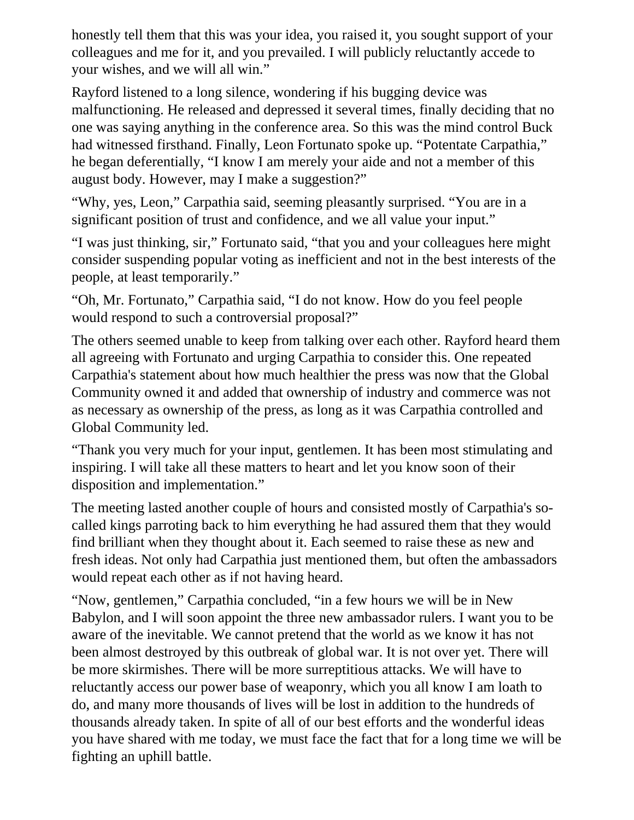honestly tell them that this was your idea, you raised it, you sought support of your colleagues and me for it, and you prevailed. I will publicly reluctantly accede to your wishes, and we will all win."

Rayford listened to a long silence, wondering if his bugging device was malfunctioning. He released and depressed it several times, finally deciding that no one was saying anything in the conference area. So this was the mind control Buck had witnessed firsthand. Finally, Leon Fortunato spoke up. "Potentate Carpathia," he began deferentially, "I know I am merely your aide and not a member of this august body. However, may I make a suggestion?"

"Why, yes, Leon," Carpathia said, seeming pleasantly surprised. "You are in a significant position of trust and confidence, and we all value your input."

"I was just thinking, sir," Fortunato said, "that you and your colleagues here might consider suspending popular voting as inefficient and not in the best interests of the people, at least temporarily."

"Oh, Mr. Fortunato," Carpathia said, "I do not know. How do you feel people would respond to such a controversial proposal?"

The others seemed unable to keep from talking over each other. Rayford heard them all agreeing with Fortunato and urging Carpathia to consider this. One repeated Carpathia's statement about how much healthier the press was now that the Global Community owned it and added that ownership of industry and commerce was not as necessary as ownership of the press, as long as it was Carpathia controlled and Global Community led.

"Thank you very much for your input, gentlemen. It has been most stimulating and inspiring. I will take all these matters to heart and let you know soon of their disposition and implementation."

The meeting lasted another couple of hours and consisted mostly of Carpathia's socalled kings parroting back to him everything he had assured them that they would find brilliant when they thought about it. Each seemed to raise these as new and fresh ideas. Not only had Carpathia just mentioned them, but often the ambassadors would repeat each other as if not having heard.

"Now, gentlemen," Carpathia concluded, "in a few hours we will be in New Babylon, and I will soon appoint the three new ambassador rulers. I want you to be aware of the inevitable. We cannot pretend that the world as we know it has not been almost destroyed by this outbreak of global war. It is not over yet. There will be more skirmishes. There will be more surreptitious attacks. We will have to reluctantly access our power base of weaponry, which you all know I am loath to do, and many more thousands of lives will be lost in addition to the hundreds of thousands already taken. In spite of all of our best efforts and the wonderful ideas you have shared with me today, we must face the fact that for a long time we will be fighting an uphill battle.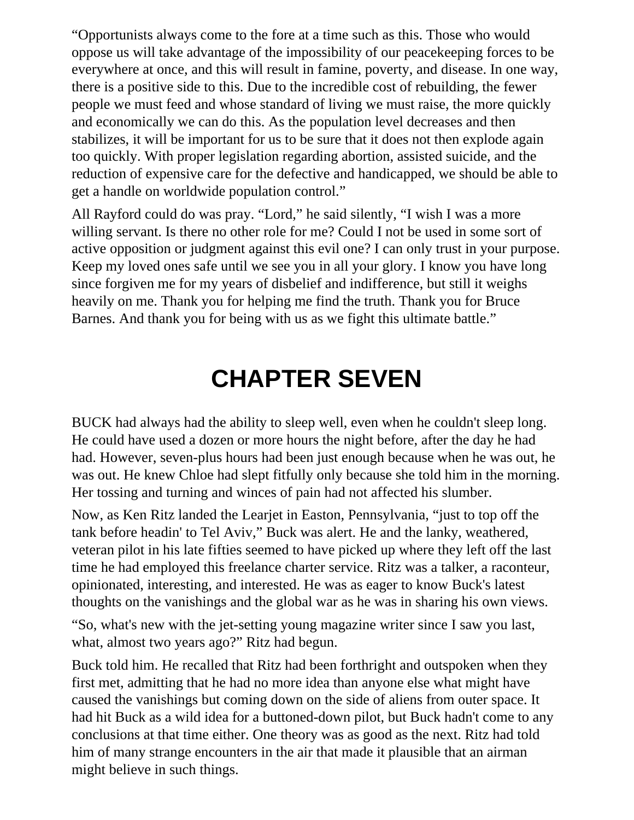"Opportunists always come to the fore at a time such as this. Those who would oppose us will take advantage of the impossibility of our peacekeeping forces to be everywhere at once, and this will result in famine, poverty, and disease. In one way, there is a positive side to this. Due to the incredible cost of rebuilding, the fewer people we must feed and whose standard of living we must raise, the more quickly and economically we can do this. As the population level decreases and then stabilizes, it will be important for us to be sure that it does not then explode again too quickly. With proper legislation regarding abortion, assisted suicide, and the reduction of expensive care for the defective and handicapped, we should be able to get a handle on worldwide population control."

All Rayford could do was pray. "Lord," he said silently, "I wish I was a more willing servant. Is there no other role for me? Could I not be used in some sort of active opposition or judgment against this evil one? I can only trust in your purpose. Keep my loved ones safe until we see you in all your glory. I know you have long since forgiven me for my years of disbelief and indifference, but still it weighs heavily on me. Thank you for helping me find the truth. Thank you for Bruce Barnes. And thank you for being with us as we fight this ultimate battle."

## **CHAPTER SEVEN**

BUCK had always had the ability to sleep well, even when he couldn't sleep long. He could have used a dozen or more hours the night before, after the day he had had. However, seven-plus hours had been just enough because when he was out, he was out. He knew Chloe had slept fitfully only because she told him in the morning. Her tossing and turning and winces of pain had not affected his slumber.

Now, as Ken Ritz landed the Learjet in Easton, Pennsylvania, "just to top off the tank before headin' to Tel Aviv," Buck was alert. He and the lanky, weathered, veteran pilot in his late fifties seemed to have picked up where they left off the last time he had employed this freelance charter service. Ritz was a talker, a raconteur, opinionated, interesting, and interested. He was as eager to know Buck's latest thoughts on the vanishings and the global war as he was in sharing his own views.

"So, what's new with the jet-setting young magazine writer since I saw you last, what, almost two years ago?" Ritz had begun.

Buck told him. He recalled that Ritz had been forthright and outspoken when they first met, admitting that he had no more idea than anyone else what might have caused the vanishings but coming down on the side of aliens from outer space. It had hit Buck as a wild idea for a buttoned-down pilot, but Buck hadn't come to any conclusions at that time either. One theory was as good as the next. Ritz had told him of many strange encounters in the air that made it plausible that an airman might believe in such things.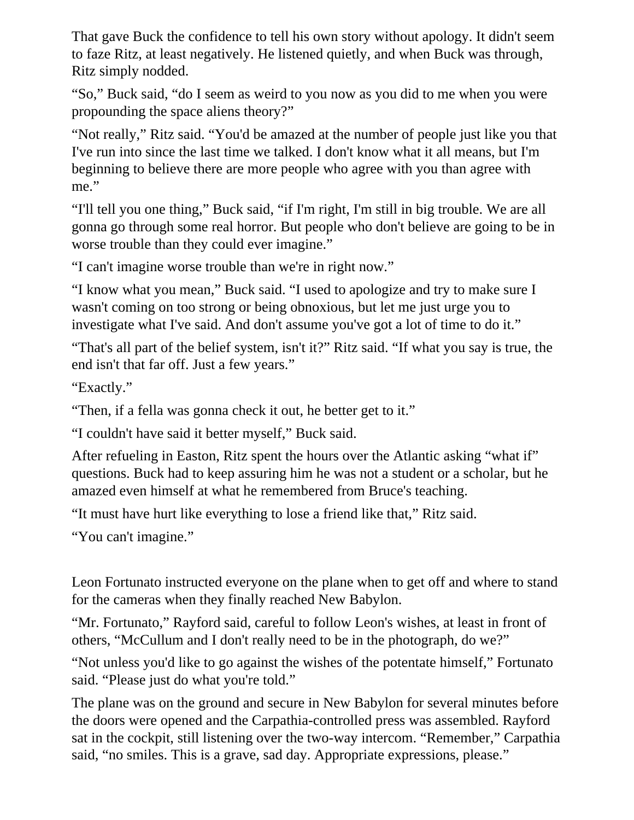That gave Buck the confidence to tell his own story without apology. It didn't seem to faze Ritz, at least negatively. He listened quietly, and when Buck was through, Ritz simply nodded.

"So," Buck said, "do I seem as weird to you now as you did to me when you were propounding the space aliens theory?"

"Not really," Ritz said. "You'd be amazed at the number of people just like you that I've run into since the last time we talked. I don't know what it all means, but I'm beginning to believe there are more people who agree with you than agree with me."

"I'll tell you one thing," Buck said, "if I'm right, I'm still in big trouble. We are all gonna go through some real horror. But people who don't believe are going to be in worse trouble than they could ever imagine."

"I can't imagine worse trouble than we're in right now."

"I know what you mean," Buck said. "I used to apologize and try to make sure I wasn't coming on too strong or being obnoxious, but let me just urge you to investigate what I've said. And don't assume you've got a lot of time to do it."

"That's all part of the belief system, isn't it?" Ritz said. "If what you say is true, the end isn't that far off. Just a few years."

"Exactly."

"Then, if a fella was gonna check it out, he better get to it."

"I couldn't have said it better myself," Buck said.

After refueling in Easton, Ritz spent the hours over the Atlantic asking "what if" questions. Buck had to keep assuring him he was not a student or a scholar, but he amazed even himself at what he remembered from Bruce's teaching.

"It must have hurt like everything to lose a friend like that," Ritz said.

"You can't imagine."

Leon Fortunato instructed everyone on the plane when to get off and where to stand for the cameras when they finally reached New Babylon.

"Mr. Fortunato," Rayford said, careful to follow Leon's wishes, at least in front of others, "McCullum and I don't really need to be in the photograph, do we?"

"Not unless you'd like to go against the wishes of the potentate himself," Fortunato said. "Please just do what you're told."

The plane was on the ground and secure in New Babylon for several minutes before the doors were opened and the Carpathia-controlled press was assembled. Rayford sat in the cockpit, still listening over the two-way intercom. "Remember," Carpathia said, "no smiles. This is a grave, sad day. Appropriate expressions, please."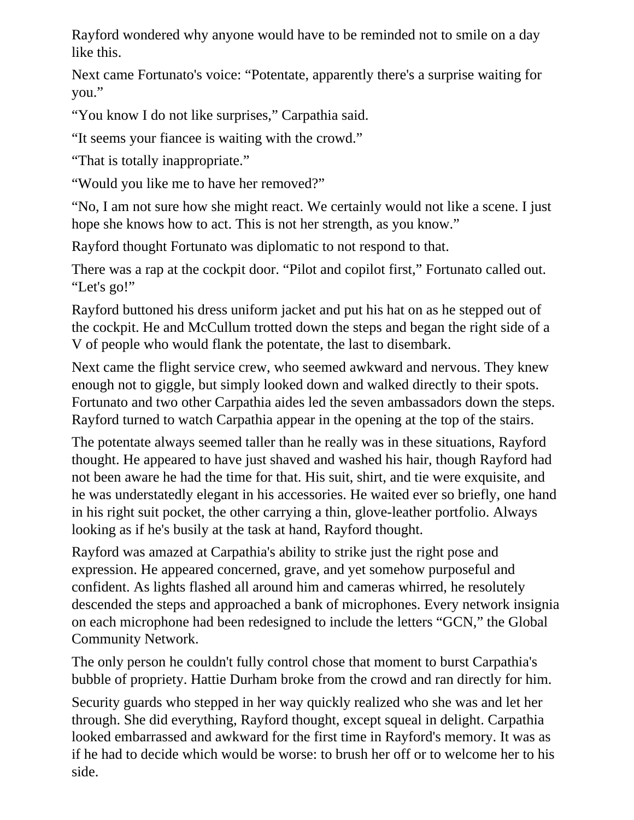Rayford wondered why anyone would have to be reminded not to smile on a day like this.

Next came Fortunato's voice: "Potentate, apparently there's a surprise waiting for you."

"You know I do not like surprises," Carpathia said.

"It seems your fiancee is waiting with the crowd."

"That is totally inappropriate."

"Would you like me to have her removed?"

"No, I am not sure how she might react. We certainly would not like a scene. I just hope she knows how to act. This is not her strength, as you know."

Rayford thought Fortunato was diplomatic to not respond to that.

There was a rap at the cockpit door. "Pilot and copilot first," Fortunato called out. "Let's go!"

Rayford buttoned his dress uniform jacket and put his hat on as he stepped out of the cockpit. He and McCullum trotted down the steps and began the right side of a V of people who would flank the potentate, the last to disembark.

Next came the flight service crew, who seemed awkward and nervous. They knew enough not to giggle, but simply looked down and walked directly to their spots. Fortunato and two other Carpathia aides led the seven ambassadors down the steps. Rayford turned to watch Carpathia appear in the opening at the top of the stairs.

The potentate always seemed taller than he really was in these situations, Rayford thought. He appeared to have just shaved and washed his hair, though Rayford had not been aware he had the time for that. His suit, shirt, and tie were exquisite, and he was understatedly elegant in his accessories. He waited ever so briefly, one hand in his right suit pocket, the other carrying a thin, glove-leather portfolio. Always looking as if he's busily at the task at hand, Rayford thought.

Rayford was amazed at Carpathia's ability to strike just the right pose and expression. He appeared concerned, grave, and yet somehow purposeful and confident. As lights flashed all around him and cameras whirred, he resolutely descended the steps and approached a bank of microphones. Every network insignia on each microphone had been redesigned to include the letters "GCN," the Global Community Network.

The only person he couldn't fully control chose that moment to burst Carpathia's bubble of propriety. Hattie Durham broke from the crowd and ran directly for him.

Security guards who stepped in her way quickly realized who she was and let her through. She did everything, Rayford thought, except squeal in delight. Carpathia looked embarrassed and awkward for the first time in Rayford's memory. It was as if he had to decide which would be worse: to brush her off or to welcome her to his side.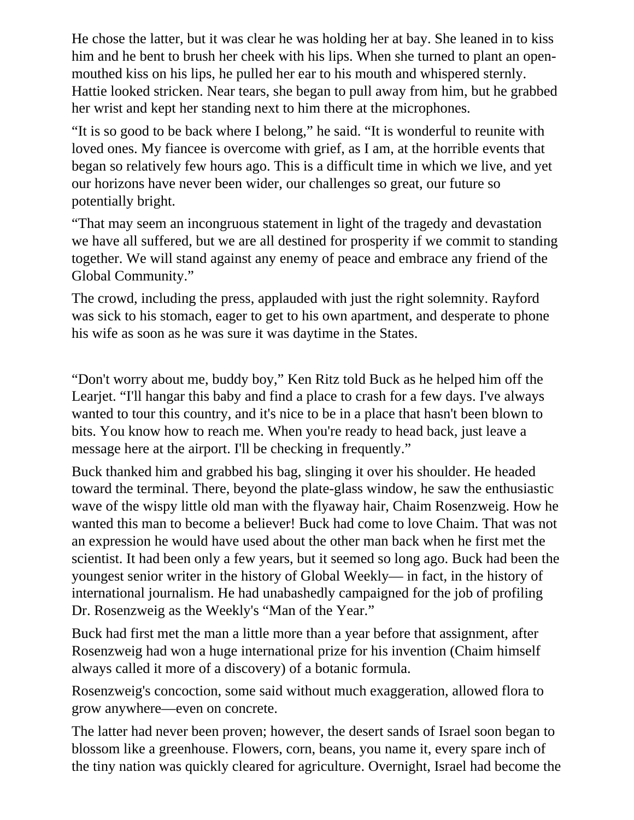He chose the latter, but it was clear he was holding her at bay. She leaned in to kiss him and he bent to brush her cheek with his lips. When she turned to plant an openmouthed kiss on his lips, he pulled her ear to his mouth and whispered sternly. Hattie looked stricken. Near tears, she began to pull away from him, but he grabbed her wrist and kept her standing next to him there at the microphones.

"It is so good to be back where I belong," he said. "It is wonderful to reunite with loved ones. My fiancee is overcome with grief, as I am, at the horrible events that began so relatively few hours ago. This is a difficult time in which we live, and yet our horizons have never been wider, our challenges so great, our future so potentially bright.

"That may seem an incongruous statement in light of the tragedy and devastation we have all suffered, but we are all destined for prosperity if we commit to standing together. We will stand against any enemy of peace and embrace any friend of the Global Community."

The crowd, including the press, applauded with just the right solemnity. Rayford was sick to his stomach, eager to get to his own apartment, and desperate to phone his wife as soon as he was sure it was daytime in the States.

"Don't worry about me, buddy boy," Ken Ritz told Buck as he helped him off the Learjet. "I'll hangar this baby and find a place to crash for a few days. I've always wanted to tour this country, and it's nice to be in a place that hasn't been blown to bits. You know how to reach me. When you're ready to head back, just leave a message here at the airport. I'll be checking in frequently."

Buck thanked him and grabbed his bag, slinging it over his shoulder. He headed toward the terminal. There, beyond the plate-glass window, he saw the enthusiastic wave of the wispy little old man with the flyaway hair, Chaim Rosenzweig. How he wanted this man to become a believer! Buck had come to love Chaim. That was not an expression he would have used about the other man back when he first met the scientist. It had been only a few years, but it seemed so long ago. Buck had been the youngest senior writer in the history of Global Weekly— in fact, in the history of international journalism. He had unabashedly campaigned for the job of profiling Dr. Rosenzweig as the Weekly's "Man of the Year."

Buck had first met the man a little more than a year before that assignment, after Rosenzweig had won a huge international prize for his invention (Chaim himself always called it more of a discovery) of a botanic formula.

Rosenzweig's concoction, some said without much exaggeration, allowed flora to grow anywhere—even on concrete.

The latter had never been proven; however, the desert sands of Israel soon began to blossom like a greenhouse. Flowers, corn, beans, you name it, every spare inch of the tiny nation was quickly cleared for agriculture. Overnight, Israel had become the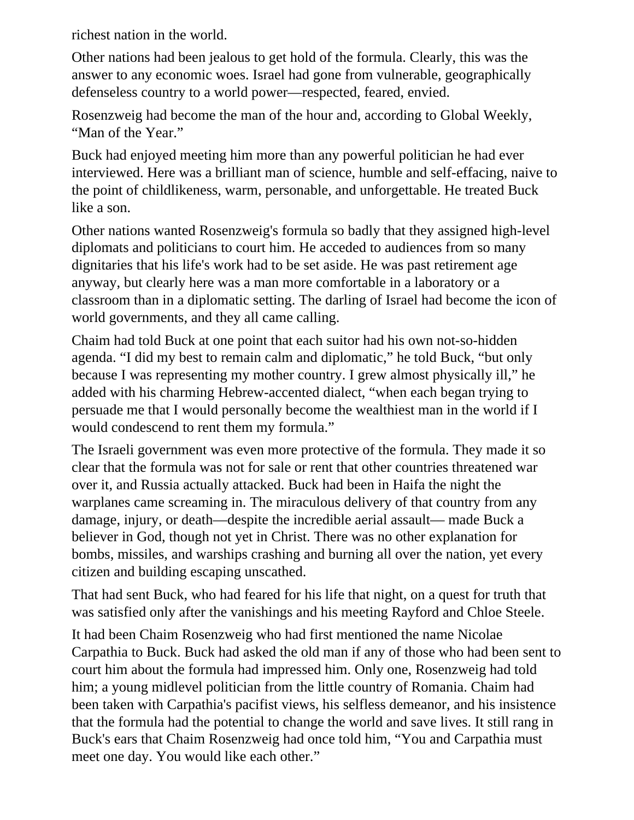richest nation in the world.

Other nations had been jealous to get hold of the formula. Clearly, this was the answer to any economic woes. Israel had gone from vulnerable, geographically defenseless country to a world power—respected, feared, envied.

Rosenzweig had become the man of the hour and, according to Global Weekly, "Man of the Year."

Buck had enjoyed meeting him more than any powerful politician he had ever interviewed. Here was a brilliant man of science, humble and self-effacing, naive to the point of childlikeness, warm, personable, and unforgettable. He treated Buck like a son.

Other nations wanted Rosenzweig's formula so badly that they assigned high-level diplomats and politicians to court him. He acceded to audiences from so many dignitaries that his life's work had to be set aside. He was past retirement age anyway, but clearly here was a man more comfortable in a laboratory or a classroom than in a diplomatic setting. The darling of Israel had become the icon of world governments, and they all came calling.

Chaim had told Buck at one point that each suitor had his own not-so-hidden agenda. "I did my best to remain calm and diplomatic," he told Buck, "but only because I was representing my mother country. I grew almost physically ill," he added with his charming Hebrew-accented dialect, "when each began trying to persuade me that I would personally become the wealthiest man in the world if I would condescend to rent them my formula."

The Israeli government was even more protective of the formula. They made it so clear that the formula was not for sale or rent that other countries threatened war over it, and Russia actually attacked. Buck had been in Haifa the night the warplanes came screaming in. The miraculous delivery of that country from any damage, injury, or death—despite the incredible aerial assault— made Buck a believer in God, though not yet in Christ. There was no other explanation for bombs, missiles, and warships crashing and burning all over the nation, yet every citizen and building escaping unscathed.

That had sent Buck, who had feared for his life that night, on a quest for truth that was satisfied only after the vanishings and his meeting Rayford and Chloe Steele.

It had been Chaim Rosenzweig who had first mentioned the name Nicolae Carpathia to Buck. Buck had asked the old man if any of those who had been sent to court him about the formula had impressed him. Only one, Rosenzweig had told him; a young midlevel politician from the little country of Romania. Chaim had been taken with Carpathia's pacifist views, his selfless demeanor, and his insistence that the formula had the potential to change the world and save lives. It still rang in Buck's ears that Chaim Rosenzweig had once told him, "You and Carpathia must meet one day. You would like each other."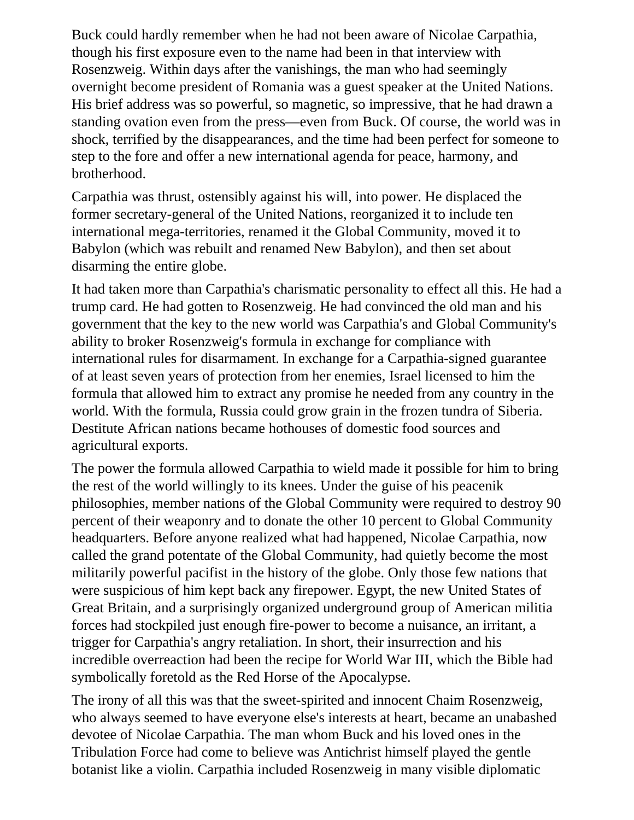Buck could hardly remember when he had not been aware of Nicolae Carpathia, though his first exposure even to the name had been in that interview with Rosenzweig. Within days after the vanishings, the man who had seemingly overnight become president of Romania was a guest speaker at the United Nations. His brief address was so powerful, so magnetic, so impressive, that he had drawn a standing ovation even from the press—even from Buck. Of course, the world was in shock, terrified by the disappearances, and the time had been perfect for someone to step to the fore and offer a new international agenda for peace, harmony, and brotherhood.

Carpathia was thrust, ostensibly against his will, into power. He displaced the former secretary-general of the United Nations, reorganized it to include ten international mega-territories, renamed it the Global Community, moved it to Babylon (which was rebuilt and renamed New Babylon), and then set about disarming the entire globe.

It had taken more than Carpathia's charismatic personality to effect all this. He had a trump card. He had gotten to Rosenzweig. He had convinced the old man and his government that the key to the new world was Carpathia's and Global Community's ability to broker Rosenzweig's formula in exchange for compliance with international rules for disarmament. In exchange for a Carpathia-signed guarantee of at least seven years of protection from her enemies, Israel licensed to him the formula that allowed him to extract any promise he needed from any country in the world. With the formula, Russia could grow grain in the frozen tundra of Siberia. Destitute African nations became hothouses of domestic food sources and agricultural exports.

The power the formula allowed Carpathia to wield made it possible for him to bring the rest of the world willingly to its knees. Under the guise of his peacenik philosophies, member nations of the Global Community were required to destroy 90 percent of their weaponry and to donate the other 10 percent to Global Community headquarters. Before anyone realized what had happened, Nicolae Carpathia, now called the grand potentate of the Global Community, had quietly become the most militarily powerful pacifist in the history of the globe. Only those few nations that were suspicious of him kept back any firepower. Egypt, the new United States of Great Britain, and a surprisingly organized underground group of American militia forces had stockpiled just enough fire-power to become a nuisance, an irritant, a trigger for Carpathia's angry retaliation. In short, their insurrection and his incredible overreaction had been the recipe for World War III, which the Bible had symbolically foretold as the Red Horse of the Apocalypse.

The irony of all this was that the sweet-spirited and innocent Chaim Rosenzweig, who always seemed to have everyone else's interests at heart, became an unabashed devotee of Nicolae Carpathia. The man whom Buck and his loved ones in the Tribulation Force had come to believe was Antichrist himself played the gentle botanist like a violin. Carpathia included Rosenzweig in many visible diplomatic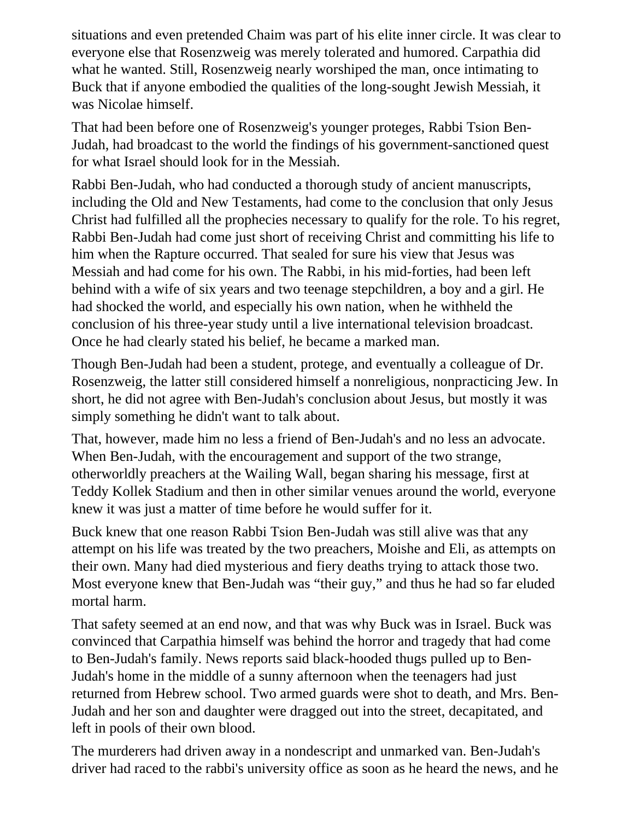situations and even pretended Chaim was part of his elite inner circle. It was clear to everyone else that Rosenzweig was merely tolerated and humored. Carpathia did what he wanted. Still, Rosenzweig nearly worshiped the man, once intimating to Buck that if anyone embodied the qualities of the long-sought Jewish Messiah, it was Nicolae himself.

That had been before one of Rosenzweig's younger proteges, Rabbi Tsion Ben-Judah, had broadcast to the world the findings of his government-sanctioned quest for what Israel should look for in the Messiah.

Rabbi Ben-Judah, who had conducted a thorough study of ancient manuscripts, including the Old and New Testaments, had come to the conclusion that only Jesus Christ had fulfilled all the prophecies necessary to qualify for the role. To his regret, Rabbi Ben-Judah had come just short of receiving Christ and committing his life to him when the Rapture occurred. That sealed for sure his view that Jesus was Messiah and had come for his own. The Rabbi, in his mid-forties, had been left behind with a wife of six years and two teenage stepchildren, a boy and a girl. He had shocked the world, and especially his own nation, when he withheld the conclusion of his three-year study until a live international television broadcast. Once he had clearly stated his belief, he became a marked man.

Though Ben-Judah had been a student, protege, and eventually a colleague of Dr. Rosenzweig, the latter still considered himself a nonreligious, nonpracticing Jew. In short, he did not agree with Ben-Judah's conclusion about Jesus, but mostly it was simply something he didn't want to talk about.

That, however, made him no less a friend of Ben-Judah's and no less an advocate. When Ben-Judah, with the encouragement and support of the two strange, otherworldly preachers at the Wailing Wall, began sharing his message, first at Teddy Kollek Stadium and then in other similar venues around the world, everyone knew it was just a matter of time before he would suffer for it.

Buck knew that one reason Rabbi Tsion Ben-Judah was still alive was that any attempt on his life was treated by the two preachers, Moishe and Eli, as attempts on their own. Many had died mysterious and fiery deaths trying to attack those two. Most everyone knew that Ben-Judah was "their guy," and thus he had so far eluded mortal harm.

That safety seemed at an end now, and that was why Buck was in Israel. Buck was convinced that Carpathia himself was behind the horror and tragedy that had come to Ben-Judah's family. News reports said black-hooded thugs pulled up to Ben-Judah's home in the middle of a sunny afternoon when the teenagers had just returned from Hebrew school. Two armed guards were shot to death, and Mrs. Ben-Judah and her son and daughter were dragged out into the street, decapitated, and left in pools of their own blood.

The murderers had driven away in a nondescript and unmarked van. Ben-Judah's driver had raced to the rabbi's university office as soon as he heard the news, and he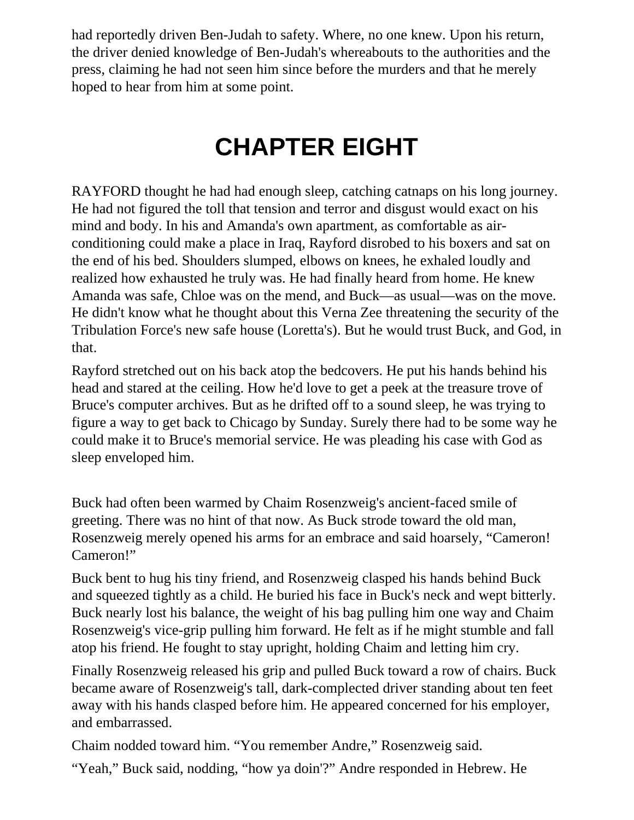had reportedly driven Ben-Judah to safety. Where, no one knew. Upon his return, the driver denied knowledge of Ben-Judah's whereabouts to the authorities and the press, claiming he had not seen him since before the murders and that he merely hoped to hear from him at some point.

## **CHAPTER EIGHT**

RAYFORD thought he had had enough sleep, catching catnaps on his long journey. He had not figured the toll that tension and terror and disgust would exact on his mind and body. In his and Amanda's own apartment, as comfortable as airconditioning could make a place in Iraq, Rayford disrobed to his boxers and sat on the end of his bed. Shoulders slumped, elbows on knees, he exhaled loudly and realized how exhausted he truly was. He had finally heard from home. He knew Amanda was safe, Chloe was on the mend, and Buck—as usual—was on the move. He didn't know what he thought about this Verna Zee threatening the security of the Tribulation Force's new safe house (Loretta's). But he would trust Buck, and God, in that.

Rayford stretched out on his back atop the bedcovers. He put his hands behind his head and stared at the ceiling. How he'd love to get a peek at the treasure trove of Bruce's computer archives. But as he drifted off to a sound sleep, he was trying to figure a way to get back to Chicago by Sunday. Surely there had to be some way he could make it to Bruce's memorial service. He was pleading his case with God as sleep enveloped him.

Buck had often been warmed by Chaim Rosenzweig's ancient-faced smile of greeting. There was no hint of that now. As Buck strode toward the old man, Rosenzweig merely opened his arms for an embrace and said hoarsely, "Cameron! Cameron!"

Buck bent to hug his tiny friend, and Rosenzweig clasped his hands behind Buck and squeezed tightly as a child. He buried his face in Buck's neck and wept bitterly. Buck nearly lost his balance, the weight of his bag pulling him one way and Chaim Rosenzweig's vice-grip pulling him forward. He felt as if he might stumble and fall atop his friend. He fought to stay upright, holding Chaim and letting him cry.

Finally Rosenzweig released his grip and pulled Buck toward a row of chairs. Buck became aware of Rosenzweig's tall, dark-complected driver standing about ten feet away with his hands clasped before him. He appeared concerned for his employer, and embarrassed.

Chaim nodded toward him. "You remember Andre," Rosenzweig said.

"Yeah," Buck said, nodding, "how ya doin"?" Andre responded in Hebrew. He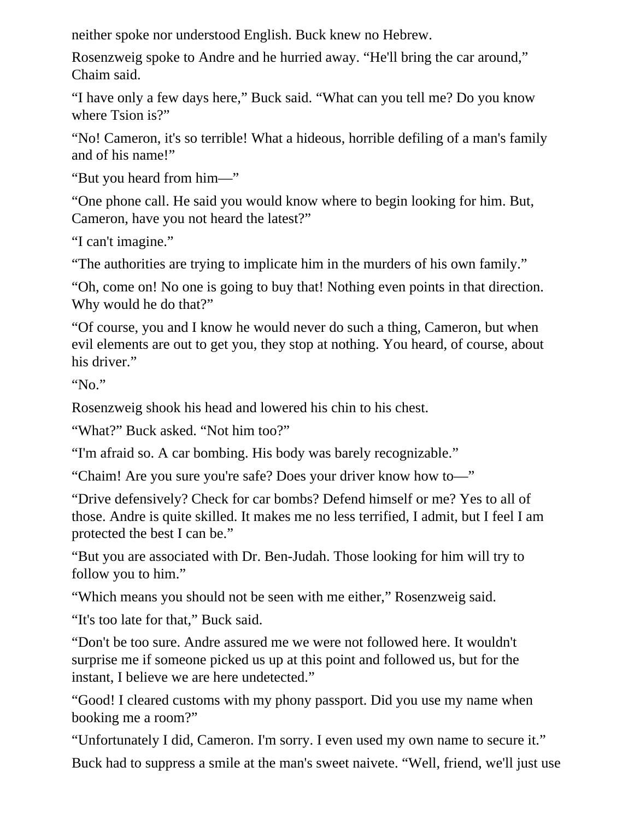neither spoke nor understood English. Buck knew no Hebrew.

Rosenzweig spoke to Andre and he hurried away. "He'll bring the car around," Chaim said.

"I have only a few days here," Buck said. "What can you tell me? Do you know where Tsion is?"

"No! Cameron, it's so terrible! What a hideous, horrible defiling of a man's family and of his name!"

"But you heard from him—"

"One phone call. He said you would know where to begin looking for him. But, Cameron, have you not heard the latest?"

"I can't imagine."

"The authorities are trying to implicate him in the murders of his own family."

"Oh, come on! No one is going to buy that! Nothing even points in that direction. Why would he do that?"

"Of course, you and I know he would never do such a thing, Cameron, but when evil elements are out to get you, they stop at nothing. You heard, of course, about his driver."

"No."

Rosenzweig shook his head and lowered his chin to his chest.

"What?" Buck asked. "Not him too?"

"I'm afraid so. A car bombing. His body was barely recognizable."

"Chaim! Are you sure you're safe? Does your driver know how to—"

"Drive defensively? Check for car bombs? Defend himself or me? Yes to all of those. Andre is quite skilled. It makes me no less terrified, I admit, but I feel I am protected the best I can be."

"But you are associated with Dr. Ben-Judah. Those looking for him will try to follow you to him."

"Which means you should not be seen with me either," Rosenzweig said.

"It's too late for that," Buck said.

"Don't be too sure. Andre assured me we were not followed here. It wouldn't surprise me if someone picked us up at this point and followed us, but for the instant, I believe we are here undetected."

"Good! I cleared customs with my phony passport. Did you use my name when booking me a room?"

"Unfortunately I did, Cameron. I'm sorry. I even used my own name to secure it."

Buck had to suppress a smile at the man's sweet naivete. "Well, friend, we'll just use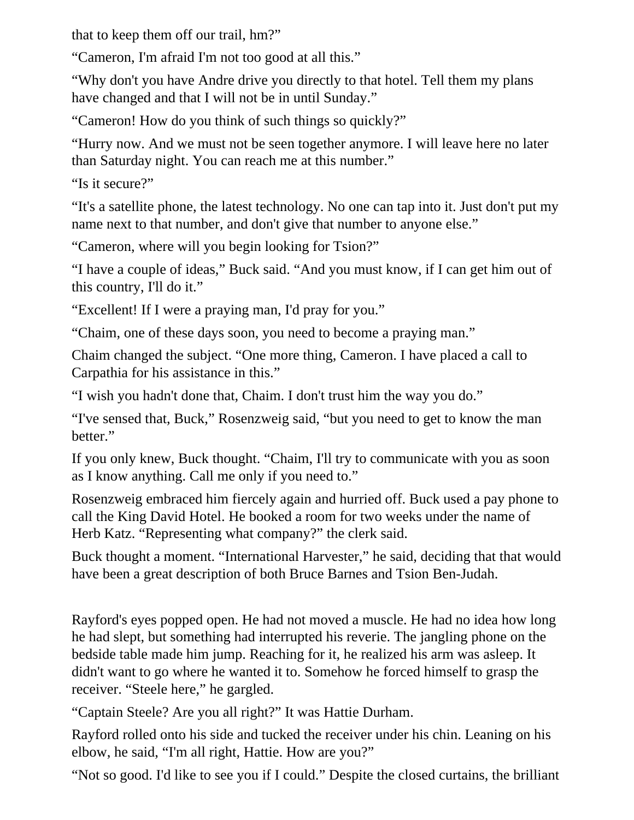that to keep them off our trail, hm?"

"Cameron, I'm afraid I'm not too good at all this."

"Why don't you have Andre drive you directly to that hotel. Tell them my plans have changed and that I will not be in until Sunday."

"Cameron! How do you think of such things so quickly?"

"Hurry now. And we must not be seen together anymore. I will leave here no later than Saturday night. You can reach me at this number."

"Is it secure?"

"It's a satellite phone, the latest technology. No one can tap into it. Just don't put my name next to that number, and don't give that number to anyone else."

"Cameron, where will you begin looking for Tsion?"

"I have a couple of ideas," Buck said. "And you must know, if I can get him out of this country, I'll do it."

"Excellent! If I were a praying man, I'd pray for you."

"Chaim, one of these days soon, you need to become a praying man."

Chaim changed the subject. "One more thing, Cameron. I have placed a call to Carpathia for his assistance in this."

"I wish you hadn't done that, Chaim. I don't trust him the way you do."

"I've sensed that, Buck," Rosenzweig said, "but you need to get to know the man better."

If you only knew, Buck thought. "Chaim, I'll try to communicate with you as soon as I know anything. Call me only if you need to."

Rosenzweig embraced him fiercely again and hurried off. Buck used a pay phone to call the King David Hotel. He booked a room for two weeks under the name of Herb Katz. "Representing what company?" the clerk said.

Buck thought a moment. "International Harvester," he said, deciding that that would have been a great description of both Bruce Barnes and Tsion Ben-Judah.

Rayford's eyes popped open. He had not moved a muscle. He had no idea how long he had slept, but something had interrupted his reverie. The jangling phone on the bedside table made him jump. Reaching for it, he realized his arm was asleep. It didn't want to go where he wanted it to. Somehow he forced himself to grasp the receiver. "Steele here," he gargled.

"Captain Steele? Are you all right?" It was Hattie Durham.

Rayford rolled onto his side and tucked the receiver under his chin. Leaning on his elbow, he said, "I'm all right, Hattie. How are you?"

"Not so good. I'd like to see you if I could." Despite the closed curtains, the brilliant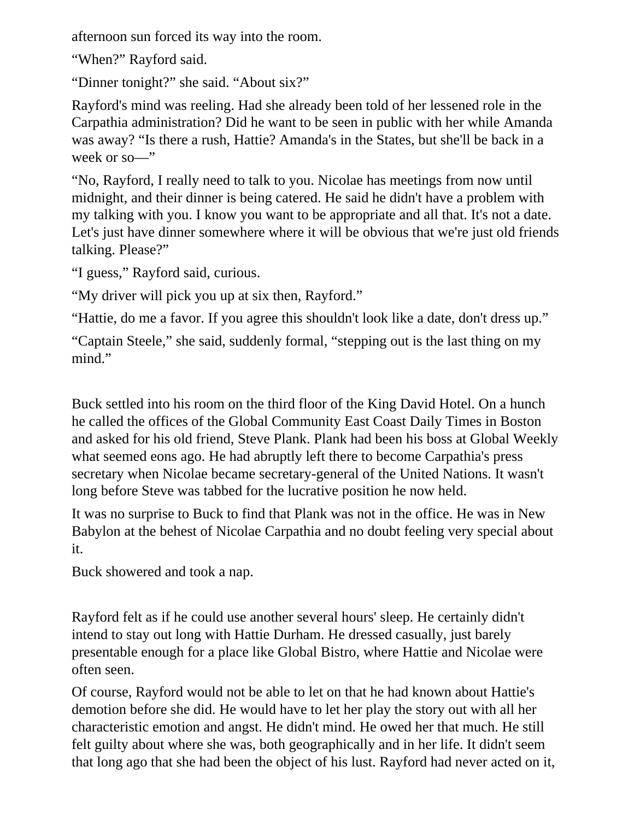afternoon sun forced its way into the room.

"When?" Rayford said.

"Dinner tonight?" she said. "About six?"

Rayford's mind was reeling. Had she already been told of her lessened role in the Carpathia administration? Did he want to be seen in public with her while Amanda was away? "Is there a rush, Hattie? Amanda's in the States, but she'll be back in a week or so—"

"No, Rayford, I really need to talk to you. Nicolae has meetings from now until midnight, and their dinner is being catered. He said he didn't have a problem with my talking with you. I know you want to be appropriate and all that. It's not a date. Let's just have dinner somewhere where it will be obvious that we're just old friends talking. Please?"

"I guess," Rayford said, curious.

"My driver will pick you up at six then, Rayford."

"Hattie, do me a favor. If you agree this shouldn't look like a date, don't dress up."

"Captain Steele," she said, suddenly formal, "stepping out is the last thing on my mind."

Buck settled into his room on the third floor of the King David Hotel. On a hunch he called the offices of the Global Community East Coast Daily Times in Boston and asked for his old friend, Steve Plank. Plank had been his boss at Global Weekly what seemed eons ago. He had abruptly left there to become Carpathia's press secretary when Nicolae became secretary-general of the United Nations. It wasn't long before Steve was tabbed for the lucrative position he now held.

It was no surprise to Buck to find that Plank was not in the office. He was in New Babylon at the behest of Nicolae Carpathia and no doubt feeling very special about it.

Buck showered and took a nap.

Rayford felt as if he could use another several hours' sleep. He certainly didn't intend to stay out long with Hattie Durham. He dressed casually, just barely presentable enough for a place like Global Bistro, where Hattie and Nicolae were often seen.

Of course, Rayford would not be able to let on that he had known about Hattie's demotion before she did. He would have to let her play the story out with all her characteristic emotion and angst. He didn't mind. He owed her that much. He still felt guilty about where she was, both geographically and in her life. It didn't seem that long ago that she had been the object of his lust. Rayford had never acted on it,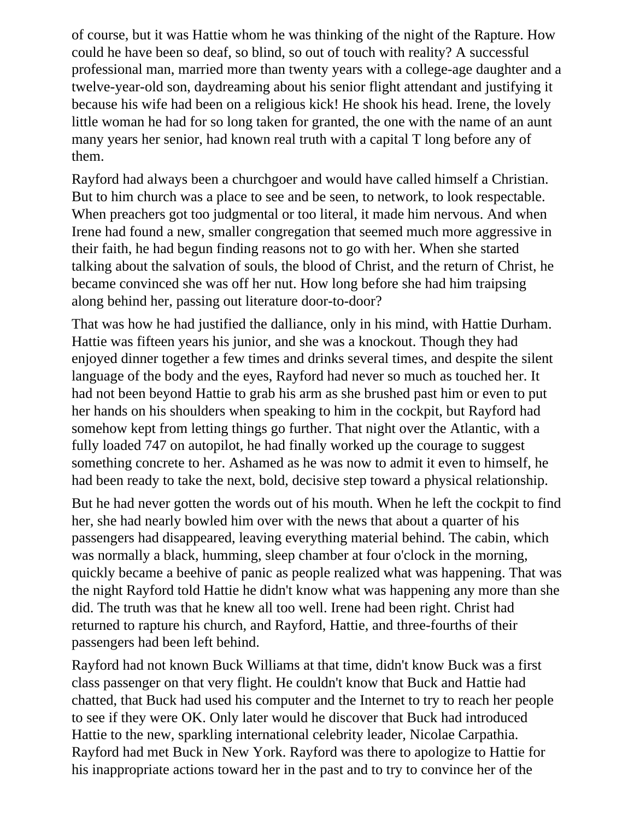of course, but it was Hattie whom he was thinking of the night of the Rapture. How could he have been so deaf, so blind, so out of touch with reality? A successful professional man, married more than twenty years with a college-age daughter and a twelve-year-old son, daydreaming about his senior flight attendant and justifying it because his wife had been on a religious kick! He shook his head. Irene, the lovely little woman he had for so long taken for granted, the one with the name of an aunt many years her senior, had known real truth with a capital T long before any of them.

Rayford had always been a churchgoer and would have called himself a Christian. But to him church was a place to see and be seen, to network, to look respectable. When preachers got too judgmental or too literal, it made him nervous. And when Irene had found a new, smaller congregation that seemed much more aggressive in their faith, he had begun finding reasons not to go with her. When she started talking about the salvation of souls, the blood of Christ, and the return of Christ, he became convinced she was off her nut. How long before she had him traipsing along behind her, passing out literature door-to-door?

That was how he had justified the dalliance, only in his mind, with Hattie Durham. Hattie was fifteen years his junior, and she was a knockout. Though they had enjoyed dinner together a few times and drinks several times, and despite the silent language of the body and the eyes, Rayford had never so much as touched her. It had not been beyond Hattie to grab his arm as she brushed past him or even to put her hands on his shoulders when speaking to him in the cockpit, but Rayford had somehow kept from letting things go further. That night over the Atlantic, with a fully loaded 747 on autopilot, he had finally worked up the courage to suggest something concrete to her. Ashamed as he was now to admit it even to himself, he had been ready to take the next, bold, decisive step toward a physical relationship.

But he had never gotten the words out of his mouth. When he left the cockpit to find her, she had nearly bowled him over with the news that about a quarter of his passengers had disappeared, leaving everything material behind. The cabin, which was normally a black, humming, sleep chamber at four o'clock in the morning, quickly became a beehive of panic as people realized what was happening. That was the night Rayford told Hattie he didn't know what was happening any more than she did. The truth was that he knew all too well. Irene had been right. Christ had returned to rapture his church, and Rayford, Hattie, and three-fourths of their passengers had been left behind.

Rayford had not known Buck Williams at that time, didn't know Buck was a first class passenger on that very flight. He couldn't know that Buck and Hattie had chatted, that Buck had used his computer and the Internet to try to reach her people to see if they were OK. Only later would he discover that Buck had introduced Hattie to the new, sparkling international celebrity leader, Nicolae Carpathia. Rayford had met Buck in New York. Rayford was there to apologize to Hattie for his inappropriate actions toward her in the past and to try to convince her of the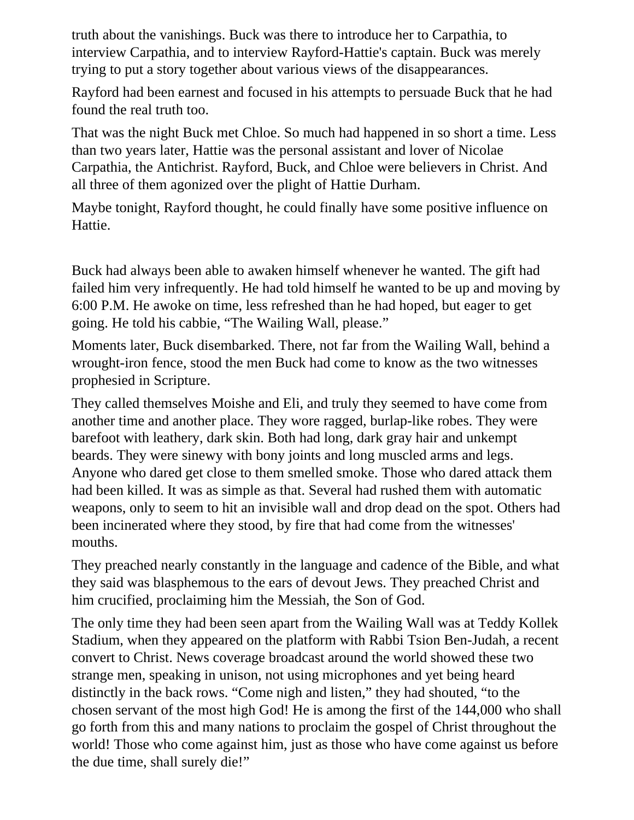truth about the vanishings. Buck was there to introduce her to Carpathia, to interview Carpathia, and to interview Rayford-Hattie's captain. Buck was merely trying to put a story together about various views of the disappearances.

Rayford had been earnest and focused in his attempts to persuade Buck that he had found the real truth too.

That was the night Buck met Chloe. So much had happened in so short a time. Less than two years later, Hattie was the personal assistant and lover of Nicolae Carpathia, the Antichrist. Rayford, Buck, and Chloe were believers in Christ. And all three of them agonized over the plight of Hattie Durham.

Maybe tonight, Rayford thought, he could finally have some positive influence on Hattie.

Buck had always been able to awaken himself whenever he wanted. The gift had failed him very infrequently. He had told himself he wanted to be up and moving by 6:00 P.M. He awoke on time, less refreshed than he had hoped, but eager to get going. He told his cabbie, "The Wailing Wall, please."

Moments later, Buck disembarked. There, not far from the Wailing Wall, behind a wrought-iron fence, stood the men Buck had come to know as the two witnesses prophesied in Scripture.

They called themselves Moishe and Eli, and truly they seemed to have come from another time and another place. They wore ragged, burlap-like robes. They were barefoot with leathery, dark skin. Both had long, dark gray hair and unkempt beards. They were sinewy with bony joints and long muscled arms and legs. Anyone who dared get close to them smelled smoke. Those who dared attack them had been killed. It was as simple as that. Several had rushed them with automatic weapons, only to seem to hit an invisible wall and drop dead on the spot. Others had been incinerated where they stood, by fire that had come from the witnesses' mouths.

They preached nearly constantly in the language and cadence of the Bible, and what they said was blasphemous to the ears of devout Jews. They preached Christ and him crucified, proclaiming him the Messiah, the Son of God.

The only time they had been seen apart from the Wailing Wall was at Teddy Kollek Stadium, when they appeared on the platform with Rabbi Tsion Ben-Judah, a recent convert to Christ. News coverage broadcast around the world showed these two strange men, speaking in unison, not using microphones and yet being heard distinctly in the back rows. "Come nigh and listen," they had shouted, "to the chosen servant of the most high God! He is among the first of the 144,000 who shall go forth from this and many nations to proclaim the gospel of Christ throughout the world! Those who come against him, just as those who have come against us before the due time, shall surely die!"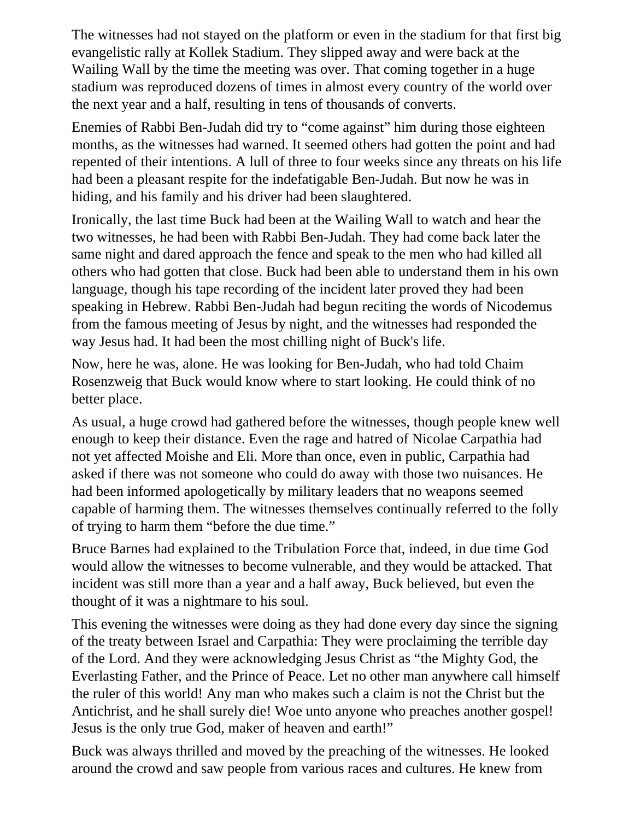The witnesses had not stayed on the platform or even in the stadium for that first big evangelistic rally at Kollek Stadium. They slipped away and were back at the Wailing Wall by the time the meeting was over. That coming together in a huge stadium was reproduced dozens of times in almost every country of the world over the next year and a half, resulting in tens of thousands of converts.

Enemies of Rabbi Ben-Judah did try to "come against" him during those eighteen months, as the witnesses had warned. It seemed others had gotten the point and had repented of their intentions. A lull of three to four weeks since any threats on his life had been a pleasant respite for the indefatigable Ben-Judah. But now he was in hiding, and his family and his driver had been slaughtered.

Ironically, the last time Buck had been at the Wailing Wall to watch and hear the two witnesses, he had been with Rabbi Ben-Judah. They had come back later the same night and dared approach the fence and speak to the men who had killed all others who had gotten that close. Buck had been able to understand them in his own language, though his tape recording of the incident later proved they had been speaking in Hebrew. Rabbi Ben-Judah had begun reciting the words of Nicodemus from the famous meeting of Jesus by night, and the witnesses had responded the way Jesus had. It had been the most chilling night of Buck's life.

Now, here he was, alone. He was looking for Ben-Judah, who had told Chaim Rosenzweig that Buck would know where to start looking. He could think of no better place.

As usual, a huge crowd had gathered before the witnesses, though people knew well enough to keep their distance. Even the rage and hatred of Nicolae Carpathia had not yet affected Moishe and Eli. More than once, even in public, Carpathia had asked if there was not someone who could do away with those two nuisances. He had been informed apologetically by military leaders that no weapons seemed capable of harming them. The witnesses themselves continually referred to the folly of trying to harm them "before the due time."

Bruce Barnes had explained to the Tribulation Force that, indeed, in due time God would allow the witnesses to become vulnerable, and they would be attacked. That incident was still more than a year and a half away, Buck believed, but even the thought of it was a nightmare to his soul.

This evening the witnesses were doing as they had done every day since the signing of the treaty between Israel and Carpathia: They were proclaiming the terrible day of the Lord. And they were acknowledging Jesus Christ as "the Mighty God, the Everlasting Father, and the Prince of Peace. Let no other man anywhere call himself the ruler of this world! Any man who makes such a claim is not the Christ but the Antichrist, and he shall surely die! Woe unto anyone who preaches another gospel! Jesus is the only true God, maker of heaven and earth!"

Buck was always thrilled and moved by the preaching of the witnesses. He looked around the crowd and saw people from various races and cultures. He knew from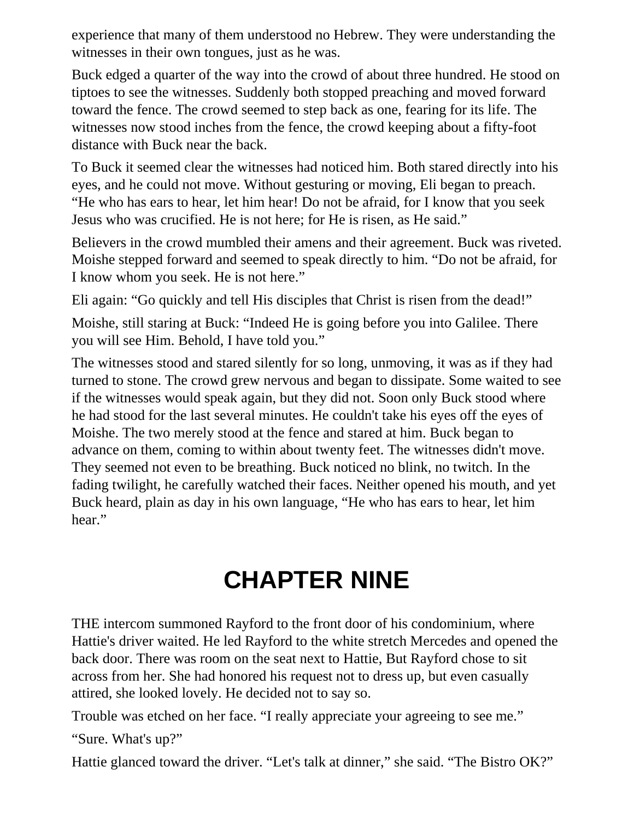experience that many of them understood no Hebrew. They were understanding the witnesses in their own tongues, just as he was.

Buck edged a quarter of the way into the crowd of about three hundred. He stood on tiptoes to see the witnesses. Suddenly both stopped preaching and moved forward toward the fence. The crowd seemed to step back as one, fearing for its life. The witnesses now stood inches from the fence, the crowd keeping about a fifty-foot distance with Buck near the back.

To Buck it seemed clear the witnesses had noticed him. Both stared directly into his eyes, and he could not move. Without gesturing or moving, Eli began to preach. "He who has ears to hear, let him hear! Do not be afraid, for I know that you seek Jesus who was crucified. He is not here; for He is risen, as He said."

Believers in the crowd mumbled their amens and their agreement. Buck was riveted. Moishe stepped forward and seemed to speak directly to him. "Do not be afraid, for I know whom you seek. He is not here."

Eli again: "Go quickly and tell His disciples that Christ is risen from the dead!"

Moishe, still staring at Buck: "Indeed He is going before you into Galilee. There you will see Him. Behold, I have told you."

The witnesses stood and stared silently for so long, unmoving, it was as if they had turned to stone. The crowd grew nervous and began to dissipate. Some waited to see if the witnesses would speak again, but they did not. Soon only Buck stood where he had stood for the last several minutes. He couldn't take his eyes off the eyes of Moishe. The two merely stood at the fence and stared at him. Buck began to advance on them, coming to within about twenty feet. The witnesses didn't move. They seemed not even to be breathing. Buck noticed no blink, no twitch. In the fading twilight, he carefully watched their faces. Neither opened his mouth, and yet Buck heard, plain as day in his own language, "He who has ears to hear, let him hear."

## **CHAPTER NINE**

THE intercom summoned Rayford to the front door of his condominium, where Hattie's driver waited. He led Rayford to the white stretch Mercedes and opened the back door. There was room on the seat next to Hattie, But Rayford chose to sit across from her. She had honored his request not to dress up, but even casually attired, she looked lovely. He decided not to say so.

Trouble was etched on her face. "I really appreciate your agreeing to see me."

"Sure. What's up?"

Hattie glanced toward the driver. "Let's talk at dinner," she said. "The Bistro OK?"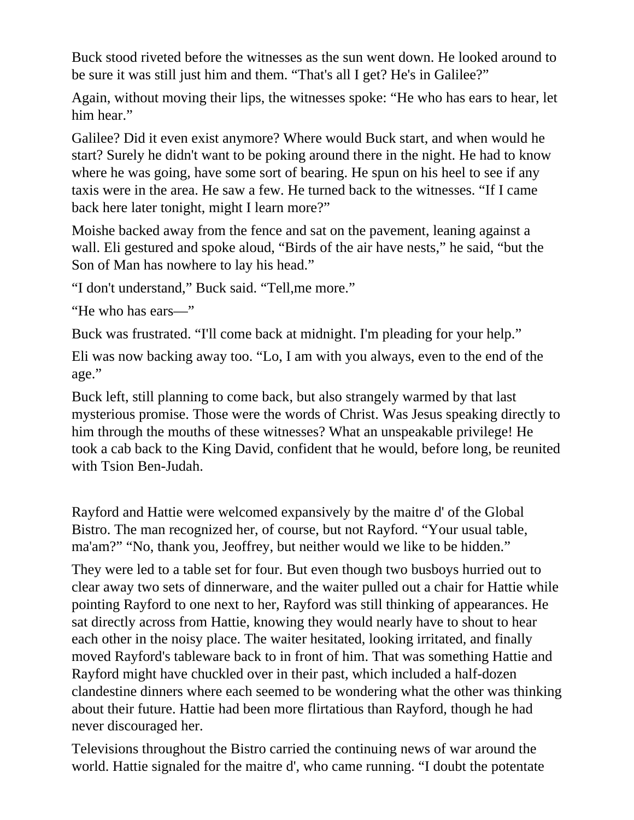Buck stood riveted before the witnesses as the sun went down. He looked around to be sure it was still just him and them. "That's all I get? He's in Galilee?"

Again, without moving their lips, the witnesses spoke: "He who has ears to hear, let him hear."

Galilee? Did it even exist anymore? Where would Buck start, and when would he start? Surely he didn't want to be poking around there in the night. He had to know where he was going, have some sort of bearing. He spun on his heel to see if any taxis were in the area. He saw a few. He turned back to the witnesses. "If I came back here later tonight, might I learn more?"

Moishe backed away from the fence and sat on the pavement, leaning against a wall. Eli gestured and spoke aloud, "Birds of the air have nests," he said, "but the Son of Man has nowhere to lay his head."

"I don't understand," Buck said. "Tell,me more."

"He who has ears—"

Buck was frustrated. "I'll come back at midnight. I'm pleading for your help."

Eli was now backing away too. "Lo, I am with you always, even to the end of the age."

Buck left, still planning to come back, but also strangely warmed by that last mysterious promise. Those were the words of Christ. Was Jesus speaking directly to him through the mouths of these witnesses? What an unspeakable privilege! He took a cab back to the King David, confident that he would, before long, be reunited with Tsion Ben-Judah.

Rayford and Hattie were welcomed expansively by the maitre d' of the Global Bistro. The man recognized her, of course, but not Rayford. "Your usual table, ma'am?" "No, thank you, Jeoffrey, but neither would we like to be hidden."

They were led to a table set for four. But even though two busboys hurried out to clear away two sets of dinnerware, and the waiter pulled out a chair for Hattie while pointing Rayford to one next to her, Rayford was still thinking of appearances. He sat directly across from Hattie, knowing they would nearly have to shout to hear each other in the noisy place. The waiter hesitated, looking irritated, and finally moved Rayford's tableware back to in front of him. That was something Hattie and Rayford might have chuckled over in their past, which included a half-dozen clandestine dinners where each seemed to be wondering what the other was thinking about their future. Hattie had been more flirtatious than Rayford, though he had never discouraged her.

Televisions throughout the Bistro carried the continuing news of war around the world. Hattie signaled for the maitre d', who came running. "I doubt the potentate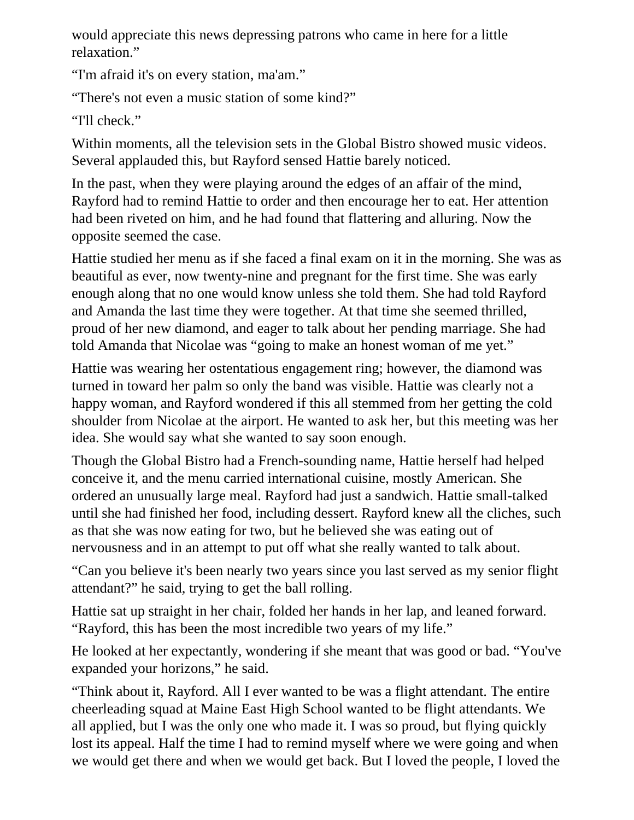would appreciate this news depressing patrons who came in here for a little relaxation."

"I'm afraid it's on every station, ma'am."

"There's not even a music station of some kind?"

"I'll check."

Within moments, all the television sets in the Global Bistro showed music videos. Several applauded this, but Rayford sensed Hattie barely noticed.

In the past, when they were playing around the edges of an affair of the mind, Rayford had to remind Hattie to order and then encourage her to eat. Her attention had been riveted on him, and he had found that flattering and alluring. Now the opposite seemed the case.

Hattie studied her menu as if she faced a final exam on it in the morning. She was as beautiful as ever, now twenty-nine and pregnant for the first time. She was early enough along that no one would know unless she told them. She had told Rayford and Amanda the last time they were together. At that time she seemed thrilled, proud of her new diamond, and eager to talk about her pending marriage. She had told Amanda that Nicolae was "going to make an honest woman of me yet."

Hattie was wearing her ostentatious engagement ring; however, the diamond was turned in toward her palm so only the band was visible. Hattie was clearly not a happy woman, and Rayford wondered if this all stemmed from her getting the cold shoulder from Nicolae at the airport. He wanted to ask her, but this meeting was her idea. She would say what she wanted to say soon enough.

Though the Global Bistro had a French-sounding name, Hattie herself had helped conceive it, and the menu carried international cuisine, mostly American. She ordered an unusually large meal. Rayford had just a sandwich. Hattie small-talked until she had finished her food, including dessert. Rayford knew all the cliches, such as that she was now eating for two, but he believed she was eating out of nervousness and in an attempt to put off what she really wanted to talk about.

"Can you believe it's been nearly two years since you last served as my senior flight attendant?" he said, trying to get the ball rolling.

Hattie sat up straight in her chair, folded her hands in her lap, and leaned forward. "Rayford, this has been the most incredible two years of my life."

He looked at her expectantly, wondering if she meant that was good or bad. "You've expanded your horizons," he said.

"Think about it, Rayford. All I ever wanted to be was a flight attendant. The entire cheerleading squad at Maine East High School wanted to be flight attendants. We all applied, but I was the only one who made it. I was so proud, but flying quickly lost its appeal. Half the time I had to remind myself where we were going and when we would get there and when we would get back. But I loved the people, I loved the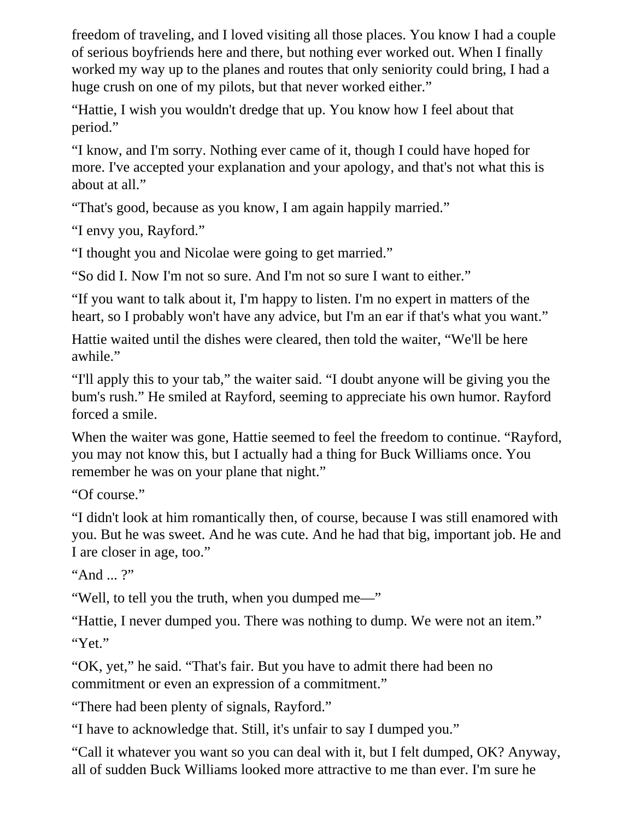freedom of traveling, and I loved visiting all those places. You know I had a couple of serious boyfriends here and there, but nothing ever worked out. When I finally worked my way up to the planes and routes that only seniority could bring, I had a huge crush on one of my pilots, but that never worked either."

"Hattie, I wish you wouldn't dredge that up. You know how I feel about that period."

"I know, and I'm sorry. Nothing ever came of it, though I could have hoped for more. I've accepted your explanation and your apology, and that's not what this is about at all."

"That's good, because as you know, I am again happily married."

"I envy you, Rayford."

"I thought you and Nicolae were going to get married."

"So did I. Now I'm not so sure. And I'm not so sure I want to either."

"If you want to talk about it, I'm happy to listen. I'm no expert in matters of the heart, so I probably won't have any advice, but I'm an ear if that's what you want."

Hattie waited until the dishes were cleared, then told the waiter, "We'll be here awhile."

"I'll apply this to your tab," the waiter said. "I doubt anyone will be giving you the bum's rush." He smiled at Rayford, seeming to appreciate his own humor. Rayford forced a smile.

When the waiter was gone, Hattie seemed to feel the freedom to continue. "Rayford, you may not know this, but I actually had a thing for Buck Williams once. You remember he was on your plane that night."

"Of course."

"I didn't look at him romantically then, of course, because I was still enamored with you. But he was sweet. And he was cute. And he had that big, important job. He and I are closer in age, too."

"And ... ?"

"Well, to tell you the truth, when you dumped me—"

"Hattie, I never dumped you. There was nothing to dump. We were not an item." "Yet."

"OK, yet," he said. "That's fair. But you have to admit there had been no commitment or even an expression of a commitment."

"There had been plenty of signals, Rayford."

"I have to acknowledge that. Still, it's unfair to say I dumped you."

"Call it whatever you want so you can deal with it, but I felt dumped, OK? Anyway, all of sudden Buck Williams looked more attractive to me than ever. I'm sure he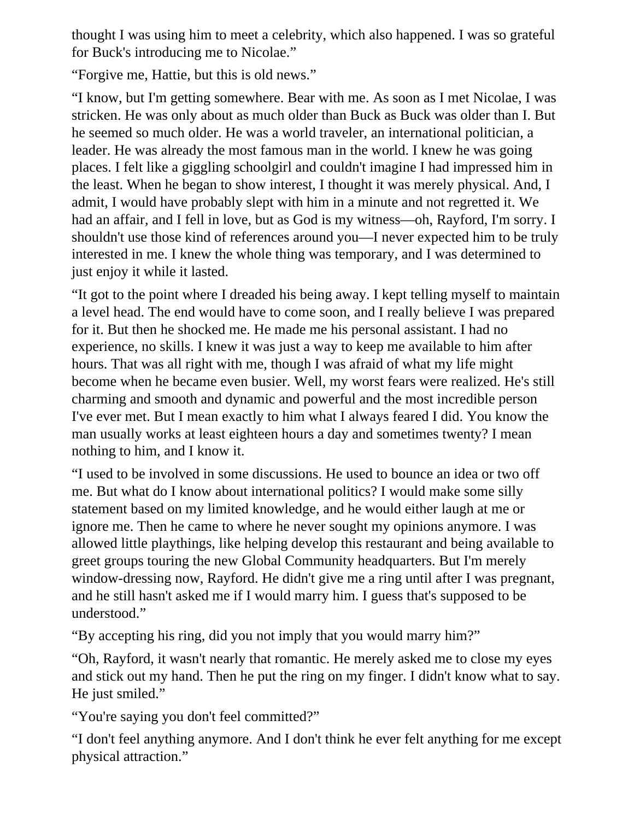thought I was using him to meet a celebrity, which also happened. I was so grateful for Buck's introducing me to Nicolae."

"Forgive me, Hattie, but this is old news."

"I know, but I'm getting somewhere. Bear with me. As soon as I met Nicolae, I was stricken. He was only about as much older than Buck as Buck was older than I. But he seemed so much older. He was a world traveler, an international politician, a leader. He was already the most famous man in the world. I knew he was going places. I felt like a giggling schoolgirl and couldn't imagine I had impressed him in the least. When he began to show interest, I thought it was merely physical. And, I admit, I would have probably slept with him in a minute and not regretted it. We had an affair, and I fell in love, but as God is my witness—oh, Rayford, I'm sorry. I shouldn't use those kind of references around you—I never expected him to be truly interested in me. I knew the whole thing was temporary, and I was determined to just enjoy it while it lasted.

"It got to the point where I dreaded his being away. I kept telling myself to maintain a level head. The end would have to come soon, and I really believe I was prepared for it. But then he shocked me. He made me his personal assistant. I had no experience, no skills. I knew it was just a way to keep me available to him after hours. That was all right with me, though I was afraid of what my life might become when he became even busier. Well, my worst fears were realized. He's still charming and smooth and dynamic and powerful and the most incredible person I've ever met. But I mean exactly to him what I always feared I did. You know the man usually works at least eighteen hours a day and sometimes twenty? I mean nothing to him, and I know it.

"I used to be involved in some discussions. He used to bounce an idea or two off me. But what do I know about international politics? I would make some silly statement based on my limited knowledge, and he would either laugh at me or ignore me. Then he came to where he never sought my opinions anymore. I was allowed little playthings, like helping develop this restaurant and being available to greet groups touring the new Global Community headquarters. But I'm merely window-dressing now, Rayford. He didn't give me a ring until after I was pregnant, and he still hasn't asked me if I would marry him. I guess that's supposed to be understood."

"By accepting his ring, did you not imply that you would marry him?"

"Oh, Rayford, it wasn't nearly that romantic. He merely asked me to close my eyes and stick out my hand. Then he put the ring on my finger. I didn't know what to say. He just smiled."

"You're saying you don't feel committed?"

"I don't feel anything anymore. And I don't think he ever felt anything for me except physical attraction."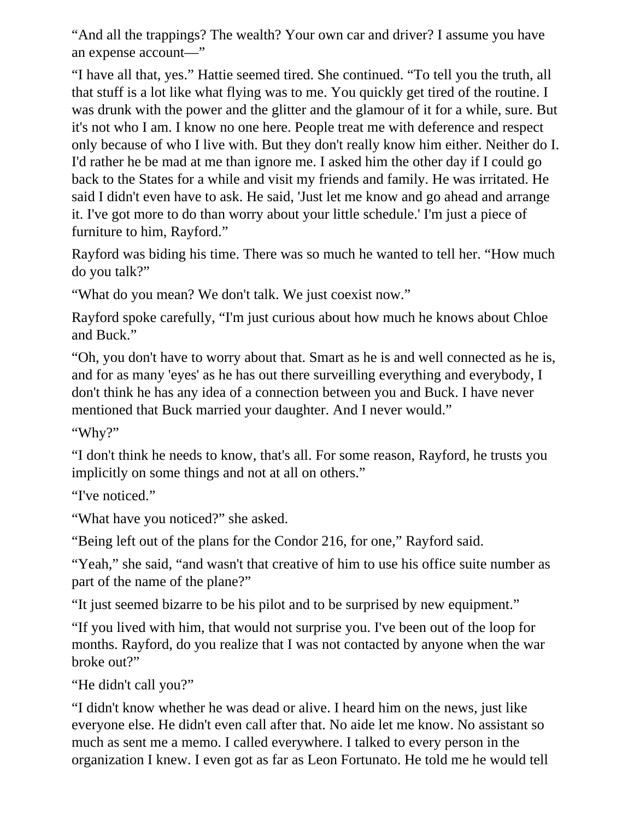"And all the trappings? The wealth? Your own car and driver? I assume you have an expense account—"

"I have all that, yes." Hattie seemed tired. She continued. "To tell you the truth, all that stuff is a lot like what flying was to me. You quickly get tired of the routine. I was drunk with the power and the glitter and the glamour of it for a while, sure. But it's not who I am. I know no one here. People treat me with deference and respect only because of who I live with. But they don't really know him either. Neither do I. I'd rather he be mad at me than ignore me. I asked him the other day if I could go back to the States for a while and visit my friends and family. He was irritated. He said I didn't even have to ask. He said, 'Just let me know and go ahead and arrange it. I've got more to do than worry about your little schedule.' I'm just a piece of furniture to him, Rayford."

Rayford was biding his time. There was so much he wanted to tell her. "How much do you talk?"

"What do you mean? We don't talk. We just coexist now."

Rayford spoke carefully, "I'm just curious about how much he knows about Chloe and Buck."

"Oh, you don't have to worry about that. Smart as he is and well connected as he is, and for as many 'eyes' as he has out there surveilling everything and everybody, I don't think he has any idea of a connection between you and Buck. I have never mentioned that Buck married your daughter. And I never would."

"Why?"

"I don't think he needs to know, that's all. For some reason, Rayford, he trusts you implicitly on some things and not at all on others."

"I've noticed."

"What have you noticed?" she asked.

"Being left out of the plans for the Condor 216, for one," Rayford said.

"Yeah," she said, "and wasn't that creative of him to use his office suite number as part of the name of the plane?"

"It just seemed bizarre to be his pilot and to be surprised by new equipment."

"If you lived with him, that would not surprise you. I've been out of the loop for months. Rayford, do you realize that I was not contacted by anyone when the war broke out?"

"He didn't call you?"

"I didn't know whether he was dead or alive. I heard him on the news, just like everyone else. He didn't even call after that. No aide let me know. No assistant so much as sent me a memo. I called everywhere. I talked to every person in the organization I knew. I even got as far as Leon Fortunato. He told me he would tell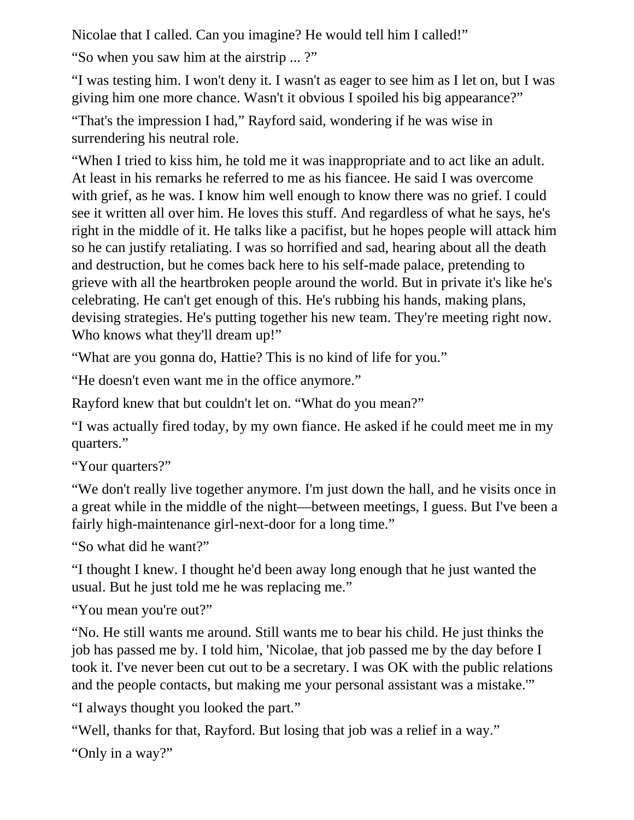Nicolae that I called. Can you imagine? He would tell him I called!"

"So when you saw him at the airstrip ... ?"

"I was testing him. I won't deny it. I wasn't as eager to see him as I let on, but I was giving him one more chance. Wasn't it obvious I spoiled his big appearance?"

"That's the impression I had," Rayford said, wondering if he was wise in surrendering his neutral role.

"When I tried to kiss him, he told me it was inappropriate and to act like an adult. At least in his remarks he referred to me as his fiancee. He said I was overcome with grief, as he was. I know him well enough to know there was no grief. I could see it written all over him. He loves this stuff. And regardless of what he says, he's right in the middle of it. He talks like a pacifist, but he hopes people will attack him so he can justify retaliating. I was so horrified and sad, hearing about all the death and destruction, but he comes back here to his self-made palace, pretending to grieve with all the heartbroken people around the world. But in private it's like he's celebrating. He can't get enough of this. He's rubbing his hands, making plans, devising strategies. He's putting together his new team. They're meeting right now. Who knows what they'll dream up!"

"What are you gonna do, Hattie? This is no kind of life for you."

"He doesn't even want me in the office anymore."

Rayford knew that but couldn't let on. "What do you mean?"

"I was actually fired today, by my own fiance. He asked if he could meet me in my quarters."

"Your quarters?"

"We don't really live together anymore. I'm just down the hall, and he visits once in a great while in the middle of the night—between meetings, I guess. But I've been a fairly high-maintenance girl-next-door for a long time."

"So what did he want?"

"I thought I knew. I thought he'd been away long enough that he just wanted the usual. But he just told me he was replacing me."

"You mean you're out?"

"No. He still wants me around. Still wants me to bear his child. He just thinks the job has passed me by. I told him, 'Nicolae, that job passed me by the day before I took it. I've never been cut out to be a secretary. I was OK with the public relations and the people contacts, but making me your personal assistant was a mistake.'"

"I always thought you looked the part."

"Well, thanks for that, Rayford. But losing that job was a relief in a way."

"Only in a way?"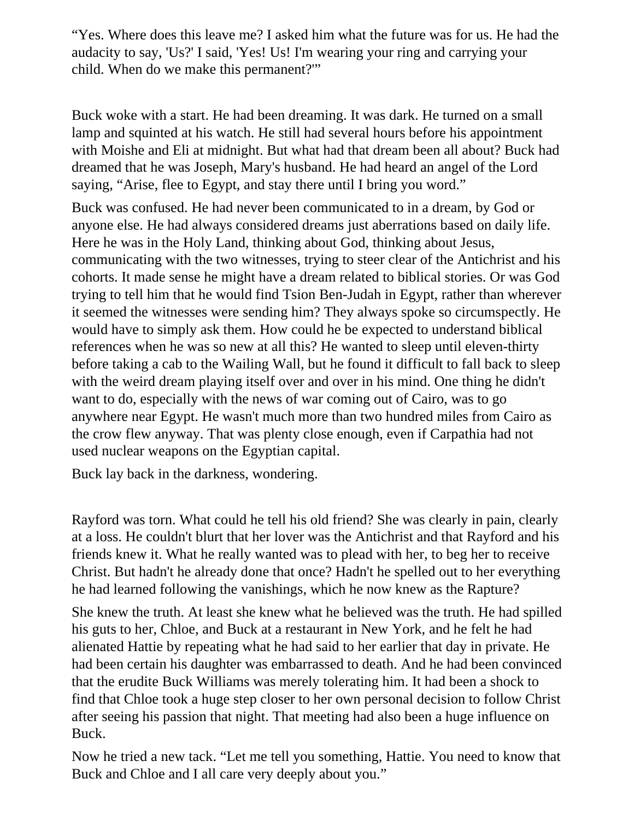"Yes. Where does this leave me? I asked him what the future was for us. He had the audacity to say, 'Us?' I said, 'Yes! Us! I'm wearing your ring and carrying your child. When do we make this permanent?'"

Buck woke with a start. He had been dreaming. It was dark. He turned on a small lamp and squinted at his watch. He still had several hours before his appointment with Moishe and Eli at midnight. But what had that dream been all about? Buck had dreamed that he was Joseph, Mary's husband. He had heard an angel of the Lord saying, "Arise, flee to Egypt, and stay there until I bring you word."

Buck was confused. He had never been communicated to in a dream, by God or anyone else. He had always considered dreams just aberrations based on daily life. Here he was in the Holy Land, thinking about God, thinking about Jesus, communicating with the two witnesses, trying to steer clear of the Antichrist and his cohorts. It made sense he might have a dream related to biblical stories. Or was God trying to tell him that he would find Tsion Ben-Judah in Egypt, rather than wherever it seemed the witnesses were sending him? They always spoke so circumspectly. He would have to simply ask them. How could he be expected to understand biblical references when he was so new at all this? He wanted to sleep until eleven-thirty before taking a cab to the Wailing Wall, but he found it difficult to fall back to sleep with the weird dream playing itself over and over in his mind. One thing he didn't want to do, especially with the news of war coming out of Cairo, was to go anywhere near Egypt. He wasn't much more than two hundred miles from Cairo as the crow flew anyway. That was plenty close enough, even if Carpathia had not used nuclear weapons on the Egyptian capital.

Buck lay back in the darkness, wondering.

Rayford was torn. What could he tell his old friend? She was clearly in pain, clearly at a loss. He couldn't blurt that her lover was the Antichrist and that Rayford and his friends knew it. What he really wanted was to plead with her, to beg her to receive Christ. But hadn't he already done that once? Hadn't he spelled out to her everything he had learned following the vanishings, which he now knew as the Rapture?

She knew the truth. At least she knew what he believed was the truth. He had spilled his guts to her, Chloe, and Buck at a restaurant in New York, and he felt he had alienated Hattie by repeating what he had said to her earlier that day in private. He had been certain his daughter was embarrassed to death. And he had been convinced that the erudite Buck Williams was merely tolerating him. It had been a shock to find that Chloe took a huge step closer to her own personal decision to follow Christ after seeing his passion that night. That meeting had also been a huge influence on Buck.

Now he tried a new tack. "Let me tell you something, Hattie. You need to know that Buck and Chloe and I all care very deeply about you."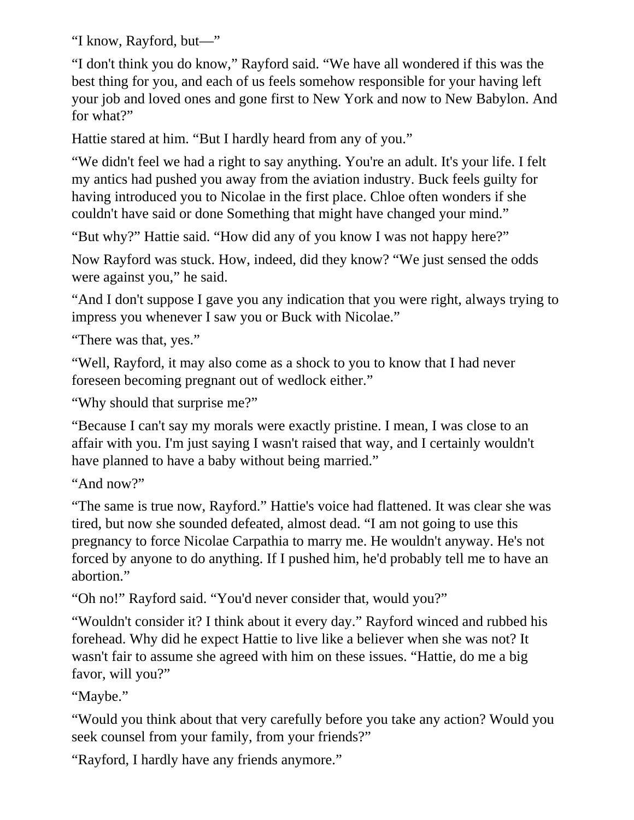"I know, Rayford, but—"

"I don't think you do know," Rayford said. "We have all wondered if this was the best thing for you, and each of us feels somehow responsible for your having left your job and loved ones and gone first to New York and now to New Babylon. And for what?"

Hattie stared at him. "But I hardly heard from any of you."

"We didn't feel we had a right to say anything. You're an adult. It's your life. I felt my antics had pushed you away from the aviation industry. Buck feels guilty for having introduced you to Nicolae in the first place. Chloe often wonders if she couldn't have said or done Something that might have changed your mind."

"But why?" Hattie said. "How did any of you know I was not happy here?"

Now Rayford was stuck. How, indeed, did they know? "We just sensed the odds were against you," he said.

"And I don't suppose I gave you any indication that you were right, always trying to impress you whenever I saw you or Buck with Nicolae."

"There was that, yes."

"Well, Rayford, it may also come as a shock to you to know that I had never foreseen becoming pregnant out of wedlock either."

"Why should that surprise me?"

"Because I can't say my morals were exactly pristine. I mean, I was close to an affair with you. I'm just saying I wasn't raised that way, and I certainly wouldn't have planned to have a baby without being married."

"And now?"

"The same is true now, Rayford." Hattie's voice had flattened. It was clear she was tired, but now she sounded defeated, almost dead. "I am not going to use this pregnancy to force Nicolae Carpathia to marry me. He wouldn't anyway. He's not forced by anyone to do anything. If I pushed him, he'd probably tell me to have an abortion."

"Oh no!" Rayford said. "You'd never consider that, would you?"

"Wouldn't consider it? I think about it every day." Rayford winced and rubbed his forehead. Why did he expect Hattie to live like a believer when she was not? It wasn't fair to assume she agreed with him on these issues. "Hattie, do me a big favor, will you?"

"Maybe."

"Would you think about that very carefully before you take any action? Would you seek counsel from your family, from your friends?"

"Rayford, I hardly have any friends anymore."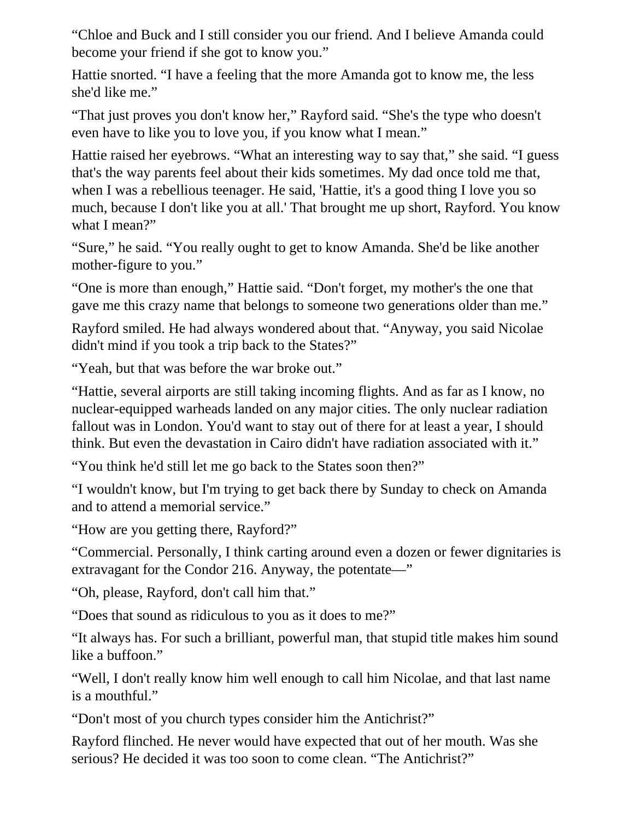"Chloe and Buck and I still consider you our friend. And I believe Amanda could become your friend if she got to know you."

Hattie snorted. "I have a feeling that the more Amanda got to know me, the less she'd like me."

"That just proves you don't know her," Rayford said. "She's the type who doesn't even have to like you to love you, if you know what I mean."

Hattie raised her eyebrows. "What an interesting way to say that," she said. "I guess that's the way parents feel about their kids sometimes. My dad once told me that, when I was a rebellious teenager. He said, 'Hattie, it's a good thing I love you so much, because I don't like you at all.' That brought me up short, Rayford. You know what I mean?"

"Sure," he said. "You really ought to get to know Amanda. She'd be like another mother-figure to you."

"One is more than enough," Hattie said. "Don't forget, my mother's the one that gave me this crazy name that belongs to someone two generations older than me."

Rayford smiled. He had always wondered about that. "Anyway, you said Nicolae didn't mind if you took a trip back to the States?"

"Yeah, but that was before the war broke out."

"Hattie, several airports are still taking incoming flights. And as far as I know, no nuclear-equipped warheads landed on any major cities. The only nuclear radiation fallout was in London. You'd want to stay out of there for at least a year, I should think. But even the devastation in Cairo didn't have radiation associated with it."

"You think he'd still let me go back to the States soon then?"

"I wouldn't know, but I'm trying to get back there by Sunday to check on Amanda and to attend a memorial service."

"How are you getting there, Rayford?"

"Commercial. Personally, I think carting around even a dozen or fewer dignitaries is extravagant for the Condor 216. Anyway, the potentate—"

"Oh, please, Rayford, don't call him that."

"Does that sound as ridiculous to you as it does to me?"

"It always has. For such a brilliant, powerful man, that stupid title makes him sound like a buffoon."

"Well, I don't really know him well enough to call him Nicolae, and that last name is a mouthful."

"Don't most of you church types consider him the Antichrist?"

Rayford flinched. He never would have expected that out of her mouth. Was she serious? He decided it was too soon to come clean. "The Antichrist?"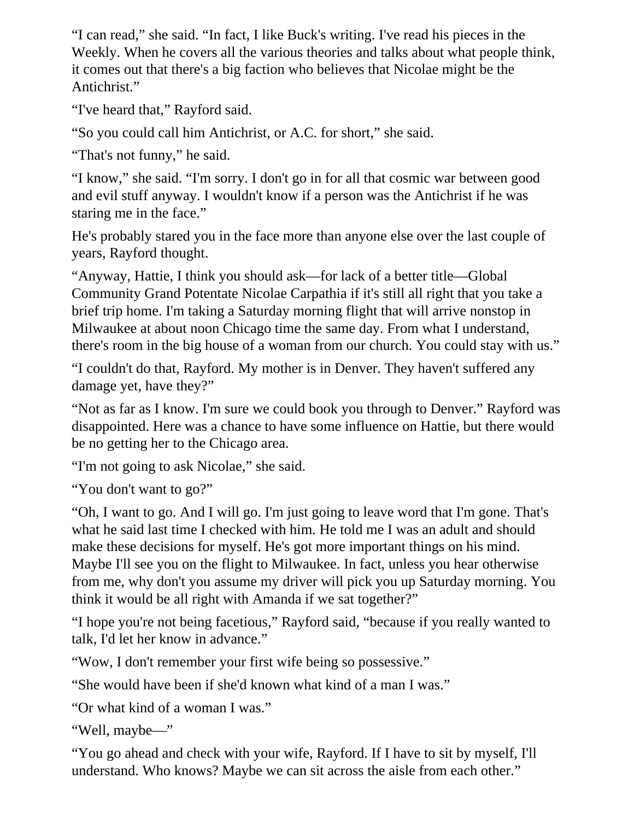"I can read," she said. "In fact, I like Buck's writing. I've read his pieces in the Weekly. When he covers all the various theories and talks about what people think, it comes out that there's a big faction who believes that Nicolae might be the Antichrist."

"I've heard that," Rayford said.

"So you could call him Antichrist, or A.C. for short," she said.

"That's not funny," he said.

"I know," she said. "I'm sorry. I don't go in for all that cosmic war between good and evil stuff anyway. I wouldn't know if a person was the Antichrist if he was staring me in the face."

He's probably stared you in the face more than anyone else over the last couple of years, Rayford thought.

"Anyway, Hattie, I think you should ask—for lack of a better title—Global Community Grand Potentate Nicolae Carpathia if it's still all right that you take a brief trip home. I'm taking a Saturday morning flight that will arrive nonstop in Milwaukee at about noon Chicago time the same day. From what I understand, there's room in the big house of a woman from our church. You could stay with us."

"I couldn't do that, Rayford. My mother is in Denver. They haven't suffered any damage yet, have they?"

"Not as far as I know. I'm sure we could book you through to Denver." Rayford was disappointed. Here was a chance to have some influence on Hattie, but there would be no getting her to the Chicago area.

"I'm not going to ask Nicolae," she said.

"You don't want to go?"

"Oh, I want to go. And I will go. I'm just going to leave word that I'm gone. That's what he said last time I checked with him. He told me I was an adult and should make these decisions for myself. He's got more important things on his mind. Maybe I'll see you on the flight to Milwaukee. In fact, unless you hear otherwise from me, why don't you assume my driver will pick you up Saturday morning. You think it would be all right with Amanda if we sat together?"

"I hope you're not being facetious," Rayford said, "because if you really wanted to talk, I'd let her know in advance."

"Wow, I don't remember your first wife being so possessive."

"She would have been if she'd known what kind of a man I was."

"Or what kind of a woman I was."

"Well, maybe—"

"You go ahead and check with your wife, Rayford. If I have to sit by myself, I'll understand. Who knows? Maybe we can sit across the aisle from each other."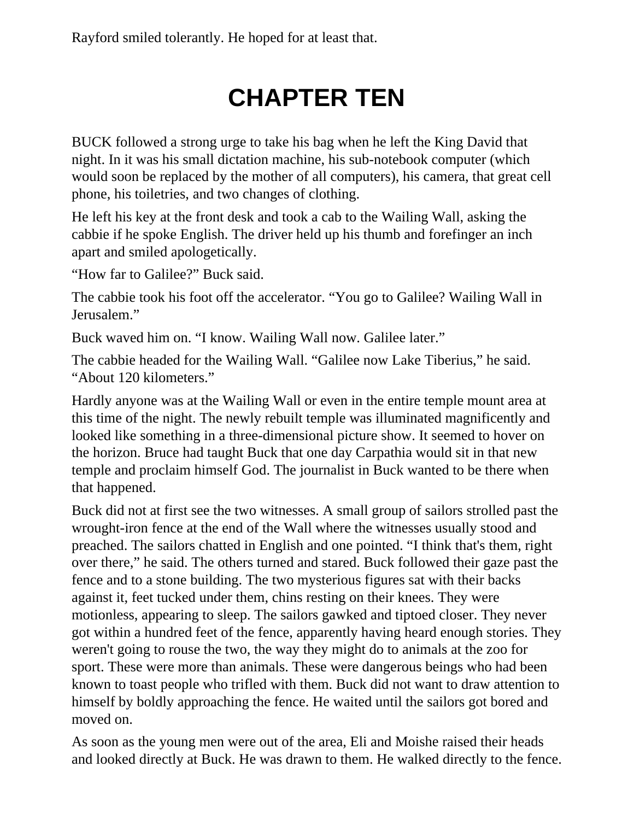## **CHAPTER TEN**

BUCK followed a strong urge to take his bag when he left the King David that night. In it was his small dictation machine, his sub-notebook computer (which would soon be replaced by the mother of all computers), his camera, that great cell phone, his toiletries, and two changes of clothing.

He left his key at the front desk and took a cab to the Wailing Wall, asking the cabbie if he spoke English. The driver held up his thumb and forefinger an inch apart and smiled apologetically.

"How far to Galilee?" Buck said.

The cabbie took his foot off the accelerator. "You go to Galilee? Wailing Wall in Jerusalem."

Buck waved him on. "I know. Wailing Wall now. Galilee later."

The cabbie headed for the Wailing Wall. "Galilee now Lake Tiberius," he said. "About 120 kilometers."

Hardly anyone was at the Wailing Wall or even in the entire temple mount area at this time of the night. The newly rebuilt temple was illuminated magnificently and looked like something in a three-dimensional picture show. It seemed to hover on the horizon. Bruce had taught Buck that one day Carpathia would sit in that new temple and proclaim himself God. The journalist in Buck wanted to be there when that happened.

Buck did not at first see the two witnesses. A small group of sailors strolled past the wrought-iron fence at the end of the Wall where the witnesses usually stood and preached. The sailors chatted in English and one pointed. "I think that's them, right over there," he said. The others turned and stared. Buck followed their gaze past the fence and to a stone building. The two mysterious figures sat with their backs against it, feet tucked under them, chins resting on their knees. They were motionless, appearing to sleep. The sailors gawked and tiptoed closer. They never got within a hundred feet of the fence, apparently having heard enough stories. They weren't going to rouse the two, the way they might do to animals at the zoo for sport. These were more than animals. These were dangerous beings who had been known to toast people who trifled with them. Buck did not want to draw attention to himself by boldly approaching the fence. He waited until the sailors got bored and moved on.

As soon as the young men were out of the area, Eli and Moishe raised their heads and looked directly at Buck. He was drawn to them. He walked directly to the fence.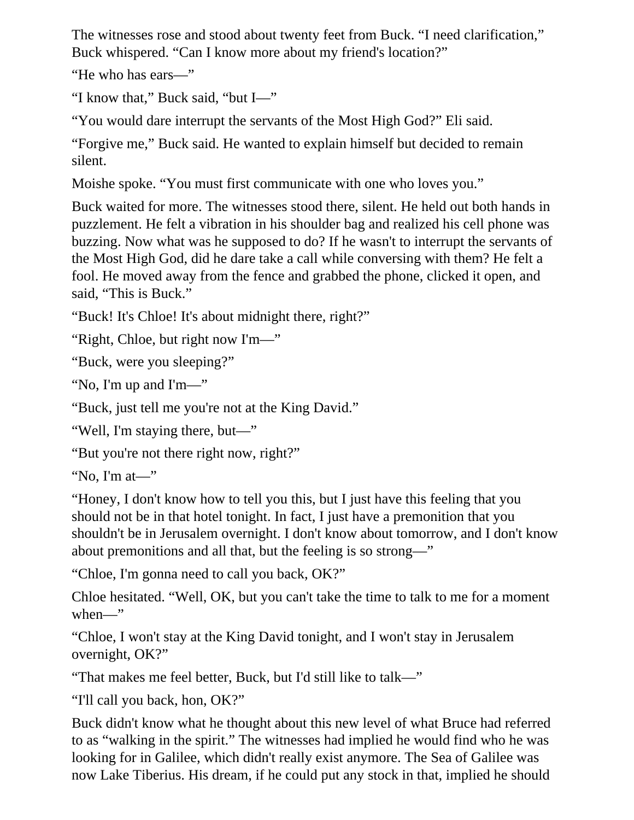The witnesses rose and stood about twenty feet from Buck. "I need clarification," Buck whispered. "Can I know more about my friend's location?"

"He who has ears—"

"I know that," Buck said, "but I—"

"You would dare interrupt the servants of the Most High God?" Eli said.

"Forgive me," Buck said. He wanted to explain himself but decided to remain silent.

Moishe spoke. "You must first communicate with one who loves you."

Buck waited for more. The witnesses stood there, silent. He held out both hands in puzzlement. He felt a vibration in his shoulder bag and realized his cell phone was buzzing. Now what was he supposed to do? If he wasn't to interrupt the servants of the Most High God, did he dare take a call while conversing with them? He felt a fool. He moved away from the fence and grabbed the phone, clicked it open, and said, "This is Buck."

"Buck! It's Chloe! It's about midnight there, right?"

"Right, Chloe, but right now I'm—"

"Buck, were you sleeping?"

"No, I'm up and I'm—"

"Buck, just tell me you're not at the King David."

"Well, I'm staying there, but—"

"But you're not there right now, right?"

"No, I'm at—"

"Honey, I don't know how to tell you this, but I just have this feeling that you should not be in that hotel tonight. In fact, I just have a premonition that you shouldn't be in Jerusalem overnight. I don't know about tomorrow, and I don't know about premonitions and all that, but the feeling is so strong—"

"Chloe, I'm gonna need to call you back, OK?"

Chloe hesitated. "Well, OK, but you can't take the time to talk to me for a moment when—"

"Chloe, I won't stay at the King David tonight, and I won't stay in Jerusalem overnight, OK?"

"That makes me feel better, Buck, but I'd still like to talk—"

"I'll call you back, hon, OK?"

Buck didn't know what he thought about this new level of what Bruce had referred to as "walking in the spirit." The witnesses had implied he would find who he was looking for in Galilee, which didn't really exist anymore. The Sea of Galilee was now Lake Tiberius. His dream, if he could put any stock in that, implied he should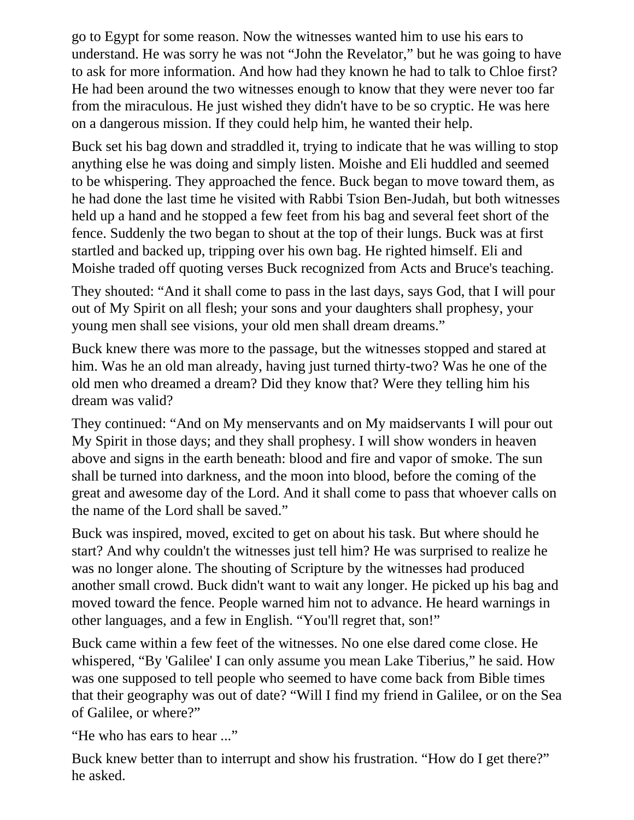go to Egypt for some reason. Now the witnesses wanted him to use his ears to understand. He was sorry he was not "John the Revelator," but he was going to have to ask for more information. And how had they known he had to talk to Chloe first? He had been around the two witnesses enough to know that they were never too far from the miraculous. He just wished they didn't have to be so cryptic. He was here on a dangerous mission. If they could help him, he wanted their help.

Buck set his bag down and straddled it, trying to indicate that he was willing to stop anything else he was doing and simply listen. Moishe and Eli huddled and seemed to be whispering. They approached the fence. Buck began to move toward them, as he had done the last time he visited with Rabbi Tsion Ben-Judah, but both witnesses held up a hand and he stopped a few feet from his bag and several feet short of the fence. Suddenly the two began to shout at the top of their lungs. Buck was at first startled and backed up, tripping over his own bag. He righted himself. Eli and Moishe traded off quoting verses Buck recognized from Acts and Bruce's teaching.

They shouted: "And it shall come to pass in the last days, says God, that I will pour out of My Spirit on all flesh; your sons and your daughters shall prophesy, your young men shall see visions, your old men shall dream dreams."

Buck knew there was more to the passage, but the witnesses stopped and stared at him. Was he an old man already, having just turned thirty-two? Was he one of the old men who dreamed a dream? Did they know that? Were they telling him his dream was valid?

They continued: "And on My menservants and on My maidservants I will pour out My Spirit in those days; and they shall prophesy. I will show wonders in heaven above and signs in the earth beneath: blood and fire and vapor of smoke. The sun shall be turned into darkness, and the moon into blood, before the coming of the great and awesome day of the Lord. And it shall come to pass that whoever calls on the name of the Lord shall be saved."

Buck was inspired, moved, excited to get on about his task. But where should he start? And why couldn't the witnesses just tell him? He was surprised to realize he was no longer alone. The shouting of Scripture by the witnesses had produced another small crowd. Buck didn't want to wait any longer. He picked up his bag and moved toward the fence. People warned him not to advance. He heard warnings in other languages, and a few in English. "You'll regret that, son!"

Buck came within a few feet of the witnesses. No one else dared come close. He whispered, "By 'Galilee' I can only assume you mean Lake Tiberius," he said. How was one supposed to tell people who seemed to have come back from Bible times that their geography was out of date? "Will I find my friend in Galilee, or on the Sea of Galilee, or where?"

"He who has ears to hear ..."

Buck knew better than to interrupt and show his frustration. "How do I get there?" he asked.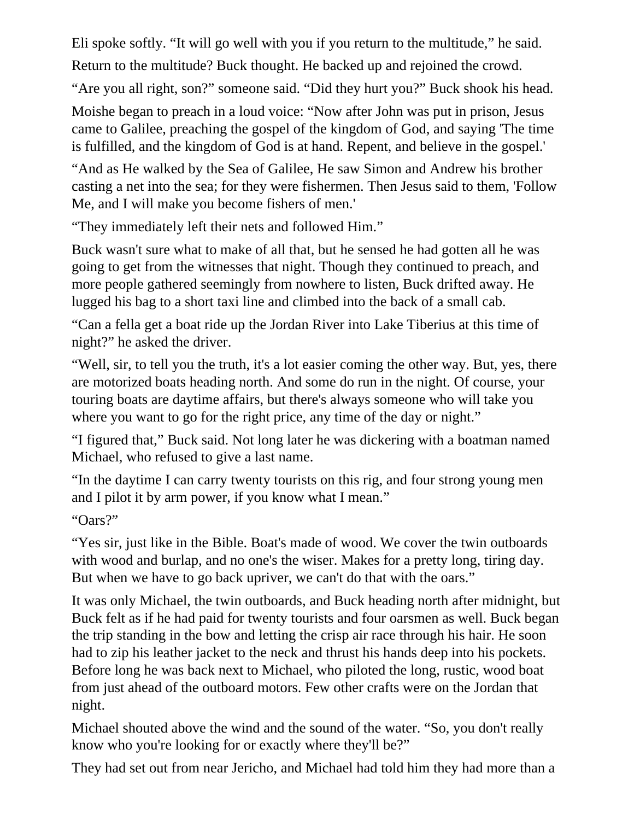Eli spoke softly. "It will go well with you if you return to the multitude," he said.

Return to the multitude? Buck thought. He backed up and rejoined the crowd.

"Are you all right, son?" someone said. "Did they hurt you?" Buck shook his head.

Moishe began to preach in a loud voice: "Now after John was put in prison, Jesus came to Galilee, preaching the gospel of the kingdom of God, and saying 'The time is fulfilled, and the kingdom of God is at hand. Repent, and believe in the gospel.'

"And as He walked by the Sea of Galilee, He saw Simon and Andrew his brother casting a net into the sea; for they were fishermen. Then Jesus said to them, 'Follow Me, and I will make you become fishers of men.'

"They immediately left their nets and followed Him."

Buck wasn't sure what to make of all that, but he sensed he had gotten all he was going to get from the witnesses that night. Though they continued to preach, and more people gathered seemingly from nowhere to listen, Buck drifted away. He lugged his bag to a short taxi line and climbed into the back of a small cab.

"Can a fella get a boat ride up the Jordan River into Lake Tiberius at this time of night?" he asked the driver.

"Well, sir, to tell you the truth, it's a lot easier coming the other way. But, yes, there are motorized boats heading north. And some do run in the night. Of course, your touring boats are daytime affairs, but there's always someone who will take you where you want to go for the right price, any time of the day or night."

"I figured that," Buck said. Not long later he was dickering with a boatman named Michael, who refused to give a last name.

"In the daytime I can carry twenty tourists on this rig, and four strong young men and I pilot it by arm power, if you know what I mean."

"Oars?"

"Yes sir, just like in the Bible. Boat's made of wood. We cover the twin outboards with wood and burlap, and no one's the wiser. Makes for a pretty long, tiring day. But when we have to go back upriver, we can't do that with the oars."

It was only Michael, the twin outboards, and Buck heading north after midnight, but Buck felt as if he had paid for twenty tourists and four oarsmen as well. Buck began the trip standing in the bow and letting the crisp air race through his hair. He soon had to zip his leather jacket to the neck and thrust his hands deep into his pockets. Before long he was back next to Michael, who piloted the long, rustic, wood boat from just ahead of the outboard motors. Few other crafts were on the Jordan that night.

Michael shouted above the wind and the sound of the water. "So, you don't really know who you're looking for or exactly where they'll be?"

They had set out from near Jericho, and Michael had told him they had more than a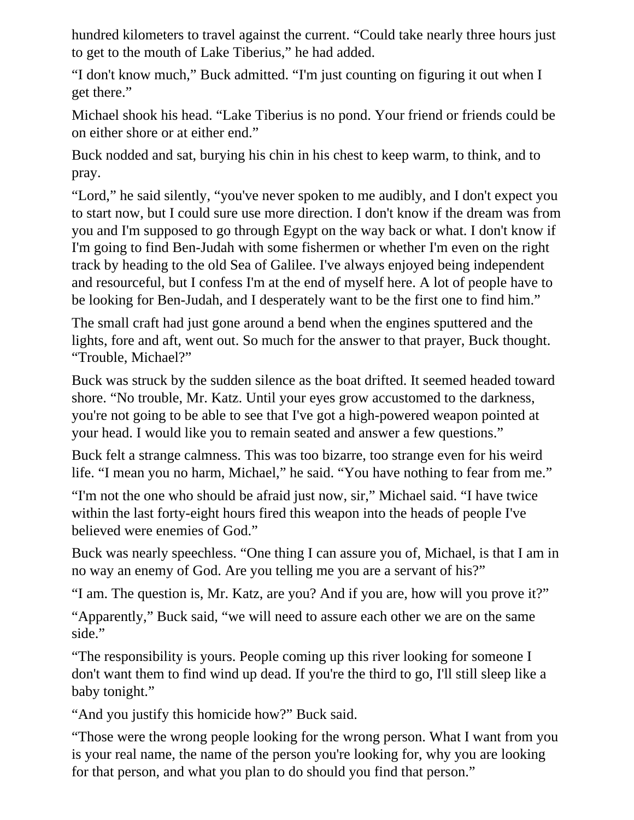hundred kilometers to travel against the current. "Could take nearly three hours just to get to the mouth of Lake Tiberius," he had added.

"I don't know much," Buck admitted. "I'm just counting on figuring it out when I get there."

Michael shook his head. "Lake Tiberius is no pond. Your friend or friends could be on either shore or at either end."

Buck nodded and sat, burying his chin in his chest to keep warm, to think, and to pray.

"Lord," he said silently, "you've never spoken to me audibly, and I don't expect you to start now, but I could sure use more direction. I don't know if the dream was from you and I'm supposed to go through Egypt on the way back or what. I don't know if I'm going to find Ben-Judah with some fishermen or whether I'm even on the right track by heading to the old Sea of Galilee. I've always enjoyed being independent and resourceful, but I confess I'm at the end of myself here. A lot of people have to be looking for Ben-Judah, and I desperately want to be the first one to find him."

The small craft had just gone around a bend when the engines sputtered and the lights, fore and aft, went out. So much for the answer to that prayer, Buck thought. "Trouble, Michael?"

Buck was struck by the sudden silence as the boat drifted. It seemed headed toward shore. "No trouble, Mr. Katz. Until your eyes grow accustomed to the darkness, you're not going to be able to see that I've got a high-powered weapon pointed at your head. I would like you to remain seated and answer a few questions."

Buck felt a strange calmness. This was too bizarre, too strange even for his weird life. "I mean you no harm, Michael," he said. "You have nothing to fear from me."

"I'm not the one who should be afraid just now, sir," Michael said. "I have twice within the last forty-eight hours fired this weapon into the heads of people I've believed were enemies of God."

Buck was nearly speechless. "One thing I can assure you of, Michael, is that I am in no way an enemy of God. Are you telling me you are a servant of his?"

"I am. The question is, Mr. Katz, are you? And if you are, how will you prove it?"

"Apparently," Buck said, "we will need to assure each other we are on the same side."

"The responsibility is yours. People coming up this river looking for someone I don't want them to find wind up dead. If you're the third to go, I'll still sleep like a baby tonight."

"And you justify this homicide how?" Buck said.

"Those were the wrong people looking for the wrong person. What I want from you is your real name, the name of the person you're looking for, why you are looking for that person, and what you plan to do should you find that person."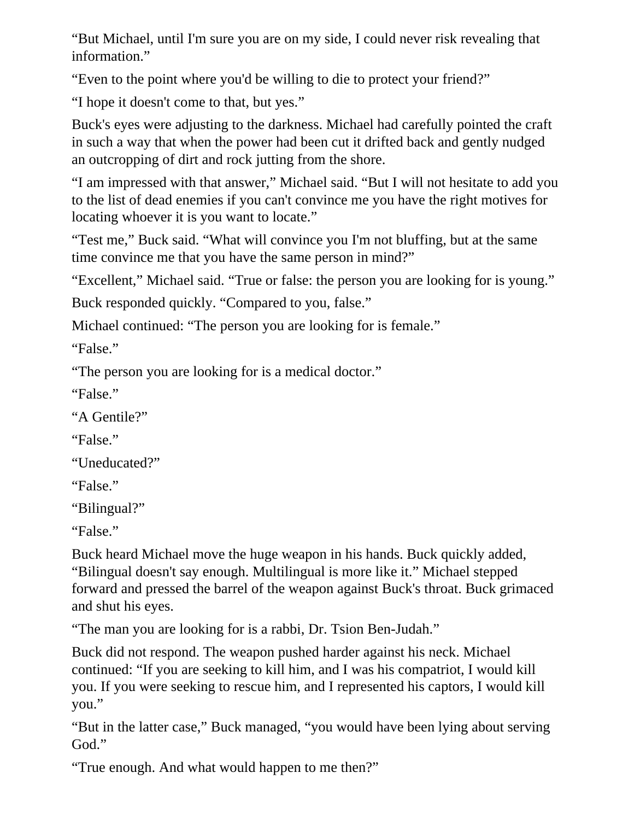"But Michael, until I'm sure you are on my side, I could never risk revealing that information."

"Even to the point where you'd be willing to die to protect your friend?"

"I hope it doesn't come to that, but yes."

Buck's eyes were adjusting to the darkness. Michael had carefully pointed the craft in such a way that when the power had been cut it drifted back and gently nudged an outcropping of dirt and rock jutting from the shore.

"I am impressed with that answer," Michael said. "But I will not hesitate to add you to the list of dead enemies if you can't convince me you have the right motives for locating whoever it is you want to locate."

"Test me," Buck said. "What will convince you I'm not bluffing, but at the same time convince me that you have the same person in mind?"

"Excellent," Michael said. "True or false: the person you are looking for is young."

Buck responded quickly. "Compared to you, false."

Michael continued: "The person you are looking for is female."

"False."

"The person you are looking for is a medical doctor."

"False."

"A Gentile?"

"False."

"Uneducated?"

"False."

"Bilingual?"

"False."

Buck heard Michael move the huge weapon in his hands. Buck quickly added, "Bilingual doesn't say enough. Multilingual is more like it." Michael stepped forward and pressed the barrel of the weapon against Buck's throat. Buck grimaced and shut his eyes.

"The man you are looking for is a rabbi, Dr. Tsion Ben-Judah."

Buck did not respond. The weapon pushed harder against his neck. Michael continued: "If you are seeking to kill him, and I was his compatriot, I would kill you. If you were seeking to rescue him, and I represented his captors, I would kill you."

"But in the latter case," Buck managed, "you would have been lying about serving God."

"True enough. And what would happen to me then?"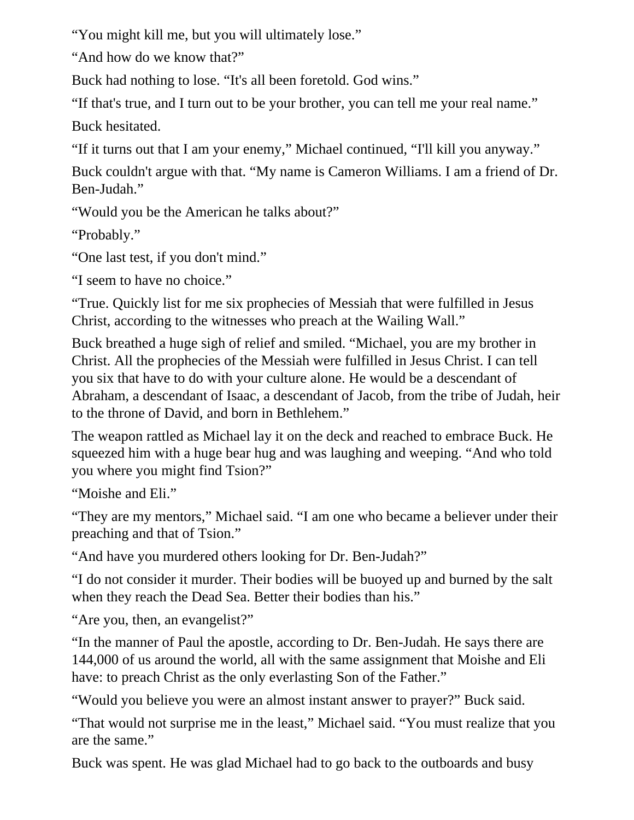"You might kill me, but you will ultimately lose."

"And how do we know that?"

Buck had nothing to lose. "It's all been foretold. God wins."

"If that's true, and I turn out to be your brother, you can tell me your real name."

Buck hesitated.

"If it turns out that I am your enemy," Michael continued, "I'll kill you anyway."

Buck couldn't argue with that. "My name is Cameron Williams. I am a friend of Dr. Ben-Judah."

"Would you be the American he talks about?"

"Probably."

"One last test, if you don't mind."

"I seem to have no choice."

"True. Quickly list for me six prophecies of Messiah that were fulfilled in Jesus Christ, according to the witnesses who preach at the Wailing Wall."

Buck breathed a huge sigh of relief and smiled. "Michael, you are my brother in Christ. All the prophecies of the Messiah were fulfilled in Jesus Christ. I can tell you six that have to do with your culture alone. He would be a descendant of Abraham, a descendant of Isaac, a descendant of Jacob, from the tribe of Judah, heir to the throne of David, and born in Bethlehem."

The weapon rattled as Michael lay it on the deck and reached to embrace Buck. He squeezed him with a huge bear hug and was laughing and weeping. "And who told you where you might find Tsion?"

"Moishe and Eli."

"They are my mentors," Michael said. "I am one who became a believer under their preaching and that of Tsion."

"And have you murdered others looking for Dr. Ben-Judah?"

"I do not consider it murder. Their bodies will be buoyed up and burned by the salt when they reach the Dead Sea. Better their bodies than his."

"Are you, then, an evangelist?"

"In the manner of Paul the apostle, according to Dr. Ben-Judah. He says there are 144,000 of us around the world, all with the same assignment that Moishe and Eli have: to preach Christ as the only everlasting Son of the Father."

"Would you believe you were an almost instant answer to prayer?" Buck said.

"That would not surprise me in the least," Michael said. "You must realize that you are the same."

Buck was spent. He was glad Michael had to go back to the outboards and busy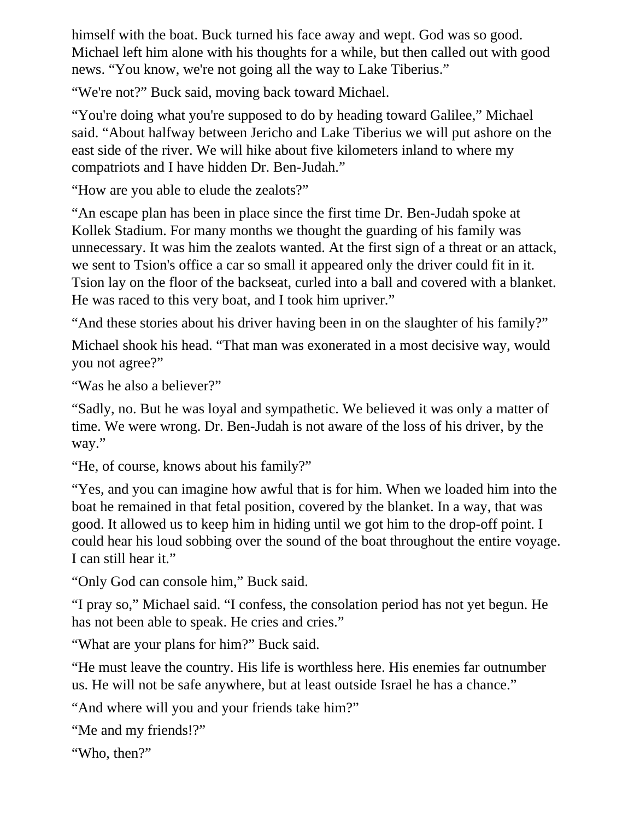himself with the boat. Buck turned his face away and wept. God was so good. Michael left him alone with his thoughts for a while, but then called out with good news. "You know, we're not going all the way to Lake Tiberius."

"We're not?" Buck said, moving back toward Michael.

"You're doing what you're supposed to do by heading toward Galilee," Michael said. "About halfway between Jericho and Lake Tiberius we will put ashore on the east side of the river. We will hike about five kilometers inland to where my compatriots and I have hidden Dr. Ben-Judah."

"How are you able to elude the zealots?"

"An escape plan has been in place since the first time Dr. Ben-Judah spoke at Kollek Stadium. For many months we thought the guarding of his family was unnecessary. It was him the zealots wanted. At the first sign of a threat or an attack, we sent to Tsion's office a car so small it appeared only the driver could fit in it. Tsion lay on the floor of the backseat, curled into a ball and covered with a blanket. He was raced to this very boat, and I took him upriver."

"And these stories about his driver having been in on the slaughter of his family?"

Michael shook his head. "That man was exonerated in a most decisive way, would you not agree?"

"Was he also a believer?"

"Sadly, no. But he was loyal and sympathetic. We believed it was only a matter of time. We were wrong. Dr. Ben-Judah is not aware of the loss of his driver, by the way."

"He, of course, knows about his family?"

"Yes, and you can imagine how awful that is for him. When we loaded him into the boat he remained in that fetal position, covered by the blanket. In a way, that was good. It allowed us to keep him in hiding until we got him to the drop-off point. I could hear his loud sobbing over the sound of the boat throughout the entire voyage. I can still hear it."

"Only God can console him," Buck said.

"I pray so," Michael said. "I confess, the consolation period has not yet begun. He has not been able to speak. He cries and cries."

"What are your plans for him?" Buck said.

"He must leave the country. His life is worthless here. His enemies far outnumber us. He will not be safe anywhere, but at least outside Israel he has a chance."

"And where will you and your friends take him?"

"Me and my friends!?"

"Who, then?"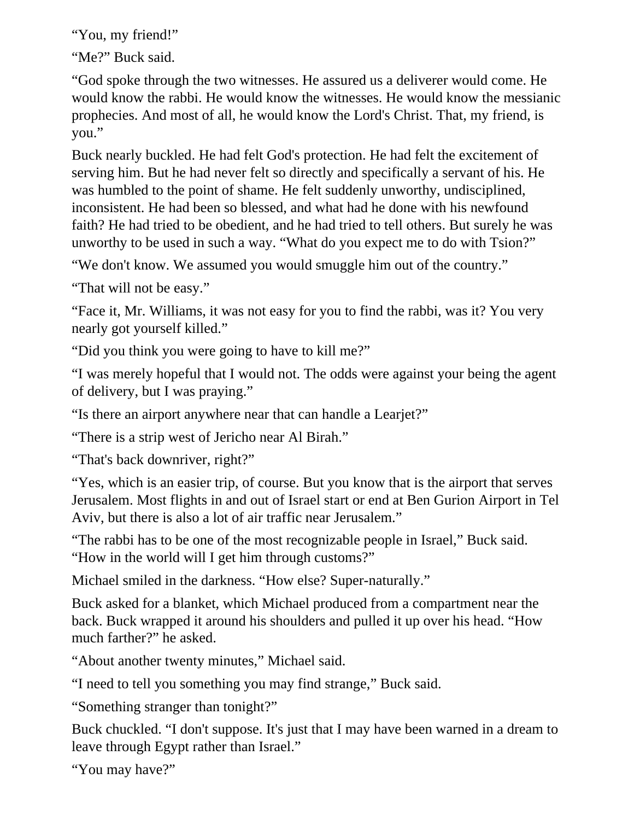"You, my friend!"

"Me?" Buck said.

"God spoke through the two witnesses. He assured us a deliverer would come. He would know the rabbi. He would know the witnesses. He would know the messianic prophecies. And most of all, he would know the Lord's Christ. That, my friend, is you."

Buck nearly buckled. He had felt God's protection. He had felt the excitement of serving him. But he had never felt so directly and specifically a servant of his. He was humbled to the point of shame. He felt suddenly unworthy, undisciplined, inconsistent. He had been so blessed, and what had he done with his newfound faith? He had tried to be obedient, and he had tried to tell others. But surely he was unworthy to be used in such a way. "What do you expect me to do with Tsion?"

"We don't know. We assumed you would smuggle him out of the country."

"That will not be easy."

"Face it, Mr. Williams, it was not easy for you to find the rabbi, was it? You very nearly got yourself killed."

"Did you think you were going to have to kill me?"

"I was merely hopeful that I would not. The odds were against your being the agent of delivery, but I was praying."

"Is there an airport anywhere near that can handle a Learjet?"

"There is a strip west of Jericho near Al Birah."

"That's back downriver, right?"

"Yes, which is an easier trip, of course. But you know that is the airport that serves Jerusalem. Most flights in and out of Israel start or end at Ben Gurion Airport in Tel Aviv, but there is also a lot of air traffic near Jerusalem."

"The rabbi has to be one of the most recognizable people in Israel," Buck said. "How in the world will I get him through customs?"

Michael smiled in the darkness. "How else? Super-naturally."

Buck asked for a blanket, which Michael produced from a compartment near the back. Buck wrapped it around his shoulders and pulled it up over his head. "How much farther?" he asked.

"About another twenty minutes," Michael said.

"I need to tell you something you may find strange," Buck said.

"Something stranger than tonight?"

Buck chuckled. "I don't suppose. It's just that I may have been warned in a dream to leave through Egypt rather than Israel."

"You may have?"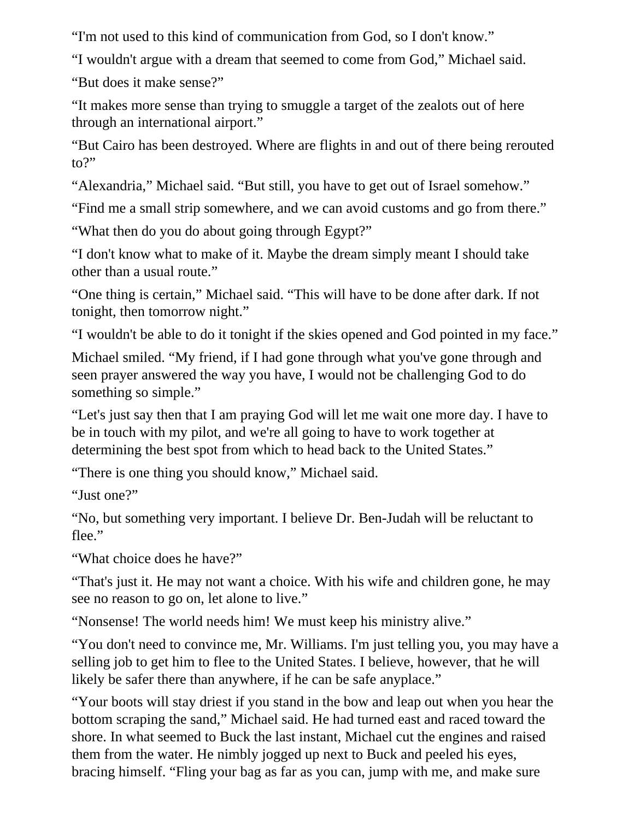"I'm not used to this kind of communication from God, so I don't know."

"I wouldn't argue with a dream that seemed to come from God," Michael said.

"But does it make sense?"

"It makes more sense than trying to smuggle a target of the zealots out of here through an international airport."

"But Cairo has been destroyed. Where are flights in and out of there being rerouted to?"

"Alexandria," Michael said. "But still, you have to get out of Israel somehow."

"Find me a small strip somewhere, and we can avoid customs and go from there."

"What then do you do about going through Egypt?"

"I don't know what to make of it. Maybe the dream simply meant I should take other than a usual route."

"One thing is certain," Michael said. "This will have to be done after dark. If not tonight, then tomorrow night."

"I wouldn't be able to do it tonight if the skies opened and God pointed in my face."

Michael smiled. "My friend, if I had gone through what you've gone through and seen prayer answered the way you have, I would not be challenging God to do something so simple."

"Let's just say then that I am praying God will let me wait one more day. I have to be in touch with my pilot, and we're all going to have to work together at determining the best spot from which to head back to the United States."

"There is one thing you should know," Michael said.

"Just one?"

"No, but something very important. I believe Dr. Ben-Judah will be reluctant to flee."

"What choice does he have?"

"That's just it. He may not want a choice. With his wife and children gone, he may see no reason to go on, let alone to live."

"Nonsense! The world needs him! We must keep his ministry alive."

"You don't need to convince me, Mr. Williams. I'm just telling you, you may have a selling job to get him to flee to the United States. I believe, however, that he will likely be safer there than anywhere, if he can be safe anyplace."

"Your boots will stay driest if you stand in the bow and leap out when you hear the bottom scraping the sand," Michael said. He had turned east and raced toward the shore. In what seemed to Buck the last instant, Michael cut the engines and raised them from the water. He nimbly jogged up next to Buck and peeled his eyes, bracing himself. "Fling your bag as far as you can, jump with me, and make sure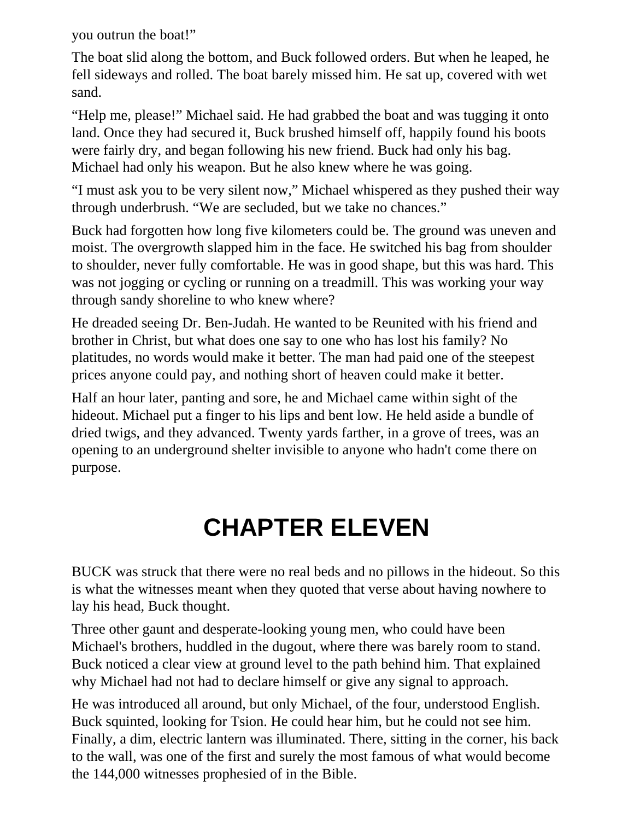you outrun the boat!"

The boat slid along the bottom, and Buck followed orders. But when he leaped, he fell sideways and rolled. The boat barely missed him. He sat up, covered with wet sand.

"Help me, please!" Michael said. He had grabbed the boat and was tugging it onto land. Once they had secured it, Buck brushed himself off, happily found his boots were fairly dry, and began following his new friend. Buck had only his bag. Michael had only his weapon. But he also knew where he was going.

"I must ask you to be very silent now," Michael whispered as they pushed their way through underbrush. "We are secluded, but we take no chances."

Buck had forgotten how long five kilometers could be. The ground was uneven and moist. The overgrowth slapped him in the face. He switched his bag from shoulder to shoulder, never fully comfortable. He was in good shape, but this was hard. This was not jogging or cycling or running on a treadmill. This was working your way through sandy shoreline to who knew where?

He dreaded seeing Dr. Ben-Judah. He wanted to be Reunited with his friend and brother in Christ, but what does one say to one who has lost his family? No platitudes, no words would make it better. The man had paid one of the steepest prices anyone could pay, and nothing short of heaven could make it better.

Half an hour later, panting and sore, he and Michael came within sight of the hideout. Michael put a finger to his lips and bent low. He held aside a bundle of dried twigs, and they advanced. Twenty yards farther, in a grove of trees, was an opening to an underground shelter invisible to anyone who hadn't come there on purpose.

## **CHAPTER ELEVEN**

BUCK was struck that there were no real beds and no pillows in the hideout. So this is what the witnesses meant when they quoted that verse about having nowhere to lay his head, Buck thought.

Three other gaunt and desperate-looking young men, who could have been Michael's brothers, huddled in the dugout, where there was barely room to stand. Buck noticed a clear view at ground level to the path behind him. That explained why Michael had not had to declare himself or give any signal to approach.

He was introduced all around, but only Michael, of the four, understood English. Buck squinted, looking for Tsion. He could hear him, but he could not see him. Finally, a dim, electric lantern was illuminated. There, sitting in the corner, his back to the wall, was one of the first and surely the most famous of what would become the 144,000 witnesses prophesied of in the Bible.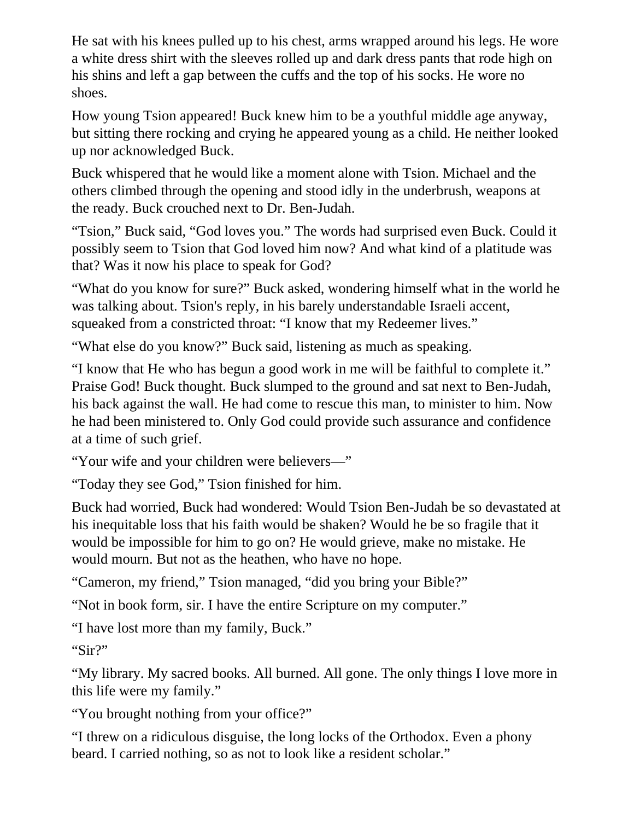He sat with his knees pulled up to his chest, arms wrapped around his legs. He wore a white dress shirt with the sleeves rolled up and dark dress pants that rode high on his shins and left a gap between the cuffs and the top of his socks. He wore no shoes.

How young Tsion appeared! Buck knew him to be a youthful middle age anyway, but sitting there rocking and crying he appeared young as a child. He neither looked up nor acknowledged Buck.

Buck whispered that he would like a moment alone with Tsion. Michael and the others climbed through the opening and stood idly in the underbrush, weapons at the ready. Buck crouched next to Dr. Ben-Judah.

"Tsion," Buck said, "God loves you." The words had surprised even Buck. Could it possibly seem to Tsion that God loved him now? And what kind of a platitude was that? Was it now his place to speak for God?

"What do you know for sure?" Buck asked, wondering himself what in the world he was talking about. Tsion's reply, in his barely understandable Israeli accent, squeaked from a constricted throat: "I know that my Redeemer lives."

"What else do you know?" Buck said, listening as much as speaking.

"I know that He who has begun a good work in me will be faithful to complete it." Praise God! Buck thought. Buck slumped to the ground and sat next to Ben-Judah, his back against the wall. He had come to rescue this man, to minister to him. Now he had been ministered to. Only God could provide such assurance and confidence at a time of such grief.

"Your wife and your children were believers—"

"Today they see God," Tsion finished for him.

Buck had worried, Buck had wondered: Would Tsion Ben-Judah be so devastated at his inequitable loss that his faith would be shaken? Would he be so fragile that it would be impossible for him to go on? He would grieve, make no mistake. He would mourn. But not as the heathen, who have no hope.

"Cameron, my friend," Tsion managed, "did you bring your Bible?"

"Not in book form, sir. I have the entire Scripture on my computer."

"I have lost more than my family, Buck."

"Sir?"

"My library. My sacred books. All burned. All gone. The only things I love more in this life were my family."

"You brought nothing from your office?"

"I threw on a ridiculous disguise, the long locks of the Orthodox. Even a phony beard. I carried nothing, so as not to look like a resident scholar."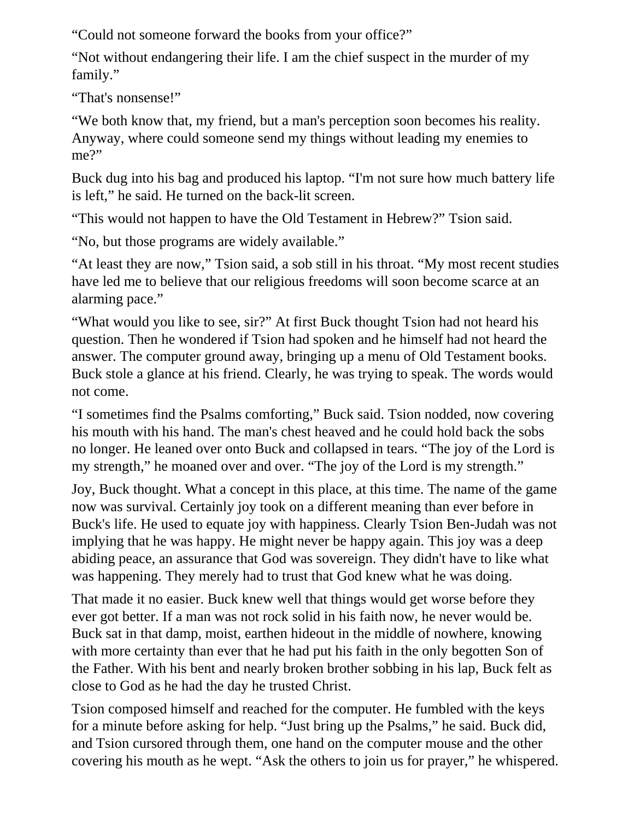"Could not someone forward the books from your office?"

"Not without endangering their life. I am the chief suspect in the murder of my family."

"That's nonsense!"

"We both know that, my friend, but a man's perception soon becomes his reality. Anyway, where could someone send my things without leading my enemies to me?"

Buck dug into his bag and produced his laptop. "I'm not sure how much battery life is left," he said. He turned on the back-lit screen.

"This would not happen to have the Old Testament in Hebrew?" Tsion said.

"No, but those programs are widely available."

"At least they are now," Tsion said, a sob still in his throat. "My most recent studies have led me to believe that our religious freedoms will soon become scarce at an alarming pace."

"What would you like to see, sir?" At first Buck thought Tsion had not heard his question. Then he wondered if Tsion had spoken and he himself had not heard the answer. The computer ground away, bringing up a menu of Old Testament books. Buck stole a glance at his friend. Clearly, he was trying to speak. The words would not come.

"I sometimes find the Psalms comforting," Buck said. Tsion nodded, now covering his mouth with his hand. The man's chest heaved and he could hold back the sobs no longer. He leaned over onto Buck and collapsed in tears. "The joy of the Lord is my strength," he moaned over and over. "The joy of the Lord is my strength."

Joy, Buck thought. What a concept in this place, at this time. The name of the game now was survival. Certainly joy took on a different meaning than ever before in Buck's life. He used to equate joy with happiness. Clearly Tsion Ben-Judah was not implying that he was happy. He might never be happy again. This joy was a deep abiding peace, an assurance that God was sovereign. They didn't have to like what was happening. They merely had to trust that God knew what he was doing.

That made it no easier. Buck knew well that things would get worse before they ever got better. If a man was not rock solid in his faith now, he never would be. Buck sat in that damp, moist, earthen hideout in the middle of nowhere, knowing with more certainty than ever that he had put his faith in the only begotten Son of the Father. With his bent and nearly broken brother sobbing in his lap, Buck felt as close to God as he had the day he trusted Christ.

Tsion composed himself and reached for the computer. He fumbled with the keys for a minute before asking for help. "Just bring up the Psalms," he said. Buck did, and Tsion cursored through them, one hand on the computer mouse and the other covering his mouth as he wept. "Ask the others to join us for prayer," he whispered.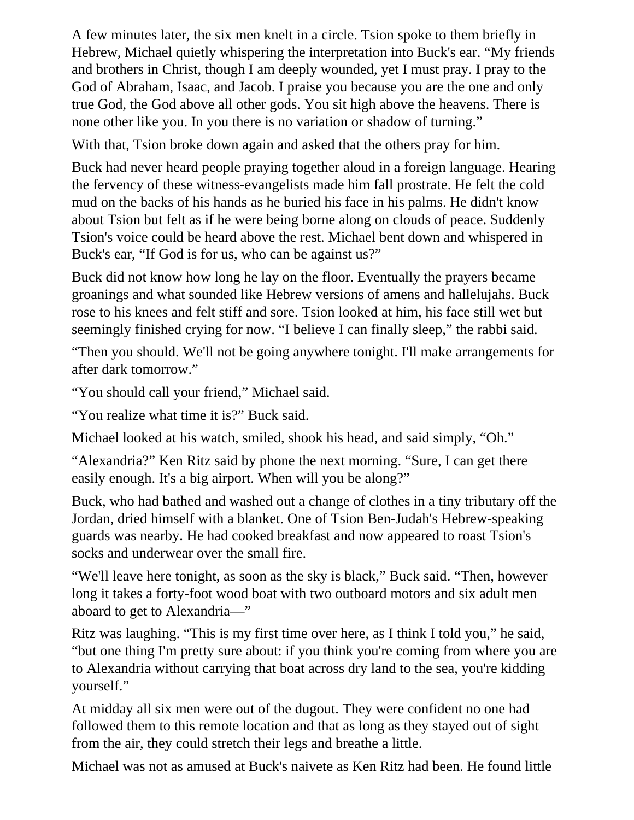A few minutes later, the six men knelt in a circle. Tsion spoke to them briefly in Hebrew, Michael quietly whispering the interpretation into Buck's ear. "My friends and brothers in Christ, though I am deeply wounded, yet I must pray. I pray to the God of Abraham, Isaac, and Jacob. I praise you because you are the one and only true God, the God above all other gods. You sit high above the heavens. There is none other like you. In you there is no variation or shadow of turning."

With that, Tsion broke down again and asked that the others pray for him.

Buck had never heard people praying together aloud in a foreign language. Hearing the fervency of these witness-evangelists made him fall prostrate. He felt the cold mud on the backs of his hands as he buried his face in his palms. He didn't know about Tsion but felt as if he were being borne along on clouds of peace. Suddenly Tsion's voice could be heard above the rest. Michael bent down and whispered in Buck's ear, "If God is for us, who can be against us?"

Buck did not know how long he lay on the floor. Eventually the prayers became groanings and what sounded like Hebrew versions of amens and hallelujahs. Buck rose to his knees and felt stiff and sore. Tsion looked at him, his face still wet but seemingly finished crying for now. "I believe I can finally sleep," the rabbi said.

"Then you should. We'll not be going anywhere tonight. I'll make arrangements for after dark tomorrow."

"You should call your friend," Michael said.

"You realize what time it is?" Buck said.

Michael looked at his watch, smiled, shook his head, and said simply, "Oh."

"Alexandria?" Ken Ritz said by phone the next morning. "Sure, I can get there easily enough. It's a big airport. When will you be along?"

Buck, who had bathed and washed out a change of clothes in a tiny tributary off the Jordan, dried himself with a blanket. One of Tsion Ben-Judah's Hebrew-speaking guards was nearby. He had cooked breakfast and now appeared to roast Tsion's socks and underwear over the small fire.

"We'll leave here tonight, as soon as the sky is black," Buck said. "Then, however long it takes a forty-foot wood boat with two outboard motors and six adult men aboard to get to Alexandria—"

Ritz was laughing. "This is my first time over here, as I think I told you," he said, "but one thing I'm pretty sure about: if you think you're coming from where you are to Alexandria without carrying that boat across dry land to the sea, you're kidding yourself."

At midday all six men were out of the dugout. They were confident no one had followed them to this remote location and that as long as they stayed out of sight from the air, they could stretch their legs and breathe a little.

Michael was not as amused at Buck's naivete as Ken Ritz had been. He found little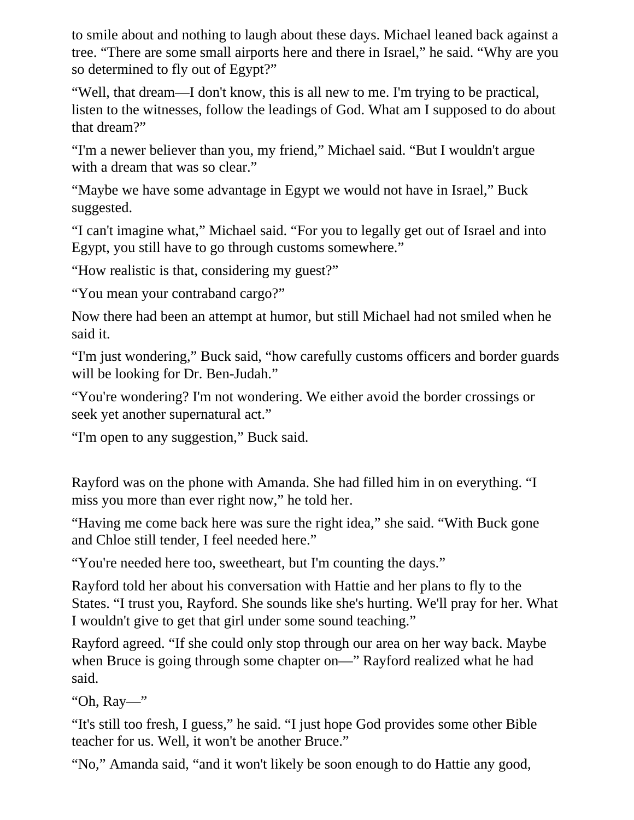to smile about and nothing to laugh about these days. Michael leaned back against a tree. "There are some small airports here and there in Israel," he said. "Why are you so determined to fly out of Egypt?"

"Well, that dream—I don't know, this is all new to me. I'm trying to be practical, listen to the witnesses, follow the leadings of God. What am I supposed to do about that dream?"

"I'm a newer believer than you, my friend," Michael said. "But I wouldn't argue with a dream that was so clear."

"Maybe we have some advantage in Egypt we would not have in Israel," Buck suggested.

"I can't imagine what," Michael said. "For you to legally get out of Israel and into Egypt, you still have to go through customs somewhere."

"How realistic is that, considering my guest?"

"You mean your contraband cargo?"

Now there had been an attempt at humor, but still Michael had not smiled when he said it.

"I'm just wondering," Buck said, "how carefully customs officers and border guards will be looking for Dr. Ben-Judah."

"You're wondering? I'm not wondering. We either avoid the border crossings or seek yet another supernatural act."

"I'm open to any suggestion," Buck said.

Rayford was on the phone with Amanda. She had filled him in on everything. "I miss you more than ever right now," he told her.

"Having me come back here was sure the right idea," she said. "With Buck gone and Chloe still tender, I feel needed here."

"You're needed here too, sweetheart, but I'm counting the days."

Rayford told her about his conversation with Hattie and her plans to fly to the States. "I trust you, Rayford. She sounds like she's hurting. We'll pray for her. What I wouldn't give to get that girl under some sound teaching."

Rayford agreed. "If she could only stop through our area on her way back. Maybe when Bruce is going through some chapter on—" Rayford realized what he had said.

"Oh, Ray—"

"It's still too fresh, I guess," he said. "I just hope God provides some other Bible teacher for us. Well, it won't be another Bruce."

"No," Amanda said, "and it won't likely be soon enough to do Hattie any good,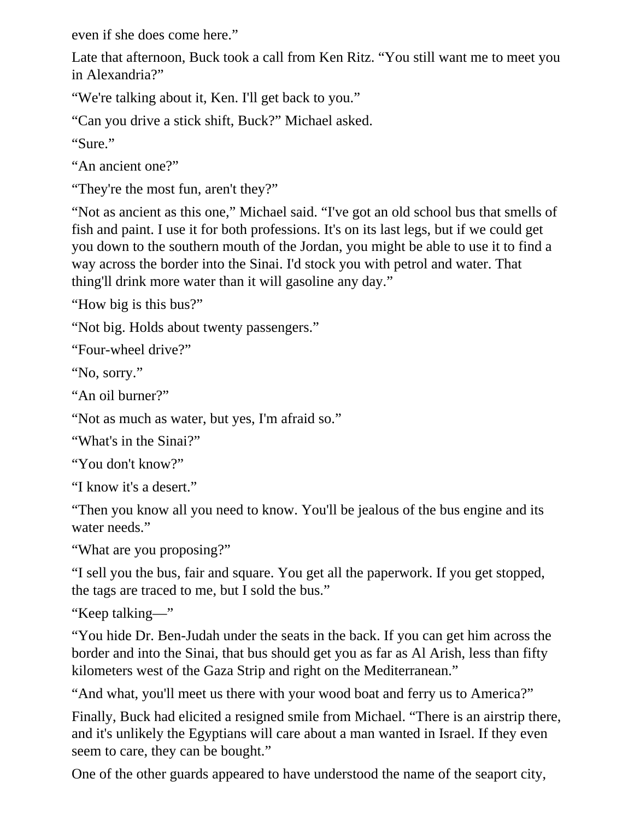even if she does come here."

Late that afternoon, Buck took a call from Ken Ritz. "You still want me to meet you in Alexandria?"

"We're talking about it, Ken. I'll get back to you."

"Can you drive a stick shift, Buck?" Michael asked.

"Sure."

"An ancient one?"

"They're the most fun, aren't they?"

"Not as ancient as this one," Michael said. "I've got an old school bus that smells of fish and paint. I use it for both professions. It's on its last legs, but if we could get you down to the southern mouth of the Jordan, you might be able to use it to find a way across the border into the Sinai. I'd stock you with petrol and water. That thing'll drink more water than it will gasoline any day."

"How big is this bus?"

"Not big. Holds about twenty passengers."

"Four-wheel drive?"

"No, sorry."

"An oil burner?"

"Not as much as water, but yes, I'm afraid so."

"What's in the Sinai?"

"You don't know?"

"I know it's a desert."

"Then you know all you need to know. You'll be jealous of the bus engine and its water needs."

"What are you proposing?"

"I sell you the bus, fair and square. You get all the paperwork. If you get stopped, the tags are traced to me, but I sold the bus."

"Keep talking—"

"You hide Dr. Ben-Judah under the seats in the back. If you can get him across the border and into the Sinai, that bus should get you as far as Al Arish, less than fifty kilometers west of the Gaza Strip and right on the Mediterranean."

"And what, you'll meet us there with your wood boat and ferry us to America?"

Finally, Buck had elicited a resigned smile from Michael. "There is an airstrip there, and it's unlikely the Egyptians will care about a man wanted in Israel. If they even seem to care, they can be bought."

One of the other guards appeared to have understood the name of the seaport city,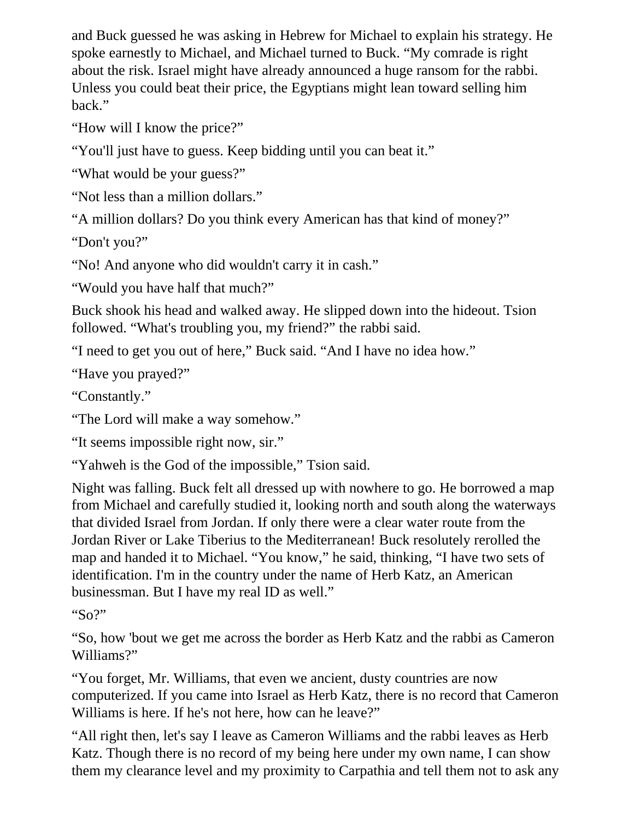and Buck guessed he was asking in Hebrew for Michael to explain his strategy. He spoke earnestly to Michael, and Michael turned to Buck. "My comrade is right about the risk. Israel might have already announced a huge ransom for the rabbi. Unless you could beat their price, the Egyptians might lean toward selling him back."

"How will I know the price?"

"You'll just have to guess. Keep bidding until you can beat it."

"What would be your guess?"

"Not less than a million dollars."

"A million dollars? Do you think every American has that kind of money?"

"Don't you?"

"No! And anyone who did wouldn't carry it in cash."

"Would you have half that much?"

Buck shook his head and walked away. He slipped down into the hideout. Tsion followed. "What's troubling you, my friend?" the rabbi said.

"I need to get you out of here," Buck said. "And I have no idea how."

"Have you prayed?"

"Constantly."

"The Lord will make a way somehow."

"It seems impossible right now, sir."

"Yahweh is the God of the impossible," Tsion said.

Night was falling. Buck felt all dressed up with nowhere to go. He borrowed a map from Michael and carefully studied it, looking north and south along the waterways that divided Israel from Jordan. If only there were a clear water route from the Jordan River or Lake Tiberius to the Mediterranean! Buck resolutely rerolled the map and handed it to Michael. "You know," he said, thinking, "I have two sets of identification. I'm in the country under the name of Herb Katz, an American businessman. But I have my real ID as well."

"So?"

"So, how 'bout we get me across the border as Herb Katz and the rabbi as Cameron Williams?"

"You forget, Mr. Williams, that even we ancient, dusty countries are now computerized. If you came into Israel as Herb Katz, there is no record that Cameron Williams is here. If he's not here, how can he leave?"

"All right then, let's say I leave as Cameron Williams and the rabbi leaves as Herb Katz. Though there is no record of my being here under my own name, I can show them my clearance level and my proximity to Carpathia and tell them not to ask any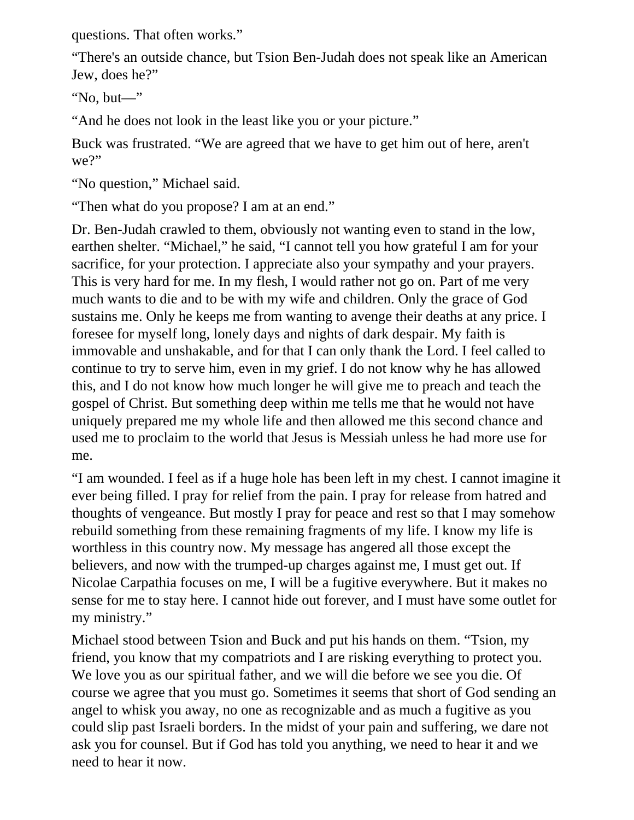questions. That often works."

"There's an outside chance, but Tsion Ben-Judah does not speak like an American Jew, does he?"

"No, but—"

"And he does not look in the least like you or your picture."

Buck was frustrated. "We are agreed that we have to get him out of here, aren't we?"

"No question," Michael said.

"Then what do you propose? I am at an end."

Dr. Ben-Judah crawled to them, obviously not wanting even to stand in the low, earthen shelter. "Michael," he said, "I cannot tell you how grateful I am for your sacrifice, for your protection. I appreciate also your sympathy and your prayers. This is very hard for me. In my flesh, I would rather not go on. Part of me very much wants to die and to be with my wife and children. Only the grace of God sustains me. Only he keeps me from wanting to avenge their deaths at any price. I foresee for myself long, lonely days and nights of dark despair. My faith is immovable and unshakable, and for that I can only thank the Lord. I feel called to continue to try to serve him, even in my grief. I do not know why he has allowed this, and I do not know how much longer he will give me to preach and teach the gospel of Christ. But something deep within me tells me that he would not have uniquely prepared me my whole life and then allowed me this second chance and used me to proclaim to the world that Jesus is Messiah unless he had more use for me.

"I am wounded. I feel as if a huge hole has been left in my chest. I cannot imagine it ever being filled. I pray for relief from the pain. I pray for release from hatred and thoughts of vengeance. But mostly I pray for peace and rest so that I may somehow rebuild something from these remaining fragments of my life. I know my life is worthless in this country now. My message has angered all those except the believers, and now with the trumped-up charges against me, I must get out. If Nicolae Carpathia focuses on me, I will be a fugitive everywhere. But it makes no sense for me to stay here. I cannot hide out forever, and I must have some outlet for my ministry."

Michael stood between Tsion and Buck and put his hands on them. "Tsion, my friend, you know that my compatriots and I are risking everything to protect you. We love you as our spiritual father, and we will die before we see you die. Of course we agree that you must go. Sometimes it seems that short of God sending an angel to whisk you away, no one as recognizable and as much a fugitive as you could slip past Israeli borders. In the midst of your pain and suffering, we dare not ask you for counsel. But if God has told you anything, we need to hear it and we need to hear it now.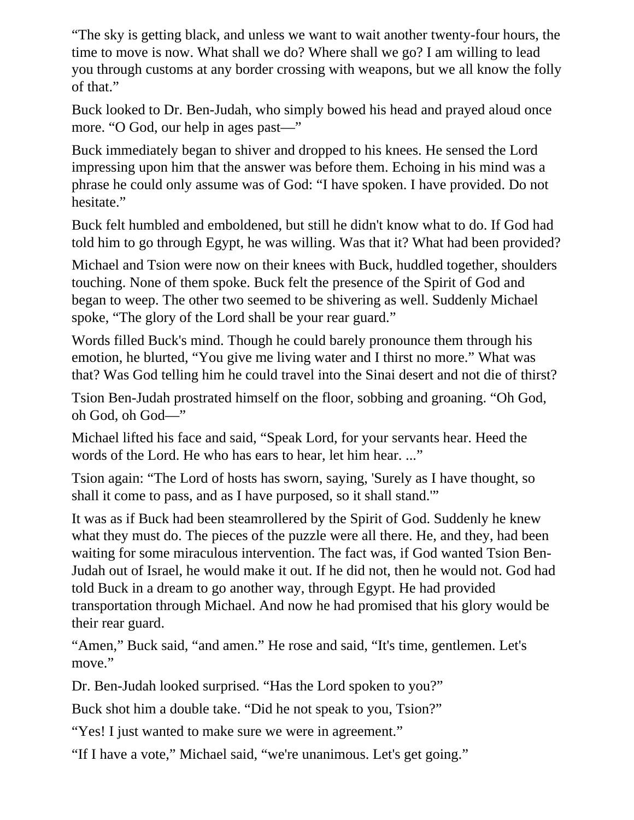"The sky is getting black, and unless we want to wait another twenty-four hours, the time to move is now. What shall we do? Where shall we go? I am willing to lead you through customs at any border crossing with weapons, but we all know the folly of that."

Buck looked to Dr. Ben-Judah, who simply bowed his head and prayed aloud once more. "O God, our help in ages past—"

Buck immediately began to shiver and dropped to his knees. He sensed the Lord impressing upon him that the answer was before them. Echoing in his mind was a phrase he could only assume was of God: "I have spoken. I have provided. Do not hesitate."

Buck felt humbled and emboldened, but still he didn't know what to do. If God had told him to go through Egypt, he was willing. Was that it? What had been provided?

Michael and Tsion were now on their knees with Buck, huddled together, shoulders touching. None of them spoke. Buck felt the presence of the Spirit of God and began to weep. The other two seemed to be shivering as well. Suddenly Michael spoke, "The glory of the Lord shall be your rear guard."

Words filled Buck's mind. Though he could barely pronounce them through his emotion, he blurted, "You give me living water and I thirst no more." What was that? Was God telling him he could travel into the Sinai desert and not die of thirst?

Tsion Ben-Judah prostrated himself on the floor, sobbing and groaning. "Oh God, oh God, oh God—"

Michael lifted his face and said, "Speak Lord, for your servants hear. Heed the words of the Lord. He who has ears to hear, let him hear. ..."

Tsion again: "The Lord of hosts has sworn, saying, 'Surely as I have thought, so shall it come to pass, and as I have purposed, so it shall stand.'"

It was as if Buck had been steamrollered by the Spirit of God. Suddenly he knew what they must do. The pieces of the puzzle were all there. He, and they, had been waiting for some miraculous intervention. The fact was, if God wanted Tsion Ben-Judah out of Israel, he would make it out. If he did not, then he would not. God had told Buck in a dream to go another way, through Egypt. He had provided transportation through Michael. And now he had promised that his glory would be their rear guard.

"Amen," Buck said, "and amen." He rose and said, "It's time, gentlemen. Let's move."

Dr. Ben-Judah looked surprised. "Has the Lord spoken to you?"

Buck shot him a double take. "Did he not speak to you, Tsion?"

"Yes! I just wanted to make sure we were in agreement."

"If I have a vote," Michael said, "we're unanimous. Let's get going."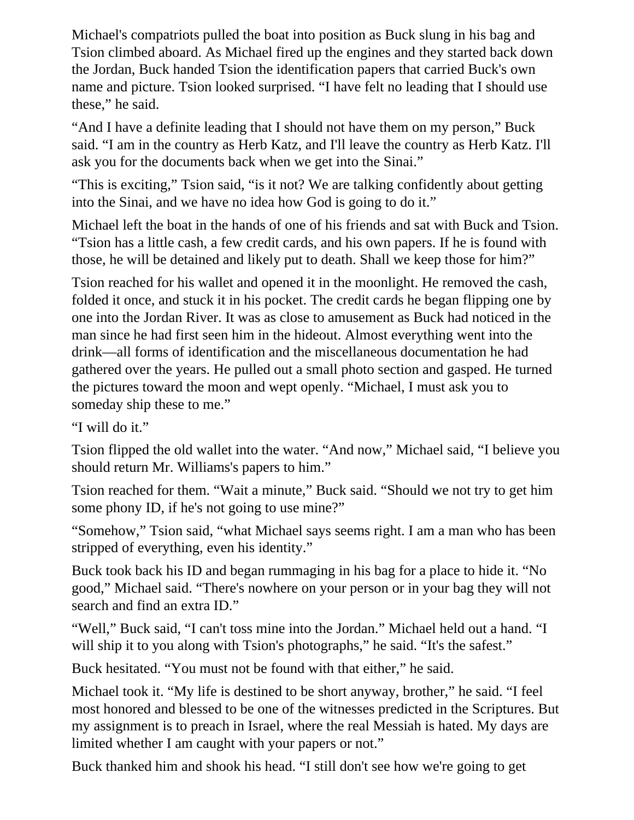Michael's compatriots pulled the boat into position as Buck slung in his bag and Tsion climbed aboard. As Michael fired up the engines and they started back down the Jordan, Buck handed Tsion the identification papers that carried Buck's own name and picture. Tsion looked surprised. "I have felt no leading that I should use these," he said.

"And I have a definite leading that I should not have them on my person," Buck said. "I am in the country as Herb Katz, and I'll leave the country as Herb Katz. I'll ask you for the documents back when we get into the Sinai."

"This is exciting," Tsion said, "is it not? We are talking confidently about getting into the Sinai, and we have no idea how God is going to do it."

Michael left the boat in the hands of one of his friends and sat with Buck and Tsion. "Tsion has a little cash, a few credit cards, and his own papers. If he is found with those, he will be detained and likely put to death. Shall we keep those for him?"

Tsion reached for his wallet and opened it in the moonlight. He removed the cash, folded it once, and stuck it in his pocket. The credit cards he began flipping one by one into the Jordan River. It was as close to amusement as Buck had noticed in the man since he had first seen him in the hideout. Almost everything went into the drink—all forms of identification and the miscellaneous documentation he had gathered over the years. He pulled out a small photo section and gasped. He turned the pictures toward the moon and wept openly. "Michael, I must ask you to someday ship these to me."

"I will do it."

Tsion flipped the old wallet into the water. "And now," Michael said, "I believe you should return Mr. Williams's papers to him."

Tsion reached for them. "Wait a minute," Buck said. "Should we not try to get him some phony ID, if he's not going to use mine?"

"Somehow," Tsion said, "what Michael says seems right. I am a man who has been stripped of everything, even his identity."

Buck took back his ID and began rummaging in his bag for a place to hide it. "No good," Michael said. "There's nowhere on your person or in your bag they will not search and find an extra ID."

"Well," Buck said, "I can't toss mine into the Jordan." Michael held out a hand. "I will ship it to you along with Tsion's photographs," he said. "It's the safest."

Buck hesitated. "You must not be found with that either," he said.

Michael took it. "My life is destined to be short anyway, brother," he said. "I feel most honored and blessed to be one of the witnesses predicted in the Scriptures. But my assignment is to preach in Israel, where the real Messiah is hated. My days are limited whether I am caught with your papers or not."

Buck thanked him and shook his head. "I still don't see how we're going to get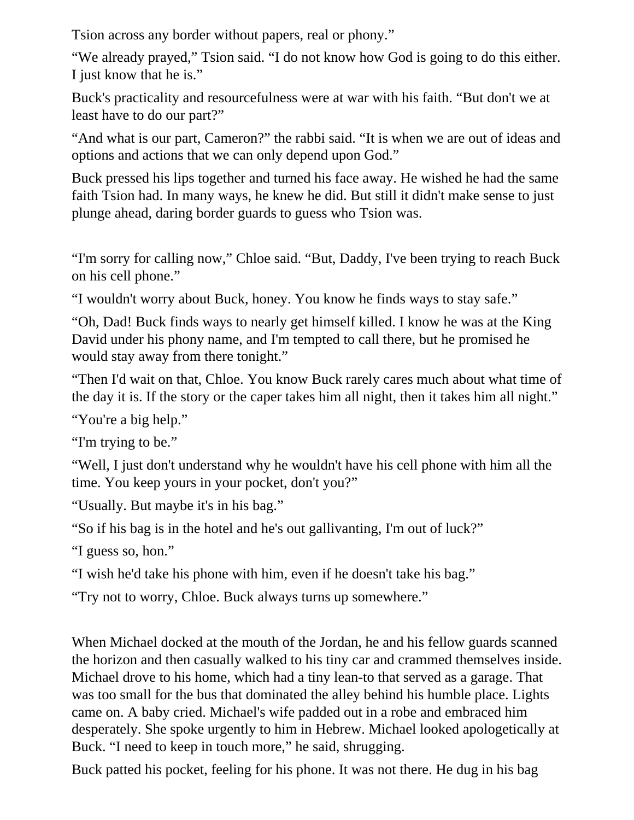Tsion across any border without papers, real or phony."

"We already prayed," Tsion said. "I do not know how God is going to do this either. I just know that he is."

Buck's practicality and resourcefulness were at war with his faith. "But don't we at least have to do our part?"

"And what is our part, Cameron?" the rabbi said. "It is when we are out of ideas and options and actions that we can only depend upon God."

Buck pressed his lips together and turned his face away. He wished he had the same faith Tsion had. In many ways, he knew he did. But still it didn't make sense to just plunge ahead, daring border guards to guess who Tsion was.

"I'm sorry for calling now," Chloe said. "But, Daddy, I've been trying to reach Buck on his cell phone."

"I wouldn't worry about Buck, honey. You know he finds ways to stay safe."

"Oh, Dad! Buck finds ways to nearly get himself killed. I know he was at the King David under his phony name, and I'm tempted to call there, but he promised he would stay away from there tonight."

"Then I'd wait on that, Chloe. You know Buck rarely cares much about what time of the day it is. If the story or the caper takes him all night, then it takes him all night."

"You're a big help."

"I'm trying to be."

"Well, I just don't understand why he wouldn't have his cell phone with him all the time. You keep yours in your pocket, don't you?"

"Usually. But maybe it's in his bag."

"So if his bag is in the hotel and he's out gallivanting, I'm out of luck?"

"I guess so, hon."

"I wish he'd take his phone with him, even if he doesn't take his bag."

"Try not to worry, Chloe. Buck always turns up somewhere."

When Michael docked at the mouth of the Jordan, he and his fellow guards scanned the horizon and then casually walked to his tiny car and crammed themselves inside. Michael drove to his home, which had a tiny lean-to that served as a garage. That was too small for the bus that dominated the alley behind his humble place. Lights came on. A baby cried. Michael's wife padded out in a robe and embraced him desperately. She spoke urgently to him in Hebrew. Michael looked apologetically at Buck. "I need to keep in touch more," he said, shrugging.

Buck patted his pocket, feeling for his phone. It was not there. He dug in his bag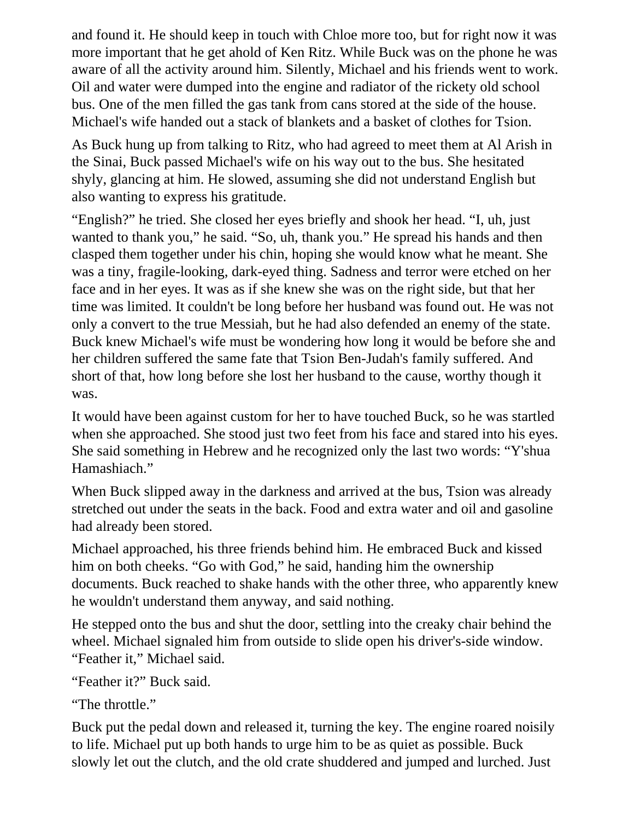and found it. He should keep in touch with Chloe more too, but for right now it was more important that he get ahold of Ken Ritz. While Buck was on the phone he was aware of all the activity around him. Silently, Michael and his friends went to work. Oil and water were dumped into the engine and radiator of the rickety old school bus. One of the men filled the gas tank from cans stored at the side of the house. Michael's wife handed out a stack of blankets and a basket of clothes for Tsion.

As Buck hung up from talking to Ritz, who had agreed to meet them at Al Arish in the Sinai, Buck passed Michael's wife on his way out to the bus. She hesitated shyly, glancing at him. He slowed, assuming she did not understand English but also wanting to express his gratitude.

"English?" he tried. She closed her eyes briefly and shook her head. "I, uh, just wanted to thank you," he said. "So, uh, thank you." He spread his hands and then clasped them together under his chin, hoping she would know what he meant. She was a tiny, fragile-looking, dark-eyed thing. Sadness and terror were etched on her face and in her eyes. It was as if she knew she was on the right side, but that her time was limited. It couldn't be long before her husband was found out. He was not only a convert to the true Messiah, but he had also defended an enemy of the state. Buck knew Michael's wife must be wondering how long it would be before she and her children suffered the same fate that Tsion Ben-Judah's family suffered. And short of that, how long before she lost her husband to the cause, worthy though it was.

It would have been against custom for her to have touched Buck, so he was startled when she approached. She stood just two feet from his face and stared into his eyes. She said something in Hebrew and he recognized only the last two words: "Y'shua Hamashiach."

When Buck slipped away in the darkness and arrived at the bus, Tsion was already stretched out under the seats in the back. Food and extra water and oil and gasoline had already been stored.

Michael approached, his three friends behind him. He embraced Buck and kissed him on both cheeks. "Go with God," he said, handing him the ownership documents. Buck reached to shake hands with the other three, who apparently knew he wouldn't understand them anyway, and said nothing.

He stepped onto the bus and shut the door, settling into the creaky chair behind the wheel. Michael signaled him from outside to slide open his driver's-side window. "Feather it," Michael said.

"Feather it?" Buck said.

```
"The throttle."
```
Buck put the pedal down and released it, turning the key. The engine roared noisily to life. Michael put up both hands to urge him to be as quiet as possible. Buck slowly let out the clutch, and the old crate shuddered and jumped and lurched. Just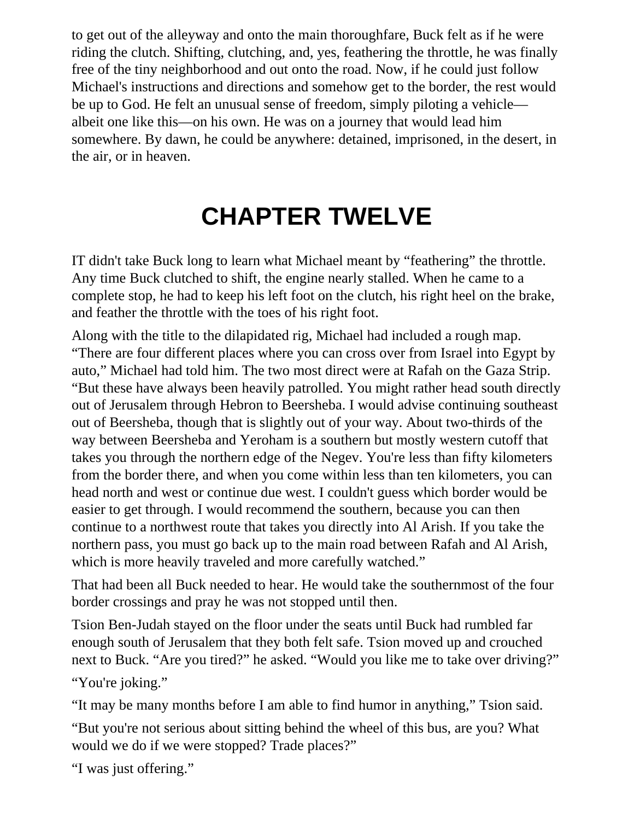to get out of the alleyway and onto the main thoroughfare, Buck felt as if he were riding the clutch. Shifting, clutching, and, yes, feathering the throttle, he was finally free of the tiny neighborhood and out onto the road. Now, if he could just follow Michael's instructions and directions and somehow get to the border, the rest would be up to God. He felt an unusual sense of freedom, simply piloting a vehicle albeit one like this—on his own. He was on a journey that would lead him somewhere. By dawn, he could be anywhere: detained, imprisoned, in the desert, in the air, or in heaven.

## **CHAPTER TWELVE**

IT didn't take Buck long to learn what Michael meant by "feathering" the throttle. Any time Buck clutched to shift, the engine nearly stalled. When he came to a complete stop, he had to keep his left foot on the clutch, his right heel on the brake, and feather the throttle with the toes of his right foot.

Along with the title to the dilapidated rig, Michael had included a rough map. "There are four different places where you can cross over from Israel into Egypt by auto," Michael had told him. The two most direct were at Rafah on the Gaza Strip. "But these have always been heavily patrolled. You might rather head south directly out of Jerusalem through Hebron to Beersheba. I would advise continuing southeast out of Beersheba, though that is slightly out of your way. About two-thirds of the way between Beersheba and Yeroham is a southern but mostly western cutoff that takes you through the northern edge of the Negev. You're less than fifty kilometers from the border there, and when you come within less than ten kilometers, you can head north and west or continue due west. I couldn't guess which border would be easier to get through. I would recommend the southern, because you can then continue to a northwest route that takes you directly into Al Arish. If you take the northern pass, you must go back up to the main road between Rafah and Al Arish, which is more heavily traveled and more carefully watched."

That had been all Buck needed to hear. He would take the southernmost of the four border crossings and pray he was not stopped until then.

Tsion Ben-Judah stayed on the floor under the seats until Buck had rumbled far enough south of Jerusalem that they both felt safe. Tsion moved up and crouched next to Buck. "Are you tired?" he asked. "Would you like me to take over driving?" "You're joking."

"It may be many months before I am able to find humor in anything," Tsion said.

"But you're not serious about sitting behind the wheel of this bus, are you? What would we do if we were stopped? Trade places?"

"I was just offering."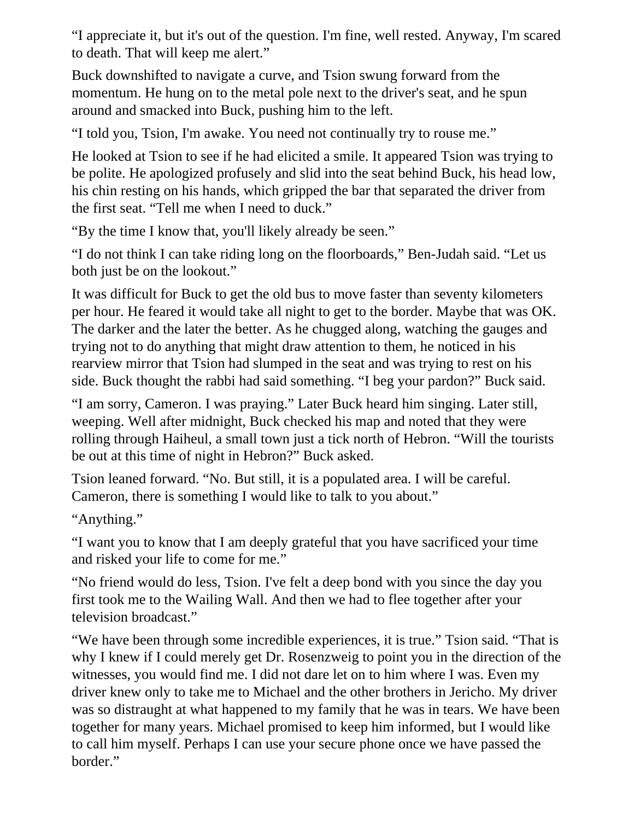"I appreciate it, but it's out of the question. I'm fine, well rested. Anyway, I'm scared to death. That will keep me alert."

Buck downshifted to navigate a curve, and Tsion swung forward from the momentum. He hung on to the metal pole next to the driver's seat, and he spun around and smacked into Buck, pushing him to the left.

"I told you, Tsion, I'm awake. You need not continually try to rouse me."

He looked at Tsion to see if he had elicited a smile. It appeared Tsion was trying to be polite. He apologized profusely and slid into the seat behind Buck, his head low, his chin resting on his hands, which gripped the bar that separated the driver from the first seat. "Tell me when I need to duck."

"By the time I know that, you'll likely already be seen."

"I do not think I can take riding long on the floorboards," Ben-Judah said. "Let us both just be on the lookout."

It was difficult for Buck to get the old bus to move faster than seventy kilometers per hour. He feared it would take all night to get to the border. Maybe that was OK. The darker and the later the better. As he chugged along, watching the gauges and trying not to do anything that might draw attention to them, he noticed in his rearview mirror that Tsion had slumped in the seat and was trying to rest on his side. Buck thought the rabbi had said something. "I beg your pardon?" Buck said.

"I am sorry, Cameron. I was praying." Later Buck heard him singing. Later still, weeping. Well after midnight, Buck checked his map and noted that they were rolling through Haiheul, a small town just a tick north of Hebron. "Will the tourists be out at this time of night in Hebron?" Buck asked.

Tsion leaned forward. "No. But still, it is a populated area. I will be careful. Cameron, there is something I would like to talk to you about."

"Anything."

"I want you to know that I am deeply grateful that you have sacrificed your time and risked your life to come for me."

"No friend would do less, Tsion. I've felt a deep bond with you since the day you first took me to the Wailing Wall. And then we had to flee together after your television broadcast."

"We have been through some incredible experiences, it is true." Tsion said. "That is why I knew if I could merely get Dr. Rosenzweig to point you in the direction of the witnesses, you would find me. I did not dare let on to him where I was. Even my driver knew only to take me to Michael and the other brothers in Jericho. My driver was so distraught at what happened to my family that he was in tears. We have been together for many years. Michael promised to keep him informed, but I would like to call him myself. Perhaps I can use your secure phone once we have passed the border."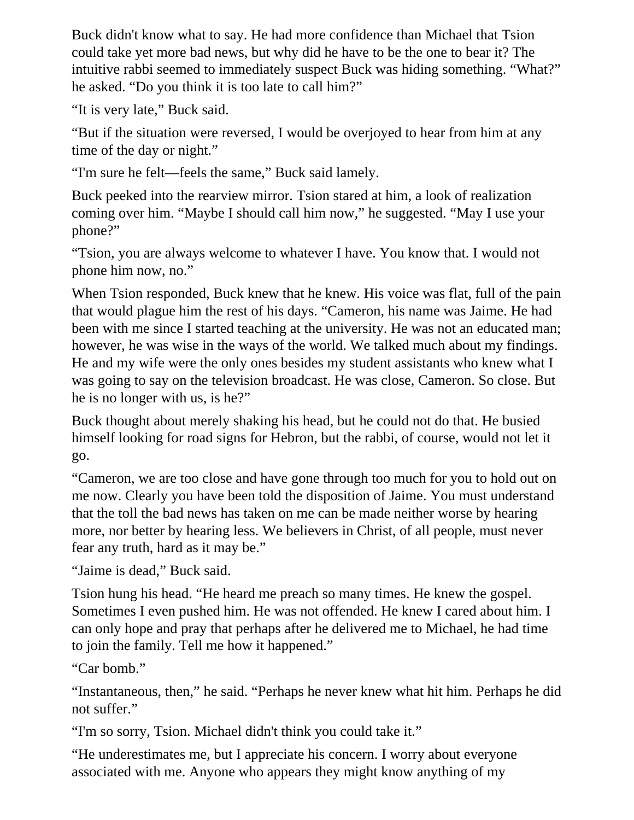Buck didn't know what to say. He had more confidence than Michael that Tsion could take yet more bad news, but why did he have to be the one to bear it? The intuitive rabbi seemed to immediately suspect Buck was hiding something. "What?" he asked. "Do you think it is too late to call him?"

"It is very late," Buck said.

"But if the situation were reversed, I would be overjoyed to hear from him at any time of the day or night."

"I'm sure he felt—feels the same," Buck said lamely.

Buck peeked into the rearview mirror. Tsion stared at him, a look of realization coming over him. "Maybe I should call him now," he suggested. "May I use your phone?"

"Tsion, you are always welcome to whatever I have. You know that. I would not phone him now, no."

When Tsion responded, Buck knew that he knew. His voice was flat, full of the pain that would plague him the rest of his days. "Cameron, his name was Jaime. He had been with me since I started teaching at the university. He was not an educated man; however, he was wise in the ways of the world. We talked much about my findings. He and my wife were the only ones besides my student assistants who knew what I was going to say on the television broadcast. He was close, Cameron. So close. But he is no longer with us, is he?"

Buck thought about merely shaking his head, but he could not do that. He busied himself looking for road signs for Hebron, but the rabbi, of course, would not let it go.

"Cameron, we are too close and have gone through too much for you to hold out on me now. Clearly you have been told the disposition of Jaime. You must understand that the toll the bad news has taken on me can be made neither worse by hearing more, nor better by hearing less. We believers in Christ, of all people, must never fear any truth, hard as it may be."

"Jaime is dead," Buck said.

Tsion hung his head. "He heard me preach so many times. He knew the gospel. Sometimes I even pushed him. He was not offended. He knew I cared about him. I can only hope and pray that perhaps after he delivered me to Michael, he had time to join the family. Tell me how it happened."

"Car bomb."

"Instantaneous, then," he said. "Perhaps he never knew what hit him. Perhaps he did not suffer."

"I'm so sorry, Tsion. Michael didn't think you could take it."

"He underestimates me, but I appreciate his concern. I worry about everyone associated with me. Anyone who appears they might know anything of my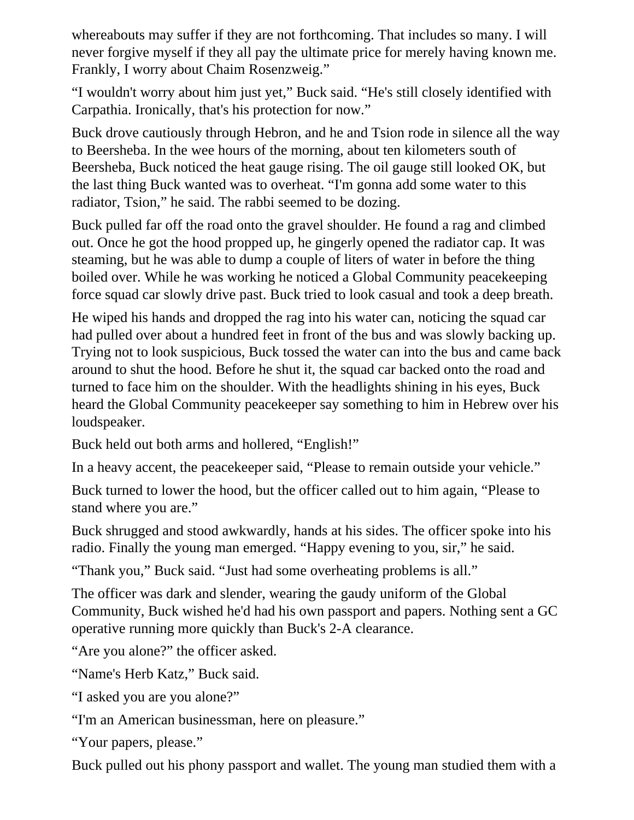whereabouts may suffer if they are not forthcoming. That includes so many. I will never forgive myself if they all pay the ultimate price for merely having known me. Frankly, I worry about Chaim Rosenzweig."

"I wouldn't worry about him just yet," Buck said. "He's still closely identified with Carpathia. Ironically, that's his protection for now."

Buck drove cautiously through Hebron, and he and Tsion rode in silence all the way to Beersheba. In the wee hours of the morning, about ten kilometers south of Beersheba, Buck noticed the heat gauge rising. The oil gauge still looked OK, but the last thing Buck wanted was to overheat. "I'm gonna add some water to this radiator, Tsion," he said. The rabbi seemed to be dozing.

Buck pulled far off the road onto the gravel shoulder. He found a rag and climbed out. Once he got the hood propped up, he gingerly opened the radiator cap. It was steaming, but he was able to dump a couple of liters of water in before the thing boiled over. While he was working he noticed a Global Community peacekeeping force squad car slowly drive past. Buck tried to look casual and took a deep breath.

He wiped his hands and dropped the rag into his water can, noticing the squad car had pulled over about a hundred feet in front of the bus and was slowly backing up. Trying not to look suspicious, Buck tossed the water can into the bus and came back around to shut the hood. Before he shut it, the squad car backed onto the road and turned to face him on the shoulder. With the headlights shining in his eyes, Buck heard the Global Community peacekeeper say something to him in Hebrew over his loudspeaker.

Buck held out both arms and hollered, "English!"

In a heavy accent, the peacekeeper said, "Please to remain outside your vehicle."

Buck turned to lower the hood, but the officer called out to him again, "Please to stand where you are."

Buck shrugged and stood awkwardly, hands at his sides. The officer spoke into his radio. Finally the young man emerged. "Happy evening to you, sir," he said.

"Thank you," Buck said. "Just had some overheating problems is all."

The officer was dark and slender, wearing the gaudy uniform of the Global Community, Buck wished he'd had his own passport and papers. Nothing sent a GC operative running more quickly than Buck's 2-A clearance.

"Are you alone?" the officer asked.

"Name's Herb Katz," Buck said.

"I asked you are you alone?"

"I'm an American businessman, here on pleasure."

"Your papers, please."

Buck pulled out his phony passport and wallet. The young man studied them with a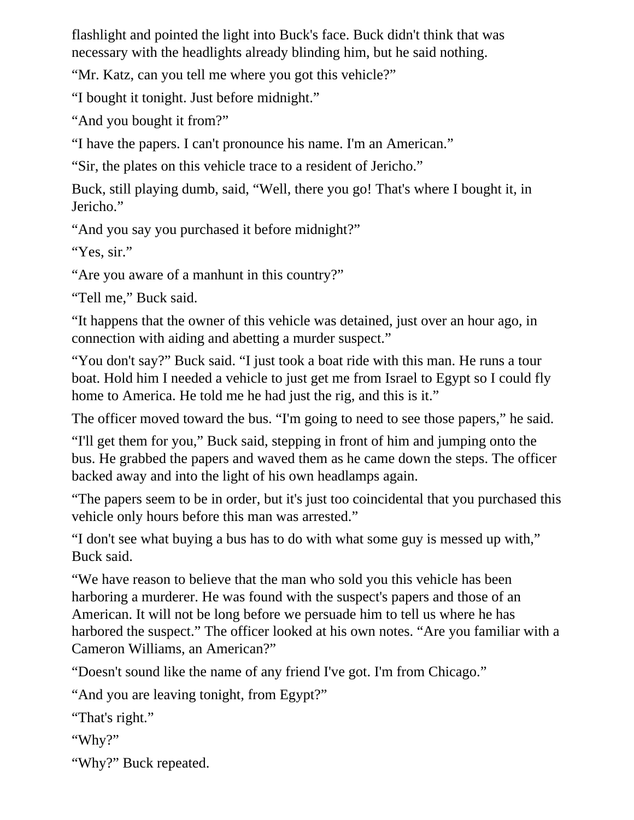flashlight and pointed the light into Buck's face. Buck didn't think that was necessary with the headlights already blinding him, but he said nothing.

"Mr. Katz, can you tell me where you got this vehicle?"

"I bought it tonight. Just before midnight."

"And you bought it from?"

"I have the papers. I can't pronounce his name. I'm an American."

"Sir, the plates on this vehicle trace to a resident of Jericho."

Buck, still playing dumb, said, "Well, there you go! That's where I bought it, in Jericho."

"And you say you purchased it before midnight?"

"Yes, sir."

"Are you aware of a manhunt in this country?"

"Tell me," Buck said.

"It happens that the owner of this vehicle was detained, just over an hour ago, in connection with aiding and abetting a murder suspect."

"You don't say?" Buck said. "I just took a boat ride with this man. He runs a tour boat. Hold him I needed a vehicle to just get me from Israel to Egypt so I could fly home to America. He told me he had just the rig, and this is it."

The officer moved toward the bus. "I'm going to need to see those papers," he said.

"I'll get them for you," Buck said, stepping in front of him and jumping onto the bus. He grabbed the papers and waved them as he came down the steps. The officer backed away and into the light of his own headlamps again.

"The papers seem to be in order, but it's just too coincidental that you purchased this vehicle only hours before this man was arrested."

"I don't see what buying a bus has to do with what some guy is messed up with," Buck said.

"We have reason to believe that the man who sold you this vehicle has been harboring a murderer. He was found with the suspect's papers and those of an American. It will not be long before we persuade him to tell us where he has harbored the suspect." The officer looked at his own notes. "Are you familiar with a Cameron Williams, an American?"

"Doesn't sound like the name of any friend I've got. I'm from Chicago."

"And you are leaving tonight, from Egypt?"

"That's right."

"Why?"

"Why?" Buck repeated.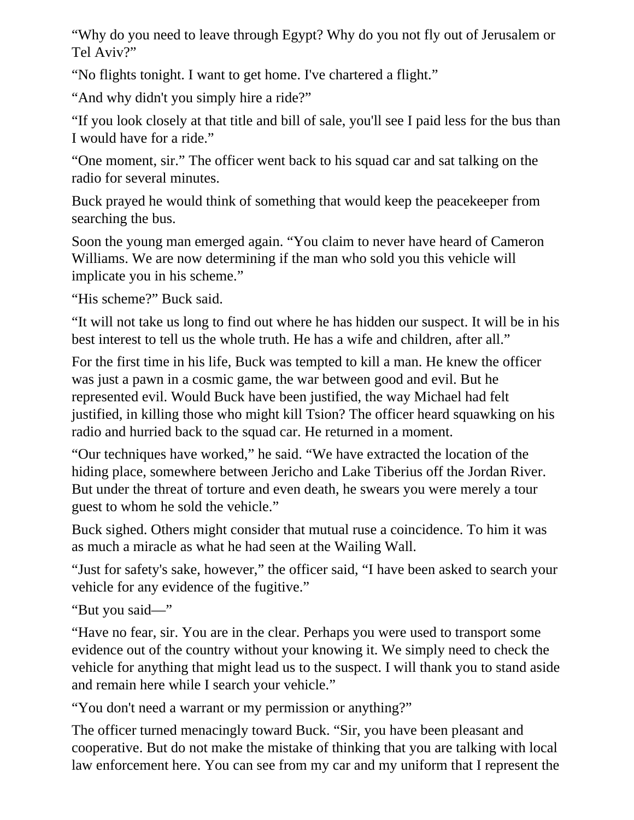"Why do you need to leave through Egypt? Why do you not fly out of Jerusalem or Tel Aviv?"

"No flights tonight. I want to get home. I've chartered a flight."

"And why didn't you simply hire a ride?"

"If you look closely at that title and bill of sale, you'll see I paid less for the bus than I would have for a ride."

"One moment, sir." The officer went back to his squad car and sat talking on the radio for several minutes.

Buck prayed he would think of something that would keep the peacekeeper from searching the bus.

Soon the young man emerged again. "You claim to never have heard of Cameron Williams. We are now determining if the man who sold you this vehicle will implicate you in his scheme."

"His scheme?" Buck said.

"It will not take us long to find out where he has hidden our suspect. It will be in his best interest to tell us the whole truth. He has a wife and children, after all."

For the first time in his life, Buck was tempted to kill a man. He knew the officer was just a pawn in a cosmic game, the war between good and evil. But he represented evil. Would Buck have been justified, the way Michael had felt justified, in killing those who might kill Tsion? The officer heard squawking on his radio and hurried back to the squad car. He returned in a moment.

"Our techniques have worked," he said. "We have extracted the location of the hiding place, somewhere between Jericho and Lake Tiberius off the Jordan River. But under the threat of torture and even death, he swears you were merely a tour guest to whom he sold the vehicle."

Buck sighed. Others might consider that mutual ruse a coincidence. To him it was as much a miracle as what he had seen at the Wailing Wall.

"Just for safety's sake, however," the officer said, "I have been asked to search your vehicle for any evidence of the fugitive."

"But you said—"

"Have no fear, sir. You are in the clear. Perhaps you were used to transport some evidence out of the country without your knowing it. We simply need to check the vehicle for anything that might lead us to the suspect. I will thank you to stand aside and remain here while I search your vehicle."

"You don't need a warrant or my permission or anything?"

The officer turned menacingly toward Buck. "Sir, you have been pleasant and cooperative. But do not make the mistake of thinking that you are talking with local law enforcement here. You can see from my car and my uniform that I represent the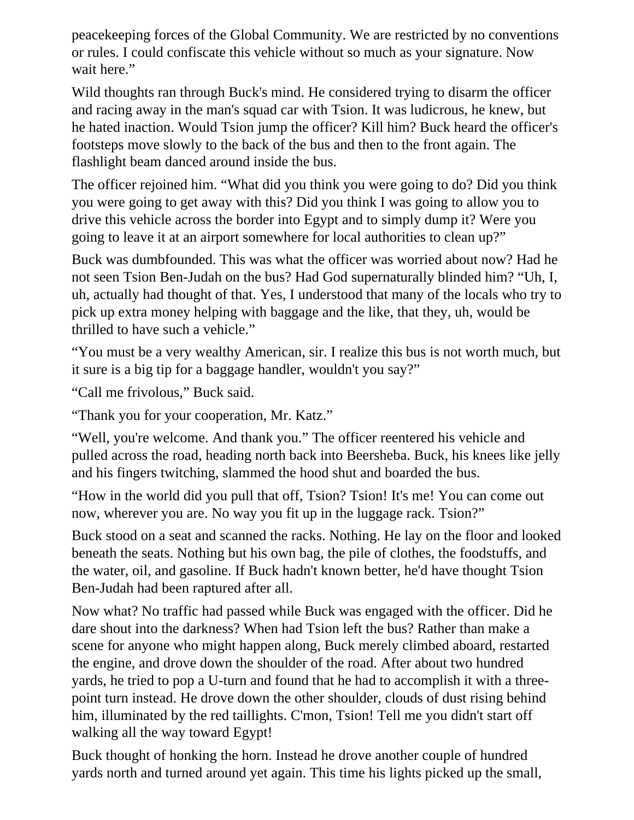peacekeeping forces of the Global Community. We are restricted by no conventions or rules. I could confiscate this vehicle without so much as your signature. Now wait here."

Wild thoughts ran through Buck's mind. He considered trying to disarm the officer and racing away in the man's squad car with Tsion. It was ludicrous, he knew, but he hated inaction. Would Tsion jump the officer? Kill him? Buck heard the officer's footsteps move slowly to the back of the bus and then to the front again. The flashlight beam danced around inside the bus.

The officer rejoined him. "What did you think you were going to do? Did you think you were going to get away with this? Did you think I was going to allow you to drive this vehicle across the border into Egypt and to simply dump it? Were you going to leave it at an airport somewhere for local authorities to clean up?"

Buck was dumbfounded. This was what the officer was worried about now? Had he not seen Tsion Ben-Judah on the bus? Had God supernaturally blinded him? "Uh, I, uh, actually had thought of that. Yes, I understood that many of the locals who try to pick up extra money helping with baggage and the like, that they, uh, would be thrilled to have such a vehicle."

"You must be a very wealthy American, sir. I realize this bus is not worth much, but it sure is a big tip for a baggage handler, wouldn't you say?"

"Call me frivolous," Buck said.

"Thank you for your cooperation, Mr. Katz."

"Well, you're welcome. And thank you." The officer reentered his vehicle and pulled across the road, heading north back into Beersheba. Buck, his knees like jelly and his fingers twitching, slammed the hood shut and boarded the bus.

"How in the world did you pull that off, Tsion? Tsion! It's me! You can come out now, wherever you are. No way you fit up in the luggage rack. Tsion?"

Buck stood on a seat and scanned the racks. Nothing. He lay on the floor and looked beneath the seats. Nothing but his own bag, the pile of clothes, the foodstuffs, and the water, oil, and gasoline. If Buck hadn't known better, he'd have thought Tsion Ben-Judah had been raptured after all.

Now what? No traffic had passed while Buck was engaged with the officer. Did he dare shout into the darkness? When had Tsion left the bus? Rather than make a scene for anyone who might happen along, Buck merely climbed aboard, restarted the engine, and drove down the shoulder of the road. After about two hundred yards, he tried to pop a U-turn and found that he had to accomplish it with a threepoint turn instead. He drove down the other shoulder, clouds of dust rising behind him, illuminated by the red taillights. C'mon, Tsion! Tell me you didn't start off walking all the way toward Egypt!

Buck thought of honking the horn. Instead he drove another couple of hundred yards north and turned around yet again. This time his lights picked up the small,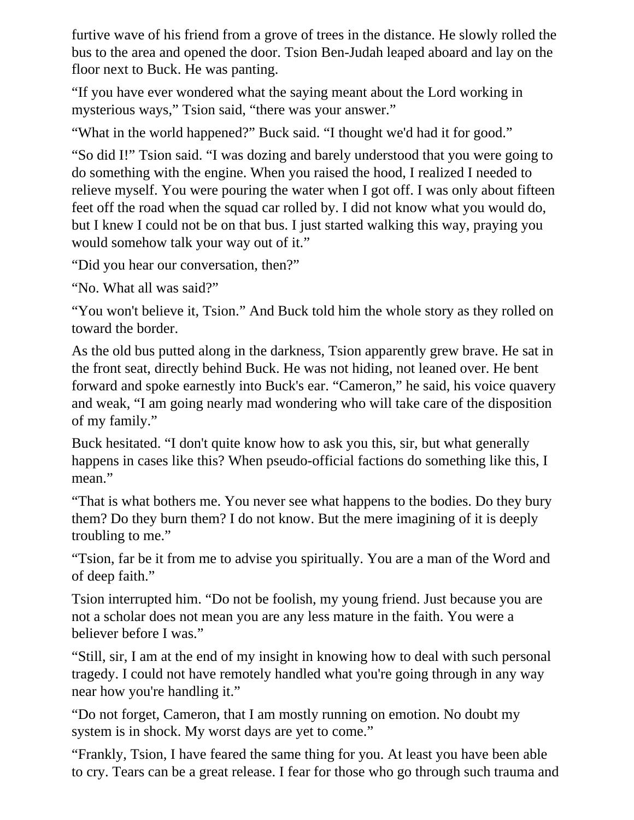furtive wave of his friend from a grove of trees in the distance. He slowly rolled the bus to the area and opened the door. Tsion Ben-Judah leaped aboard and lay on the floor next to Buck. He was panting.

"If you have ever wondered what the saying meant about the Lord working in mysterious ways," Tsion said, "there was your answer."

"What in the world happened?" Buck said. "I thought we'd had it for good."

"So did I!" Tsion said. "I was dozing and barely understood that you were going to do something with the engine. When you raised the hood, I realized I needed to relieve myself. You were pouring the water when I got off. I was only about fifteen feet off the road when the squad car rolled by. I did not know what you would do, but I knew I could not be on that bus. I just started walking this way, praying you would somehow talk your way out of it."

"Did you hear our conversation, then?"

"No. What all was said?"

"You won't believe it, Tsion." And Buck told him the whole story as they rolled on toward the border.

As the old bus putted along in the darkness, Tsion apparently grew brave. He sat in the front seat, directly behind Buck. He was not hiding, not leaned over. He bent forward and spoke earnestly into Buck's ear. "Cameron," he said, his voice quavery and weak, "I am going nearly mad wondering who will take care of the disposition of my family."

Buck hesitated. "I don't quite know how to ask you this, sir, but what generally happens in cases like this? When pseudo-official factions do something like this, I mean."

"That is what bothers me. You never see what happens to the bodies. Do they bury them? Do they burn them? I do not know. But the mere imagining of it is deeply troubling to me."

"Tsion, far be it from me to advise you spiritually. You are a man of the Word and of deep faith."

Tsion interrupted him. "Do not be foolish, my young friend. Just because you are not a scholar does not mean you are any less mature in the faith. You were a believer before I was."

"Still, sir, I am at the end of my insight in knowing how to deal with such personal tragedy. I could not have remotely handled what you're going through in any way near how you're handling it."

"Do not forget, Cameron, that I am mostly running on emotion. No doubt my system is in shock. My worst days are yet to come."

"Frankly, Tsion, I have feared the same thing for you. At least you have been able to cry. Tears can be a great release. I fear for those who go through such trauma and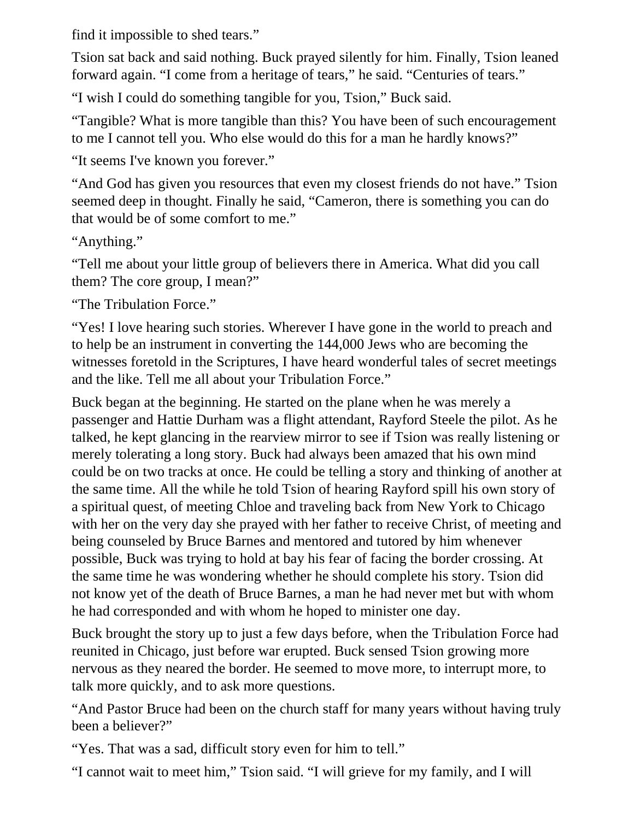find it impossible to shed tears."

Tsion sat back and said nothing. Buck prayed silently for him. Finally, Tsion leaned forward again. "I come from a heritage of tears," he said. "Centuries of tears."

"I wish I could do something tangible for you, Tsion," Buck said.

"Tangible? What is more tangible than this? You have been of such encouragement to me I cannot tell you. Who else would do this for a man he hardly knows?"

"It seems I've known you forever."

"And God has given you resources that even my closest friends do not have." Tsion seemed deep in thought. Finally he said, "Cameron, there is something you can do that would be of some comfort to me."

"Anything."

"Tell me about your little group of believers there in America. What did you call them? The core group, I mean?"

"The Tribulation Force."

"Yes! I love hearing such stories. Wherever I have gone in the world to preach and to help be an instrument in converting the 144,000 Jews who are becoming the witnesses foretold in the Scriptures, I have heard wonderful tales of secret meetings and the like. Tell me all about your Tribulation Force."

Buck began at the beginning. He started on the plane when he was merely a passenger and Hattie Durham was a flight attendant, Rayford Steele the pilot. As he talked, he kept glancing in the rearview mirror to see if Tsion was really listening or merely tolerating a long story. Buck had always been amazed that his own mind could be on two tracks at once. He could be telling a story and thinking of another at the same time. All the while he told Tsion of hearing Rayford spill his own story of a spiritual quest, of meeting Chloe and traveling back from New York to Chicago with her on the very day she prayed with her father to receive Christ, of meeting and being counseled by Bruce Barnes and mentored and tutored by him whenever possible, Buck was trying to hold at bay his fear of facing the border crossing. At the same time he was wondering whether he should complete his story. Tsion did not know yet of the death of Bruce Barnes, a man he had never met but with whom he had corresponded and with whom he hoped to minister one day.

Buck brought the story up to just a few days before, when the Tribulation Force had reunited in Chicago, just before war erupted. Buck sensed Tsion growing more nervous as they neared the border. He seemed to move more, to interrupt more, to talk more quickly, and to ask more questions.

"And Pastor Bruce had been on the church staff for many years without having truly been a believer?"

"Yes. That was a sad, difficult story even for him to tell."

"I cannot wait to meet him," Tsion said. "I will grieve for my family, and I will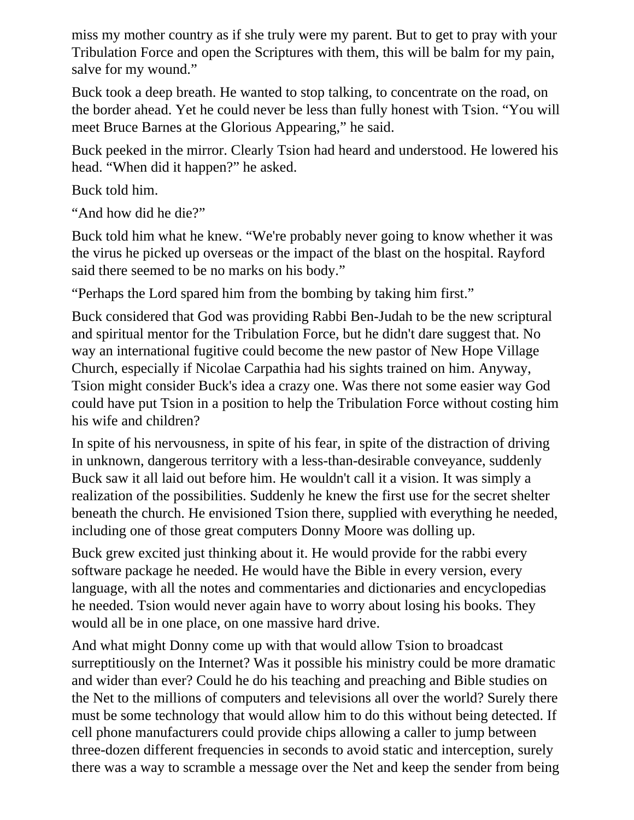miss my mother country as if she truly were my parent. But to get to pray with your Tribulation Force and open the Scriptures with them, this will be balm for my pain, salve for my wound."

Buck took a deep breath. He wanted to stop talking, to concentrate on the road, on the border ahead. Yet he could never be less than fully honest with Tsion. "You will meet Bruce Barnes at the Glorious Appearing," he said.

Buck peeked in the mirror. Clearly Tsion had heard and understood. He lowered his head. "When did it happen?" he asked.

Buck told him.

"And how did he die?"

Buck told him what he knew. "We're probably never going to know whether it was the virus he picked up overseas or the impact of the blast on the hospital. Rayford said there seemed to be no marks on his body."

"Perhaps the Lord spared him from the bombing by taking him first."

Buck considered that God was providing Rabbi Ben-Judah to be the new scriptural and spiritual mentor for the Tribulation Force, but he didn't dare suggest that. No way an international fugitive could become the new pastor of New Hope Village Church, especially if Nicolae Carpathia had his sights trained on him. Anyway, Tsion might consider Buck's idea a crazy one. Was there not some easier way God could have put Tsion in a position to help the Tribulation Force without costing him his wife and children?

In spite of his nervousness, in spite of his fear, in spite of the distraction of driving in unknown, dangerous territory with a less-than-desirable conveyance, suddenly Buck saw it all laid out before him. He wouldn't call it a vision. It was simply a realization of the possibilities. Suddenly he knew the first use for the secret shelter beneath the church. He envisioned Tsion there, supplied with everything he needed, including one of those great computers Donny Moore was dolling up.

Buck grew excited just thinking about it. He would provide for the rabbi every software package he needed. He would have the Bible in every version, every language, with all the notes and commentaries and dictionaries and encyclopedias he needed. Tsion would never again have to worry about losing his books. They would all be in one place, on one massive hard drive.

And what might Donny come up with that would allow Tsion to broadcast surreptitiously on the Internet? Was it possible his ministry could be more dramatic and wider than ever? Could he do his teaching and preaching and Bible studies on the Net to the millions of computers and televisions all over the world? Surely there must be some technology that would allow him to do this without being detected. If cell phone manufacturers could provide chips allowing a caller to jump between three-dozen different frequencies in seconds to avoid static and interception, surely there was a way to scramble a message over the Net and keep the sender from being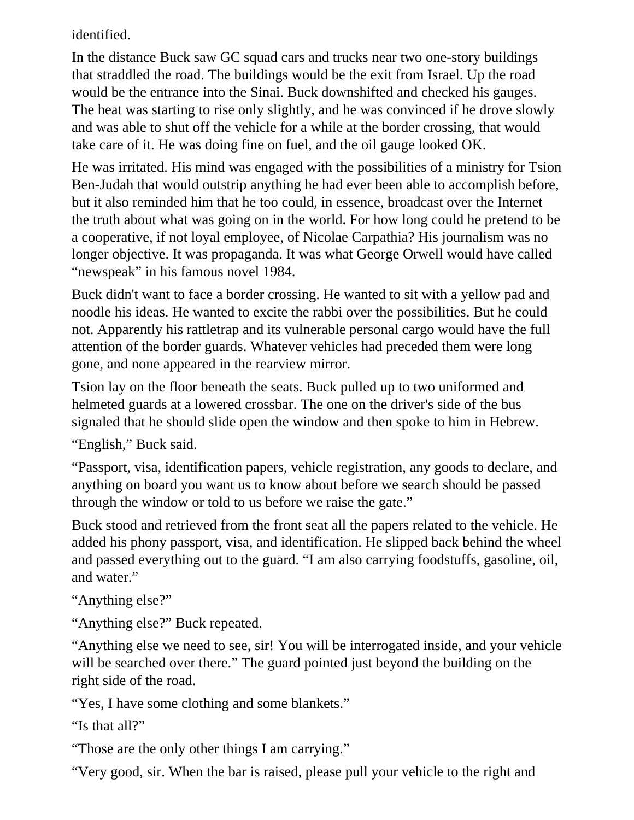identified.

In the distance Buck saw GC squad cars and trucks near two one-story buildings that straddled the road. The buildings would be the exit from Israel. Up the road would be the entrance into the Sinai. Buck downshifted and checked his gauges. The heat was starting to rise only slightly, and he was convinced if he drove slowly and was able to shut off the vehicle for a while at the border crossing, that would take care of it. He was doing fine on fuel, and the oil gauge looked OK.

He was irritated. His mind was engaged with the possibilities of a ministry for Tsion Ben-Judah that would outstrip anything he had ever been able to accomplish before, but it also reminded him that he too could, in essence, broadcast over the Internet the truth about what was going on in the world. For how long could he pretend to be a cooperative, if not loyal employee, of Nicolae Carpathia? His journalism was no longer objective. It was propaganda. It was what George Orwell would have called "newspeak" in his famous novel 1984.

Buck didn't want to face a border crossing. He wanted to sit with a yellow pad and noodle his ideas. He wanted to excite the rabbi over the possibilities. But he could not. Apparently his rattletrap and its vulnerable personal cargo would have the full attention of the border guards. Whatever vehicles had preceded them were long gone, and none appeared in the rearview mirror.

Tsion lay on the floor beneath the seats. Buck pulled up to two uniformed and helmeted guards at a lowered crossbar. The one on the driver's side of the bus signaled that he should slide open the window and then spoke to him in Hebrew.

"English," Buck said.

"Passport, visa, identification papers, vehicle registration, any goods to declare, and anything on board you want us to know about before we search should be passed through the window or told to us before we raise the gate."

Buck stood and retrieved from the front seat all the papers related to the vehicle. He added his phony passport, visa, and identification. He slipped back behind the wheel and passed everything out to the guard. "I am also carrying foodstuffs, gasoline, oil, and water."

"Anything else?"

"Anything else?" Buck repeated.

"Anything else we need to see, sir! You will be interrogated inside, and your vehicle will be searched over there." The guard pointed just beyond the building on the right side of the road.

"Yes, I have some clothing and some blankets."

"Is that all?"

"Those are the only other things I am carrying."

"Very good, sir. When the bar is raised, please pull your vehicle to the right and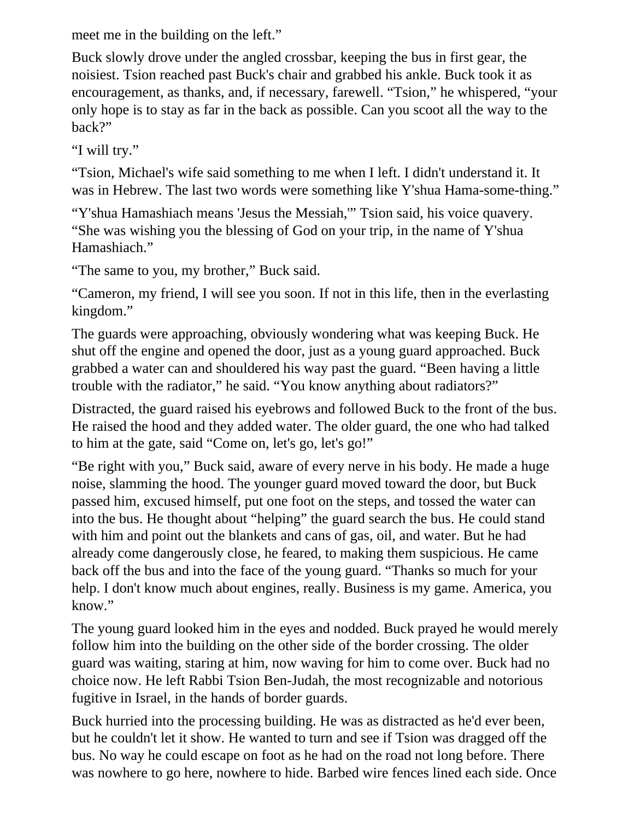meet me in the building on the left."

Buck slowly drove under the angled crossbar, keeping the bus in first gear, the noisiest. Tsion reached past Buck's chair and grabbed his ankle. Buck took it as encouragement, as thanks, and, if necessary, farewell. "Tsion," he whispered, "your only hope is to stay as far in the back as possible. Can you scoot all the way to the back?"

"I will try."

"Tsion, Michael's wife said something to me when I left. I didn't understand it. It was in Hebrew. The last two words were something like Y'shua Hama-some-thing."

"Y'shua Hamashiach means 'Jesus the Messiah,'" Tsion said, his voice quavery. "She was wishing you the blessing of God on your trip, in the name of Y'shua Hamashiach."

"The same to you, my brother," Buck said.

"Cameron, my friend, I will see you soon. If not in this life, then in the everlasting kingdom."

The guards were approaching, obviously wondering what was keeping Buck. He shut off the engine and opened the door, just as a young guard approached. Buck grabbed a water can and shouldered his way past the guard. "Been having a little trouble with the radiator," he said. "You know anything about radiators?"

Distracted, the guard raised his eyebrows and followed Buck to the front of the bus. He raised the hood and they added water. The older guard, the one who had talked to him at the gate, said "Come on, let's go, let's go!"

"Be right with you," Buck said, aware of every nerve in his body. He made a huge noise, slamming the hood. The younger guard moved toward the door, but Buck passed him, excused himself, put one foot on the steps, and tossed the water can into the bus. He thought about "helping" the guard search the bus. He could stand with him and point out the blankets and cans of gas, oil, and water. But he had already come dangerously close, he feared, to making them suspicious. He came back off the bus and into the face of the young guard. "Thanks so much for your help. I don't know much about engines, really. Business is my game. America, you know."

The young guard looked him in the eyes and nodded. Buck prayed he would merely follow him into the building on the other side of the border crossing. The older guard was waiting, staring at him, now waving for him to come over. Buck had no choice now. He left Rabbi Tsion Ben-Judah, the most recognizable and notorious fugitive in Israel, in the hands of border guards.

Buck hurried into the processing building. He was as distracted as he'd ever been, but he couldn't let it show. He wanted to turn and see if Tsion was dragged off the bus. No way he could escape on foot as he had on the road not long before. There was nowhere to go here, nowhere to hide. Barbed wire fences lined each side. Once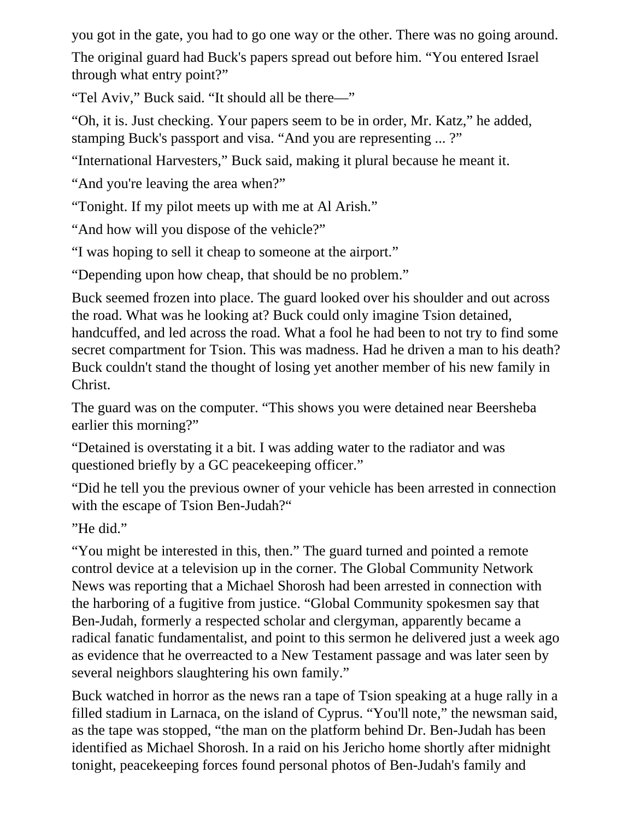you got in the gate, you had to go one way or the other. There was no going around.

The original guard had Buck's papers spread out before him. "You entered Israel through what entry point?"

"Tel Aviv," Buck said. "It should all be there—"

"Oh, it is. Just checking. Your papers seem to be in order, Mr. Katz," he added, stamping Buck's passport and visa. "And you are representing ... ?"

"International Harvesters," Buck said, making it plural because he meant it.

"And you're leaving the area when?"

"Tonight. If my pilot meets up with me at Al Arish."

"And how will you dispose of the vehicle?"

"I was hoping to sell it cheap to someone at the airport."

"Depending upon how cheap, that should be no problem."

Buck seemed frozen into place. The guard looked over his shoulder and out across the road. What was he looking at? Buck could only imagine Tsion detained, handcuffed, and led across the road. What a fool he had been to not try to find some secret compartment for Tsion. This was madness. Had he driven a man to his death? Buck couldn't stand the thought of losing yet another member of his new family in Christ.

The guard was on the computer. "This shows you were detained near Beersheba earlier this morning?"

"Detained is overstating it a bit. I was adding water to the radiator and was questioned briefly by a GC peacekeeping officer."

"Did he tell you the previous owner of your vehicle has been arrested in connection with the escape of Tsion Ben-Judah?"

"He did."

"You might be interested in this, then." The guard turned and pointed a remote control device at a television up in the corner. The Global Community Network News was reporting that a Michael Shorosh had been arrested in connection with the harboring of a fugitive from justice. "Global Community spokesmen say that Ben-Judah, formerly a respected scholar and clergyman, apparently became a radical fanatic fundamentalist, and point to this sermon he delivered just a week ago as evidence that he overreacted to a New Testament passage and was later seen by several neighbors slaughtering his own family."

Buck watched in horror as the news ran a tape of Tsion speaking at a huge rally in a filled stadium in Larnaca, on the island of Cyprus. "You'll note," the newsman said, as the tape was stopped, "the man on the platform behind Dr. Ben-Judah has been identified as Michael Shorosh. In a raid on his Jericho home shortly after midnight tonight, peacekeeping forces found personal photos of Ben-Judah's family and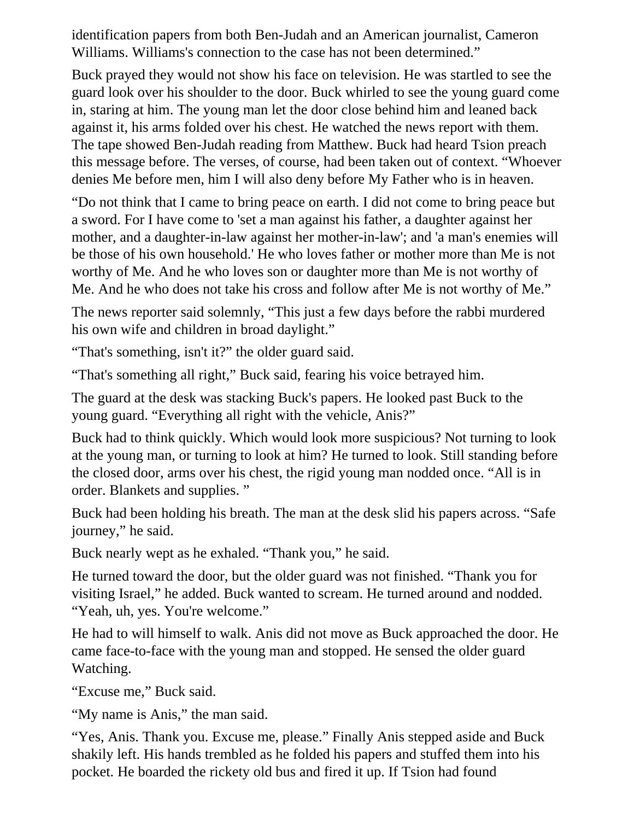identification papers from both Ben-Judah and an American journalist, Cameron Williams. Williams's connection to the case has not been determined."

Buck prayed they would not show his face on television. He was startled to see the guard look over his shoulder to the door. Buck whirled to see the young guard come in, staring at him. The young man let the door close behind him and leaned back against it, his arms folded over his chest. He watched the news report with them. The tape showed Ben-Judah reading from Matthew. Buck had heard Tsion preach this message before. The verses, of course, had been taken out of context. "Whoever denies Me before men, him I will also deny before My Father who is in heaven.

"Do not think that I came to bring peace on earth. I did not come to bring peace but a sword. For I have come to 'set a man against his father, a daughter against her mother, and a daughter-in-law against her mother-in-law'; and 'a man's enemies will be those of his own household.' He who loves father or mother more than Me is not worthy of Me. And he who loves son or daughter more than Me is not worthy of Me. And he who does not take his cross and follow after Me is not worthy of Me."

The news reporter said solemnly, "This just a few days before the rabbi murdered his own wife and children in broad daylight."

"That's something, isn't it?" the older guard said.

"That's something all right," Buck said, fearing his voice betrayed him.

The guard at the desk was stacking Buck's papers. He looked past Buck to the young guard. "Everything all right with the vehicle, Anis?"

Buck had to think quickly. Which would look more suspicious? Not turning to look at the young man, or turning to look at him? He turned to look. Still standing before the closed door, arms over his chest, the rigid young man nodded once. "All is in order. Blankets and supplies. "

Buck had been holding his breath. The man at the desk slid his papers across. "Safe journey," he said.

Buck nearly wept as he exhaled. "Thank you," he said.

He turned toward the door, but the older guard was not finished. "Thank you for visiting Israel," he added. Buck wanted to scream. He turned around and nodded. "Yeah, uh, yes. You're welcome."

He had to will himself to walk. Anis did not move as Buck approached the door. He came face-to-face with the young man and stopped. He sensed the older guard Watching.

"Excuse me," Buck said.

"My name is Anis," the man said.

"Yes, Anis. Thank you. Excuse me, please." Finally Anis stepped aside and Buck shakily left. His hands trembled as he folded his papers and stuffed them into his pocket. He boarded the rickety old bus and fired it up. If Tsion had found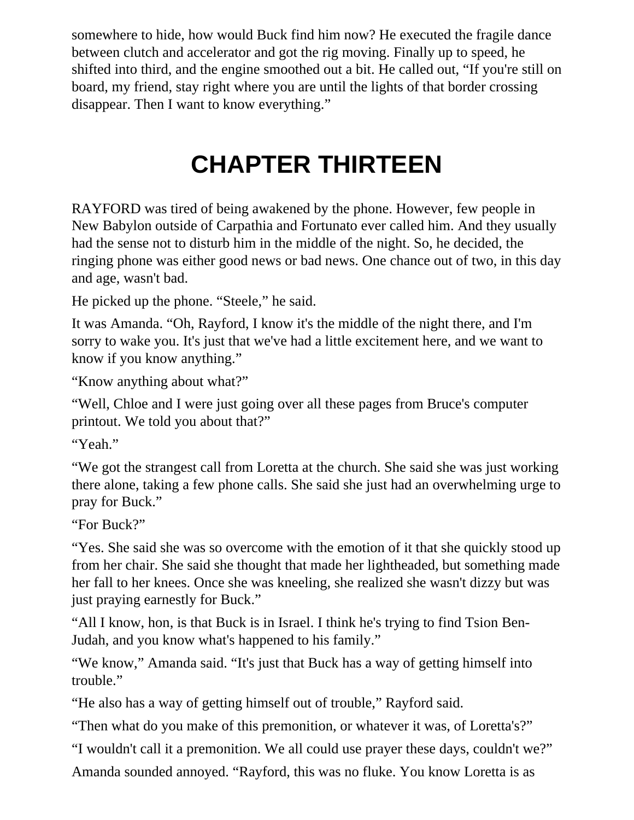somewhere to hide, how would Buck find him now? He executed the fragile dance between clutch and accelerator and got the rig moving. Finally up to speed, he shifted into third, and the engine smoothed out a bit. He called out, "If you're still on board, my friend, stay right where you are until the lights of that border crossing disappear. Then I want to know everything."

## **CHAPTER THIRTEEN**

RAYFORD was tired of being awakened by the phone. However, few people in New Babylon outside of Carpathia and Fortunato ever called him. And they usually had the sense not to disturb him in the middle of the night. So, he decided, the ringing phone was either good news or bad news. One chance out of two, in this day and age, wasn't bad.

He picked up the phone. "Steele," he said.

It was Amanda. "Oh, Rayford, I know it's the middle of the night there, and I'm sorry to wake you. It's just that we've had a little excitement here, and we want to know if you know anything."

"Know anything about what?"

"Well, Chloe and I were just going over all these pages from Bruce's computer printout. We told you about that?"

"Yeah."

"We got the strangest call from Loretta at the church. She said she was just working there alone, taking a few phone calls. She said she just had an overwhelming urge to pray for Buck."

"For Buck?"

"Yes. She said she was so overcome with the emotion of it that she quickly stood up from her chair. She said she thought that made her lightheaded, but something made her fall to her knees. Once she was kneeling, she realized she wasn't dizzy but was just praying earnestly for Buck."

"All I know, hon, is that Buck is in Israel. I think he's trying to find Tsion Ben-Judah, and you know what's happened to his family."

"We know," Amanda said. "It's just that Buck has a way of getting himself into trouble."

"He also has a way of getting himself out of trouble," Rayford said.

"Then what do you make of this premonition, or whatever it was, of Loretta's?"

"I wouldn't call it a premonition. We all could use prayer these days, couldn't we?"

Amanda sounded annoyed. "Rayford, this was no fluke. You know Loretta is as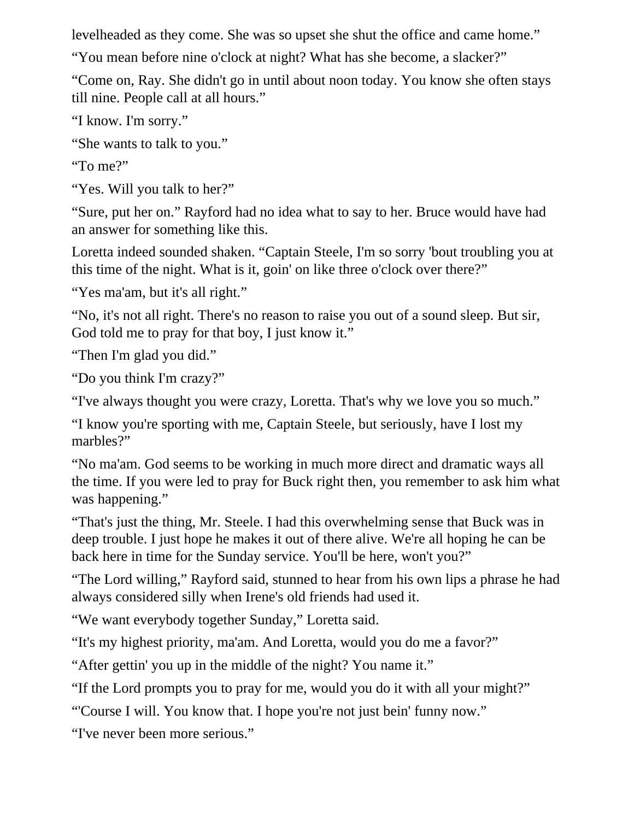levelheaded as they come. She was so upset she shut the office and came home."

"You mean before nine o'clock at night? What has she become, a slacker?"

"Come on, Ray. She didn't go in until about noon today. You know she often stays till nine. People call at all hours."

"I know. I'm sorry."

"She wants to talk to you."

"To me?"

"Yes. Will you talk to her?"

"Sure, put her on." Rayford had no idea what to say to her. Bruce would have had an answer for something like this.

Loretta indeed sounded shaken. "Captain Steele, I'm so sorry 'bout troubling you at this time of the night. What is it, goin' on like three o'clock over there?"

"Yes ma'am, but it's all right."

"No, it's not all right. There's no reason to raise you out of a sound sleep. But sir, God told me to pray for that boy, I just know it."

"Then I'm glad you did."

"Do you think I'm crazy?"

"I've always thought you were crazy, Loretta. That's why we love you so much."

"I know you're sporting with me, Captain Steele, but seriously, have I lost my marbles?"

"No ma'am. God seems to be working in much more direct and dramatic ways all the time. If you were led to pray for Buck right then, you remember to ask him what was happening."

"That's just the thing, Mr. Steele. I had this overwhelming sense that Buck was in deep trouble. I just hope he makes it out of there alive. We're all hoping he can be back here in time for the Sunday service. You'll be here, won't you?"

"The Lord willing," Rayford said, stunned to hear from his own lips a phrase he had always considered silly when Irene's old friends had used it.

"We want everybody together Sunday," Loretta said.

"It's my highest priority, ma'am. And Loretta, would you do me a favor?"

"After gettin' you up in the middle of the night? You name it."

"If the Lord prompts you to pray for me, would you do it with all your might?"

"'Course I will. You know that. I hope you're not just bein' funny now."

"I've never been more serious."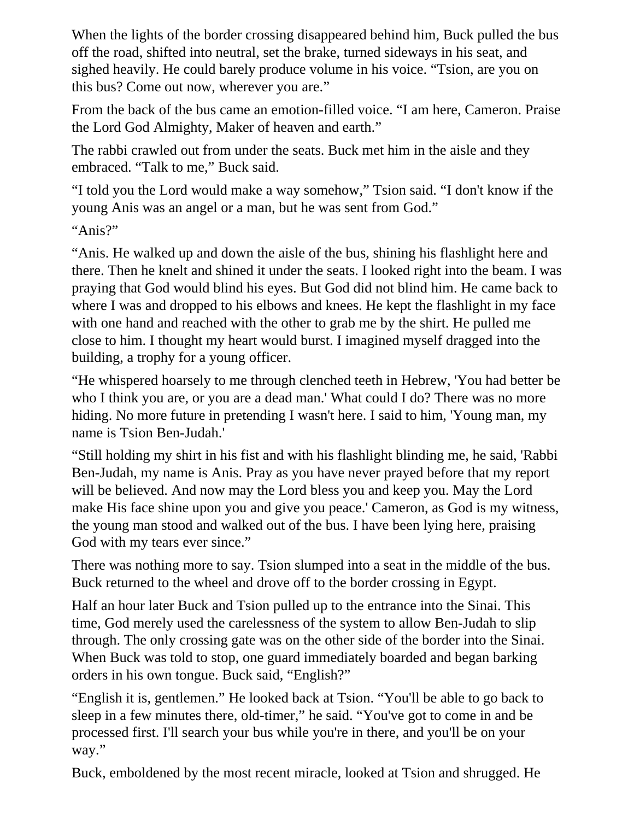When the lights of the border crossing disappeared behind him, Buck pulled the bus off the road, shifted into neutral, set the brake, turned sideways in his seat, and sighed heavily. He could barely produce volume in his voice. "Tsion, are you on this bus? Come out now, wherever you are."

From the back of the bus came an emotion-filled voice. "I am here, Cameron. Praise the Lord God Almighty, Maker of heaven and earth."

The rabbi crawled out from under the seats. Buck met him in the aisle and they embraced. "Talk to me," Buck said.

"I told you the Lord would make a way somehow," Tsion said. "I don't know if the young Anis was an angel or a man, but he was sent from God."

"Anis?"

"Anis. He walked up and down the aisle of the bus, shining his flashlight here and there. Then he knelt and shined it under the seats. I looked right into the beam. I was praying that God would blind his eyes. But God did not blind him. He came back to where I was and dropped to his elbows and knees. He kept the flashlight in my face with one hand and reached with the other to grab me by the shirt. He pulled me close to him. I thought my heart would burst. I imagined myself dragged into the building, a trophy for a young officer.

"He whispered hoarsely to me through clenched teeth in Hebrew, 'You had better be who I think you are, or you are a dead man.' What could I do? There was no more hiding. No more future in pretending I wasn't here. I said to him, 'Young man, my name is Tsion Ben-Judah.'

"Still holding my shirt in his fist and with his flashlight blinding me, he said, 'Rabbi Ben-Judah, my name is Anis. Pray as you have never prayed before that my report will be believed. And now may the Lord bless you and keep you. May the Lord make His face shine upon you and give you peace.' Cameron, as God is my witness, the young man stood and walked out of the bus. I have been lying here, praising God with my tears ever since."

There was nothing more to say. Tsion slumped into a seat in the middle of the bus. Buck returned to the wheel and drove off to the border crossing in Egypt.

Half an hour later Buck and Tsion pulled up to the entrance into the Sinai. This time, God merely used the carelessness of the system to allow Ben-Judah to slip through. The only crossing gate was on the other side of the border into the Sinai. When Buck was told to stop, one guard immediately boarded and began barking orders in his own tongue. Buck said, "English?"

"English it is, gentlemen." He looked back at Tsion. "You'll be able to go back to sleep in a few minutes there, old-timer," he said. "You've got to come in and be processed first. I'll search your bus while you're in there, and you'll be on your way."

Buck, emboldened by the most recent miracle, looked at Tsion and shrugged. He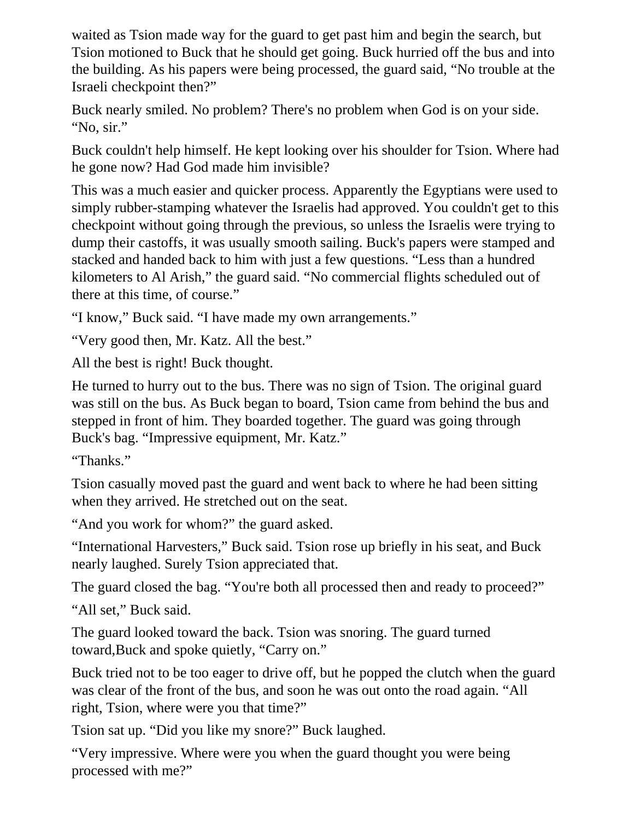waited as Tsion made way for the guard to get past him and begin the search, but Tsion motioned to Buck that he should get going. Buck hurried off the bus and into the building. As his papers were being processed, the guard said, "No trouble at the Israeli checkpoint then?"

Buck nearly smiled. No problem? There's no problem when God is on your side. "No, sir."

Buck couldn't help himself. He kept looking over his shoulder for Tsion. Where had he gone now? Had God made him invisible?

This was a much easier and quicker process. Apparently the Egyptians were used to simply rubber-stamping whatever the Israelis had approved. You couldn't get to this checkpoint without going through the previous, so unless the Israelis were trying to dump their castoffs, it was usually smooth sailing. Buck's papers were stamped and stacked and handed back to him with just a few questions. "Less than a hundred kilometers to Al Arish," the guard said. "No commercial flights scheduled out of there at this time, of course."

"I know," Buck said. "I have made my own arrangements."

"Very good then, Mr. Katz. All the best."

All the best is right! Buck thought.

He turned to hurry out to the bus. There was no sign of Tsion. The original guard was still on the bus. As Buck began to board, Tsion came from behind the bus and stepped in front of him. They boarded together. The guard was going through Buck's bag. "Impressive equipment, Mr. Katz."

"Thanks."

Tsion casually moved past the guard and went back to where he had been sitting when they arrived. He stretched out on the seat.

"And you work for whom?" the guard asked.

"International Harvesters," Buck said. Tsion rose up briefly in his seat, and Buck nearly laughed. Surely Tsion appreciated that.

The guard closed the bag. "You're both all processed then and ready to proceed?"

"All set," Buck said.

The guard looked toward the back. Tsion was snoring. The guard turned toward,Buck and spoke quietly, "Carry on."

Buck tried not to be too eager to drive off, but he popped the clutch when the guard was clear of the front of the bus, and soon he was out onto the road again. "All right, Tsion, where were you that time?"

Tsion sat up. "Did you like my snore?" Buck laughed.

"Very impressive. Where were you when the guard thought you were being processed with me?"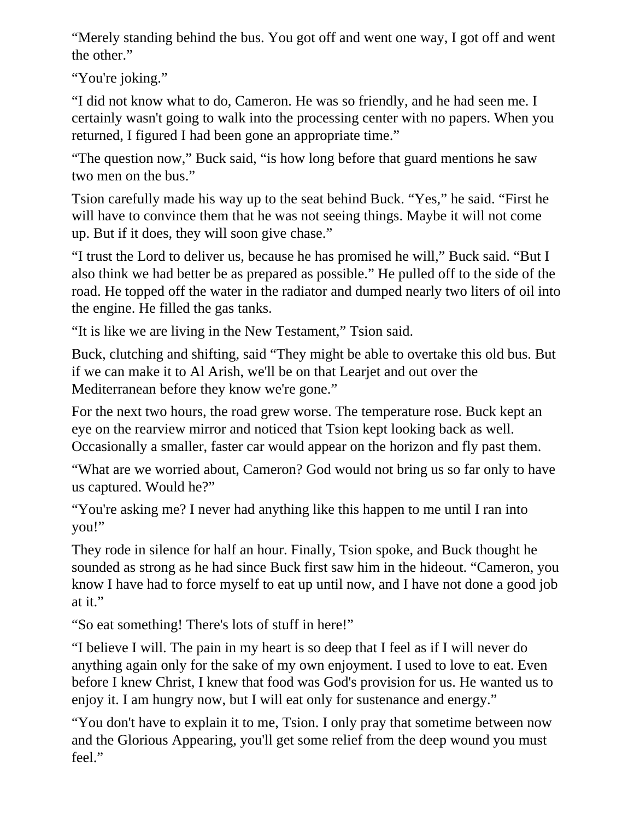"Merely standing behind the bus. You got off and went one way, I got off and went the other."

"You're joking."

"I did not know what to do, Cameron. He was so friendly, and he had seen me. I certainly wasn't going to walk into the processing center with no papers. When you returned, I figured I had been gone an appropriate time."

"The question now," Buck said, "is how long before that guard mentions he saw two men on the bus."

Tsion carefully made his way up to the seat behind Buck. "Yes," he said. "First he will have to convince them that he was not seeing things. Maybe it will not come up. But if it does, they will soon give chase."

"I trust the Lord to deliver us, because he has promised he will," Buck said. "But I also think we had better be as prepared as possible." He pulled off to the side of the road. He topped off the water in the radiator and dumped nearly two liters of oil into the engine. He filled the gas tanks.

"It is like we are living in the New Testament," Tsion said.

Buck, clutching and shifting, said "They might be able to overtake this old bus. But if we can make it to Al Arish, we'll be on that Learjet and out over the Mediterranean before they know we're gone."

For the next two hours, the road grew worse. The temperature rose. Buck kept an eye on the rearview mirror and noticed that Tsion kept looking back as well. Occasionally a smaller, faster car would appear on the horizon and fly past them.

"What are we worried about, Cameron? God would not bring us so far only to have us captured. Would he?"

"You're asking me? I never had anything like this happen to me until I ran into you!"

They rode in silence for half an hour. Finally, Tsion spoke, and Buck thought he sounded as strong as he had since Buck first saw him in the hideout. "Cameron, you know I have had to force myself to eat up until now, and I have not done a good job at it."

"So eat something! There's lots of stuff in here!"

"I believe I will. The pain in my heart is so deep that I feel as if I will never do anything again only for the sake of my own enjoyment. I used to love to eat. Even before I knew Christ, I knew that food was God's provision for us. He wanted us to enjoy it. I am hungry now, but I will eat only for sustenance and energy."

"You don't have to explain it to me, Tsion. I only pray that sometime between now and the Glorious Appearing, you'll get some relief from the deep wound you must feel."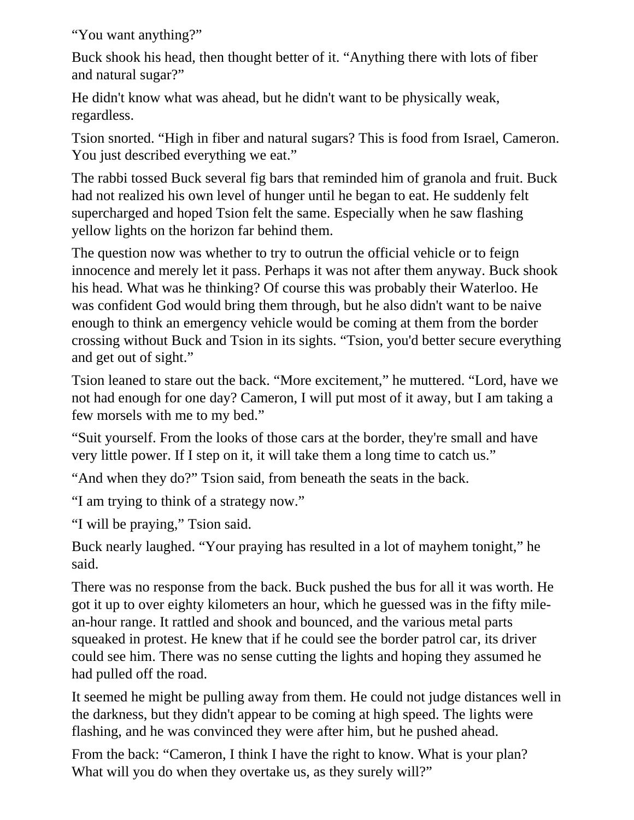"You want anything?"

Buck shook his head, then thought better of it. "Anything there with lots of fiber and natural sugar?"

He didn't know what was ahead, but he didn't want to be physically weak, regardless.

Tsion snorted. "High in fiber and natural sugars? This is food from Israel, Cameron. You just described everything we eat."

The rabbi tossed Buck several fig bars that reminded him of granola and fruit. Buck had not realized his own level of hunger until he began to eat. He suddenly felt supercharged and hoped Tsion felt the same. Especially when he saw flashing yellow lights on the horizon far behind them.

The question now was whether to try to outrun the official vehicle or to feign innocence and merely let it pass. Perhaps it was not after them anyway. Buck shook his head. What was he thinking? Of course this was probably their Waterloo. He was confident God would bring them through, but he also didn't want to be naive enough to think an emergency vehicle would be coming at them from the border crossing without Buck and Tsion in its sights. "Tsion, you'd better secure everything and get out of sight."

Tsion leaned to stare out the back. "More excitement," he muttered. "Lord, have we not had enough for one day? Cameron, I will put most of it away, but I am taking a few morsels with me to my bed."

"Suit yourself. From the looks of those cars at the border, they're small and have very little power. If I step on it, it will take them a long time to catch us."

"And when they do?" Tsion said, from beneath the seats in the back.

"I am trying to think of a strategy now."

"I will be praying," Tsion said.

Buck nearly laughed. "Your praying has resulted in a lot of mayhem tonight," he said.

There was no response from the back. Buck pushed the bus for all it was worth. He got it up to over eighty kilometers an hour, which he guessed was in the fifty milean-hour range. It rattled and shook and bounced, and the various metal parts squeaked in protest. He knew that if he could see the border patrol car, its driver could see him. There was no sense cutting the lights and hoping they assumed he had pulled off the road.

It seemed he might be pulling away from them. He could not judge distances well in the darkness, but they didn't appear to be coming at high speed. The lights were flashing, and he was convinced they were after him, but he pushed ahead.

From the back: "Cameron, I think I have the right to know. What is your plan? What will you do when they overtake us, as they surely will?"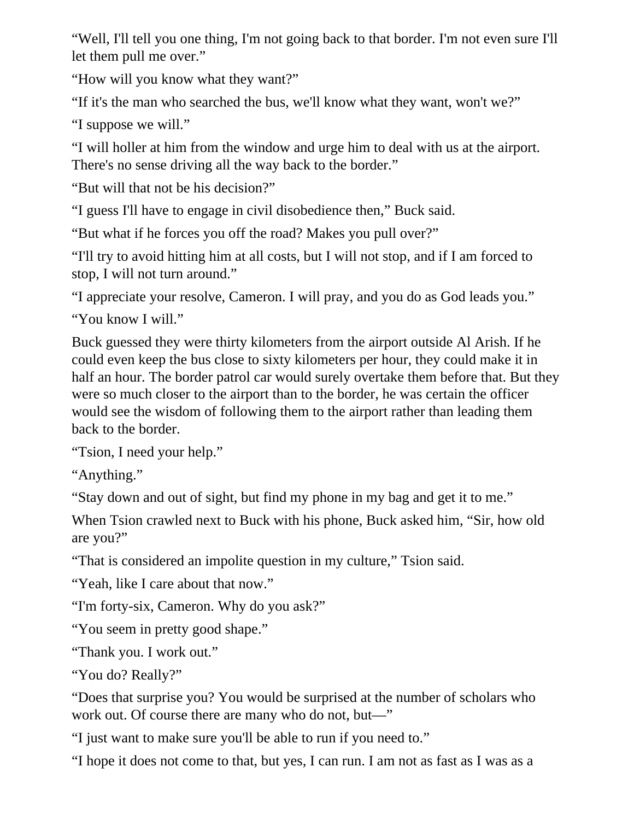"Well, I'll tell you one thing, I'm not going back to that border. I'm not even sure I'll let them pull me over."

"How will you know what they want?"

"If it's the man who searched the bus, we'll know what they want, won't we?"

"I suppose we will."

"I will holler at him from the window and urge him to deal with us at the airport. There's no sense driving all the way back to the border."

"But will that not be his decision?"

"I guess I'll have to engage in civil disobedience then," Buck said.

"But what if he forces you off the road? Makes you pull over?"

"I'll try to avoid hitting him at all costs, but I will not stop, and if I am forced to stop, I will not turn around."

"I appreciate your resolve, Cameron. I will pray, and you do as God leads you."

"You know I will."

Buck guessed they were thirty kilometers from the airport outside Al Arish. If he could even keep the bus close to sixty kilometers per hour, they could make it in half an hour. The border patrol car would surely overtake them before that. But they were so much closer to the airport than to the border, he was certain the officer would see the wisdom of following them to the airport rather than leading them back to the border.

"Tsion, I need your help."

"Anything."

"Stay down and out of sight, but find my phone in my bag and get it to me."

When Tsion crawled next to Buck with his phone, Buck asked him, "Sir, how old are you?"

"That is considered an impolite question in my culture," Tsion said.

"Yeah, like I care about that now."

"I'm forty-six, Cameron. Why do you ask?"

"You seem in pretty good shape."

"Thank you. I work out."

"You do? Really?"

"Does that surprise you? You would be surprised at the number of scholars who work out. Of course there are many who do not, but—"

"I just want to make sure you'll be able to run if you need to."

"I hope it does not come to that, but yes, I can run. I am not as fast as I was as a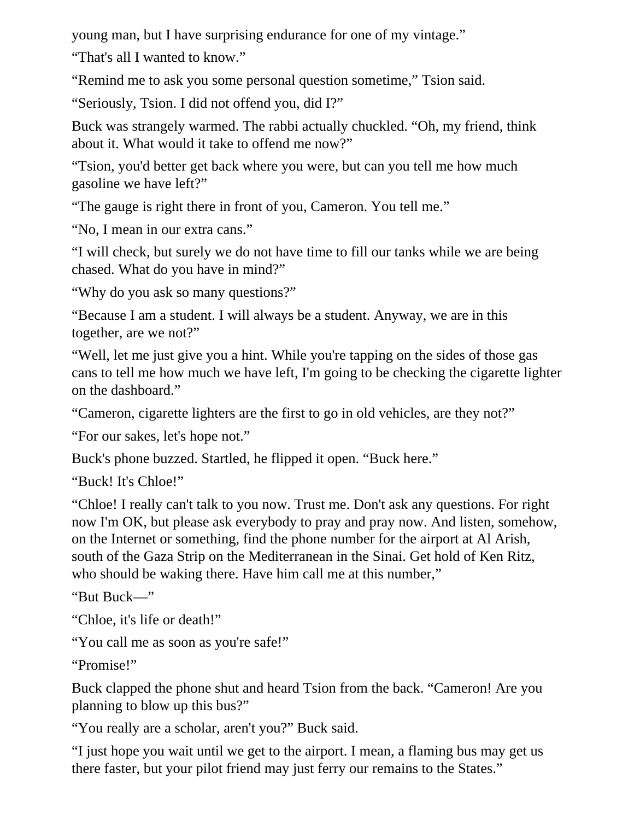young man, but I have surprising endurance for one of my vintage."

"That's all I wanted to know."

"Remind me to ask you some personal question sometime," Tsion said.

"Seriously, Tsion. I did not offend you, did I?"

Buck was strangely warmed. The rabbi actually chuckled. "Oh, my friend, think about it. What would it take to offend me now?"

"Tsion, you'd better get back where you were, but can you tell me how much gasoline we have left?"

"The gauge is right there in front of you, Cameron. You tell me."

"No, I mean in our extra cans."

"I will check, but surely we do not have time to fill our tanks while we are being chased. What do you have in mind?"

"Why do you ask so many questions?"

"Because I am a student. I will always be a student. Anyway, we are in this together, are we not?"

"Well, let me just give you a hint. While you're tapping on the sides of those gas cans to tell me how much we have left, I'm going to be checking the cigarette lighter on the dashboard."

"Cameron, cigarette lighters are the first to go in old vehicles, are they not?"

"For our sakes, let's hope not."

Buck's phone buzzed. Startled, he flipped it open. "Buck here."

"Buck! It's Chloe!"

"Chloe! I really can't talk to you now. Trust me. Don't ask any questions. For right now I'm OK, but please ask everybody to pray and pray now. And listen, somehow, on the Internet or something, find the phone number for the airport at Al Arish, south of the Gaza Strip on the Mediterranean in the Sinai. Get hold of Ken Ritz, who should be waking there. Have him call me at this number,"

"But Buck—"

"Chloe, it's life or death!"

"You call me as soon as you're safe!"

"Promise!"

Buck clapped the phone shut and heard Tsion from the back. "Cameron! Are you planning to blow up this bus?"

"You really are a scholar, aren't you?" Buck said.

"I just hope you wait until we get to the airport. I mean, a flaming bus may get us there faster, but your pilot friend may just ferry our remains to the States."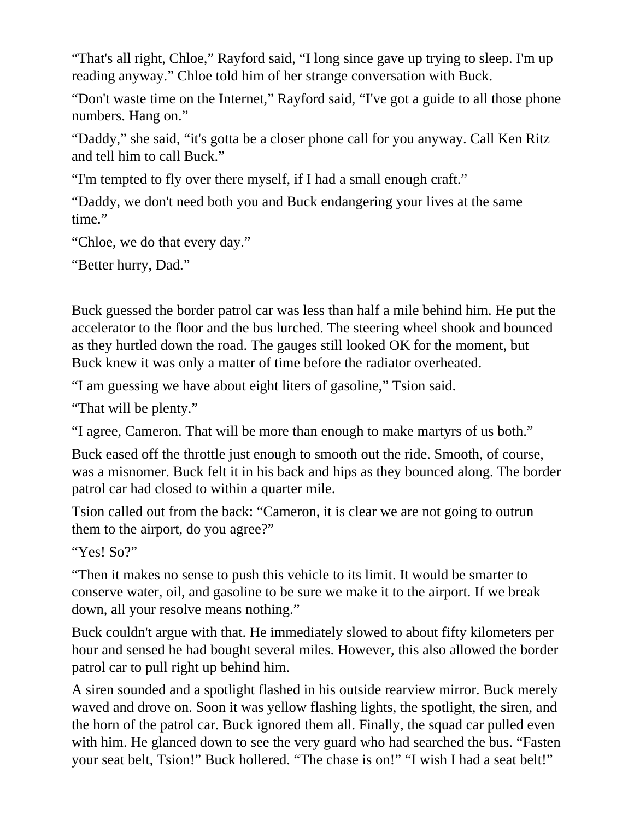"That's all right, Chloe," Rayford said, "I long since gave up trying to sleep. I'm up reading anyway." Chloe told him of her strange conversation with Buck.

"Don't waste time on the Internet," Rayford said, "I've got a guide to all those phone numbers. Hang on."

"Daddy," she said, "it's gotta be a closer phone call for you anyway. Call Ken Ritz and tell him to call Buck."

"I'm tempted to fly over there myself, if I had a small enough craft."

"Daddy, we don't need both you and Buck endangering your lives at the same time."

```
"Chloe, we do that every day."
```
"Better hurry, Dad."

Buck guessed the border patrol car was less than half a mile behind him. He put the accelerator to the floor and the bus lurched. The steering wheel shook and bounced as they hurtled down the road. The gauges still looked OK for the moment, but Buck knew it was only a matter of time before the radiator overheated.

"I am guessing we have about eight liters of gasoline," Tsion said.

"That will be plenty."

"I agree, Cameron. That will be more than enough to make martyrs of us both."

Buck eased off the throttle just enough to smooth out the ride. Smooth, of course, was a misnomer. Buck felt it in his back and hips as they bounced along. The border patrol car had closed to within a quarter mile.

Tsion called out from the back: "Cameron, it is clear we are not going to outrun them to the airport, do you agree?"

"Yes! So?"

"Then it makes no sense to push this vehicle to its limit. It would be smarter to conserve water, oil, and gasoline to be sure we make it to the airport. If we break down, all your resolve means nothing."

Buck couldn't argue with that. He immediately slowed to about fifty kilometers per hour and sensed he had bought several miles. However, this also allowed the border patrol car to pull right up behind him.

A siren sounded and a spotlight flashed in his outside rearview mirror. Buck merely waved and drove on. Soon it was yellow flashing lights, the spotlight, the siren, and the horn of the patrol car. Buck ignored them all. Finally, the squad car pulled even with him. He glanced down to see the very guard who had searched the bus. "Fasten your seat belt, Tsion!" Buck hollered. "The chase is on!" "I wish I had a seat belt!"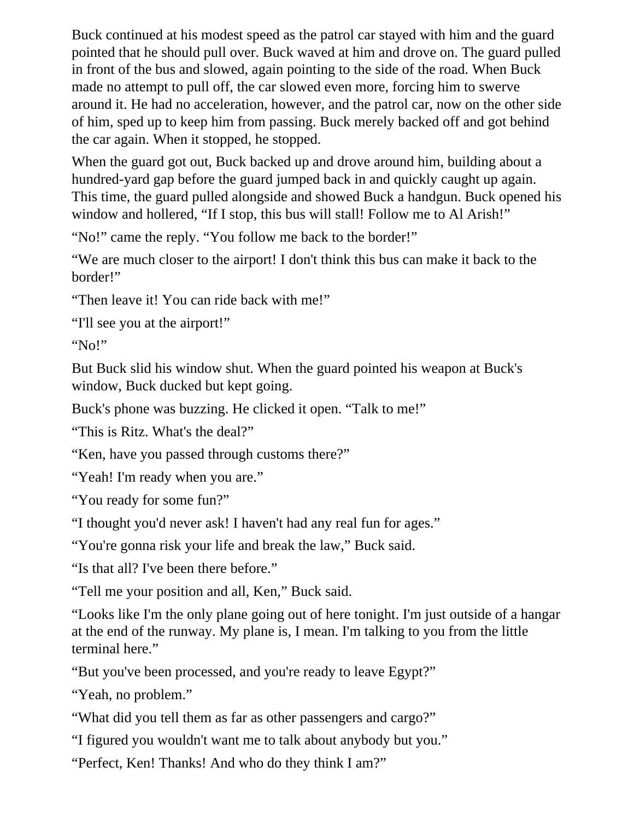Buck continued at his modest speed as the patrol car stayed with him and the guard pointed that he should pull over. Buck waved at him and drove on. The guard pulled in front of the bus and slowed, again pointing to the side of the road. When Buck made no attempt to pull off, the car slowed even more, forcing him to swerve around it. He had no acceleration, however, and the patrol car, now on the other side of him, sped up to keep him from passing. Buck merely backed off and got behind the car again. When it stopped, he stopped.

When the guard got out, Buck backed up and drove around him, building about a hundred-yard gap before the guard jumped back in and quickly caught up again. This time, the guard pulled alongside and showed Buck a handgun. Buck opened his window and hollered, "If I stop, this bus will stall! Follow me to Al Arish!"

"No!" came the reply. "You follow me back to the border!"

"We are much closer to the airport! I don't think this bus can make it back to the border!"

"Then leave it! You can ride back with me!"

"I'll see you at the airport!"

"No!"

But Buck slid his window shut. When the guard pointed his weapon at Buck's window, Buck ducked but kept going.

Buck's phone was buzzing. He clicked it open. "Talk to me!"

"This is Ritz. What's the deal?"

"Ken, have you passed through customs there?"

"Yeah! I'm ready when you are."

"You ready for some fun?"

"I thought you'd never ask! I haven't had any real fun for ages."

"You're gonna risk your life and break the law," Buck said.

"Is that all? I've been there before."

"Tell me your position and all, Ken," Buck said.

"Looks like I'm the only plane going out of here tonight. I'm just outside of a hangar at the end of the runway. My plane is, I mean. I'm talking to you from the little terminal here."

"But you've been processed, and you're ready to leave Egypt?"

"Yeah, no problem."

"What did you tell them as far as other passengers and cargo?"

"I figured you wouldn't want me to talk about anybody but you."

"Perfect, Ken! Thanks! And who do they think I am?"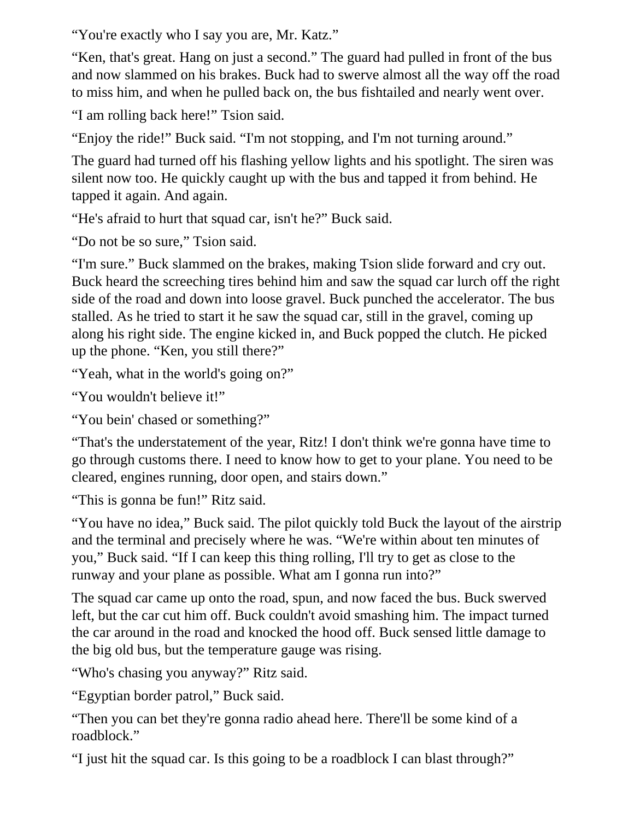"You're exactly who I say you are, Mr. Katz."

"Ken, that's great. Hang on just a second." The guard had pulled in front of the bus and now slammed on his brakes. Buck had to swerve almost all the way off the road to miss him, and when he pulled back on, the bus fishtailed and nearly went over.

"I am rolling back here!" Tsion said.

"Enjoy the ride!" Buck said. "I'm not stopping, and I'm not turning around."

The guard had turned off his flashing yellow lights and his spotlight. The siren was silent now too. He quickly caught up with the bus and tapped it from behind. He tapped it again. And again.

"He's afraid to hurt that squad car, isn't he?" Buck said.

"Do not be so sure," Tsion said.

"I'm sure." Buck slammed on the brakes, making Tsion slide forward and cry out. Buck heard the screeching tires behind him and saw the squad car lurch off the right side of the road and down into loose gravel. Buck punched the accelerator. The bus stalled. As he tried to start it he saw the squad car, still in the gravel, coming up along his right side. The engine kicked in, and Buck popped the clutch. He picked up the phone. "Ken, you still there?"

"Yeah, what in the world's going on?"

"You wouldn't believe it!"

"You bein' chased or something?"

"That's the understatement of the year, Ritz! I don't think we're gonna have time to go through customs there. I need to know how to get to your plane. You need to be cleared, engines running, door open, and stairs down."

"This is gonna be fun!" Ritz said.

"You have no idea," Buck said. The pilot quickly told Buck the layout of the airstrip and the terminal and precisely where he was. "We're within about ten minutes of you," Buck said. "If I can keep this thing rolling, I'll try to get as close to the runway and your plane as possible. What am I gonna run into?"

The squad car came up onto the road, spun, and now faced the bus. Buck swerved left, but the car cut him off. Buck couldn't avoid smashing him. The impact turned the car around in the road and knocked the hood off. Buck sensed little damage to the big old bus, but the temperature gauge was rising.

"Who's chasing you anyway?" Ritz said.

"Egyptian border patrol," Buck said.

"Then you can bet they're gonna radio ahead here. There'll be some kind of a roadblock."

"I just hit the squad car. Is this going to be a roadblock I can blast through?"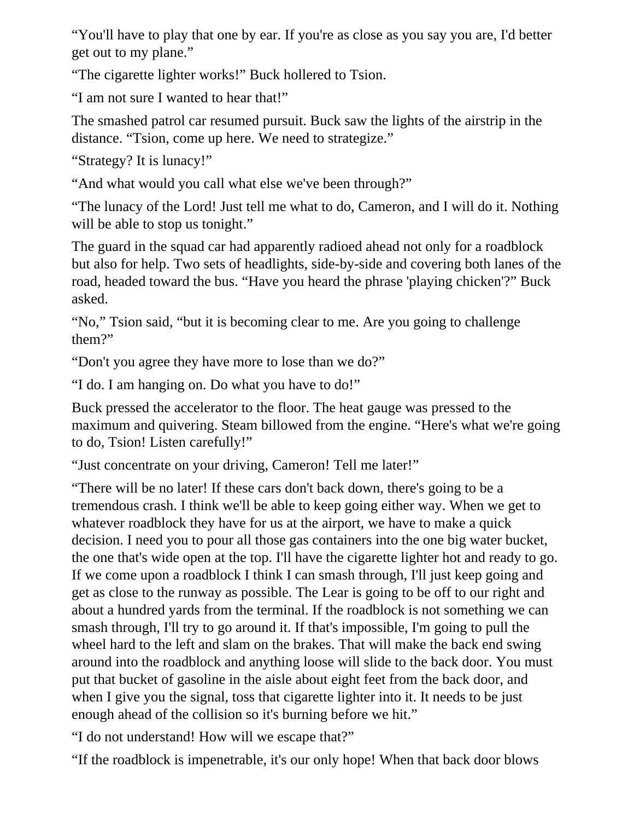"You'll have to play that one by ear. If you're as close as you say you are, I'd better get out to my plane."

"The cigarette lighter works!" Buck hollered to Tsion.

"I am not sure I wanted to hear that!"

The smashed patrol car resumed pursuit. Buck saw the lights of the airstrip in the distance. "Tsion, come up here. We need to strategize."

"Strategy? It is lunacy!"

"And what would you call what else we've been through?"

"The lunacy of the Lord! Just tell me what to do, Cameron, and I will do it. Nothing will be able to stop us tonight."

The guard in the squad car had apparently radioed ahead not only for a roadblock but also for help. Two sets of headlights, side-by-side and covering both lanes of the road, headed toward the bus. "Have you heard the phrase 'playing chicken'?" Buck asked.

"No," Tsion said, "but it is becoming clear to me. Are you going to challenge them?"

"Don't you agree they have more to lose than we do?"

"I do. I am hanging on. Do what you have to do!"

Buck pressed the accelerator to the floor. The heat gauge was pressed to the maximum and quivering. Steam billowed from the engine. "Here's what we're going to do, Tsion! Listen carefully!"

"Just concentrate on your driving, Cameron! Tell me later!"

"There will be no later! If these cars don't back down, there's going to be a tremendous crash. I think we'll be able to keep going either way. When we get to whatever roadblock they have for us at the airport, we have to make a quick decision. I need you to pour all those gas containers into the one big water bucket, the one that's wide open at the top. I'll have the cigarette lighter hot and ready to go. If we come upon a roadblock I think I can smash through, I'll just keep going and get as close to the runway as possible. The Lear is going to be off to our right and about a hundred yards from the terminal. If the roadblock is not something we can smash through, I'll try to go around it. If that's impossible, I'm going to pull the wheel hard to the left and slam on the brakes. That will make the back end swing around into the roadblock and anything loose will slide to the back door. You must put that bucket of gasoline in the aisle about eight feet from the back door, and when I give you the signal, toss that cigarette lighter into it. It needs to be just enough ahead of the collision so it's burning before we hit."

"I do not understand! How will we escape that?"

"If the roadblock is impenetrable, it's our only hope! When that back door blows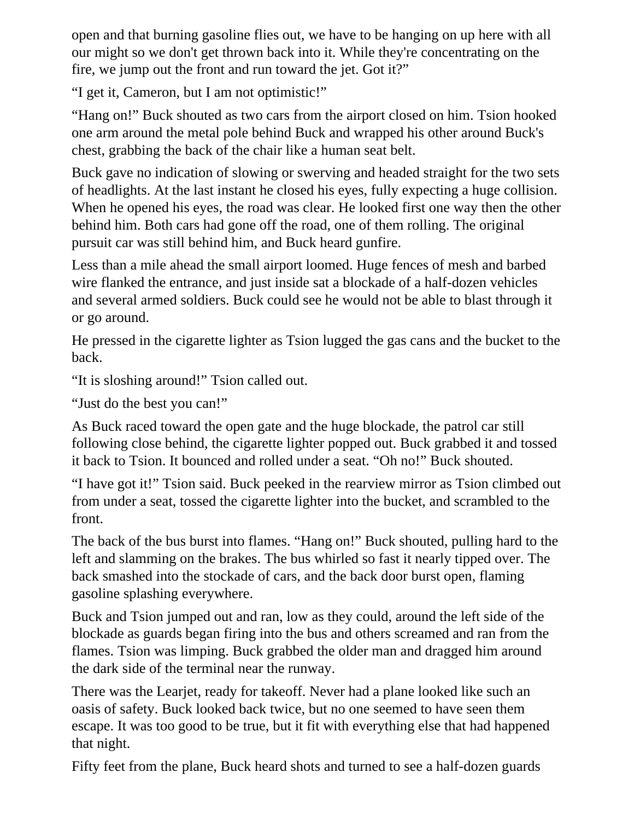open and that burning gasoline flies out, we have to be hanging on up here with all our might so we don't get thrown back into it. While they're concentrating on the fire, we jump out the front and run toward the jet. Got it?"

"I get it, Cameron, but I am not optimistic!"

"Hang on!" Buck shouted as two cars from the airport closed on him. Tsion hooked one arm around the metal pole behind Buck and wrapped his other around Buck's chest, grabbing the back of the chair like a human seat belt.

Buck gave no indication of slowing or swerving and headed straight for the two sets of headlights. At the last instant he closed his eyes, fully expecting a huge collision. When he opened his eyes, the road was clear. He looked first one way then the other behind him. Both cars had gone off the road, one of them rolling. The original pursuit car was still behind him, and Buck heard gunfire.

Less than a mile ahead the small airport loomed. Huge fences of mesh and barbed wire flanked the entrance, and just inside sat a blockade of a half-dozen vehicles and several armed soldiers. Buck could see he would not be able to blast through it or go around.

He pressed in the cigarette lighter as Tsion lugged the gas cans and the bucket to the back.

"It is sloshing around!" Tsion called out.

"Just do the best you can!"

As Buck raced toward the open gate and the huge blockade, the patrol car still following close behind, the cigarette lighter popped out. Buck grabbed it and tossed it back to Tsion. It bounced and rolled under a seat. "Oh no!" Buck shouted.

"I have got it!" Tsion said. Buck peeked in the rearview mirror as Tsion climbed out from under a seat, tossed the cigarette lighter into the bucket, and scrambled to the front.

The back of the bus burst into flames. "Hang on!" Buck shouted, pulling hard to the left and slamming on the brakes. The bus whirled so fast it nearly tipped over. The back smashed into the stockade of cars, and the back door burst open, flaming gasoline splashing everywhere.

Buck and Tsion jumped out and ran, low as they could, around the left side of the blockade as guards began firing into the bus and others screamed and ran from the flames. Tsion was limping. Buck grabbed the older man and dragged him around the dark side of the terminal near the runway.

There was the Learjet, ready for takeoff. Never had a plane looked like such an oasis of safety. Buck looked back twice, but no one seemed to have seen them escape. It was too good to be true, but it fit with everything else that had happened that night.

Fifty feet from the plane, Buck heard shots and turned to see a half-dozen guards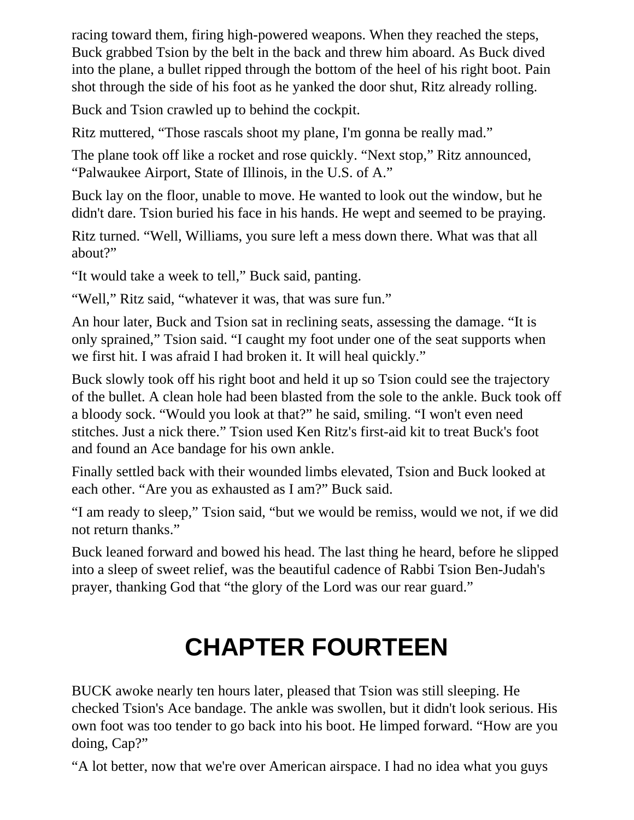racing toward them, firing high-powered weapons. When they reached the steps, Buck grabbed Tsion by the belt in the back and threw him aboard. As Buck dived into the plane, a bullet ripped through the bottom of the heel of his right boot. Pain shot through the side of his foot as he yanked the door shut, Ritz already rolling.

Buck and Tsion crawled up to behind the cockpit.

Ritz muttered, "Those rascals shoot my plane, I'm gonna be really mad."

The plane took off like a rocket and rose quickly. "Next stop," Ritz announced, "Palwaukee Airport, State of Illinois, in the U.S. of A."

Buck lay on the floor, unable to move. He wanted to look out the window, but he didn't dare. Tsion buried his face in his hands. He wept and seemed to be praying.

Ritz turned. "Well, Williams, you sure left a mess down there. What was that all about?"

"It would take a week to tell," Buck said, panting.

"Well," Ritz said, "whatever it was, that was sure fun."

An hour later, Buck and Tsion sat in reclining seats, assessing the damage. "It is only sprained," Tsion said. "I caught my foot under one of the seat supports when we first hit. I was afraid I had broken it. It will heal quickly."

Buck slowly took off his right boot and held it up so Tsion could see the trajectory of the bullet. A clean hole had been blasted from the sole to the ankle. Buck took off a bloody sock. "Would you look at that?" he said, smiling. "I won't even need stitches. Just a nick there." Tsion used Ken Ritz's first-aid kit to treat Buck's foot and found an Ace bandage for his own ankle.

Finally settled back with their wounded limbs elevated, Tsion and Buck looked at each other. "Are you as exhausted as I am?" Buck said.

"I am ready to sleep," Tsion said, "but we would be remiss, would we not, if we did not return thanks."

Buck leaned forward and bowed his head. The last thing he heard, before he slipped into a sleep of sweet relief, was the beautiful cadence of Rabbi Tsion Ben-Judah's prayer, thanking God that "the glory of the Lord was our rear guard."

## **CHAPTER FOURTEEN**

BUCK awoke nearly ten hours later, pleased that Tsion was still sleeping. He checked Tsion's Ace bandage. The ankle was swollen, but it didn't look serious. His own foot was too tender to go back into his boot. He limped forward. "How are you doing, Cap?"

"A lot better, now that we're over American airspace. I had no idea what you guys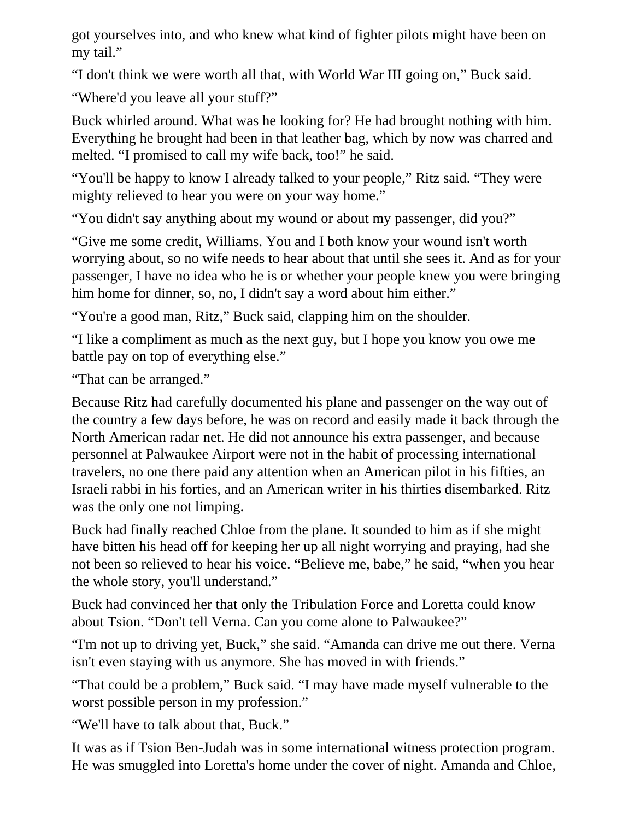got yourselves into, and who knew what kind of fighter pilots might have been on my tail."

"I don't think we were worth all that, with World War III going on," Buck said.

"Where'd you leave all your stuff?"

Buck whirled around. What was he looking for? He had brought nothing with him. Everything he brought had been in that leather bag, which by now was charred and melted. "I promised to call my wife back, too!" he said.

"You'll be happy to know I already talked to your people," Ritz said. "They were mighty relieved to hear you were on your way home."

"You didn't say anything about my wound or about my passenger, did you?"

"Give me some credit, Williams. You and I both know your wound isn't worth worrying about, so no wife needs to hear about that until she sees it. And as for your passenger, I have no idea who he is or whether your people knew you were bringing him home for dinner, so, no, I didn't say a word about him either."

"You're a good man, Ritz," Buck said, clapping him on the shoulder.

"I like a compliment as much as the next guy, but I hope you know you owe me battle pay on top of everything else."

"That can be arranged."

Because Ritz had carefully documented his plane and passenger on the way out of the country a few days before, he was on record and easily made it back through the North American radar net. He did not announce his extra passenger, and because personnel at Palwaukee Airport were not in the habit of processing international travelers, no one there paid any attention when an American pilot in his fifties, an Israeli rabbi in his forties, and an American writer in his thirties disembarked. Ritz was the only one not limping.

Buck had finally reached Chloe from the plane. It sounded to him as if she might have bitten his head off for keeping her up all night worrying and praying, had she not been so relieved to hear his voice. "Believe me, babe," he said, "when you hear the whole story, you'll understand."

Buck had convinced her that only the Tribulation Force and Loretta could know about Tsion. "Don't tell Verna. Can you come alone to Palwaukee?"

"I'm not up to driving yet, Buck," she said. "Amanda can drive me out there. Verna isn't even staying with us anymore. She has moved in with friends."

"That could be a problem," Buck said. "I may have made myself vulnerable to the worst possible person in my profession."

"We'll have to talk about that, Buck."

It was as if Tsion Ben-Judah was in some international witness protection program. He was smuggled into Loretta's home under the cover of night. Amanda and Chloe,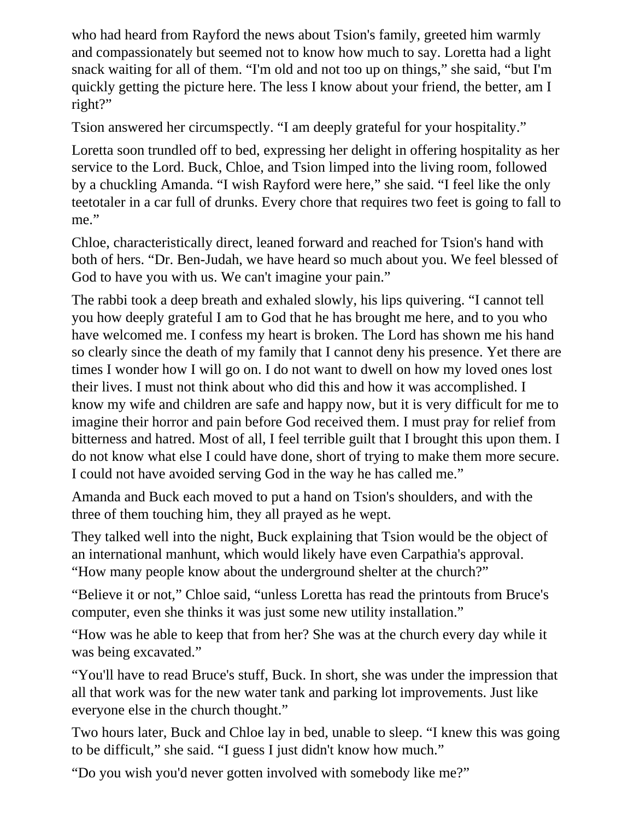who had heard from Rayford the news about Tsion's family, greeted him warmly and compassionately but seemed not to know how much to say. Loretta had a light snack waiting for all of them. "I'm old and not too up on things," she said, "but I'm quickly getting the picture here. The less I know about your friend, the better, am I right?"

Tsion answered her circumspectly. "I am deeply grateful for your hospitality."

Loretta soon trundled off to bed, expressing her delight in offering hospitality as her service to the Lord. Buck, Chloe, and Tsion limped into the living room, followed by a chuckling Amanda. "I wish Rayford were here," she said. "I feel like the only teetotaler in a car full of drunks. Every chore that requires two feet is going to fall to me."

Chloe, characteristically direct, leaned forward and reached for Tsion's hand with both of hers. "Dr. Ben-Judah, we have heard so much about you. We feel blessed of God to have you with us. We can't imagine your pain."

The rabbi took a deep breath and exhaled slowly, his lips quivering. "I cannot tell you how deeply grateful I am to God that he has brought me here, and to you who have welcomed me. I confess my heart is broken. The Lord has shown me his hand so clearly since the death of my family that I cannot deny his presence. Yet there are times I wonder how I will go on. I do not want to dwell on how my loved ones lost their lives. I must not think about who did this and how it was accomplished. I know my wife and children are safe and happy now, but it is very difficult for me to imagine their horror and pain before God received them. I must pray for relief from bitterness and hatred. Most of all, I feel terrible guilt that I brought this upon them. I do not know what else I could have done, short of trying to make them more secure. I could not have avoided serving God in the way he has called me."

Amanda and Buck each moved to put a hand on Tsion's shoulders, and with the three of them touching him, they all prayed as he wept.

They talked well into the night, Buck explaining that Tsion would be the object of an international manhunt, which would likely have even Carpathia's approval. "How many people know about the underground shelter at the church?"

"Believe it or not," Chloe said, "unless Loretta has read the printouts from Bruce's computer, even she thinks it was just some new utility installation."

"How was he able to keep that from her? She was at the church every day while it was being excavated."

"You'll have to read Bruce's stuff, Buck. In short, she was under the impression that all that work was for the new water tank and parking lot improvements. Just like everyone else in the church thought."

Two hours later, Buck and Chloe lay in bed, unable to sleep. "I knew this was going to be difficult," she said. "I guess I just didn't know how much."

"Do you wish you'd never gotten involved with somebody like me?"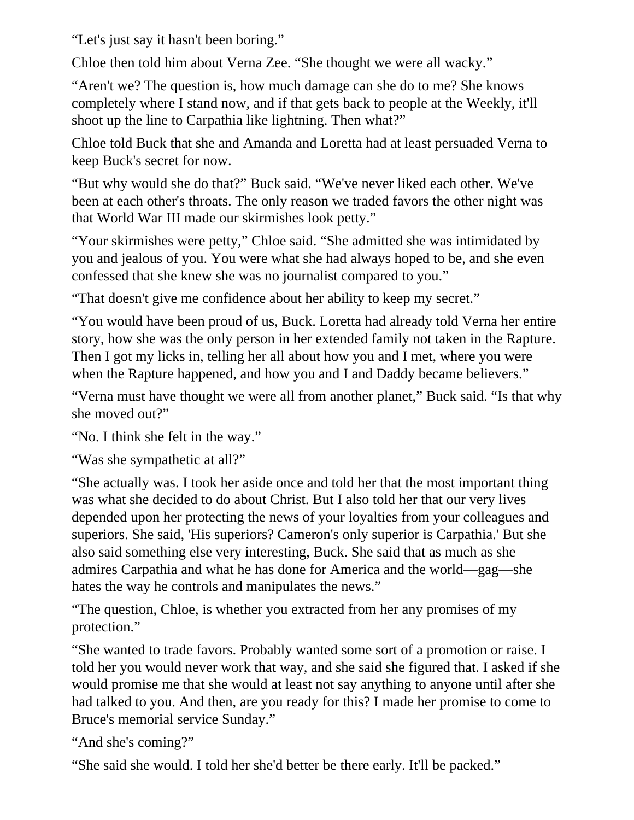"Let's just say it hasn't been boring."

Chloe then told him about Verna Zee. "She thought we were all wacky."

"Aren't we? The question is, how much damage can she do to me? She knows completely where I stand now, and if that gets back to people at the Weekly, it'll shoot up the line to Carpathia like lightning. Then what?"

Chloe told Buck that she and Amanda and Loretta had at least persuaded Verna to keep Buck's secret for now.

"But why would she do that?" Buck said. "We've never liked each other. We've been at each other's throats. The only reason we traded favors the other night was that World War III made our skirmishes look petty."

"Your skirmishes were petty," Chloe said. "She admitted she was intimidated by you and jealous of you. You were what she had always hoped to be, and she even confessed that she knew she was no journalist compared to you."

"That doesn't give me confidence about her ability to keep my secret."

"You would have been proud of us, Buck. Loretta had already told Verna her entire story, how she was the only person in her extended family not taken in the Rapture. Then I got my licks in, telling her all about how you and I met, where you were when the Rapture happened, and how you and I and Daddy became believers."

"Verna must have thought we were all from another planet," Buck said. "Is that why she moved out?"

"No. I think she felt in the way."

"Was she sympathetic at all?"

"She actually was. I took her aside once and told her that the most important thing was what she decided to do about Christ. But I also told her that our very lives depended upon her protecting the news of your loyalties from your colleagues and superiors. She said, 'His superiors? Cameron's only superior is Carpathia.' But she also said something else very interesting, Buck. She said that as much as she admires Carpathia and what he has done for America and the world—gag—she hates the way he controls and manipulates the news."

"The question, Chloe, is whether you extracted from her any promises of my protection."

"She wanted to trade favors. Probably wanted some sort of a promotion or raise. I told her you would never work that way, and she said she figured that. I asked if she would promise me that she would at least not say anything to anyone until after she had talked to you. And then, are you ready for this? I made her promise to come to Bruce's memorial service Sunday."

"And she's coming?"

"She said she would. I told her she'd better be there early. It'll be packed."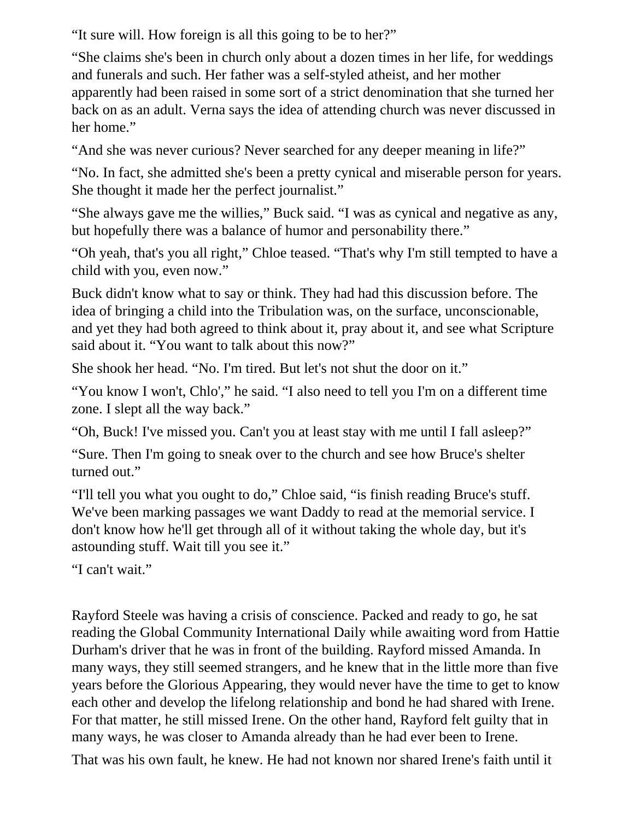"It sure will. How foreign is all this going to be to her?"

"She claims she's been in church only about a dozen times in her life, for weddings and funerals and such. Her father was a self-styled atheist, and her mother apparently had been raised in some sort of a strict denomination that she turned her back on as an adult. Verna says the idea of attending church was never discussed in her home."

"And she was never curious? Never searched for any deeper meaning in life?"

"No. In fact, she admitted she's been a pretty cynical and miserable person for years. She thought it made her the perfect journalist."

"She always gave me the willies," Buck said. "I was as cynical and negative as any, but hopefully there was a balance of humor and personability there."

"Oh yeah, that's you all right," Chloe teased. "That's why I'm still tempted to have a child with you, even now."

Buck didn't know what to say or think. They had had this discussion before. The idea of bringing a child into the Tribulation was, on the surface, unconscionable, and yet they had both agreed to think about it, pray about it, and see what Scripture said about it. "You want to talk about this now?"

She shook her head. "No. I'm tired. But let's not shut the door on it."

"You know I won't, Chlo'," he said. "I also need to tell you I'm on a different time zone. I slept all the way back."

"Oh, Buck! I've missed you. Can't you at least stay with me until I fall asleep?"

"Sure. Then I'm going to sneak over to the church and see how Bruce's shelter turned out."

"I'll tell you what you ought to do," Chloe said, "is finish reading Bruce's stuff. We've been marking passages we want Daddy to read at the memorial service. I don't know how he'll get through all of it without taking the whole day, but it's astounding stuff. Wait till you see it."

"I can't wait."

Rayford Steele was having a crisis of conscience. Packed and ready to go, he sat reading the Global Community International Daily while awaiting word from Hattie Durham's driver that he was in front of the building. Rayford missed Amanda. In many ways, they still seemed strangers, and he knew that in the little more than five years before the Glorious Appearing, they would never have the time to get to know each other and develop the lifelong relationship and bond he had shared with Irene. For that matter, he still missed Irene. On the other hand, Rayford felt guilty that in many ways, he was closer to Amanda already than he had ever been to Irene.

That was his own fault, he knew. He had not known nor shared Irene's faith until it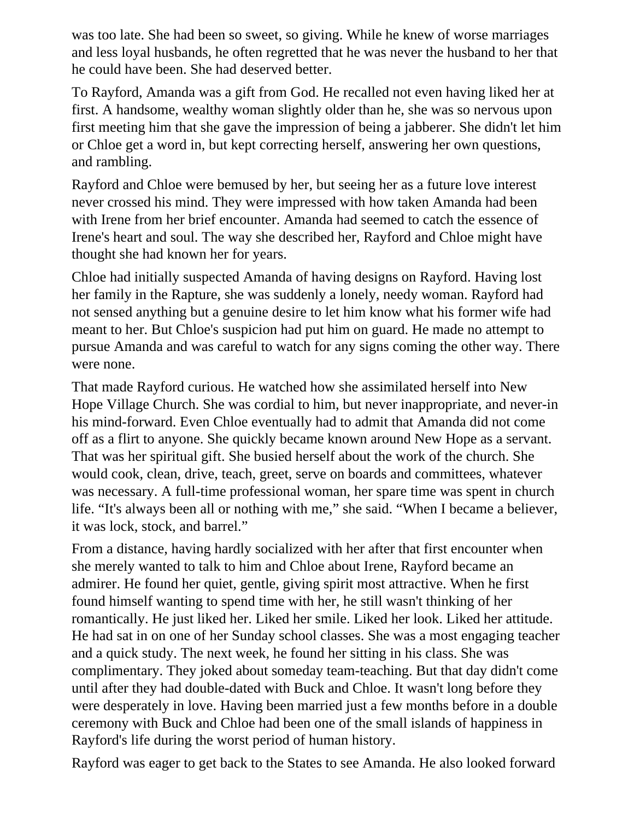was too late. She had been so sweet, so giving. While he knew of worse marriages and less loyal husbands, he often regretted that he was never the husband to her that he could have been. She had deserved better.

To Rayford, Amanda was a gift from God. He recalled not even having liked her at first. A handsome, wealthy woman slightly older than he, she was so nervous upon first meeting him that she gave the impression of being a jabberer. She didn't let him or Chloe get a word in, but kept correcting herself, answering her own questions, and rambling.

Rayford and Chloe were bemused by her, but seeing her as a future love interest never crossed his mind. They were impressed with how taken Amanda had been with Irene from her brief encounter. Amanda had seemed to catch the essence of Irene's heart and soul. The way she described her, Rayford and Chloe might have thought she had known her for years.

Chloe had initially suspected Amanda of having designs on Rayford. Having lost her family in the Rapture, she was suddenly a lonely, needy woman. Rayford had not sensed anything but a genuine desire to let him know what his former wife had meant to her. But Chloe's suspicion had put him on guard. He made no attempt to pursue Amanda and was careful to watch for any signs coming the other way. There were none.

That made Rayford curious. He watched how she assimilated herself into New Hope Village Church. She was cordial to him, but never inappropriate, and never-in his mind-forward. Even Chloe eventually had to admit that Amanda did not come off as a flirt to anyone. She quickly became known around New Hope as a servant. That was her spiritual gift. She busied herself about the work of the church. She would cook, clean, drive, teach, greet, serve on boards and committees, whatever was necessary. A full-time professional woman, her spare time was spent in church life. "It's always been all or nothing with me," she said. "When I became a believer, it was lock, stock, and barrel."

From a distance, having hardly socialized with her after that first encounter when she merely wanted to talk to him and Chloe about Irene, Rayford became an admirer. He found her quiet, gentle, giving spirit most attractive. When he first found himself wanting to spend time with her, he still wasn't thinking of her romantically. He just liked her. Liked her smile. Liked her look. Liked her attitude. He had sat in on one of her Sunday school classes. She was a most engaging teacher and a quick study. The next week, he found her sitting in his class. She was complimentary. They joked about someday team-teaching. But that day didn't come until after they had double-dated with Buck and Chloe. It wasn't long before they were desperately in love. Having been married just a few months before in a double ceremony with Buck and Chloe had been one of the small islands of happiness in Rayford's life during the worst period of human history.

Rayford was eager to get back to the States to see Amanda. He also looked forward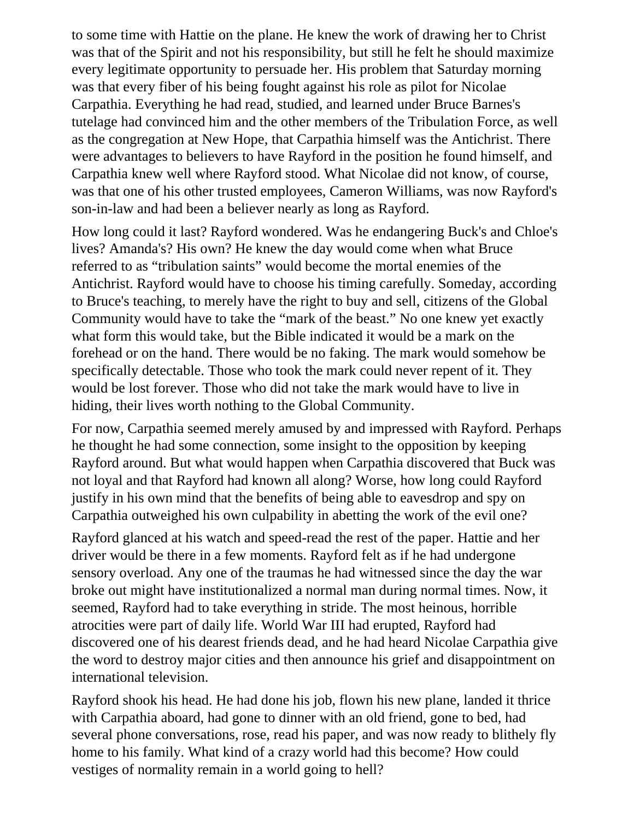to some time with Hattie on the plane. He knew the work of drawing her to Christ was that of the Spirit and not his responsibility, but still he felt he should maximize every legitimate opportunity to persuade her. His problem that Saturday morning was that every fiber of his being fought against his role as pilot for Nicolae Carpathia. Everything he had read, studied, and learned under Bruce Barnes's tutelage had convinced him and the other members of the Tribulation Force, as well as the congregation at New Hope, that Carpathia himself was the Antichrist. There were advantages to believers to have Rayford in the position he found himself, and Carpathia knew well where Rayford stood. What Nicolae did not know, of course, was that one of his other trusted employees, Cameron Williams, was now Rayford's son-in-law and had been a believer nearly as long as Rayford.

How long could it last? Rayford wondered. Was he endangering Buck's and Chloe's lives? Amanda's? His own? He knew the day would come when what Bruce referred to as "tribulation saints" would become the mortal enemies of the Antichrist. Rayford would have to choose his timing carefully. Someday, according to Bruce's teaching, to merely have the right to buy and sell, citizens of the Global Community would have to take the "mark of the beast." No one knew yet exactly what form this would take, but the Bible indicated it would be a mark on the forehead or on the hand. There would be no faking. The mark would somehow be specifically detectable. Those who took the mark could never repent of it. They would be lost forever. Those who did not take the mark would have to live in hiding, their lives worth nothing to the Global Community.

For now, Carpathia seemed merely amused by and impressed with Rayford. Perhaps he thought he had some connection, some insight to the opposition by keeping Rayford around. But what would happen when Carpathia discovered that Buck was not loyal and that Rayford had known all along? Worse, how long could Rayford justify in his own mind that the benefits of being able to eavesdrop and spy on Carpathia outweighed his own culpability in abetting the work of the evil one?

Rayford glanced at his watch and speed-read the rest of the paper. Hattie and her driver would be there in a few moments. Rayford felt as if he had undergone sensory overload. Any one of the traumas he had witnessed since the day the war broke out might have institutionalized a normal man during normal times. Now, it seemed, Rayford had to take everything in stride. The most heinous, horrible atrocities were part of daily life. World War III had erupted, Rayford had discovered one of his dearest friends dead, and he had heard Nicolae Carpathia give the word to destroy major cities and then announce his grief and disappointment on international television.

Rayford shook his head. He had done his job, flown his new plane, landed it thrice with Carpathia aboard, had gone to dinner with an old friend, gone to bed, had several phone conversations, rose, read his paper, and was now ready to blithely fly home to his family. What kind of a crazy world had this become? How could vestiges of normality remain in a world going to hell?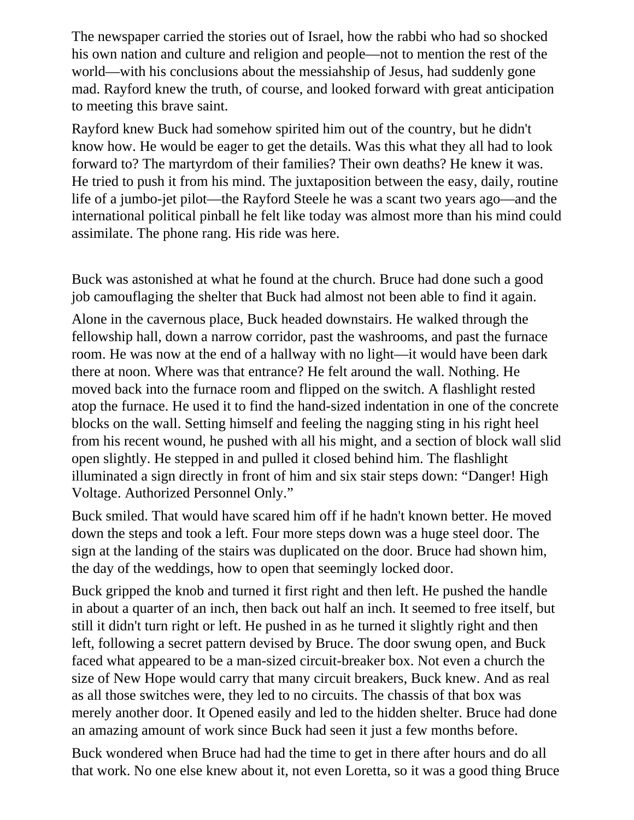The newspaper carried the stories out of Israel, how the rabbi who had so shocked his own nation and culture and religion and people—not to mention the rest of the world—with his conclusions about the messiahship of Jesus, had suddenly gone mad. Rayford knew the truth, of course, and looked forward with great anticipation to meeting this brave saint.

Rayford knew Buck had somehow spirited him out of the country, but he didn't know how. He would be eager to get the details. Was this what they all had to look forward to? The martyrdom of their families? Their own deaths? He knew it was. He tried to push it from his mind. The juxtaposition between the easy, daily, routine life of a jumbo-jet pilot—the Rayford Steele he was a scant two years ago—and the international political pinball he felt like today was almost more than his mind could assimilate. The phone rang. His ride was here.

Buck was astonished at what he found at the church. Bruce had done such a good job camouflaging the shelter that Buck had almost not been able to find it again.

Alone in the cavernous place, Buck headed downstairs. He walked through the fellowship hall, down a narrow corridor, past the washrooms, and past the furnace room. He was now at the end of a hallway with no light—it would have been dark there at noon. Where was that entrance? He felt around the wall. Nothing. He moved back into the furnace room and flipped on the switch. A flashlight rested atop the furnace. He used it to find the hand-sized indentation in one of the concrete blocks on the wall. Setting himself and feeling the nagging sting in his right heel from his recent wound, he pushed with all his might, and a section of block wall slid open slightly. He stepped in and pulled it closed behind him. The flashlight illuminated a sign directly in front of him and six stair steps down: "Danger! High Voltage. Authorized Personnel Only."

Buck smiled. That would have scared him off if he hadn't known better. He moved down the steps and took a left. Four more steps down was a huge steel door. The sign at the landing of the stairs was duplicated on the door. Bruce had shown him, the day of the weddings, how to open that seemingly locked door.

Buck gripped the knob and turned it first right and then left. He pushed the handle in about a quarter of an inch, then back out half an inch. It seemed to free itself, but still it didn't turn right or left. He pushed in as he turned it slightly right and then left, following a secret pattern devised by Bruce. The door swung open, and Buck faced what appeared to be a man-sized circuit-breaker box. Not even a church the size of New Hope would carry that many circuit breakers, Buck knew. And as real as all those switches were, they led to no circuits. The chassis of that box was merely another door. It Opened easily and led to the hidden shelter. Bruce had done an amazing amount of work since Buck had seen it just a few months before.

Buck wondered when Bruce had had the time to get in there after hours and do all that work. No one else knew about it, not even Loretta, so it was a good thing Bruce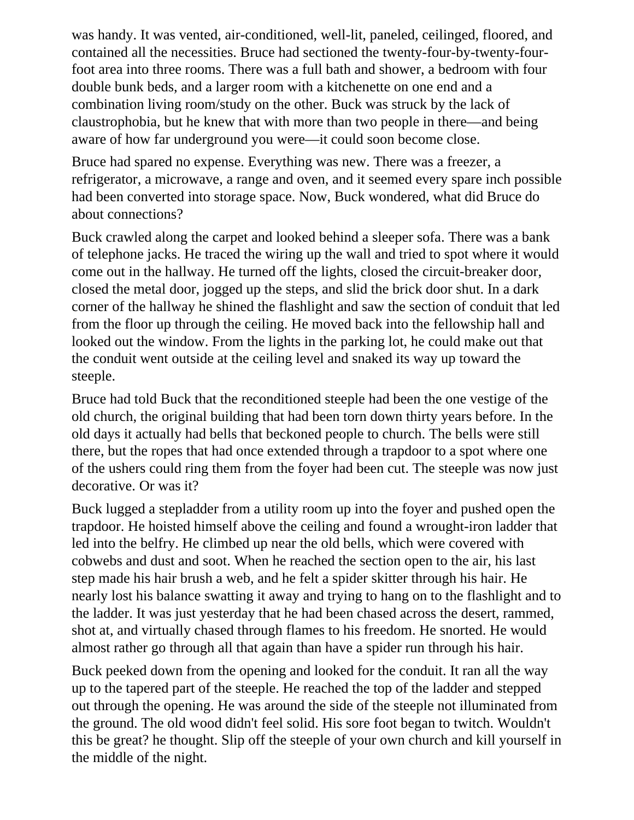was handy. It was vented, air-conditioned, well-lit, paneled, ceilinged, floored, and contained all the necessities. Bruce had sectioned the twenty-four-by-twenty-fourfoot area into three rooms. There was a full bath and shower, a bedroom with four double bunk beds, and a larger room with a kitchenette on one end and a combination living room/study on the other. Buck was struck by the lack of claustrophobia, but he knew that with more than two people in there—and being aware of how far underground you were—it could soon become close.

Bruce had spared no expense. Everything was new. There was a freezer, a refrigerator, a microwave, a range and oven, and it seemed every spare inch possible had been converted into storage space. Now, Buck wondered, what did Bruce do about connections?

Buck crawled along the carpet and looked behind a sleeper sofa. There was a bank of telephone jacks. He traced the wiring up the wall and tried to spot where it would come out in the hallway. He turned off the lights, closed the circuit-breaker door, closed the metal door, jogged up the steps, and slid the brick door shut. In a dark corner of the hallway he shined the flashlight and saw the section of conduit that led from the floor up through the ceiling. He moved back into the fellowship hall and looked out the window. From the lights in the parking lot, he could make out that the conduit went outside at the ceiling level and snaked its way up toward the steeple.

Bruce had told Buck that the reconditioned steeple had been the one vestige of the old church, the original building that had been torn down thirty years before. In the old days it actually had bells that beckoned people to church. The bells were still there, but the ropes that had once extended through a trapdoor to a spot where one of the ushers could ring them from the foyer had been cut. The steeple was now just decorative. Or was it?

Buck lugged a stepladder from a utility room up into the foyer and pushed open the trapdoor. He hoisted himself above the ceiling and found a wrought-iron ladder that led into the belfry. He climbed up near the old bells, which were covered with cobwebs and dust and soot. When he reached the section open to the air, his last step made his hair brush a web, and he felt a spider skitter through his hair. He nearly lost his balance swatting it away and trying to hang on to the flashlight and to the ladder. It was just yesterday that he had been chased across the desert, rammed, shot at, and virtually chased through flames to his freedom. He snorted. He would almost rather go through all that again than have a spider run through his hair.

Buck peeked down from the opening and looked for the conduit. It ran all the way up to the tapered part of the steeple. He reached the top of the ladder and stepped out through the opening. He was around the side of the steeple not illuminated from the ground. The old wood didn't feel solid. His sore foot began to twitch. Wouldn't this be great? he thought. Slip off the steeple of your own church and kill yourself in the middle of the night.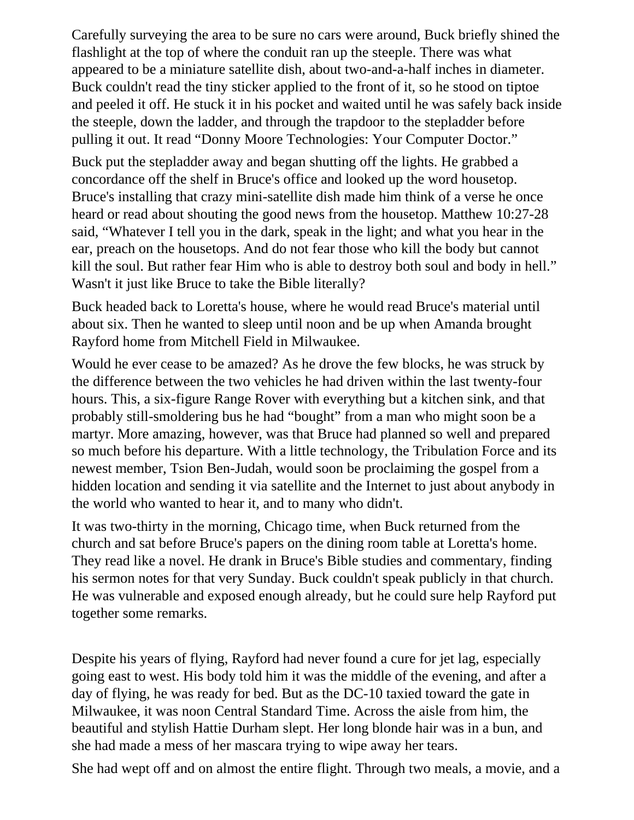Carefully surveying the area to be sure no cars were around, Buck briefly shined the flashlight at the top of where the conduit ran up the steeple. There was what appeared to be a miniature satellite dish, about two-and-a-half inches in diameter. Buck couldn't read the tiny sticker applied to the front of it, so he stood on tiptoe and peeled it off. He stuck it in his pocket and waited until he was safely back inside the steeple, down the ladder, and through the trapdoor to the stepladder before pulling it out. It read "Donny Moore Technologies: Your Computer Doctor."

Buck put the stepladder away and began shutting off the lights. He grabbed a concordance off the shelf in Bruce's office and looked up the word housetop. Bruce's installing that crazy mini-satellite dish made him think of a verse he once heard or read about shouting the good news from the housetop. Matthew 10:27-28 said, "Whatever I tell you in the dark, speak in the light; and what you hear in the ear, preach on the housetops. And do not fear those who kill the body but cannot kill the soul. But rather fear Him who is able to destroy both soul and body in hell." Wasn't it just like Bruce to take the Bible literally?

Buck headed back to Loretta's house, where he would read Bruce's material until about six. Then he wanted to sleep until noon and be up when Amanda brought Rayford home from Mitchell Field in Milwaukee.

Would he ever cease to be amazed? As he drove the few blocks, he was struck by the difference between the two vehicles he had driven within the last twenty-four hours. This, a six-figure Range Rover with everything but a kitchen sink, and that probably still-smoldering bus he had "bought" from a man who might soon be a martyr. More amazing, however, was that Bruce had planned so well and prepared so much before his departure. With a little technology, the Tribulation Force and its newest member, Tsion Ben-Judah, would soon be proclaiming the gospel from a hidden location and sending it via satellite and the Internet to just about anybody in the world who wanted to hear it, and to many who didn't.

It was two-thirty in the morning, Chicago time, when Buck returned from the church and sat before Bruce's papers on the dining room table at Loretta's home. They read like a novel. He drank in Bruce's Bible studies and commentary, finding his sermon notes for that very Sunday. Buck couldn't speak publicly in that church. He was vulnerable and exposed enough already, but he could sure help Rayford put together some remarks.

Despite his years of flying, Rayford had never found a cure for jet lag, especially going east to west. His body told him it was the middle of the evening, and after a day of flying, he was ready for bed. But as the DC-10 taxied toward the gate in Milwaukee, it was noon Central Standard Time. Across the aisle from him, the beautiful and stylish Hattie Durham slept. Her long blonde hair was in a bun, and she had made a mess of her mascara trying to wipe away her tears.

She had wept off and on almost the entire flight. Through two meals, a movie, and a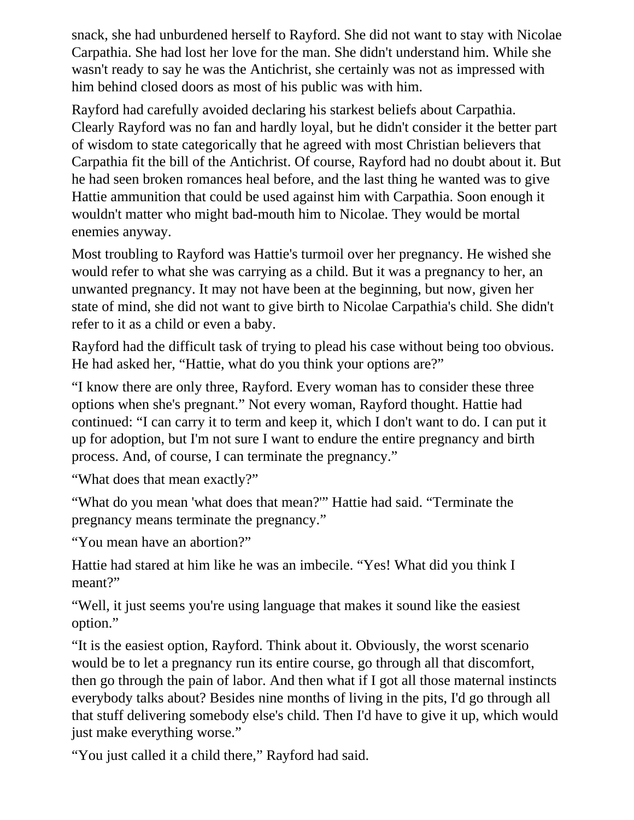snack, she had unburdened herself to Rayford. She did not want to stay with Nicolae Carpathia. She had lost her love for the man. She didn't understand him. While she wasn't ready to say he was the Antichrist, she certainly was not as impressed with him behind closed doors as most of his public was with him.

Rayford had carefully avoided declaring his starkest beliefs about Carpathia. Clearly Rayford was no fan and hardly loyal, but he didn't consider it the better part of wisdom to state categorically that he agreed with most Christian believers that Carpathia fit the bill of the Antichrist. Of course, Rayford had no doubt about it. But he had seen broken romances heal before, and the last thing he wanted was to give Hattie ammunition that could be used against him with Carpathia. Soon enough it wouldn't matter who might bad-mouth him to Nicolae. They would be mortal enemies anyway.

Most troubling to Rayford was Hattie's turmoil over her pregnancy. He wished she would refer to what she was carrying as a child. But it was a pregnancy to her, an unwanted pregnancy. It may not have been at the beginning, but now, given her state of mind, she did not want to give birth to Nicolae Carpathia's child. She didn't refer to it as a child or even a baby.

Rayford had the difficult task of trying to plead his case without being too obvious. He had asked her, "Hattie, what do you think your options are?"

"I know there are only three, Rayford. Every woman has to consider these three options when she's pregnant." Not every woman, Rayford thought. Hattie had continued: "I can carry it to term and keep it, which I don't want to do. I can put it up for adoption, but I'm not sure I want to endure the entire pregnancy and birth process. And, of course, I can terminate the pregnancy."

"What does that mean exactly?"

"What do you mean 'what does that mean?'" Hattie had said. "Terminate the pregnancy means terminate the pregnancy."

"You mean have an abortion?"

Hattie had stared at him like he was an imbecile. "Yes! What did you think I meant?"

"Well, it just seems you're using language that makes it sound like the easiest option."

"It is the easiest option, Rayford. Think about it. Obviously, the worst scenario would be to let a pregnancy run its entire course, go through all that discomfort, then go through the pain of labor. And then what if I got all those maternal instincts everybody talks about? Besides nine months of living in the pits, I'd go through all that stuff delivering somebody else's child. Then I'd have to give it up, which would just make everything worse."

"You just called it a child there," Rayford had said.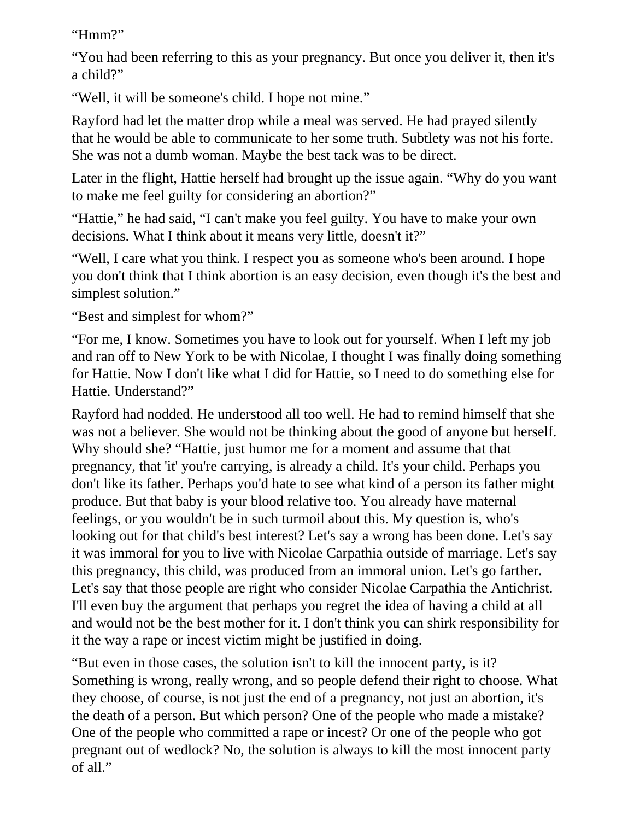"Hmm?"

"You had been referring to this as your pregnancy. But once you deliver it, then it's a child?"

"Well, it will be someone's child. I hope not mine."

Rayford had let the matter drop while a meal was served. He had prayed silently that he would be able to communicate to her some truth. Subtlety was not his forte. She was not a dumb woman. Maybe the best tack was to be direct.

Later in the flight, Hattie herself had brought up the issue again. "Why do you want to make me feel guilty for considering an abortion?"

"Hattie," he had said, "I can't make you feel guilty. You have to make your own decisions. What I think about it means very little, doesn't it?"

"Well, I care what you think. I respect you as someone who's been around. I hope you don't think that I think abortion is an easy decision, even though it's the best and simplest solution."

"Best and simplest for whom?"

"For me, I know. Sometimes you have to look out for yourself. When I left my job and ran off to New York to be with Nicolae, I thought I was finally doing something for Hattie. Now I don't like what I did for Hattie, so I need to do something else for Hattie. Understand?"

Rayford had nodded. He understood all too well. He had to remind himself that she was not a believer. She would not be thinking about the good of anyone but herself. Why should she? "Hattie, just humor me for a moment and assume that that pregnancy, that 'it' you're carrying, is already a child. It's your child. Perhaps you don't like its father. Perhaps you'd hate to see what kind of a person its father might produce. But that baby is your blood relative too. You already have maternal feelings, or you wouldn't be in such turmoil about this. My question is, who's looking out for that child's best interest? Let's say a wrong has been done. Let's say it was immoral for you to live with Nicolae Carpathia outside of marriage. Let's say this pregnancy, this child, was produced from an immoral union. Let's go farther. Let's say that those people are right who consider Nicolae Carpathia the Antichrist. I'll even buy the argument that perhaps you regret the idea of having a child at all and would not be the best mother for it. I don't think you can shirk responsibility for it the way a rape or incest victim might be justified in doing.

"But even in those cases, the solution isn't to kill the innocent party, is it? Something is wrong, really wrong, and so people defend their right to choose. What they choose, of course, is not just the end of a pregnancy, not just an abortion, it's the death of a person. But which person? One of the people who made a mistake? One of the people who committed a rape or incest? Or one of the people who got pregnant out of wedlock? No, the solution is always to kill the most innocent party of all."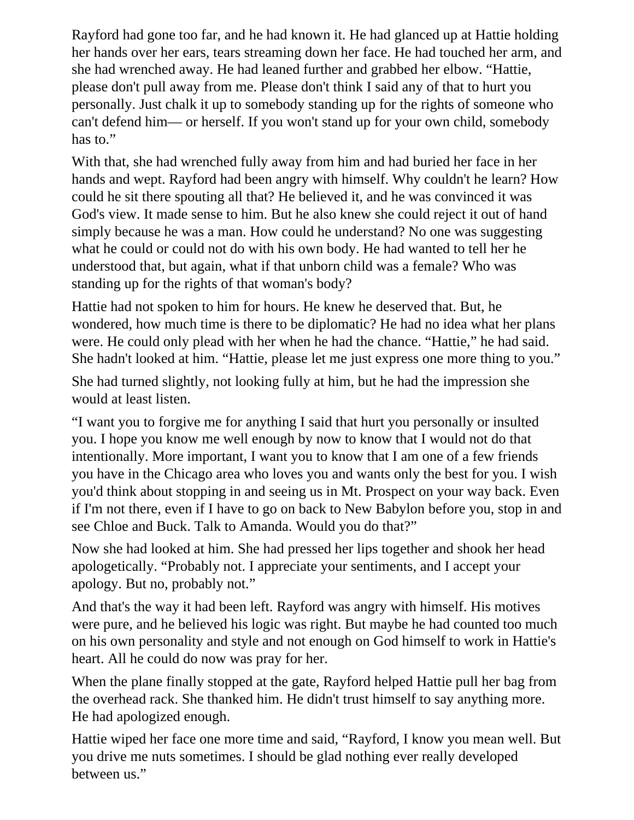Rayford had gone too far, and he had known it. He had glanced up at Hattie holding her hands over her ears, tears streaming down her face. He had touched her arm, and she had wrenched away. He had leaned further and grabbed her elbow. "Hattie, please don't pull away from me. Please don't think I said any of that to hurt you personally. Just chalk it up to somebody standing up for the rights of someone who can't defend him— or herself. If you won't stand up for your own child, somebody has to."

With that, she had wrenched fully away from him and had buried her face in her hands and wept. Rayford had been angry with himself. Why couldn't he learn? How could he sit there spouting all that? He believed it, and he was convinced it was God's view. It made sense to him. But he also knew she could reject it out of hand simply because he was a man. How could he understand? No one was suggesting what he could or could not do with his own body. He had wanted to tell her he understood that, but again, what if that unborn child was a female? Who was standing up for the rights of that woman's body?

Hattie had not spoken to him for hours. He knew he deserved that. But, he wondered, how much time is there to be diplomatic? He had no idea what her plans were. He could only plead with her when he had the chance. "Hattie," he had said. She hadn't looked at him. "Hattie, please let me just express one more thing to you."

She had turned slightly, not looking fully at him, but he had the impression she would at least listen.

"I want you to forgive me for anything I said that hurt you personally or insulted you. I hope you know me well enough by now to know that I would not do that intentionally. More important, I want you to know that I am one of a few friends you have in the Chicago area who loves you and wants only the best for you. I wish you'd think about stopping in and seeing us in Mt. Prospect on your way back. Even if I'm not there, even if I have to go on back to New Babylon before you, stop in and see Chloe and Buck. Talk to Amanda. Would you do that?"

Now she had looked at him. She had pressed her lips together and shook her head apologetically. "Probably not. I appreciate your sentiments, and I accept your apology. But no, probably not."

And that's the way it had been left. Rayford was angry with himself. His motives were pure, and he believed his logic was right. But maybe he had counted too much on his own personality and style and not enough on God himself to work in Hattie's heart. All he could do now was pray for her.

When the plane finally stopped at the gate, Rayford helped Hattie pull her bag from the overhead rack. She thanked him. He didn't trust himself to say anything more. He had apologized enough.

Hattie wiped her face one more time and said, "Rayford, I know you mean well. But you drive me nuts sometimes. I should be glad nothing ever really developed between us."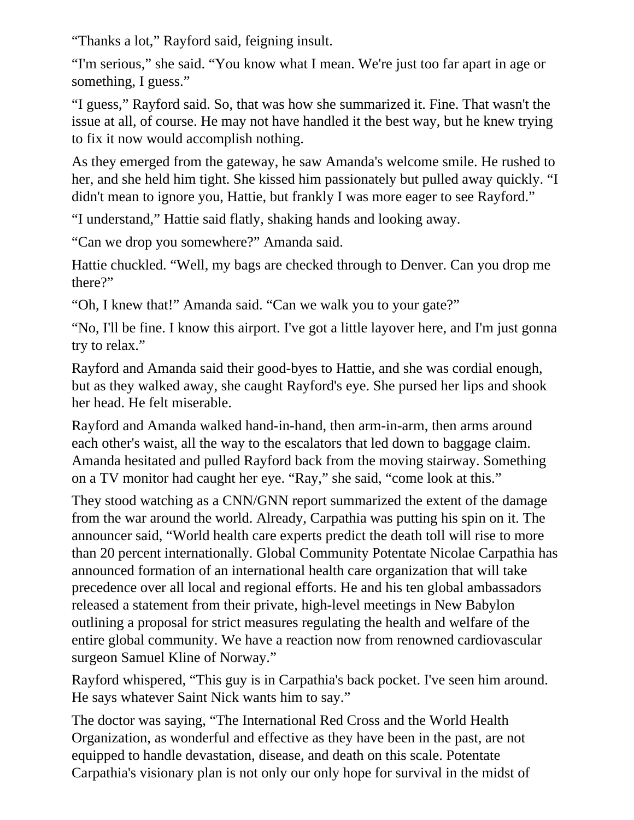"Thanks a lot," Rayford said, feigning insult.

"I'm serious," she said. "You know what I mean. We're just too far apart in age or something, I guess."

"I guess," Rayford said. So, that was how she summarized it. Fine. That wasn't the issue at all, of course. He may not have handled it the best way, but he knew trying to fix it now would accomplish nothing.

As they emerged from the gateway, he saw Amanda's welcome smile. He rushed to her, and she held him tight. She kissed him passionately but pulled away quickly. "I didn't mean to ignore you, Hattie, but frankly I was more eager to see Rayford."

"I understand," Hattie said flatly, shaking hands and looking away.

"Can we drop you somewhere?" Amanda said.

Hattie chuckled. "Well, my bags are checked through to Denver. Can you drop me there?"

"Oh, I knew that!" Amanda said. "Can we walk you to your gate?"

"No, I'll be fine. I know this airport. I've got a little layover here, and I'm just gonna try to relax."

Rayford and Amanda said their good-byes to Hattie, and she was cordial enough, but as they walked away, she caught Rayford's eye. She pursed her lips and shook her head. He felt miserable.

Rayford and Amanda walked hand-in-hand, then arm-in-arm, then arms around each other's waist, all the way to the escalators that led down to baggage claim. Amanda hesitated and pulled Rayford back from the moving stairway. Something on a TV monitor had caught her eye. "Ray," she said, "come look at this."

They stood watching as a CNN/GNN report summarized the extent of the damage from the war around the world. Already, Carpathia was putting his spin on it. The announcer said, "World health care experts predict the death toll will rise to more than 20 percent internationally. Global Community Potentate Nicolae Carpathia has announced formation of an international health care organization that will take precedence over all local and regional efforts. He and his ten global ambassadors released a statement from their private, high-level meetings in New Babylon outlining a proposal for strict measures regulating the health and welfare of the entire global community. We have a reaction now from renowned cardiovascular surgeon Samuel Kline of Norway."

Rayford whispered, "This guy is in Carpathia's back pocket. I've seen him around. He says whatever Saint Nick wants him to say."

The doctor was saying, "The International Red Cross and the World Health Organization, as wonderful and effective as they have been in the past, are not equipped to handle devastation, disease, and death on this scale. Potentate Carpathia's visionary plan is not only our only hope for survival in the midst of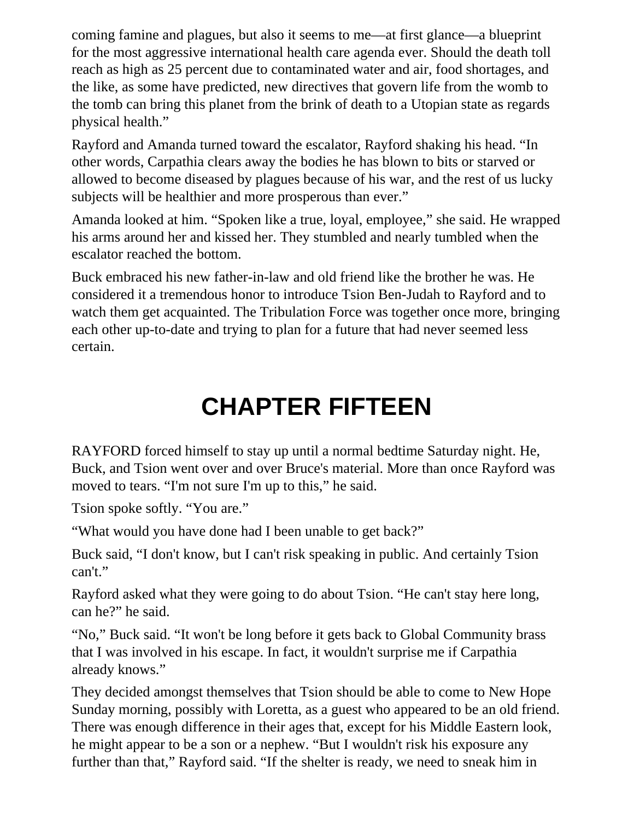coming famine and plagues, but also it seems to me—at first glance—a blueprint for the most aggressive international health care agenda ever. Should the death toll reach as high as 25 percent due to contaminated water and air, food shortages, and the like, as some have predicted, new directives that govern life from the womb to the tomb can bring this planet from the brink of death to a Utopian state as regards physical health."

Rayford and Amanda turned toward the escalator, Rayford shaking his head. "In other words, Carpathia clears away the bodies he has blown to bits or starved or allowed to become diseased by plagues because of his war, and the rest of us lucky subjects will be healthier and more prosperous than ever."

Amanda looked at him. "Spoken like a true, loyal, employee," she said. He wrapped his arms around her and kissed her. They stumbled and nearly tumbled when the escalator reached the bottom.

Buck embraced his new father-in-law and old friend like the brother he was. He considered it a tremendous honor to introduce Tsion Ben-Judah to Rayford and to watch them get acquainted. The Tribulation Force was together once more, bringing each other up-to-date and trying to plan for a future that had never seemed less certain.

## **CHAPTER FIFTEEN**

RAYFORD forced himself to stay up until a normal bedtime Saturday night. He, Buck, and Tsion went over and over Bruce's material. More than once Rayford was moved to tears. "I'm not sure I'm up to this," he said.

Tsion spoke softly. "You are."

"What would you have done had I been unable to get back?"

Buck said, "I don't know, but I can't risk speaking in public. And certainly Tsion can't."

Rayford asked what they were going to do about Tsion. "He can't stay here long, can he?" he said.

"No," Buck said. "It won't be long before it gets back to Global Community brass that I was involved in his escape. In fact, it wouldn't surprise me if Carpathia already knows."

They decided amongst themselves that Tsion should be able to come to New Hope Sunday morning, possibly with Loretta, as a guest who appeared to be an old friend. There was enough difference in their ages that, except for his Middle Eastern look, he might appear to be a son or a nephew. "But I wouldn't risk his exposure any further than that," Rayford said. "If the shelter is ready, we need to sneak him in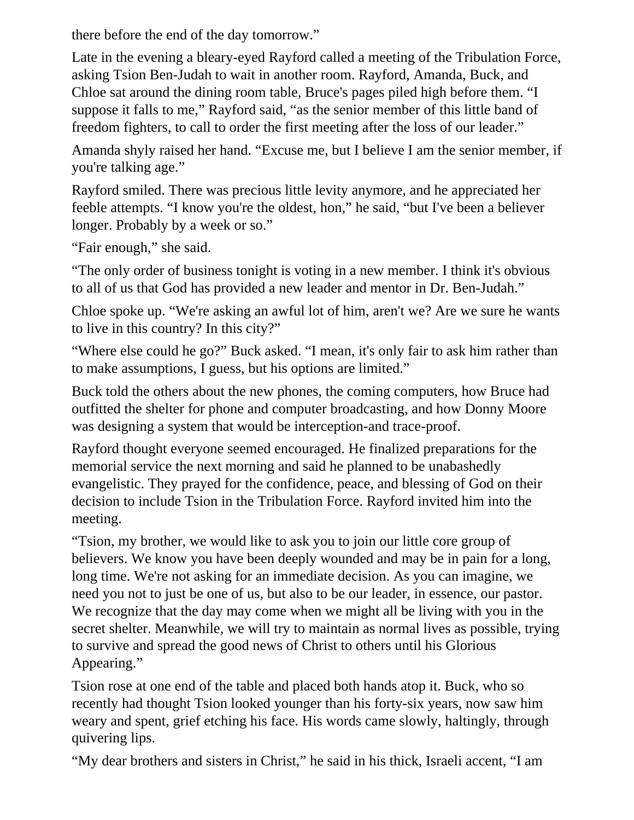there before the end of the day tomorrow."

Late in the evening a bleary-eyed Rayford called a meeting of the Tribulation Force, asking Tsion Ben-Judah to wait in another room. Rayford, Amanda, Buck, and Chloe sat around the dining room table, Bruce's pages piled high before them. "I suppose it falls to me," Rayford said, "as the senior member of this little band of freedom fighters, to call to order the first meeting after the loss of our leader."

Amanda shyly raised her hand. "Excuse me, but I believe I am the senior member, if you're talking age."

Rayford smiled. There was precious little levity anymore, and he appreciated her feeble attempts. "I know you're the oldest, hon," he said, "but I've been a believer longer. Probably by a week or so."

"Fair enough," she said.

"The only order of business tonight is voting in a new member. I think it's obvious to all of us that God has provided a new leader and mentor in Dr. Ben-Judah."

Chloe spoke up. "We're asking an awful lot of him, aren't we? Are we sure he wants to live in this country? In this city?"

"Where else could he go?" Buck asked. "I mean, it's only fair to ask him rather than to make assumptions, I guess, but his options are limited."

Buck told the others about the new phones, the coming computers, how Bruce had outfitted the shelter for phone and computer broadcasting, and how Donny Moore was designing a system that would be interception-and trace-proof.

Rayford thought everyone seemed encouraged. He finalized preparations for the memorial service the next morning and said he planned to be unabashedly evangelistic. They prayed for the confidence, peace, and blessing of God on their decision to include Tsion in the Tribulation Force. Rayford invited him into the meeting.

"Tsion, my brother, we would like to ask you to join our little core group of believers. We know you have been deeply wounded and may be in pain for a long, long time. We're not asking for an immediate decision. As you can imagine, we need you not to just be one of us, but also to be our leader, in essence, our pastor. We recognize that the day may come when we might all be living with you in the secret shelter. Meanwhile, we will try to maintain as normal lives as possible, trying to survive and spread the good news of Christ to others until his Glorious Appearing."

Tsion rose at one end of the table and placed both hands atop it. Buck, who so recently had thought Tsion looked younger than his forty-six years, now saw him weary and spent, grief etching his face. His words came slowly, haltingly, through quivering lips.

"My dear brothers and sisters in Christ," he said in his thick, Israeli accent, "I am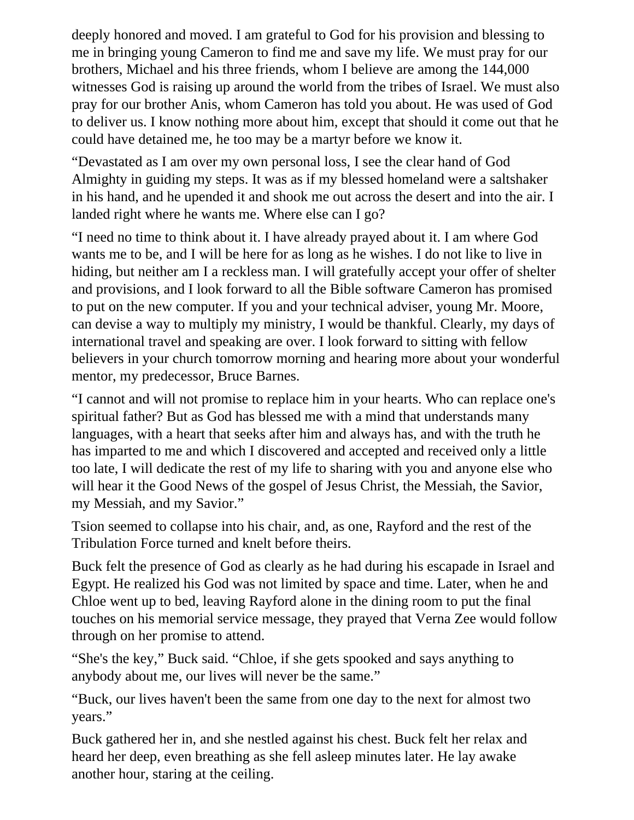deeply honored and moved. I am grateful to God for his provision and blessing to me in bringing young Cameron to find me and save my life. We must pray for our brothers, Michael and his three friends, whom I believe are among the 144,000 witnesses God is raising up around the world from the tribes of Israel. We must also pray for our brother Anis, whom Cameron has told you about. He was used of God to deliver us. I know nothing more about him, except that should it come out that he could have detained me, he too may be a martyr before we know it.

"Devastated as I am over my own personal loss, I see the clear hand of God Almighty in guiding my steps. It was as if my blessed homeland were a saltshaker in his hand, and he upended it and shook me out across the desert and into the air. I landed right where he wants me. Where else can I go?

"I need no time to think about it. I have already prayed about it. I am where God wants me to be, and I will be here for as long as he wishes. I do not like to live in hiding, but neither am I a reckless man. I will gratefully accept your offer of shelter and provisions, and I look forward to all the Bible software Cameron has promised to put on the new computer. If you and your technical adviser, young Mr. Moore, can devise a way to multiply my ministry, I would be thankful. Clearly, my days of international travel and speaking are over. I look forward to sitting with fellow believers in your church tomorrow morning and hearing more about your wonderful mentor, my predecessor, Bruce Barnes.

"I cannot and will not promise to replace him in your hearts. Who can replace one's spiritual father? But as God has blessed me with a mind that understands many languages, with a heart that seeks after him and always has, and with the truth he has imparted to me and which I discovered and accepted and received only a little too late, I will dedicate the rest of my life to sharing with you and anyone else who will hear it the Good News of the gospel of Jesus Christ, the Messiah, the Savior, my Messiah, and my Savior."

Tsion seemed to collapse into his chair, and, as one, Rayford and the rest of the Tribulation Force turned and knelt before theirs.

Buck felt the presence of God as clearly as he had during his escapade in Israel and Egypt. He realized his God was not limited by space and time. Later, when he and Chloe went up to bed, leaving Rayford alone in the dining room to put the final touches on his memorial service message, they prayed that Verna Zee would follow through on her promise to attend.

"She's the key," Buck said. "Chloe, if she gets spooked and says anything to anybody about me, our lives will never be the same."

"Buck, our lives haven't been the same from one day to the next for almost two years."

Buck gathered her in, and she nestled against his chest. Buck felt her relax and heard her deep, even breathing as she fell asleep minutes later. He lay awake another hour, staring at the ceiling.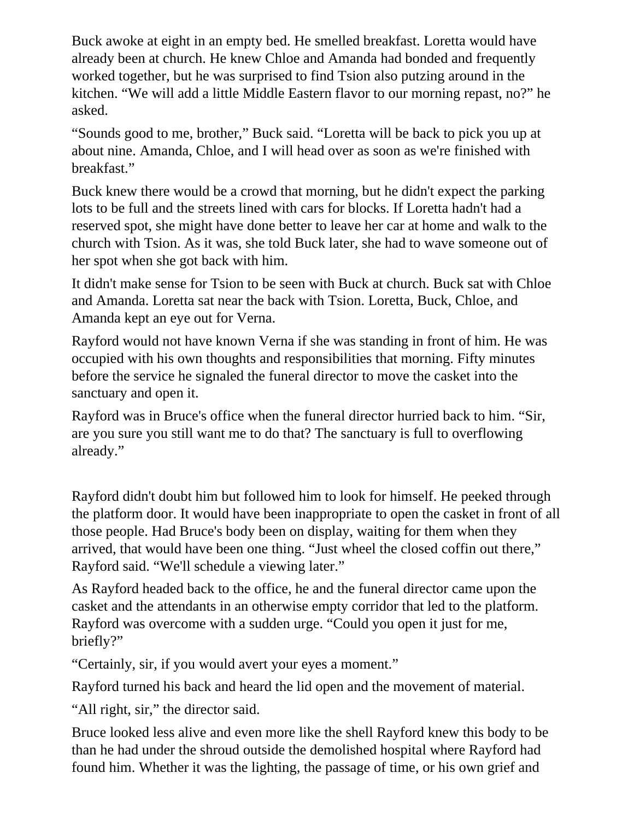Buck awoke at eight in an empty bed. He smelled breakfast. Loretta would have already been at church. He knew Chloe and Amanda had bonded and frequently worked together, but he was surprised to find Tsion also putzing around in the kitchen. "We will add a little Middle Eastern flavor to our morning repast, no?" he asked.

"Sounds good to me, brother," Buck said. "Loretta will be back to pick you up at about nine. Amanda, Chloe, and I will head over as soon as we're finished with breakfast."

Buck knew there would be a crowd that morning, but he didn't expect the parking lots to be full and the streets lined with cars for blocks. If Loretta hadn't had a reserved spot, she might have done better to leave her car at home and walk to the church with Tsion. As it was, she told Buck later, she had to wave someone out of her spot when she got back with him.

It didn't make sense for Tsion to be seen with Buck at church. Buck sat with Chloe and Amanda. Loretta sat near the back with Tsion. Loretta, Buck, Chloe, and Amanda kept an eye out for Verna.

Rayford would not have known Verna if she was standing in front of him. He was occupied with his own thoughts and responsibilities that morning. Fifty minutes before the service he signaled the funeral director to move the casket into the sanctuary and open it.

Rayford was in Bruce's office when the funeral director hurried back to him. "Sir, are you sure you still want me to do that? The sanctuary is full to overflowing already."

Rayford didn't doubt him but followed him to look for himself. He peeked through the platform door. It would have been inappropriate to open the casket in front of all those people. Had Bruce's body been on display, waiting for them when they arrived, that would have been one thing. "Just wheel the closed coffin out there," Rayford said. "We'll schedule a viewing later."

As Rayford headed back to the office, he and the funeral director came upon the casket and the attendants in an otherwise empty corridor that led to the platform. Rayford was overcome with a sudden urge. "Could you open it just for me, briefly?"

"Certainly, sir, if you would avert your eyes a moment."

Rayford turned his back and heard the lid open and the movement of material.

"All right, sir," the director said.

Bruce looked less alive and even more like the shell Rayford knew this body to be than he had under the shroud outside the demolished hospital where Rayford had found him. Whether it was the lighting, the passage of time, or his own grief and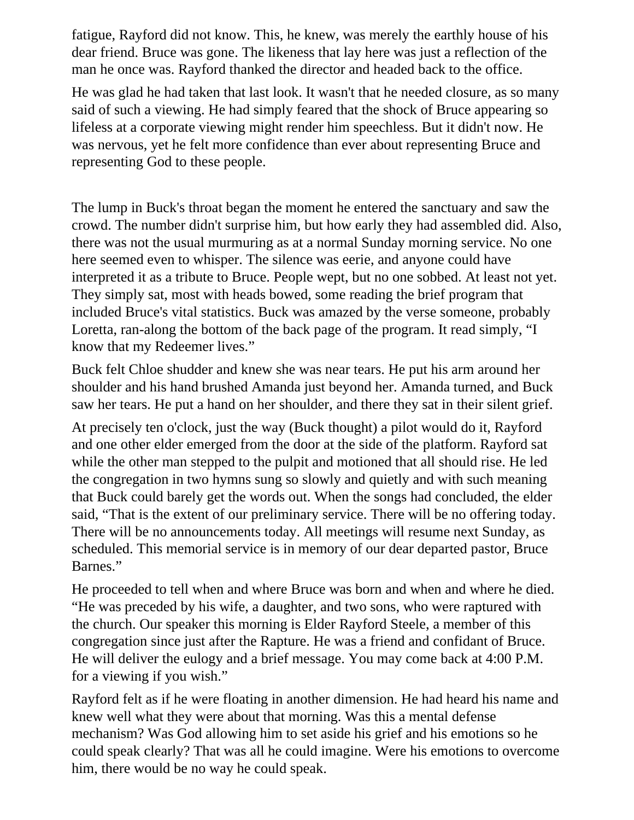fatigue, Rayford did not know. This, he knew, was merely the earthly house of his dear friend. Bruce was gone. The likeness that lay here was just a reflection of the man he once was. Rayford thanked the director and headed back to the office.

He was glad he had taken that last look. It wasn't that he needed closure, as so many said of such a viewing. He had simply feared that the shock of Bruce appearing so lifeless at a corporate viewing might render him speechless. But it didn't now. He was nervous, yet he felt more confidence than ever about representing Bruce and representing God to these people.

The lump in Buck's throat began the moment he entered the sanctuary and saw the crowd. The number didn't surprise him, but how early they had assembled did. Also, there was not the usual murmuring as at a normal Sunday morning service. No one here seemed even to whisper. The silence was eerie, and anyone could have interpreted it as a tribute to Bruce. People wept, but no one sobbed. At least not yet. They simply sat, most with heads bowed, some reading the brief program that included Bruce's vital statistics. Buck was amazed by the verse someone, probably Loretta, ran-along the bottom of the back page of the program. It read simply, "I know that my Redeemer lives."

Buck felt Chloe shudder and knew she was near tears. He put his arm around her shoulder and his hand brushed Amanda just beyond her. Amanda turned, and Buck saw her tears. He put a hand on her shoulder, and there they sat in their silent grief.

At precisely ten o'clock, just the way (Buck thought) a pilot would do it, Rayford and one other elder emerged from the door at the side of the platform. Rayford sat while the other man stepped to the pulpit and motioned that all should rise. He led the congregation in two hymns sung so slowly and quietly and with such meaning that Buck could barely get the words out. When the songs had concluded, the elder said, "That is the extent of our preliminary service. There will be no offering today. There will be no announcements today. All meetings will resume next Sunday, as scheduled. This memorial service is in memory of our dear departed pastor, Bruce Barnes."

He proceeded to tell when and where Bruce was born and when and where he died. "He was preceded by his wife, a daughter, and two sons, who were raptured with the church. Our speaker this morning is Elder Rayford Steele, a member of this congregation since just after the Rapture. He was a friend and confidant of Bruce. He will deliver the eulogy and a brief message. You may come back at 4:00 P.M. for a viewing if you wish."

Rayford felt as if he were floating in another dimension. He had heard his name and knew well what they were about that morning. Was this a mental defense mechanism? Was God allowing him to set aside his grief and his emotions so he could speak clearly? That was all he could imagine. Were his emotions to overcome him, there would be no way he could speak.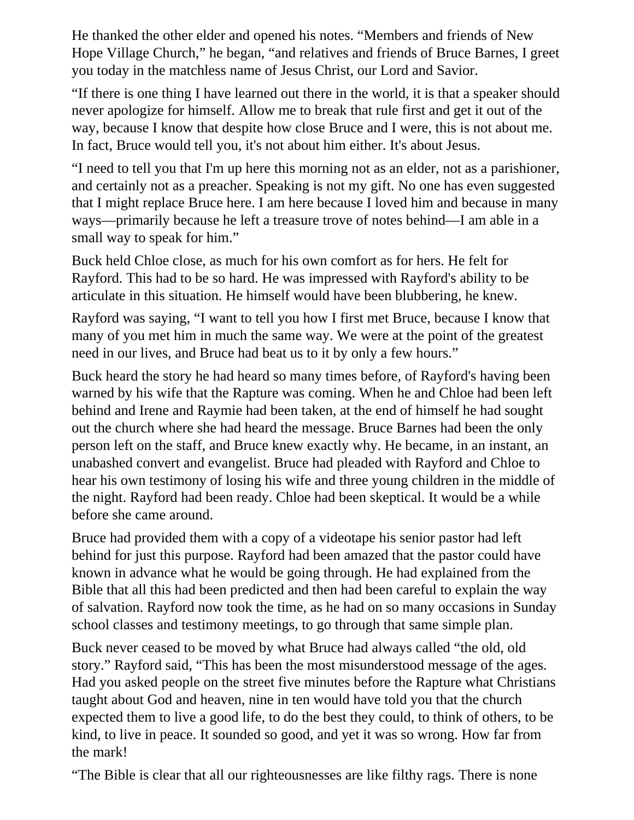He thanked the other elder and opened his notes. "Members and friends of New Hope Village Church," he began, "and relatives and friends of Bruce Barnes, I greet you today in the matchless name of Jesus Christ, our Lord and Savior.

"If there is one thing I have learned out there in the world, it is that a speaker should never apologize for himself. Allow me to break that rule first and get it out of the way, because I know that despite how close Bruce and I were, this is not about me. In fact, Bruce would tell you, it's not about him either. It's about Jesus.

"I need to tell you that I'm up here this morning not as an elder, not as a parishioner, and certainly not as a preacher. Speaking is not my gift. No one has even suggested that I might replace Bruce here. I am here because I loved him and because in many ways—primarily because he left a treasure trove of notes behind—I am able in a small way to speak for him."

Buck held Chloe close, as much for his own comfort as for hers. He felt for Rayford. This had to be so hard. He was impressed with Rayford's ability to be articulate in this situation. He himself would have been blubbering, he knew.

Rayford was saying, "I want to tell you how I first met Bruce, because I know that many of you met him in much the same way. We were at the point of the greatest need in our lives, and Bruce had beat us to it by only a few hours."

Buck heard the story he had heard so many times before, of Rayford's having been warned by his wife that the Rapture was coming. When he and Chloe had been left behind and Irene and Raymie had been taken, at the end of himself he had sought out the church where she had heard the message. Bruce Barnes had been the only person left on the staff, and Bruce knew exactly why. He became, in an instant, an unabashed convert and evangelist. Bruce had pleaded with Rayford and Chloe to hear his own testimony of losing his wife and three young children in the middle of the night. Rayford had been ready. Chloe had been skeptical. It would be a while before she came around.

Bruce had provided them with a copy of a videotape his senior pastor had left behind for just this purpose. Rayford had been amazed that the pastor could have known in advance what he would be going through. He had explained from the Bible that all this had been predicted and then had been careful to explain the way of salvation. Rayford now took the time, as he had on so many occasions in Sunday school classes and testimony meetings, to go through that same simple plan.

Buck never ceased to be moved by what Bruce had always called "the old, old story." Rayford said, "This has been the most misunderstood message of the ages. Had you asked people on the street five minutes before the Rapture what Christians taught about God and heaven, nine in ten would have told you that the church expected them to live a good life, to do the best they could, to think of others, to be kind, to live in peace. It sounded so good, and yet it was so wrong. How far from the mark!

"The Bible is clear that all our righteousnesses are like filthy rags. There is none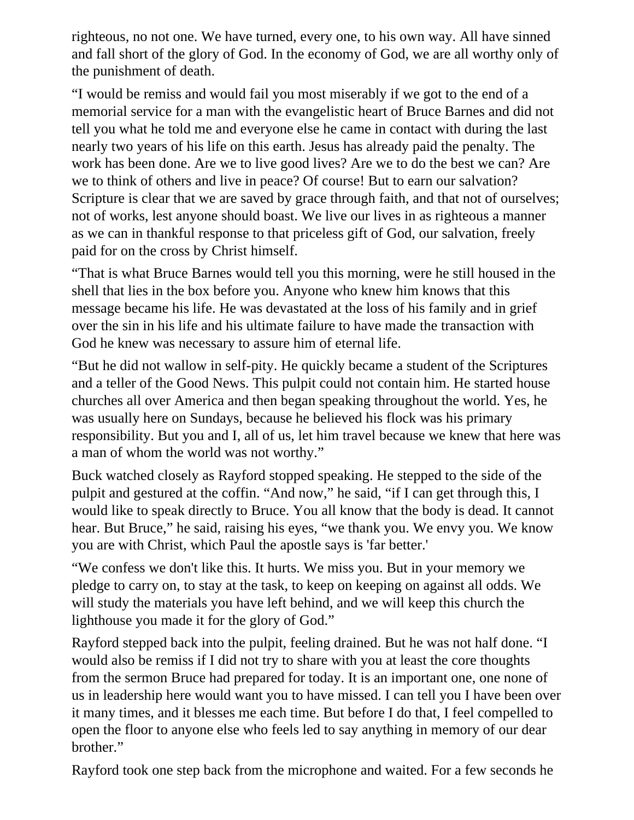righteous, no not one. We have turned, every one, to his own way. All have sinned and fall short of the glory of God. In the economy of God, we are all worthy only of the punishment of death.

"I would be remiss and would fail you most miserably if we got to the end of a memorial service for a man with the evangelistic heart of Bruce Barnes and did not tell you what he told me and everyone else he came in contact with during the last nearly two years of his life on this earth. Jesus has already paid the penalty. The work has been done. Are we to live good lives? Are we to do the best we can? Are we to think of others and live in peace? Of course! But to earn our salvation? Scripture is clear that we are saved by grace through faith, and that not of ourselves; not of works, lest anyone should boast. We live our lives in as righteous a manner as we can in thankful response to that priceless gift of God, our salvation, freely paid for on the cross by Christ himself.

"That is what Bruce Barnes would tell you this morning, were he still housed in the shell that lies in the box before you. Anyone who knew him knows that this message became his life. He was devastated at the loss of his family and in grief over the sin in his life and his ultimate failure to have made the transaction with God he knew was necessary to assure him of eternal life.

"But he did not wallow in self-pity. He quickly became a student of the Scriptures and a teller of the Good News. This pulpit could not contain him. He started house churches all over America and then began speaking throughout the world. Yes, he was usually here on Sundays, because he believed his flock was his primary responsibility. But you and I, all of us, let him travel because we knew that here was a man of whom the world was not worthy."

Buck watched closely as Rayford stopped speaking. He stepped to the side of the pulpit and gestured at the coffin. "And now," he said, "if I can get through this, I would like to speak directly to Bruce. You all know that the body is dead. It cannot hear. But Bruce," he said, raising his eyes, "we thank you. We envy you. We know you are with Christ, which Paul the apostle says is 'far better.'

"We confess we don't like this. It hurts. We miss you. But in your memory we pledge to carry on, to stay at the task, to keep on keeping on against all odds. We will study the materials you have left behind, and we will keep this church the lighthouse you made it for the glory of God."

Rayford stepped back into the pulpit, feeling drained. But he was not half done. "I would also be remiss if I did not try to share with you at least the core thoughts from the sermon Bruce had prepared for today. It is an important one, one none of us in leadership here would want you to have missed. I can tell you I have been over it many times, and it blesses me each time. But before I do that, I feel compelled to open the floor to anyone else who feels led to say anything in memory of our dear brother."

Rayford took one step back from the microphone and waited. For a few seconds he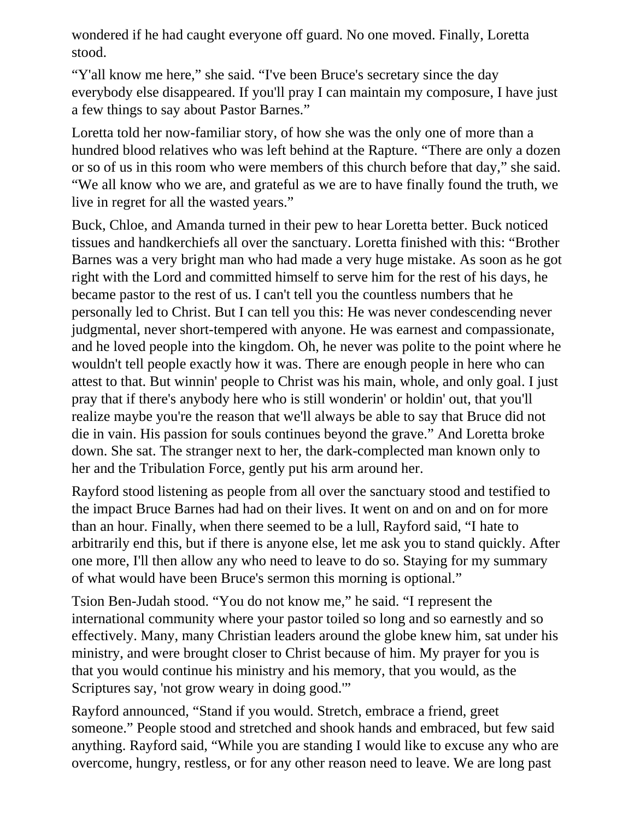wondered if he had caught everyone off guard. No one moved. Finally, Loretta stood.

"Y'all know me here," she said. "I've been Bruce's secretary since the day" everybody else disappeared. If you'll pray I can maintain my composure, I have just a few things to say about Pastor Barnes."

Loretta told her now-familiar story, of how she was the only one of more than a hundred blood relatives who was left behind at the Rapture. "There are only a dozen or so of us in this room who were members of this church before that day," she said. "We all know who we are, and grateful as we are to have finally found the truth, we live in regret for all the wasted years."

Buck, Chloe, and Amanda turned in their pew to hear Loretta better. Buck noticed tissues and handkerchiefs all over the sanctuary. Loretta finished with this: "Brother Barnes was a very bright man who had made a very huge mistake. As soon as he got right with the Lord and committed himself to serve him for the rest of his days, he became pastor to the rest of us. I can't tell you the countless numbers that he personally led to Christ. But I can tell you this: He was never condescending never judgmental, never short-tempered with anyone. He was earnest and compassionate, and he loved people into the kingdom. Oh, he never was polite to the point where he wouldn't tell people exactly how it was. There are enough people in here who can attest to that. But winnin' people to Christ was his main, whole, and only goal. I just pray that if there's anybody here who is still wonderin' or holdin' out, that you'll realize maybe you're the reason that we'll always be able to say that Bruce did not die in vain. His passion for souls continues beyond the grave." And Loretta broke down. She sat. The stranger next to her, the dark-complected man known only to her and the Tribulation Force, gently put his arm around her.

Rayford stood listening as people from all over the sanctuary stood and testified to the impact Bruce Barnes had had on their lives. It went on and on and on for more than an hour. Finally, when there seemed to be a lull, Rayford said, "I hate to arbitrarily end this, but if there is anyone else, let me ask you to stand quickly. After one more, I'll then allow any who need to leave to do so. Staying for my summary of what would have been Bruce's sermon this morning is optional."

Tsion Ben-Judah stood. "You do not know me," he said. "I represent the international community where your pastor toiled so long and so earnestly and so effectively. Many, many Christian leaders around the globe knew him, sat under his ministry, and were brought closer to Christ because of him. My prayer for you is that you would continue his ministry and his memory, that you would, as the Scriptures say, 'not grow weary in doing good.'"

Rayford announced, "Stand if you would. Stretch, embrace a friend, greet someone." People stood and stretched and shook hands and embraced, but few said anything. Rayford said, "While you are standing I would like to excuse any who are overcome, hungry, restless, or for any other reason need to leave. We are long past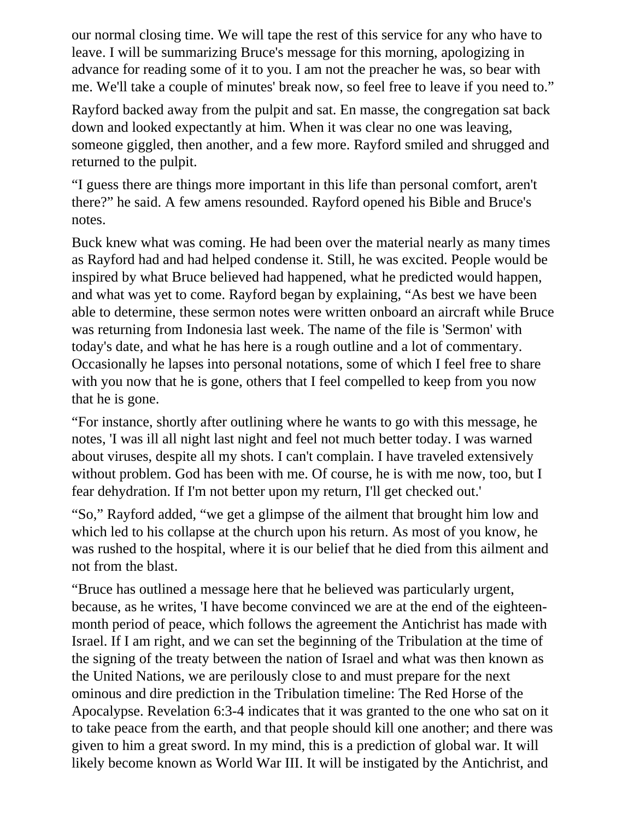our normal closing time. We will tape the rest of this service for any who have to leave. I will be summarizing Bruce's message for this morning, apologizing in advance for reading some of it to you. I am not the preacher he was, so bear with me. We'll take a couple of minutes' break now, so feel free to leave if you need to."

Rayford backed away from the pulpit and sat. En masse, the congregation sat back down and looked expectantly at him. When it was clear no one was leaving, someone giggled, then another, and a few more. Rayford smiled and shrugged and returned to the pulpit.

"I guess there are things more important in this life than personal comfort, aren't there?" he said. A few amens resounded. Rayford opened his Bible and Bruce's notes.

Buck knew what was coming. He had been over the material nearly as many times as Rayford had and had helped condense it. Still, he was excited. People would be inspired by what Bruce believed had happened, what he predicted would happen, and what was yet to come. Rayford began by explaining, "As best we have been able to determine, these sermon notes were written onboard an aircraft while Bruce was returning from Indonesia last week. The name of the file is 'Sermon' with today's date, and what he has here is a rough outline and a lot of commentary. Occasionally he lapses into personal notations, some of which I feel free to share with you now that he is gone, others that I feel compelled to keep from you now that he is gone.

"For instance, shortly after outlining where he wants to go with this message, he notes, 'I was ill all night last night and feel not much better today. I was warned about viruses, despite all my shots. I can't complain. I have traveled extensively without problem. God has been with me. Of course, he is with me now, too, but I fear dehydration. If I'm not better upon my return, I'll get checked out.'

"So," Rayford added, "we get a glimpse of the ailment that brought him low and which led to his collapse at the church upon his return. As most of you know, he was rushed to the hospital, where it is our belief that he died from this ailment and not from the blast.

"Bruce has outlined a message here that he believed was particularly urgent, because, as he writes, 'I have become convinced we are at the end of the eighteenmonth period of peace, which follows the agreement the Antichrist has made with Israel. If I am right, and we can set the beginning of the Tribulation at the time of the signing of the treaty between the nation of Israel and what was then known as the United Nations, we are perilously close to and must prepare for the next ominous and dire prediction in the Tribulation timeline: The Red Horse of the Apocalypse. Revelation 6:3-4 indicates that it was granted to the one who sat on it to take peace from the earth, and that people should kill one another; and there was given to him a great sword. In my mind, this is a prediction of global war. It will likely become known as World War III. It will be instigated by the Antichrist, and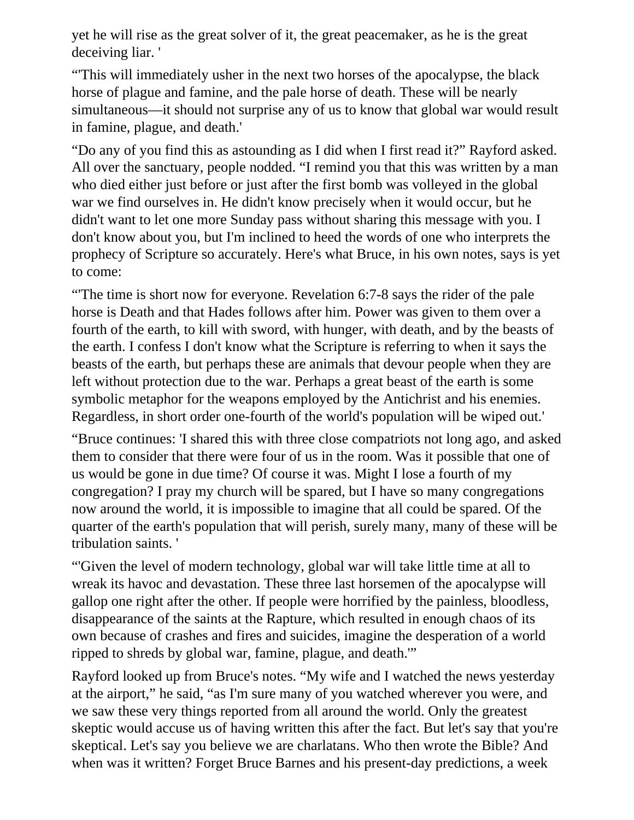yet he will rise as the great solver of it, the great peacemaker, as he is the great deceiving liar. '

"'This will immediately usher in the next two horses of the apocalypse, the black horse of plague and famine, and the pale horse of death. These will be nearly simultaneous—it should not surprise any of us to know that global war would result in famine, plague, and death.'

"Do any of you find this as astounding as I did when I first read it?" Rayford asked. All over the sanctuary, people nodded. "I remind you that this was written by a man who died either just before or just after the first bomb was volleyed in the global war we find ourselves in. He didn't know precisely when it would occur, but he didn't want to let one more Sunday pass without sharing this message with you. I don't know about you, but I'm inclined to heed the words of one who interprets the prophecy of Scripture so accurately. Here's what Bruce, in his own notes, says is yet to come:

"'The time is short now for everyone. Revelation 6:7-8 says the rider of the pale horse is Death and that Hades follows after him. Power was given to them over a fourth of the earth, to kill with sword, with hunger, with death, and by the beasts of the earth. I confess I don't know what the Scripture is referring to when it says the beasts of the earth, but perhaps these are animals that devour people when they are left without protection due to the war. Perhaps a great beast of the earth is some symbolic metaphor for the weapons employed by the Antichrist and his enemies. Regardless, in short order one-fourth of the world's population will be wiped out.'

"Bruce continues: 'I shared this with three close compatriots not long ago, and asked them to consider that there were four of us in the room. Was it possible that one of us would be gone in due time? Of course it was. Might I lose a fourth of my congregation? I pray my church will be spared, but I have so many congregations now around the world, it is impossible to imagine that all could be spared. Of the quarter of the earth's population that will perish, surely many, many of these will be tribulation saints. '

"'Given the level of modern technology, global war will take little time at all to wreak its havoc and devastation. These three last horsemen of the apocalypse will gallop one right after the other. If people were horrified by the painless, bloodless, disappearance of the saints at the Rapture, which resulted in enough chaos of its own because of crashes and fires and suicides, imagine the desperation of a world ripped to shreds by global war, famine, plague, and death.'"

Rayford looked up from Bruce's notes. "My wife and I watched the news yesterday at the airport," he said, "as I'm sure many of you watched wherever you were, and we saw these very things reported from all around the world. Only the greatest skeptic would accuse us of having written this after the fact. But let's say that you're skeptical. Let's say you believe we are charlatans. Who then wrote the Bible? And when was it written? Forget Bruce Barnes and his present-day predictions, a week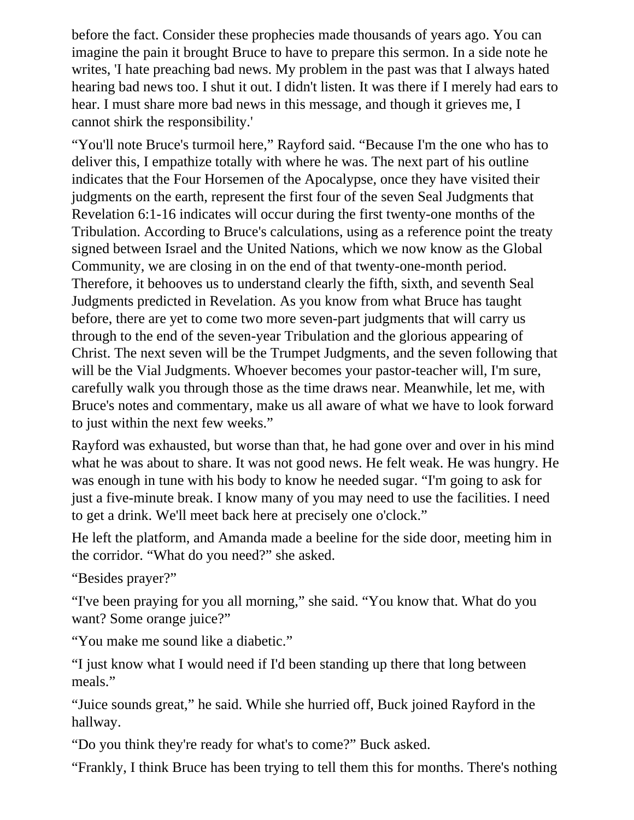before the fact. Consider these prophecies made thousands of years ago. You can imagine the pain it brought Bruce to have to prepare this sermon. In a side note he writes, 'I hate preaching bad news. My problem in the past was that I always hated hearing bad news too. I shut it out. I didn't listen. It was there if I merely had ears to hear. I must share more bad news in this message, and though it grieves me, I cannot shirk the responsibility.'

"You'll note Bruce's turmoil here," Rayford said. "Because I'm the one who has to deliver this, I empathize totally with where he was. The next part of his outline indicates that the Four Horsemen of the Apocalypse, once they have visited their judgments on the earth, represent the first four of the seven Seal Judgments that Revelation 6:1-16 indicates will occur during the first twenty-one months of the Tribulation. According to Bruce's calculations, using as a reference point the treaty signed between Israel and the United Nations, which we now know as the Global Community, we are closing in on the end of that twenty-one-month period. Therefore, it behooves us to understand clearly the fifth, sixth, and seventh Seal Judgments predicted in Revelation. As you know from what Bruce has taught before, there are yet to come two more seven-part judgments that will carry us through to the end of the seven-year Tribulation and the glorious appearing of Christ. The next seven will be the Trumpet Judgments, and the seven following that will be the Vial Judgments. Whoever becomes your pastor-teacher will, I'm sure, carefully walk you through those as the time draws near. Meanwhile, let me, with Bruce's notes and commentary, make us all aware of what we have to look forward to just within the next few weeks."

Rayford was exhausted, but worse than that, he had gone over and over in his mind what he was about to share. It was not good news. He felt weak. He was hungry. He was enough in tune with his body to know he needed sugar. "I'm going to ask for just a five-minute break. I know many of you may need to use the facilities. I need to get a drink. We'll meet back here at precisely one o'clock."

He left the platform, and Amanda made a beeline for the side door, meeting him in the corridor. "What do you need?" she asked.

"Besides prayer?"

"I've been praying for you all morning," she said. "You know that. What do you want? Some orange juice?"

"You make me sound like a diabetic."

"I just know what I would need if I'd been standing up there that long between meals."

"Juice sounds great," he said. While she hurried off, Buck joined Rayford in the hallway.

"Do you think they're ready for what's to come?" Buck asked.

"Frankly, I think Bruce has been trying to tell them this for months. There's nothing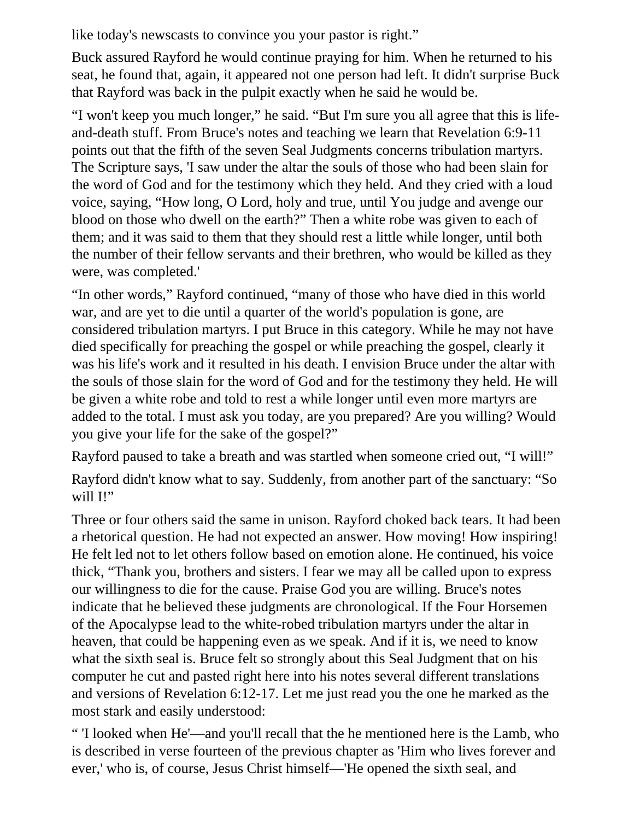like today's newscasts to convince you your pastor is right."

Buck assured Rayford he would continue praying for him. When he returned to his seat, he found that, again, it appeared not one person had left. It didn't surprise Buck that Rayford was back in the pulpit exactly when he said he would be.

"I won't keep you much longer," he said. "But I'm sure you all agree that this is lifeand-death stuff. From Bruce's notes and teaching we learn that Revelation 6:9-11 points out that the fifth of the seven Seal Judgments concerns tribulation martyrs. The Scripture says, 'I saw under the altar the souls of those who had been slain for the word of God and for the testimony which they held. And they cried with a loud voice, saying, "How long, O Lord, holy and true, until You judge and avenge our blood on those who dwell on the earth?" Then a white robe was given to each of them; and it was said to them that they should rest a little while longer, until both the number of their fellow servants and their brethren, who would be killed as they were, was completed.'

"In other words," Rayford continued, "many of those who have died in this world war, and are yet to die until a quarter of the world's population is gone, are considered tribulation martyrs. I put Bruce in this category. While he may not have died specifically for preaching the gospel or while preaching the gospel, clearly it was his life's work and it resulted in his death. I envision Bruce under the altar with the souls of those slain for the word of God and for the testimony they held. He will be given a white robe and told to rest a while longer until even more martyrs are added to the total. I must ask you today, are you prepared? Are you willing? Would you give your life for the sake of the gospel?"

Rayford paused to take a breath and was startled when someone cried out, "I will!"

Rayford didn't know what to say. Suddenly, from another part of the sanctuary: "So will  $\mathbf{I}$ !"

Three or four others said the same in unison. Rayford choked back tears. It had been a rhetorical question. He had not expected an answer. How moving! How inspiring! He felt led not to let others follow based on emotion alone. He continued, his voice thick, "Thank you, brothers and sisters. I fear we may all be called upon to express our willingness to die for the cause. Praise God you are willing. Bruce's notes indicate that he believed these judgments are chronological. If the Four Horsemen of the Apocalypse lead to the white-robed tribulation martyrs under the altar in heaven, that could be happening even as we speak. And if it is, we need to know what the sixth seal is. Bruce felt so strongly about this Seal Judgment that on his computer he cut and pasted right here into his notes several different translations and versions of Revelation 6:12-17. Let me just read you the one he marked as the most stark and easily understood:

" 'I looked when He'—and you'll recall that the he mentioned here is the Lamb, who is described in verse fourteen of the previous chapter as 'Him who lives forever and ever,' who is, of course, Jesus Christ himself—'He opened the sixth seal, and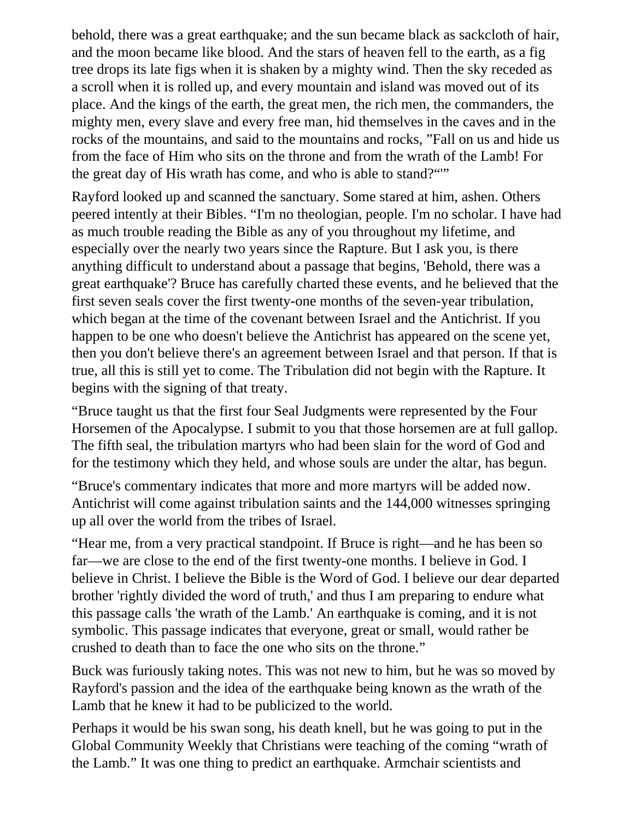behold, there was a great earthquake; and the sun became black as sackcloth of hair, and the moon became like blood. And the stars of heaven fell to the earth, as a fig tree drops its late figs when it is shaken by a mighty wind. Then the sky receded as a scroll when it is rolled up, and every mountain and island was moved out of its place. And the kings of the earth, the great men, the rich men, the commanders, the mighty men, every slave and every free man, hid themselves in the caves and in the rocks of the mountains, and said to the mountains and rocks, "Fall on us and hide us from the face of Him who sits on the throne and from the wrath of the Lamb! For the great day of His wrath has come, and who is able to stand?"'"

Rayford looked up and scanned the sanctuary. Some stared at him, ashen. Others peered intently at their Bibles. "I'm no theologian, people. I'm no scholar. I have had as much trouble reading the Bible as any of you throughout my lifetime, and especially over the nearly two years since the Rapture. But I ask you, is there anything difficult to understand about a passage that begins, 'Behold, there was a great earthquake'? Bruce has carefully charted these events, and he believed that the first seven seals cover the first twenty-one months of the seven-year tribulation, which began at the time of the covenant between Israel and the Antichrist. If you happen to be one who doesn't believe the Antichrist has appeared on the scene yet, then you don't believe there's an agreement between Israel and that person. If that is true, all this is still yet to come. The Tribulation did not begin with the Rapture. It begins with the signing of that treaty.

"Bruce taught us that the first four Seal Judgments were represented by the Four Horsemen of the Apocalypse. I submit to you that those horsemen are at full gallop. The fifth seal, the tribulation martyrs who had been slain for the word of God and for the testimony which they held, and whose souls are under the altar, has begun.

"Bruce's commentary indicates that more and more martyrs will be added now. Antichrist will come against tribulation saints and the 144,000 witnesses springing up all over the world from the tribes of Israel.

"Hear me, from a very practical standpoint. If Bruce is right—and he has been so far—we are close to the end of the first twenty-one months. I believe in God. I believe in Christ. I believe the Bible is the Word of God. I believe our dear departed brother 'rightly divided the word of truth,' and thus I am preparing to endure what this passage calls 'the wrath of the Lamb.' An earthquake is coming, and it is not symbolic. This passage indicates that everyone, great or small, would rather be crushed to death than to face the one who sits on the throne."

Buck was furiously taking notes. This was not new to him, but he was so moved by Rayford's passion and the idea of the earthquake being known as the wrath of the Lamb that he knew it had to be publicized to the world.

Perhaps it would be his swan song, his death knell, but he was going to put in the Global Community Weekly that Christians were teaching of the coming "wrath of the Lamb." It was one thing to predict an earthquake. Armchair scientists and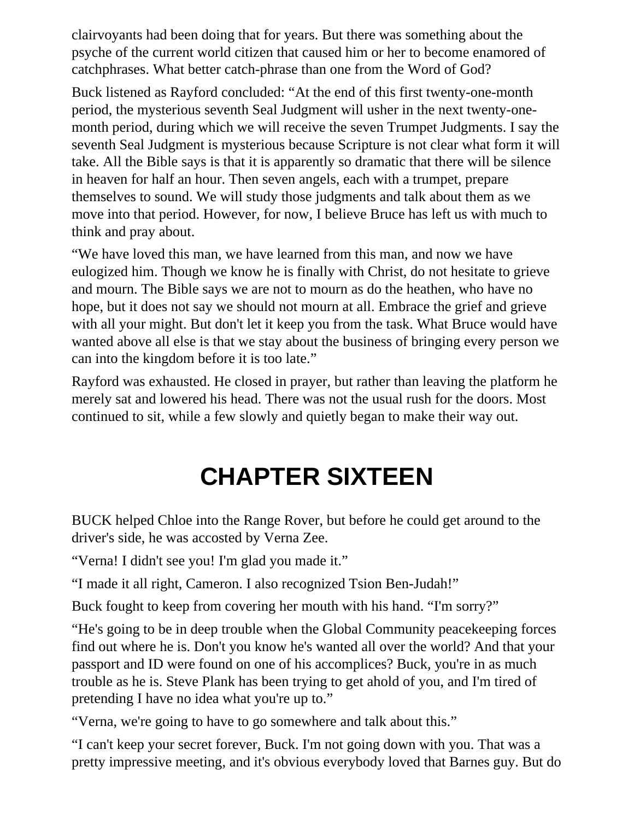clairvoyants had been doing that for years. But there was something about the psyche of the current world citizen that caused him or her to become enamored of catchphrases. What better catch-phrase than one from the Word of God?

Buck listened as Rayford concluded: "At the end of this first twenty-one-month period, the mysterious seventh Seal Judgment will usher in the next twenty-onemonth period, during which we will receive the seven Trumpet Judgments. I say the seventh Seal Judgment is mysterious because Scripture is not clear what form it will take. All the Bible says is that it is apparently so dramatic that there will be silence in heaven for half an hour. Then seven angels, each with a trumpet, prepare themselves to sound. We will study those judgments and talk about them as we move into that period. However, for now, I believe Bruce has left us with much to think and pray about.

"We have loved this man, we have learned from this man, and now we have eulogized him. Though we know he is finally with Christ, do not hesitate to grieve and mourn. The Bible says we are not to mourn as do the heathen, who have no hope, but it does not say we should not mourn at all. Embrace the grief and grieve with all your might. But don't let it keep you from the task. What Bruce would have wanted above all else is that we stay about the business of bringing every person we can into the kingdom before it is too late."

Rayford was exhausted. He closed in prayer, but rather than leaving the platform he merely sat and lowered his head. There was not the usual rush for the doors. Most continued to sit, while a few slowly and quietly began to make their way out.

## **CHAPTER SIXTEEN**

BUCK helped Chloe into the Range Rover, but before he could get around to the driver's side, he was accosted by Verna Zee.

"Verna! I didn't see you! I'm glad you made it."

"I made it all right, Cameron. I also recognized Tsion Ben-Judah!"

Buck fought to keep from covering her mouth with his hand. "I'm sorry?"

"He's going to be in deep trouble when the Global Community peacekeeping forces find out where he is. Don't you know he's wanted all over the world? And that your passport and ID were found on one of his accomplices? Buck, you're in as much trouble as he is. Steve Plank has been trying to get ahold of you, and I'm tired of pretending I have no idea what you're up to."

"Verna, we're going to have to go somewhere and talk about this."

"I can't keep your secret forever, Buck. I'm not going down with you. That was a pretty impressive meeting, and it's obvious everybody loved that Barnes guy. But do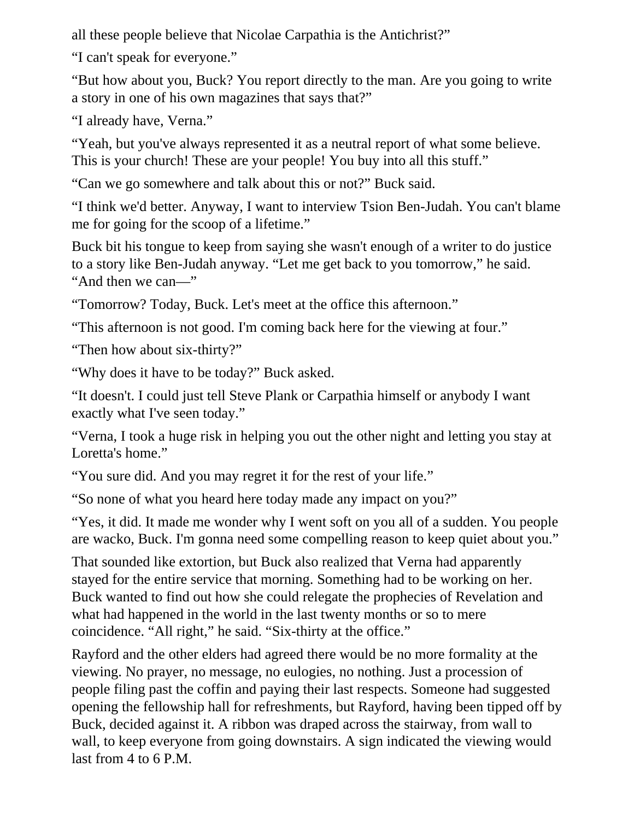all these people believe that Nicolae Carpathia is the Antichrist?"

"I can't speak for everyone."

"But how about you, Buck? You report directly to the man. Are you going to write a story in one of his own magazines that says that?"

"I already have, Verna."

"Yeah, but you've always represented it as a neutral report of what some believe. This is your church! These are your people! You buy into all this stuff."

"Can we go somewhere and talk about this or not?" Buck said.

"I think we'd better. Anyway, I want to interview Tsion Ben-Judah. You can't blame me for going for the scoop of a lifetime."

Buck bit his tongue to keep from saying she wasn't enough of a writer to do justice to a story like Ben-Judah anyway. "Let me get back to you tomorrow," he said. "And then we can—"

"Tomorrow? Today, Buck. Let's meet at the office this afternoon."

"This afternoon is not good. I'm coming back here for the viewing at four."

"Then how about six-thirty?"

"Why does it have to be today?" Buck asked.

"It doesn't. I could just tell Steve Plank or Carpathia himself or anybody I want exactly what I've seen today."

"Verna, I took a huge risk in helping you out the other night and letting you stay at Loretta's home."

"You sure did. And you may regret it for the rest of your life."

"So none of what you heard here today made any impact on you?"

"Yes, it did. It made me wonder why I went soft on you all of a sudden. You people are wacko, Buck. I'm gonna need some compelling reason to keep quiet about you."

That sounded like extortion, but Buck also realized that Verna had apparently stayed for the entire service that morning. Something had to be working on her. Buck wanted to find out how she could relegate the prophecies of Revelation and what had happened in the world in the last twenty months or so to mere coincidence. "All right," he said. "Six-thirty at the office."

Rayford and the other elders had agreed there would be no more formality at the viewing. No prayer, no message, no eulogies, no nothing. Just a procession of people filing past the coffin and paying their last respects. Someone had suggested opening the fellowship hall for refreshments, but Rayford, having been tipped off by Buck, decided against it. A ribbon was draped across the stairway, from wall to wall, to keep everyone from going downstairs. A sign indicated the viewing would last from 4 to 6 P.M.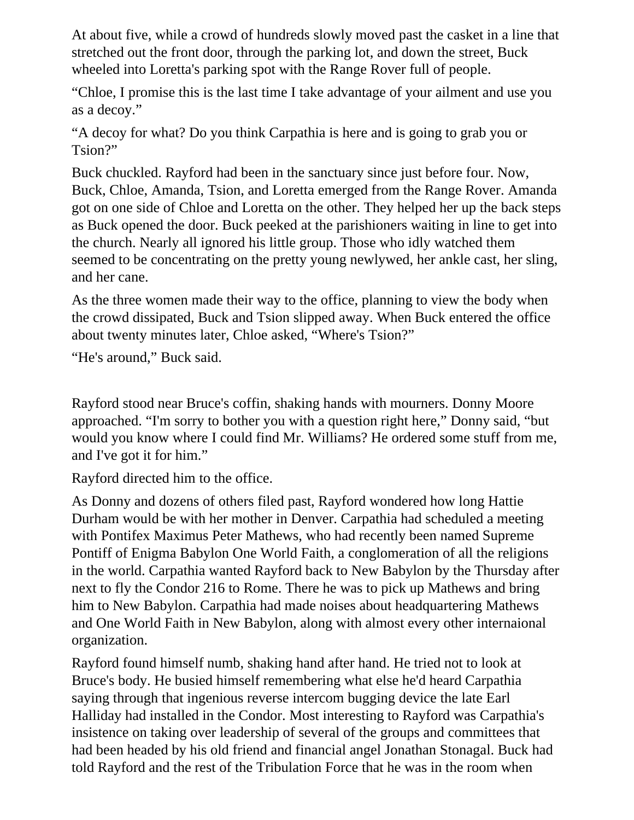At about five, while a crowd of hundreds slowly moved past the casket in a line that stretched out the front door, through the parking lot, and down the street, Buck wheeled into Loretta's parking spot with the Range Rover full of people.

"Chloe, I promise this is the last time I take advantage of your ailment and use you as a decoy."

"A decoy for what? Do you think Carpathia is here and is going to grab you or Tsion?"

Buck chuckled. Rayford had been in the sanctuary since just before four. Now, Buck, Chloe, Amanda, Tsion, and Loretta emerged from the Range Rover. Amanda got on one side of Chloe and Loretta on the other. They helped her up the back steps as Buck opened the door. Buck peeked at the parishioners waiting in line to get into the church. Nearly all ignored his little group. Those who idly watched them seemed to be concentrating on the pretty young newlywed, her ankle cast, her sling, and her cane.

As the three women made their way to the office, planning to view the body when the crowd dissipated, Buck and Tsion slipped away. When Buck entered the office about twenty minutes later, Chloe asked, "Where's Tsion?"

"He's around," Buck said.

Rayford stood near Bruce's coffin, shaking hands with mourners. Donny Moore approached. "I'm sorry to bother you with a question right here," Donny said, "but would you know where I could find Mr. Williams? He ordered some stuff from me, and I've got it for him."

Rayford directed him to the office.

As Donny and dozens of others filed past, Rayford wondered how long Hattie Durham would be with her mother in Denver. Carpathia had scheduled a meeting with Pontifex Maximus Peter Mathews, who had recently been named Supreme Pontiff of Enigma Babylon One World Faith, a conglomeration of all the religions in the world. Carpathia wanted Rayford back to New Babylon by the Thursday after next to fly the Condor 216 to Rome. There he was to pick up Mathews and bring him to New Babylon. Carpathia had made noises about headquartering Mathews and One World Faith in New Babylon, along with almost every other internaional organization.

Rayford found himself numb, shaking hand after hand. He tried not to look at Bruce's body. He busied himself remembering what else he'd heard Carpathia saying through that ingenious reverse intercom bugging device the late Earl Halliday had installed in the Condor. Most interesting to Rayford was Carpathia's insistence on taking over leadership of several of the groups and committees that had been headed by his old friend and financial angel Jonathan Stonagal. Buck had told Rayford and the rest of the Tribulation Force that he was in the room when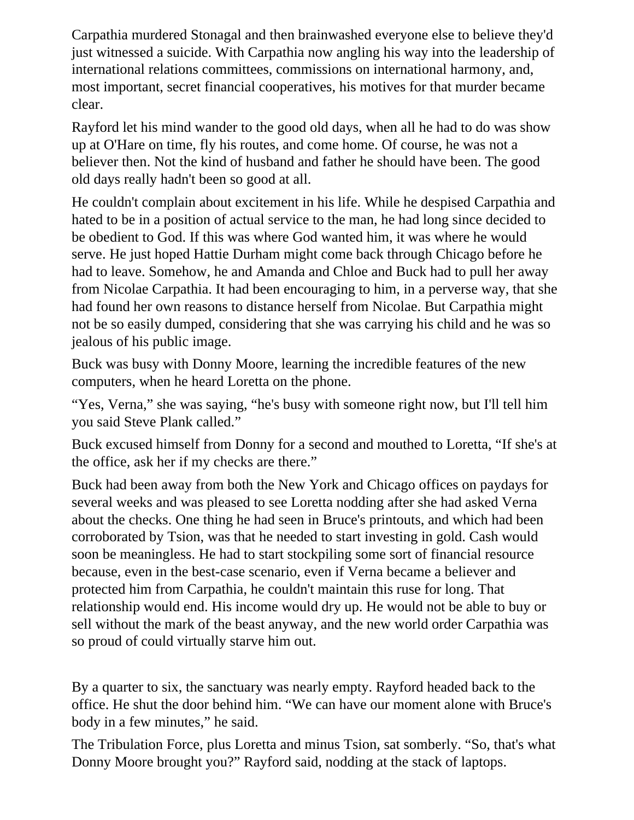Carpathia murdered Stonagal and then brainwashed everyone else to believe they'd just witnessed a suicide. With Carpathia now angling his way into the leadership of international relations committees, commissions on international harmony, and, most important, secret financial cooperatives, his motives for that murder became clear.

Rayford let his mind wander to the good old days, when all he had to do was show up at O'Hare on time, fly his routes, and come home. Of course, he was not a believer then. Not the kind of husband and father he should have been. The good old days really hadn't been so good at all.

He couldn't complain about excitement in his life. While he despised Carpathia and hated to be in a position of actual service to the man, he had long since decided to be obedient to God. If this was where God wanted him, it was where he would serve. He just hoped Hattie Durham might come back through Chicago before he had to leave. Somehow, he and Amanda and Chloe and Buck had to pull her away from Nicolae Carpathia. It had been encouraging to him, in a perverse way, that she had found her own reasons to distance herself from Nicolae. But Carpathia might not be so easily dumped, considering that she was carrying his child and he was so jealous of his public image.

Buck was busy with Donny Moore, learning the incredible features of the new computers, when he heard Loretta on the phone.

"Yes, Verna," she was saying, "he's busy with someone right now, but I'll tell him you said Steve Plank called."

Buck excused himself from Donny for a second and mouthed to Loretta, "If she's at the office, ask her if my checks are there."

Buck had been away from both the New York and Chicago offices on paydays for several weeks and was pleased to see Loretta nodding after she had asked Verna about the checks. One thing he had seen in Bruce's printouts, and which had been corroborated by Tsion, was that he needed to start investing in gold. Cash would soon be meaningless. He had to start stockpiling some sort of financial resource because, even in the best-case scenario, even if Verna became a believer and protected him from Carpathia, he couldn't maintain this ruse for long. That relationship would end. His income would dry up. He would not be able to buy or sell without the mark of the beast anyway, and the new world order Carpathia was so proud of could virtually starve him out.

By a quarter to six, the sanctuary was nearly empty. Rayford headed back to the office. He shut the door behind him. "We can have our moment alone with Bruce's body in a few minutes," he said.

The Tribulation Force, plus Loretta and minus Tsion, sat somberly. "So, that's what Donny Moore brought you?" Rayford said, nodding at the stack of laptops.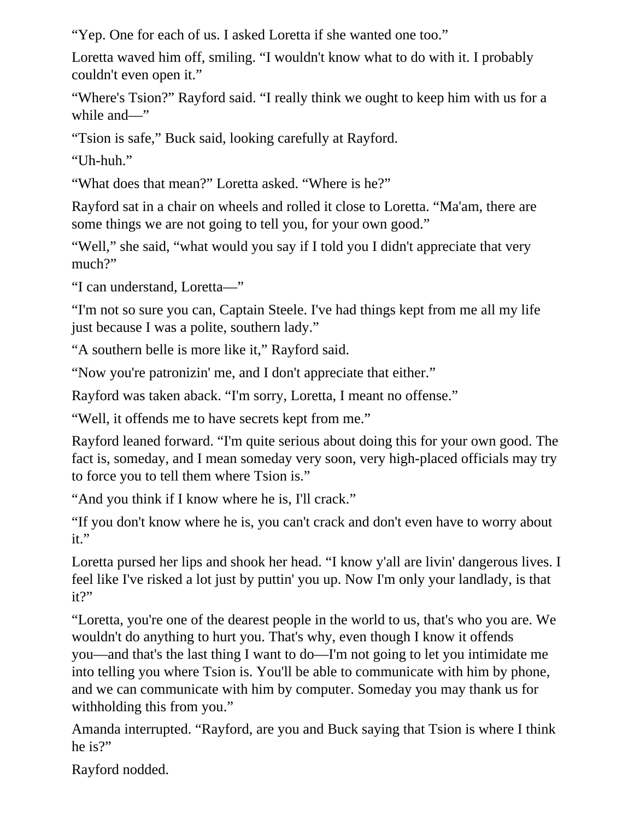"Yep. One for each of us. I asked Loretta if she wanted one too."

Loretta waved him off, smiling. "I wouldn't know what to do with it. I probably couldn't even open it."

"Where's Tsion?" Rayford said. "I really think we ought to keep him with us for a while and—"

"Tsion is safe," Buck said, looking carefully at Rayford.

"Uh-huh."

"What does that mean?" Loretta asked. "Where is he?"

Rayford sat in a chair on wheels and rolled it close to Loretta. "Ma'am, there are some things we are not going to tell you, for your own good."

"Well," she said, "what would you say if I told you I didn't appreciate that very much?"

"I can understand, Loretta—"

"I'm not so sure you can, Captain Steele. I've had things kept from me all my life just because I was a polite, southern lady."

"A southern belle is more like it," Rayford said.

"Now you're patronizin' me, and I don't appreciate that either."

Rayford was taken aback. "I'm sorry, Loretta, I meant no offense."

"Well, it offends me to have secrets kept from me."

Rayford leaned forward. "I'm quite serious about doing this for your own good. The fact is, someday, and I mean someday very soon, very high-placed officials may try to force you to tell them where Tsion is."

"And you think if I know where he is, I'll crack."

"If you don't know where he is, you can't crack and don't even have to worry about it."

Loretta pursed her lips and shook her head. "I know y'all are livin' dangerous lives. I feel like I've risked a lot just by puttin' you up. Now I'm only your landlady, is that it?"

"Loretta, you're one of the dearest people in the world to us, that's who you are. We wouldn't do anything to hurt you. That's why, even though I know it offends you—and that's the last thing I want to do—I'm not going to let you intimidate me into telling you where Tsion is. You'll be able to communicate with him by phone, and we can communicate with him by computer. Someday you may thank us for withholding this from you."

Amanda interrupted. "Rayford, are you and Buck saying that Tsion is where I think he is?"

Rayford nodded.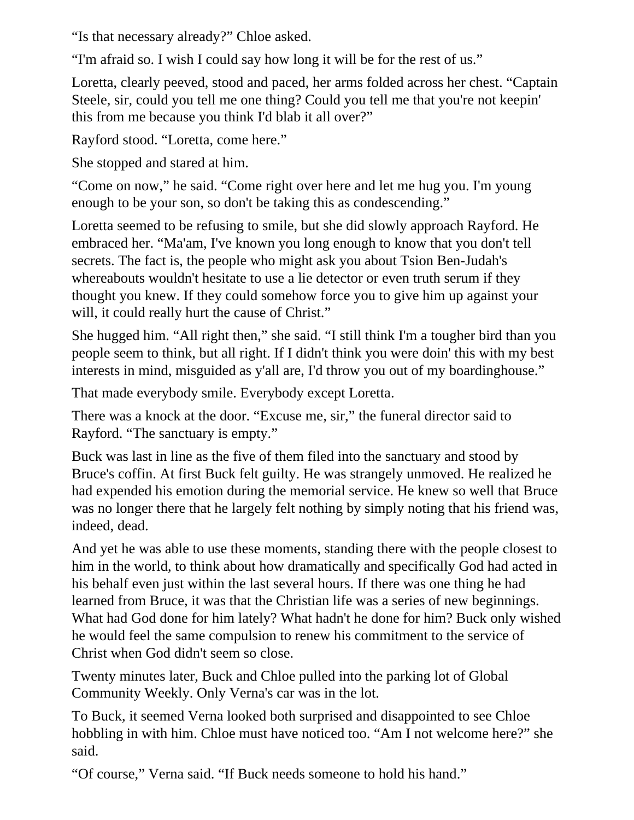"Is that necessary already?" Chloe asked.

"I'm afraid so. I wish I could say how long it will be for the rest of us."

Loretta, clearly peeved, stood and paced, her arms folded across her chest. "Captain Steele, sir, could you tell me one thing? Could you tell me that you're not keepin' this from me because you think I'd blab it all over?"

Rayford stood. "Loretta, come here."

She stopped and stared at him.

"Come on now," he said. "Come right over here and let me hug you. I'm young enough to be your son, so don't be taking this as condescending."

Loretta seemed to be refusing to smile, but she did slowly approach Rayford. He embraced her. "Ma'am, I've known you long enough to know that you don't tell secrets. The fact is, the people who might ask you about Tsion Ben-Judah's whereabouts wouldn't hesitate to use a lie detector or even truth serum if they thought you knew. If they could somehow force you to give him up against your will, it could really hurt the cause of Christ."

She hugged him. "All right then," she said. "I still think I'm a tougher bird than you people seem to think, but all right. If I didn't think you were doin' this with my best interests in mind, misguided as y'all are, I'd throw you out of my boardinghouse."

That made everybody smile. Everybody except Loretta.

There was a knock at the door. "Excuse me, sir," the funeral director said to Rayford. "The sanctuary is empty."

Buck was last in line as the five of them filed into the sanctuary and stood by Bruce's coffin. At first Buck felt guilty. He was strangely unmoved. He realized he had expended his emotion during the memorial service. He knew so well that Bruce was no longer there that he largely felt nothing by simply noting that his friend was, indeed, dead.

And yet he was able to use these moments, standing there with the people closest to him in the world, to think about how dramatically and specifically God had acted in his behalf even just within the last several hours. If there was one thing he had learned from Bruce, it was that the Christian life was a series of new beginnings. What had God done for him lately? What hadn't he done for him? Buck only wished he would feel the same compulsion to renew his commitment to the service of Christ when God didn't seem so close.

Twenty minutes later, Buck and Chloe pulled into the parking lot of Global Community Weekly. Only Verna's car was in the lot.

To Buck, it seemed Verna looked both surprised and disappointed to see Chloe hobbling in with him. Chloe must have noticed too. "Am I not welcome here?" she said.

"Of course," Verna said. "If Buck needs someone to hold his hand."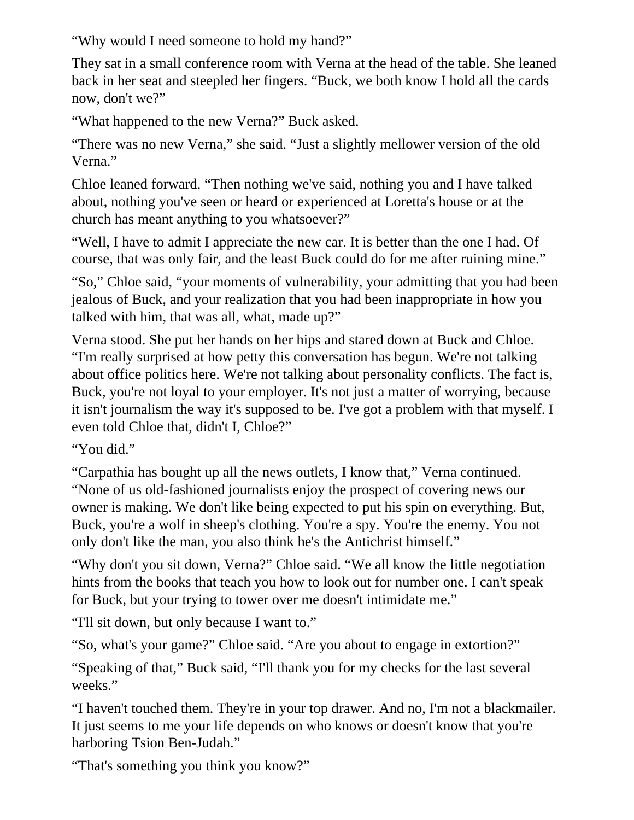"Why would I need someone to hold my hand?"

They sat in a small conference room with Verna at the head of the table. She leaned back in her seat and steepled her fingers. "Buck, we both know I hold all the cards now, don't we?"

"What happened to the new Verna?" Buck asked.

"There was no new Verna," she said. "Just a slightly mellower version of the old Verna."

Chloe leaned forward. "Then nothing we've said, nothing you and I have talked about, nothing you've seen or heard or experienced at Loretta's house or at the church has meant anything to you whatsoever?"

"Well, I have to admit I appreciate the new car. It is better than the one I had. Of course, that was only fair, and the least Buck could do for me after ruining mine."

"So," Chloe said, "your moments of vulnerability, your admitting that you had been jealous of Buck, and your realization that you had been inappropriate in how you talked with him, that was all, what, made up?"

Verna stood. She put her hands on her hips and stared down at Buck and Chloe. "I'm really surprised at how petty this conversation has begun. We're not talking about office politics here. We're not talking about personality conflicts. The fact is, Buck, you're not loyal to your employer. It's not just a matter of worrying, because it isn't journalism the way it's supposed to be. I've got a problem with that myself. I even told Chloe that, didn't I, Chloe?"

"You did."

"Carpathia has bought up all the news outlets, I know that," Verna continued. "None of us old-fashioned journalists enjoy the prospect of covering news our owner is making. We don't like being expected to put his spin on everything. But, Buck, you're a wolf in sheep's clothing. You're a spy. You're the enemy. You not only don't like the man, you also think he's the Antichrist himself."

"Why don't you sit down, Verna?" Chloe said. "We all know the little negotiation hints from the books that teach you how to look out for number one. I can't speak for Buck, but your trying to tower over me doesn't intimidate me."

"I'll sit down, but only because I want to."

"So, what's your game?" Chloe said. "Are you about to engage in extortion?"

"Speaking of that," Buck said, "I'll thank you for my checks for the last several weeks."

"I haven't touched them. They're in your top drawer. And no, I'm not a blackmailer. It just seems to me your life depends on who knows or doesn't know that you're harboring Tsion Ben-Judah."

"That's something you think you know?"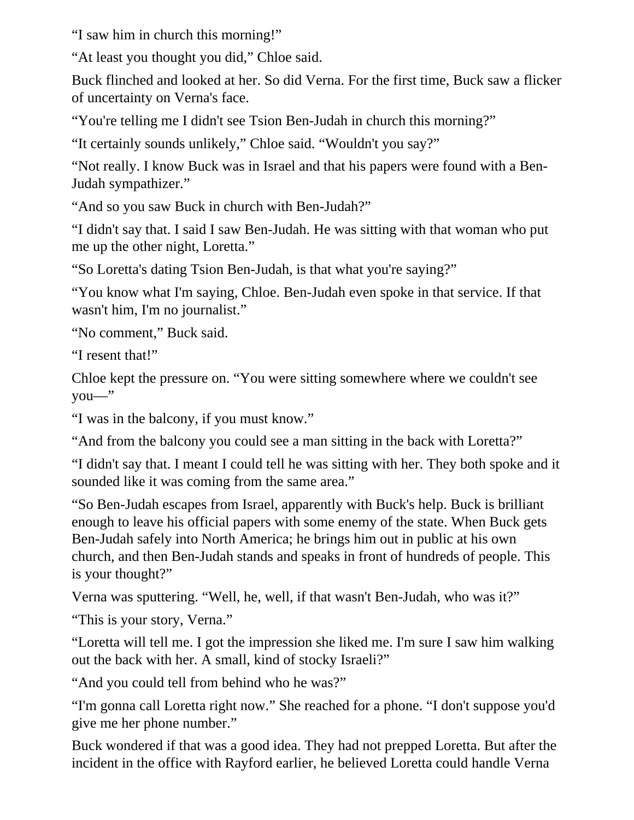"I saw him in church this morning!"

"At least you thought you did," Chloe said.

Buck flinched and looked at her. So did Verna. For the first time, Buck saw a flicker of uncertainty on Verna's face.

"You're telling me I didn't see Tsion Ben-Judah in church this morning?"

"It certainly sounds unlikely," Chloe said. "Wouldn't you say?"

"Not really. I know Buck was in Israel and that his papers were found with a Ben-Judah sympathizer."

"And so you saw Buck in church with Ben-Judah?"

"I didn't say that. I said I saw Ben-Judah. He was sitting with that woman who put me up the other night, Loretta."

"So Loretta's dating Tsion Ben-Judah, is that what you're saying?"

"You know what I'm saying, Chloe. Ben-Judah even spoke in that service. If that wasn't him, I'm no journalist."

"No comment," Buck said.

"I resent that!"

Chloe kept the pressure on. "You were sitting somewhere where we couldn't see  $you$ —"

"I was in the balcony, if you must know."

"And from the balcony you could see a man sitting in the back with Loretta?"

"I didn't say that. I meant I could tell he was sitting with her. They both spoke and it sounded like it was coming from the same area."

"So Ben-Judah escapes from Israel, apparently with Buck's help. Buck is brilliant enough to leave his official papers with some enemy of the state. When Buck gets Ben-Judah safely into North America; he brings him out in public at his own church, and then Ben-Judah stands and speaks in front of hundreds of people. This is your thought?"

Verna was sputtering. "Well, he, well, if that wasn't Ben-Judah, who was it?"

"This is your story, Verna."

"Loretta will tell me. I got the impression she liked me. I'm sure I saw him walking out the back with her. A small, kind of stocky Israeli?"

"And you could tell from behind who he was?"

"I'm gonna call Loretta right now." She reached for a phone. "I don't suppose you'd give me her phone number."

Buck wondered if that was a good idea. They had not prepped Loretta. But after the incident in the office with Rayford earlier, he believed Loretta could handle Verna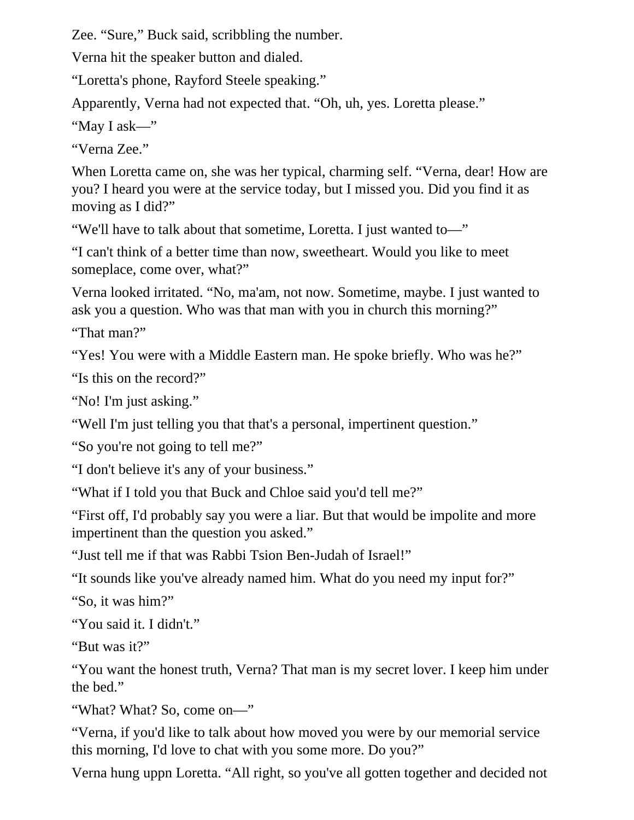Zee. "Sure," Buck said, scribbling the number.

Verna hit the speaker button and dialed.

"Loretta's phone, Rayford Steele speaking."

Apparently, Verna had not expected that. "Oh, uh, yes. Loretta please."

"May I ask—"

"Verna Zee."

When Loretta came on, she was her typical, charming self. "Verna, dear! How are you? I heard you were at the service today, but I missed you. Did you find it as moving as I did?"

"We'll have to talk about that sometime, Loretta. I just wanted to—"

"I can't think of a better time than now, sweetheart. Would you like to meet someplace, come over, what?"

Verna looked irritated. "No, ma'am, not now. Sometime, maybe. I just wanted to ask you a question. Who was that man with you in church this morning?"

"That man?"

"Yes! You were with a Middle Eastern man. He spoke briefly. Who was he?"

"Is this on the record?"

"No! I'm just asking."

"Well I'm just telling you that that's a personal, impertinent question."

"So you're not going to tell me?"

"I don't believe it's any of your business."

"What if I told you that Buck and Chloe said you'd tell me?"

"First off, I'd probably say you were a liar. But that would be impolite and more impertinent than the question you asked."

"Just tell me if that was Rabbi Tsion Ben-Judah of Israel!"

"It sounds like you've already named him. What do you need my input for?"

"So, it was him?"

"You said it. I didn't."

"But was it?"

"You want the honest truth, Verna? That man is my secret lover. I keep him under the bed."

"What? What? So, come on—"

"Verna, if you'd like to talk about how moved you were by our memorial service this morning, I'd love to chat with you some more. Do you?"

Verna hung uppn Loretta. "All right, so you've all gotten together and decided not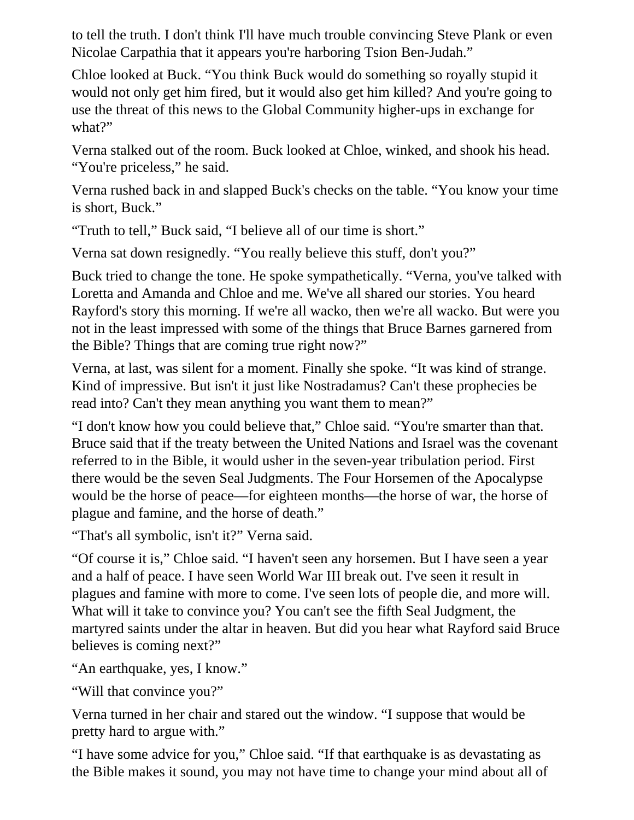to tell the truth. I don't think I'll have much trouble convincing Steve Plank or even Nicolae Carpathia that it appears you're harboring Tsion Ben-Judah."

Chloe looked at Buck. "You think Buck would do something so royally stupid it would not only get him fired, but it would also get him killed? And you're going to use the threat of this news to the Global Community higher-ups in exchange for what?"

Verna stalked out of the room. Buck looked at Chloe, winked, and shook his head. "You're priceless," he said.

Verna rushed back in and slapped Buck's checks on the table. "You know your time is short, Buck."

"Truth to tell," Buck said, "I believe all of our time is short."

Verna sat down resignedly. "You really believe this stuff, don't you?"

Buck tried to change the tone. He spoke sympathetically. "Verna, you've talked with Loretta and Amanda and Chloe and me. We've all shared our stories. You heard Rayford's story this morning. If we're all wacko, then we're all wacko. But were you not in the least impressed with some of the things that Bruce Barnes garnered from the Bible? Things that are coming true right now?"

Verna, at last, was silent for a moment. Finally she spoke. "It was kind of strange. Kind of impressive. But isn't it just like Nostradamus? Can't these prophecies be read into? Can't they mean anything you want them to mean?"

"I don't know how you could believe that," Chloe said. "You're smarter than that. Bruce said that if the treaty between the United Nations and Israel was the covenant referred to in the Bible, it would usher in the seven-year tribulation period. First there would be the seven Seal Judgments. The Four Horsemen of the Apocalypse would be the horse of peace—for eighteen months—the horse of war, the horse of plague and famine, and the horse of death."

"That's all symbolic, isn't it?" Verna said.

"Of course it is," Chloe said. "I haven't seen any horsemen. But I have seen a year and a half of peace. I have seen World War III break out. I've seen it result in plagues and famine with more to come. I've seen lots of people die, and more will. What will it take to convince you? You can't see the fifth Seal Judgment, the martyred saints under the altar in heaven. But did you hear what Rayford said Bruce believes is coming next?"

"An earthquake, yes, I know."

"Will that convince you?"

Verna turned in her chair and stared out the window. "I suppose that would be pretty hard to argue with."

"I have some advice for you," Chloe said. "If that earthquake is as devastating as the Bible makes it sound, you may not have time to change your mind about all of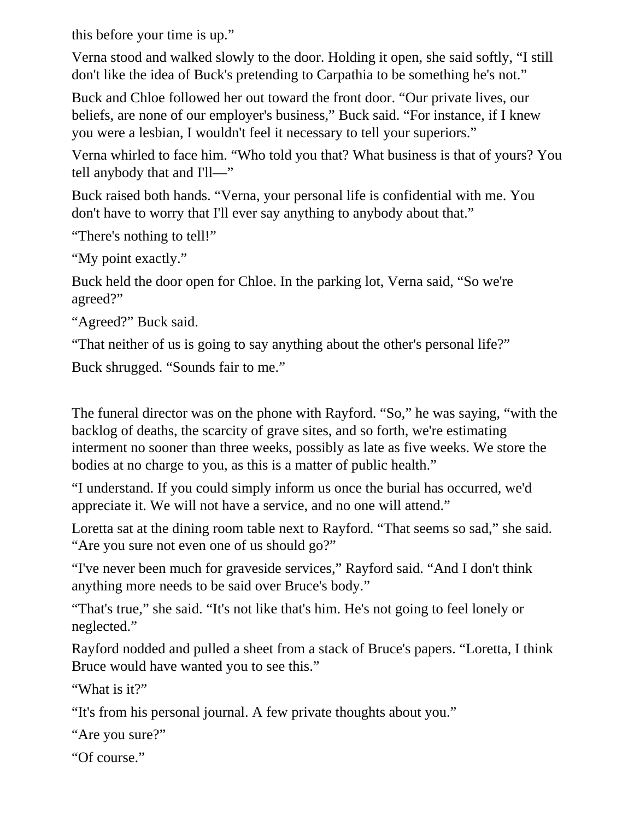this before your time is up."

Verna stood and walked slowly to the door. Holding it open, she said softly, "I still don't like the idea of Buck's pretending to Carpathia to be something he's not."

Buck and Chloe followed her out toward the front door. "Our private lives, our beliefs, are none of our employer's business," Buck said. "For instance, if I knew you were a lesbian, I wouldn't feel it necessary to tell your superiors."

Verna whirled to face him. "Who told you that? What business is that of yours? You tell anybody that and I'll—"

Buck raised both hands. "Verna, your personal life is confidential with me. You don't have to worry that I'll ever say anything to anybody about that."

"There's nothing to tell!"

"My point exactly."

Buck held the door open for Chloe. In the parking lot, Verna said, "So we're agreed?"

"Agreed?" Buck said.

"That neither of us is going to say anything about the other's personal life?"

Buck shrugged. "Sounds fair to me."

The funeral director was on the phone with Rayford. "So," he was saying, "with the backlog of deaths, the scarcity of grave sites, and so forth, we're estimating interment no sooner than three weeks, possibly as late as five weeks. We store the bodies at no charge to you, as this is a matter of public health."

"I understand. If you could simply inform us once the burial has occurred, we'd appreciate it. We will not have a service, and no one will attend."

Loretta sat at the dining room table next to Rayford. "That seems so sad," she said. "Are you sure not even one of us should go?"

"I've never been much for graveside services," Rayford said. "And I don't think anything more needs to be said over Bruce's body."

"That's true," she said. "It's not like that's him. He's not going to feel lonely or neglected."

Rayford nodded and pulled a sheet from a stack of Bruce's papers. "Loretta, I think Bruce would have wanted you to see this."

"What is it?"

"It's from his personal journal. A few private thoughts about you."

"Are you sure?"

"Of course."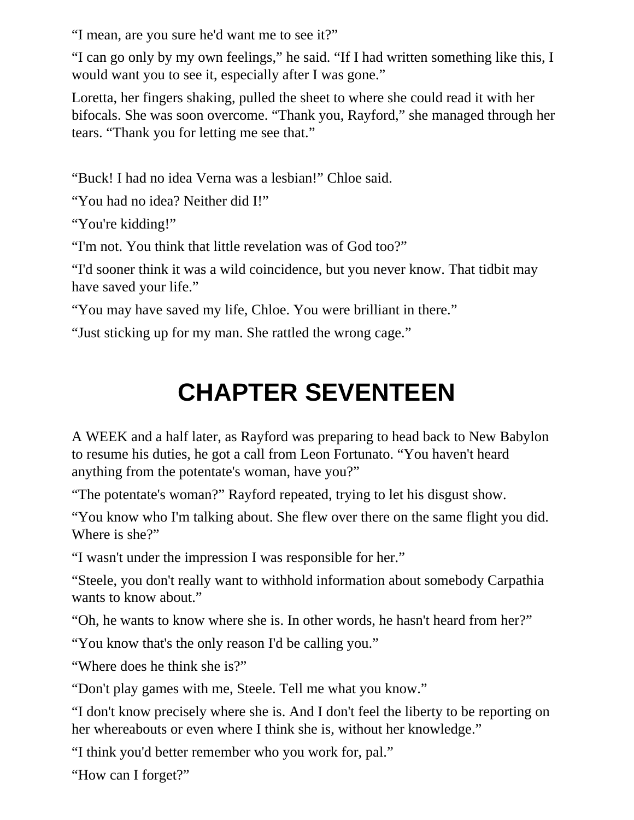"I mean, are you sure he'd want me to see it?"

"I can go only by my own feelings," he said. "If I had written something like this, I would want you to see it, especially after I was gone."

Loretta, her fingers shaking, pulled the sheet to where she could read it with her bifocals. She was soon overcome. "Thank you, Rayford," she managed through her tears. "Thank you for letting me see that."

"Buck! I had no idea Verna was a lesbian!" Chloe said.

"You had no idea? Neither did I!"

"You're kidding!"

"I'm not. You think that little revelation was of God too?"

"I'd sooner think it was a wild coincidence, but you never know. That tidbit may have saved your life."

"You may have saved my life, Chloe. You were brilliant in there."

"Just sticking up for my man. She rattled the wrong cage."

## **CHAPTER SEVENTEEN**

A WEEK and a half later, as Rayford was preparing to head back to New Babylon to resume his duties, he got a call from Leon Fortunato. "You haven't heard anything from the potentate's woman, have you?"

"The potentate's woman?" Rayford repeated, trying to let his disgust show.

"You know who I'm talking about. She flew over there on the same flight you did. Where is she?"

"I wasn't under the impression I was responsible for her."

"Steele, you don't really want to withhold information about somebody Carpathia wants to know about."

"Oh, he wants to know where she is. In other words, he hasn't heard from her?"

"You know that's the only reason I'd be calling you."

"Where does he think she is?"

"Don't play games with me, Steele. Tell me what you know."

"I don't know precisely where she is. And I don't feel the liberty to be reporting on her whereabouts or even where I think she is, without her knowledge."

"I think you'd better remember who you work for, pal."

"How can I forget?"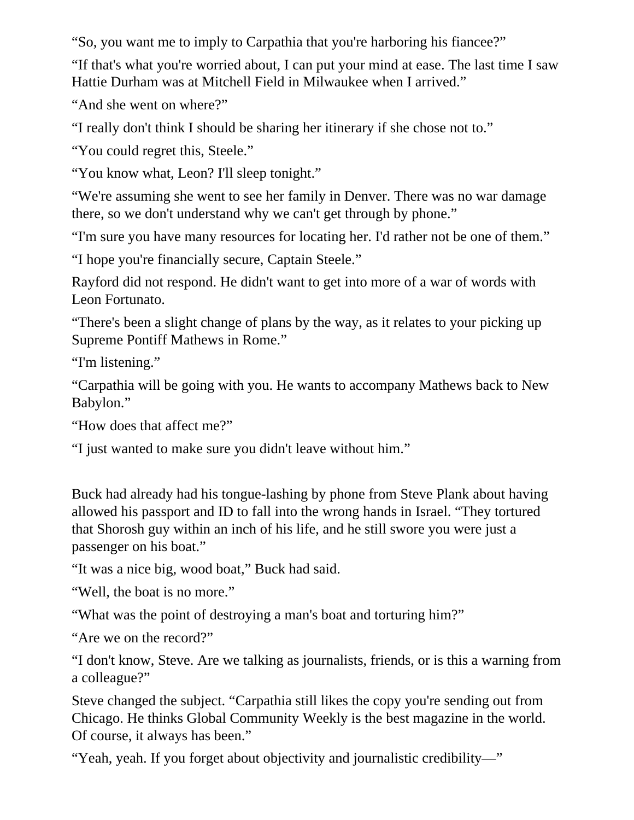"So, you want me to imply to Carpathia that you're harboring his fiancee?"

"If that's what you're worried about, I can put your mind at ease. The last time I saw Hattie Durham was at Mitchell Field in Milwaukee when I arrived."

"And she went on where?"

"I really don't think I should be sharing her itinerary if she chose not to."

"You could regret this, Steele."

"You know what, Leon? I'll sleep tonight."

"We're assuming she went to see her family in Denver. There was no war damage there, so we don't understand why we can't get through by phone."

"I'm sure you have many resources for locating her. I'd rather not be one of them."

"I hope you're financially secure, Captain Steele."

Rayford did not respond. He didn't want to get into more of a war of words with Leon Fortunato.

"There's been a slight change of plans by the way, as it relates to your picking up Supreme Pontiff Mathews in Rome."

"I'm listening."

"Carpathia will be going with you. He wants to accompany Mathews back to New Babylon."

"How does that affect me?"

"I just wanted to make sure you didn't leave without him."

Buck had already had his tongue-lashing by phone from Steve Plank about having allowed his passport and ID to fall into the wrong hands in Israel. "They tortured that Shorosh guy within an inch of his life, and he still swore you were just a passenger on his boat."

"It was a nice big, wood boat," Buck had said.

"Well, the boat is no more."

"What was the point of destroying a man's boat and torturing him?"

"Are we on the record?"

"I don't know, Steve. Are we talking as journalists, friends, or is this a warning from a colleague?"

Steve changed the subject. "Carpathia still likes the copy you're sending out from Chicago. He thinks Global Community Weekly is the best magazine in the world. Of course, it always has been."

"Yeah, yeah. If you forget about objectivity and journalistic credibility—"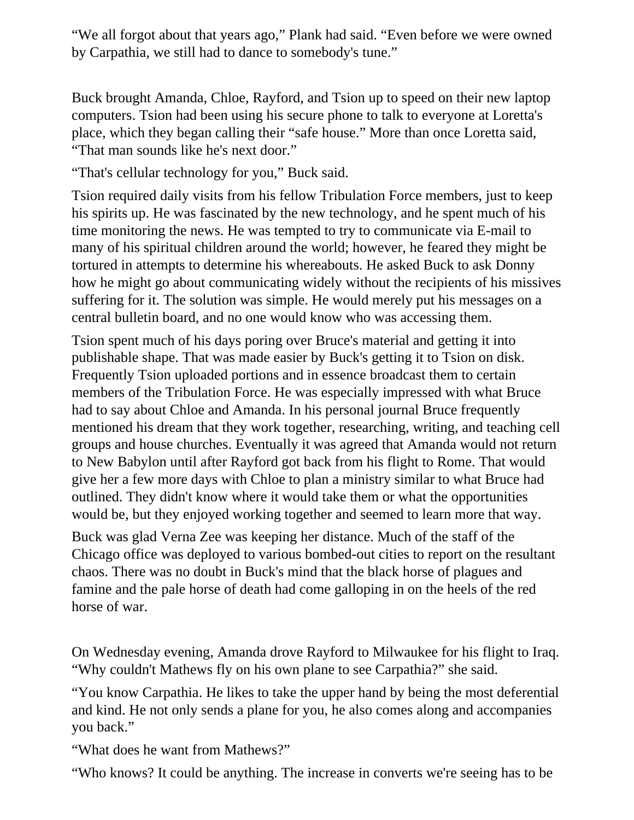"We all forgot about that years ago," Plank had said. "Even before we were owned by Carpathia, we still had to dance to somebody's tune."

Buck brought Amanda, Chloe, Rayford, and Tsion up to speed on their new laptop computers. Tsion had been using his secure phone to talk to everyone at Loretta's place, which they began calling their "safe house." More than once Loretta said, "That man sounds like he's next door."

"That's cellular technology for you," Buck said.

Tsion required daily visits from his fellow Tribulation Force members, just to keep his spirits up. He was fascinated by the new technology, and he spent much of his time monitoring the news. He was tempted to try to communicate via E-mail to many of his spiritual children around the world; however, he feared they might be tortured in attempts to determine his whereabouts. He asked Buck to ask Donny how he might go about communicating widely without the recipients of his missives suffering for it. The solution was simple. He would merely put his messages on a central bulletin board, and no one would know who was accessing them.

Tsion spent much of his days poring over Bruce's material and getting it into publishable shape. That was made easier by Buck's getting it to Tsion on disk. Frequently Tsion uploaded portions and in essence broadcast them to certain members of the Tribulation Force. He was especially impressed with what Bruce had to say about Chloe and Amanda. In his personal journal Bruce frequently mentioned his dream that they work together, researching, writing, and teaching cell groups and house churches. Eventually it was agreed that Amanda would not return to New Babylon until after Rayford got back from his flight to Rome. That would give her a few more days with Chloe to plan a ministry similar to what Bruce had outlined. They didn't know where it would take them or what the opportunities would be, but they enjoyed working together and seemed to learn more that way.

Buck was glad Verna Zee was keeping her distance. Much of the staff of the Chicago office was deployed to various bombed-out cities to report on the resultant chaos. There was no doubt in Buck's mind that the black horse of plagues and famine and the pale horse of death had come galloping in on the heels of the red horse of war.

On Wednesday evening, Amanda drove Rayford to Milwaukee for his flight to Iraq. "Why couldn't Mathews fly on his own plane to see Carpathia?" she said.

"You know Carpathia. He likes to take the upper hand by being the most deferential and kind. He not only sends a plane for you, he also comes along and accompanies you back."

"What does he want from Mathews?"

"Who knows? It could be anything. The increase in converts we're seeing has to be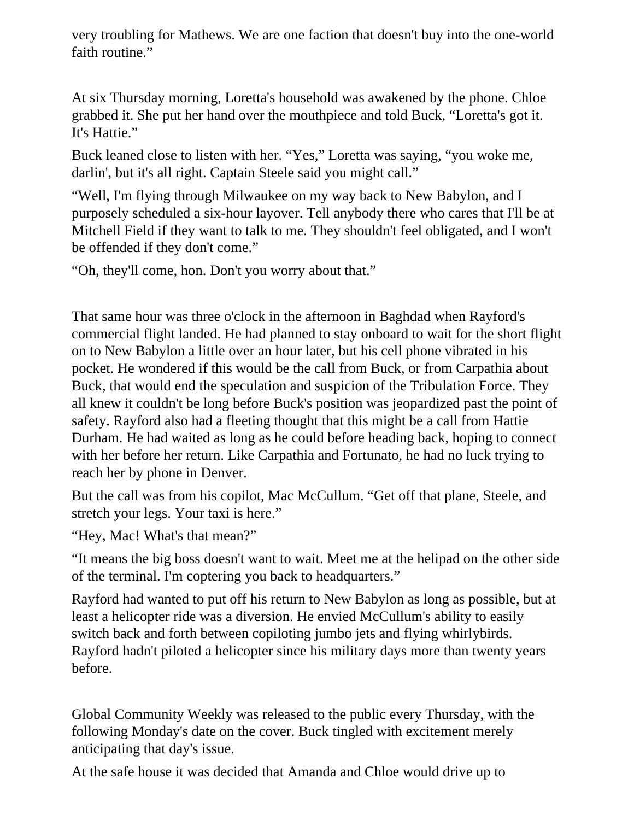very troubling for Mathews. We are one faction that doesn't buy into the one-world faith routine."

At six Thursday morning, Loretta's household was awakened by the phone. Chloe grabbed it. She put her hand over the mouthpiece and told Buck, "Loretta's got it. It's Hattie."

Buck leaned close to listen with her. "Yes," Loretta was saying, "you woke me, darlin', but it's all right. Captain Steele said you might call."

"Well, I'm flying through Milwaukee on my way back to New Babylon, and I purposely scheduled a six-hour layover. Tell anybody there who cares that I'll be at Mitchell Field if they want to talk to me. They shouldn't feel obligated, and I won't be offended if they don't come."

"Oh, they'll come, hon. Don't you worry about that."

That same hour was three o'clock in the afternoon in Baghdad when Rayford's commercial flight landed. He had planned to stay onboard to wait for the short flight on to New Babylon a little over an hour later, but his cell phone vibrated in his pocket. He wondered if this would be the call from Buck, or from Carpathia about Buck, that would end the speculation and suspicion of the Tribulation Force. They all knew it couldn't be long before Buck's position was jeopardized past the point of safety. Rayford also had a fleeting thought that this might be a call from Hattie Durham. He had waited as long as he could before heading back, hoping to connect with her before her return. Like Carpathia and Fortunato, he had no luck trying to reach her by phone in Denver.

But the call was from his copilot, Mac McCullum. "Get off that plane, Steele, and stretch your legs. Your taxi is here."

"Hey, Mac! What's that mean?"

"It means the big boss doesn't want to wait. Meet me at the helipad on the other side of the terminal. I'm coptering you back to headquarters."

Rayford had wanted to put off his return to New Babylon as long as possible, but at least a helicopter ride was a diversion. He envied McCullum's ability to easily switch back and forth between copiloting jumbo jets and flying whirlybirds. Rayford hadn't piloted a helicopter since his military days more than twenty years before.

Global Community Weekly was released to the public every Thursday, with the following Monday's date on the cover. Buck tingled with excitement merely anticipating that day's issue.

At the safe house it was decided that Amanda and Chloe would drive up to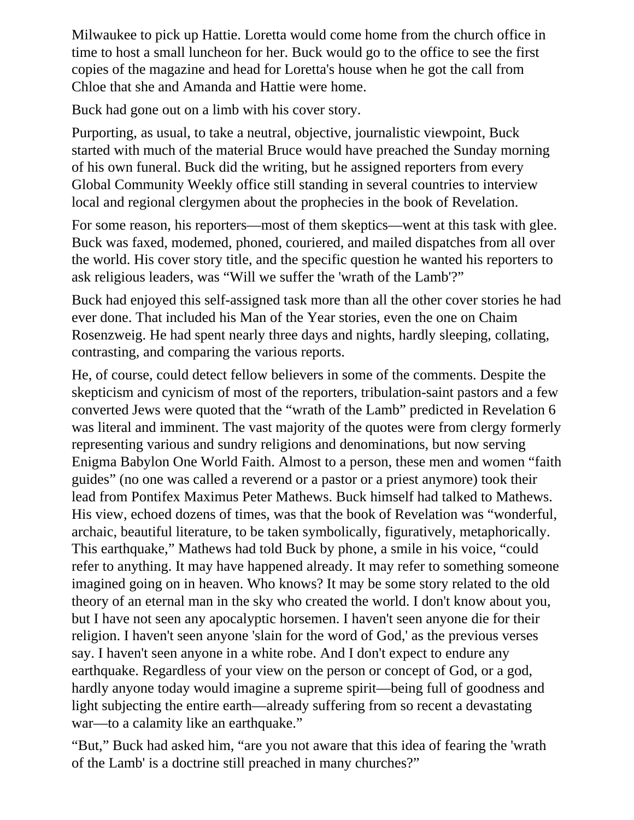Milwaukee to pick up Hattie. Loretta would come home from the church office in time to host a small luncheon for her. Buck would go to the office to see the first copies of the magazine and head for Loretta's house when he got the call from Chloe that she and Amanda and Hattie were home.

Buck had gone out on a limb with his cover story.

Purporting, as usual, to take a neutral, objective, journalistic viewpoint, Buck started with much of the material Bruce would have preached the Sunday morning of his own funeral. Buck did the writing, but he assigned reporters from every Global Community Weekly office still standing in several countries to interview local and regional clergymen about the prophecies in the book of Revelation.

For some reason, his reporters—most of them skeptics—went at this task with glee. Buck was faxed, modemed, phoned, couriered, and mailed dispatches from all over the world. His cover story title, and the specific question he wanted his reporters to ask religious leaders, was "Will we suffer the 'wrath of the Lamb'?"

Buck had enjoyed this self-assigned task more than all the other cover stories he had ever done. That included his Man of the Year stories, even the one on Chaim Rosenzweig. He had spent nearly three days and nights, hardly sleeping, collating, contrasting, and comparing the various reports.

He, of course, could detect fellow believers in some of the comments. Despite the skepticism and cynicism of most of the reporters, tribulation-saint pastors and a few converted Jews were quoted that the "wrath of the Lamb" predicted in Revelation 6 was literal and imminent. The vast majority of the quotes were from clergy formerly representing various and sundry religions and denominations, but now serving Enigma Babylon One World Faith. Almost to a person, these men and women "faith guides" (no one was called a reverend or a pastor or a priest anymore) took their lead from Pontifex Maximus Peter Mathews. Buck himself had talked to Mathews. His view, echoed dozens of times, was that the book of Revelation was "wonderful, archaic, beautiful literature, to be taken symbolically, figuratively, metaphorically. This earthquake," Mathews had told Buck by phone, a smile in his voice, "could refer to anything. It may have happened already. It may refer to something someone imagined going on in heaven. Who knows? It may be some story related to the old theory of an eternal man in the sky who created the world. I don't know about you, but I have not seen any apocalyptic horsemen. I haven't seen anyone die for their religion. I haven't seen anyone 'slain for the word of God,' as the previous verses say. I haven't seen anyone in a white robe. And I don't expect to endure any earthquake. Regardless of your view on the person or concept of God, or a god, hardly anyone today would imagine a supreme spirit—being full of goodness and light subjecting the entire earth—already suffering from so recent a devastating war—to a calamity like an earthquake."

"But," Buck had asked him, "are you not aware that this idea of fearing the 'wrath of the Lamb' is a doctrine still preached in many churches?"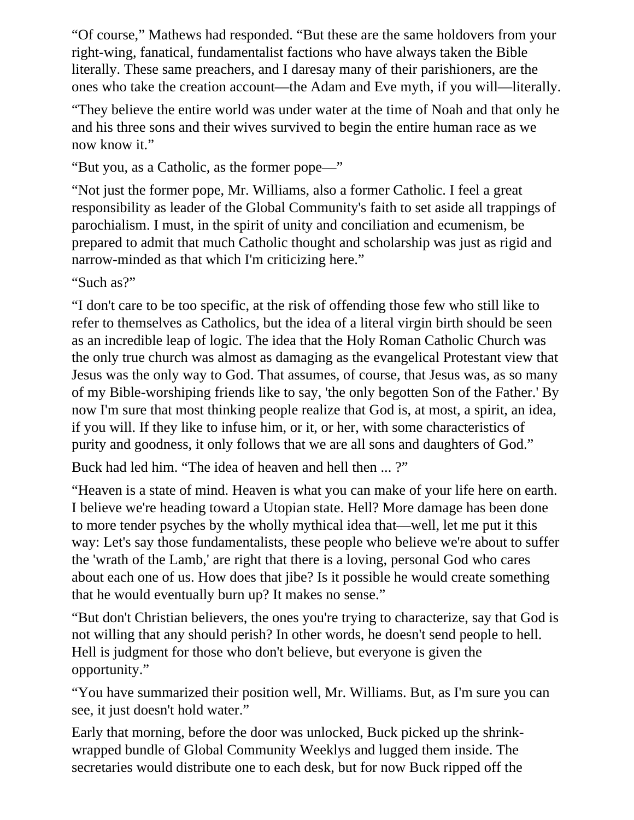"Of course," Mathews had responded. "But these are the same holdovers from your right-wing, fanatical, fundamentalist factions who have always taken the Bible literally. These same preachers, and I daresay many of their parishioners, are the ones who take the creation account—the Adam and Eve myth, if you will—literally.

"They believe the entire world was under water at the time of Noah and that only he and his three sons and their wives survived to begin the entire human race as we now know it."

"But you, as a Catholic, as the former pope—"

"Not just the former pope, Mr. Williams, also a former Catholic. I feel a great responsibility as leader of the Global Community's faith to set aside all trappings of parochialism. I must, in the spirit of unity and conciliation and ecumenism, be prepared to admit that much Catholic thought and scholarship was just as rigid and narrow-minded as that which I'm criticizing here."

"Such as?"

"I don't care to be too specific, at the risk of offending those few who still like to refer to themselves as Catholics, but the idea of a literal virgin birth should be seen as an incredible leap of logic. The idea that the Holy Roman Catholic Church was the only true church was almost as damaging as the evangelical Protestant view that Jesus was the only way to God. That assumes, of course, that Jesus was, as so many of my Bible-worshiping friends like to say, 'the only begotten Son of the Father.' By now I'm sure that most thinking people realize that God is, at most, a spirit, an idea, if you will. If they like to infuse him, or it, or her, with some characteristics of purity and goodness, it only follows that we are all sons and daughters of God."

Buck had led him. "The idea of heaven and hell then ...?"

"Heaven is a state of mind. Heaven is what you can make of your life here on earth. I believe we're heading toward a Utopian state. Hell? More damage has been done to more tender psyches by the wholly mythical idea that—well, let me put it this way: Let's say those fundamentalists, these people who believe we're about to suffer the 'wrath of the Lamb,' are right that there is a loving, personal God who cares about each one of us. How does that jibe? Is it possible he would create something that he would eventually burn up? It makes no sense."

"But don't Christian believers, the ones you're trying to characterize, say that God is not willing that any should perish? In other words, he doesn't send people to hell. Hell is judgment for those who don't believe, but everyone is given the opportunity."

"You have summarized their position well, Mr. Williams. But, as I'm sure you can see, it just doesn't hold water."

Early that morning, before the door was unlocked, Buck picked up the shrinkwrapped bundle of Global Community Weeklys and lugged them inside. The secretaries would distribute one to each desk, but for now Buck ripped off the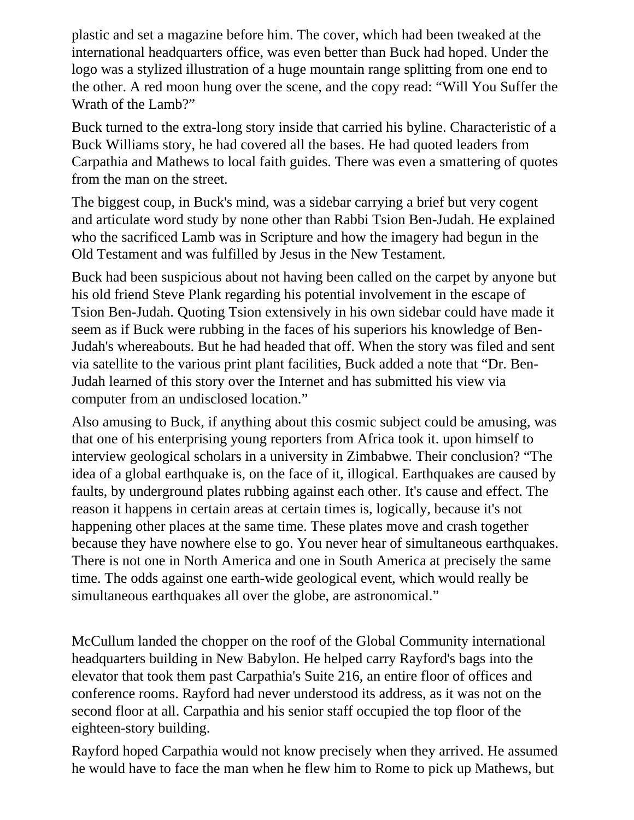plastic and set a magazine before him. The cover, which had been tweaked at the international headquarters office, was even better than Buck had hoped. Under the logo was a stylized illustration of a huge mountain range splitting from one end to the other. A red moon hung over the scene, and the copy read: "Will You Suffer the Wrath of the Lamb?"

Buck turned to the extra-long story inside that carried his byline. Characteristic of a Buck Williams story, he had covered all the bases. He had quoted leaders from Carpathia and Mathews to local faith guides. There was even a smattering of quotes from the man on the street.

The biggest coup, in Buck's mind, was a sidebar carrying a brief but very cogent and articulate word study by none other than Rabbi Tsion Ben-Judah. He explained who the sacrificed Lamb was in Scripture and how the imagery had begun in the Old Testament and was fulfilled by Jesus in the New Testament.

Buck had been suspicious about not having been called on the carpet by anyone but his old friend Steve Plank regarding his potential involvement in the escape of Tsion Ben-Judah. Quoting Tsion extensively in his own sidebar could have made it seem as if Buck were rubbing in the faces of his superiors his knowledge of Ben-Judah's whereabouts. But he had headed that off. When the story was filed and sent via satellite to the various print plant facilities, Buck added a note that "Dr. Ben-Judah learned of this story over the Internet and has submitted his view via computer from an undisclosed location."

Also amusing to Buck, if anything about this cosmic subject could be amusing, was that one of his enterprising young reporters from Africa took it. upon himself to interview geological scholars in a university in Zimbabwe. Their conclusion? "The idea of a global earthquake is, on the face of it, illogical. Earthquakes are caused by faults, by underground plates rubbing against each other. It's cause and effect. The reason it happens in certain areas at certain times is, logically, because it's not happening other places at the same time. These plates move and crash together because they have nowhere else to go. You never hear of simultaneous earthquakes. There is not one in North America and one in South America at precisely the same time. The odds against one earth-wide geological event, which would really be simultaneous earthquakes all over the globe, are astronomical."

McCullum landed the chopper on the roof of the Global Community international headquarters building in New Babylon. He helped carry Rayford's bags into the elevator that took them past Carpathia's Suite 216, an entire floor of offices and conference rooms. Rayford had never understood its address, as it was not on the second floor at all. Carpathia and his senior staff occupied the top floor of the eighteen-story building.

Rayford hoped Carpathia would not know precisely when they arrived. He assumed he would have to face the man when he flew him to Rome to pick up Mathews, but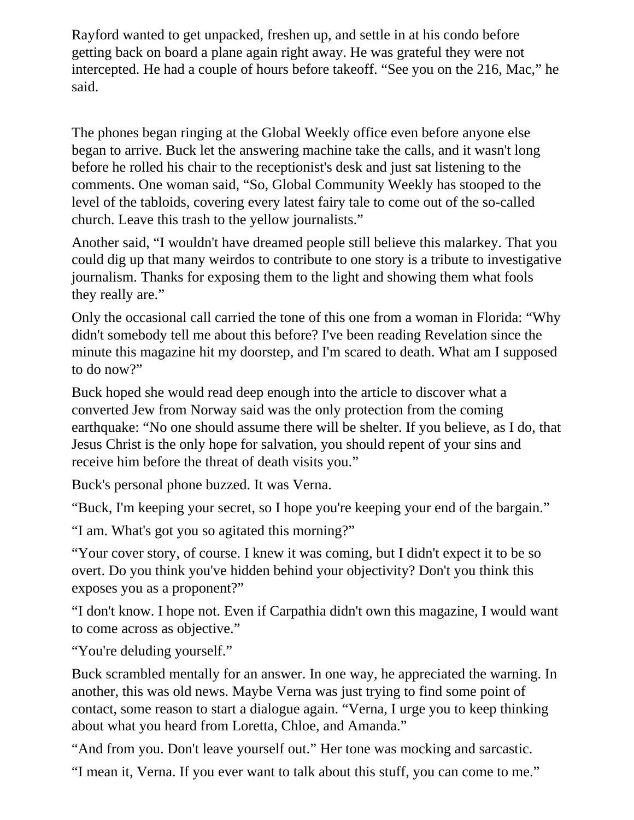Rayford wanted to get unpacked, freshen up, and settle in at his condo before getting back on board a plane again right away. He was grateful they were not intercepted. He had a couple of hours before takeoff. "See you on the 216, Mac," he said.

The phones began ringing at the Global Weekly office even before anyone else began to arrive. Buck let the answering machine take the calls, and it wasn't long before he rolled his chair to the receptionist's desk and just sat listening to the comments. One woman said, "So, Global Community Weekly has stooped to the level of the tabloids, covering every latest fairy tale to come out of the so-called church. Leave this trash to the yellow journalists."

Another said, "I wouldn't have dreamed people still believe this malarkey. That you could dig up that many weirdos to contribute to one story is a tribute to investigative journalism. Thanks for exposing them to the light and showing them what fools they really are."

Only the occasional call carried the tone of this one from a woman in Florida: "Why didn't somebody tell me about this before? I've been reading Revelation since the minute this magazine hit my doorstep, and I'm scared to death. What am I supposed to do now?"

Buck hoped she would read deep enough into the article to discover what a converted Jew from Norway said was the only protection from the coming earthquake: "No one should assume there will be shelter. If you believe, as I do, that Jesus Christ is the only hope for salvation, you should repent of your sins and receive him before the threat of death visits you."

Buck's personal phone buzzed. It was Verna.

"Buck, I'm keeping your secret, so I hope you're keeping your end of the bargain."

"I am. What's got you so agitated this morning?"

"Your cover story, of course. I knew it was coming, but I didn't expect it to be so overt. Do you think you've hidden behind your objectivity? Don't you think this exposes you as a proponent?"

"I don't know. I hope not. Even if Carpathia didn't own this magazine, I would want to come across as objective."

"You're deluding yourself."

Buck scrambled mentally for an answer. In one way, he appreciated the warning. In another, this was old news. Maybe Verna was just trying to find some point of contact, some reason to start a dialogue again. "Verna, I urge you to keep thinking about what you heard from Loretta, Chloe, and Amanda."

"And from you. Don't leave yourself out." Her tone was mocking and sarcastic.

"I mean it, Verna. If you ever want to talk about this stuff, you can come to me."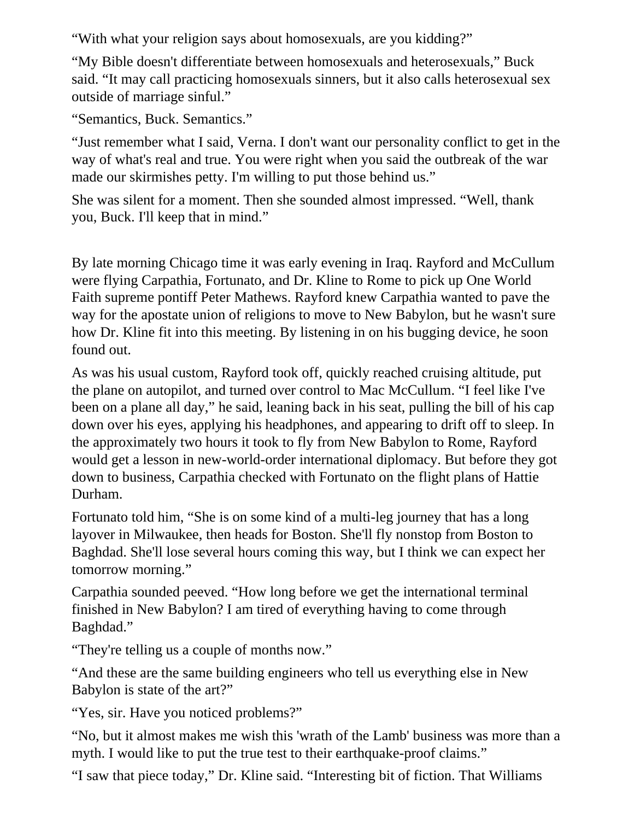"With what your religion says about homosexuals, are you kidding?"

"My Bible doesn't differentiate between homosexuals and heterosexuals," Buck said. "It may call practicing homosexuals sinners, but it also calls heterosexual sex outside of marriage sinful."

"Semantics, Buck. Semantics."

"Just remember what I said, Verna. I don't want our personality conflict to get in the way of what's real and true. You were right when you said the outbreak of the war made our skirmishes petty. I'm willing to put those behind us."

She was silent for a moment. Then she sounded almost impressed. "Well, thank you, Buck. I'll keep that in mind."

By late morning Chicago time it was early evening in Iraq. Rayford and McCullum were flying Carpathia, Fortunato, and Dr. Kline to Rome to pick up One World Faith supreme pontiff Peter Mathews. Rayford knew Carpathia wanted to pave the way for the apostate union of religions to move to New Babylon, but he wasn't sure how Dr. Kline fit into this meeting. By listening in on his bugging device, he soon found out.

As was his usual custom, Rayford took off, quickly reached cruising altitude, put the plane on autopilot, and turned over control to Mac McCullum. "I feel like I've been on a plane all day," he said, leaning back in his seat, pulling the bill of his cap down over his eyes, applying his headphones, and appearing to drift off to sleep. In the approximately two hours it took to fly from New Babylon to Rome, Rayford would get a lesson in new-world-order international diplomacy. But before they got down to business, Carpathia checked with Fortunato on the flight plans of Hattie Durham.

Fortunato told him, "She is on some kind of a multi-leg journey that has a long layover in Milwaukee, then heads for Boston. She'll fly nonstop from Boston to Baghdad. She'll lose several hours coming this way, but I think we can expect her tomorrow morning."

Carpathia sounded peeved. "How long before we get the international terminal finished in New Babylon? I am tired of everything having to come through Baghdad."

"They're telling us a couple of months now."

"And these are the same building engineers who tell us everything else in New Babylon is state of the art?"

"Yes, sir. Have you noticed problems?"

"No, but it almost makes me wish this 'wrath of the Lamb' business was more than a myth. I would like to put the true test to their earthquake-proof claims."

"I saw that piece today," Dr. Kline said. "Interesting bit of fiction. That Williams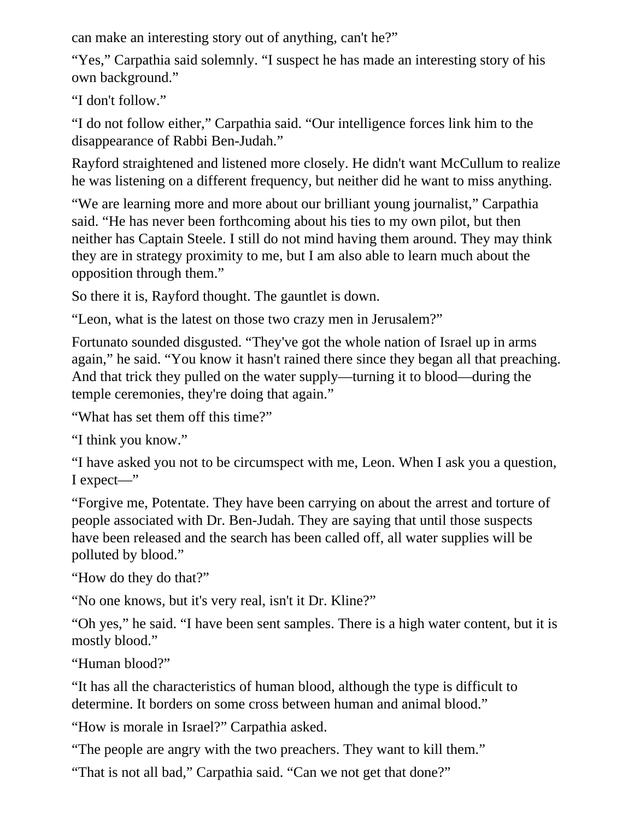can make an interesting story out of anything, can't he?"

"Yes," Carpathia said solemnly. "I suspect he has made an interesting story of his own background."

"I don't follow."

"I do not follow either," Carpathia said. "Our intelligence forces link him to the disappearance of Rabbi Ben-Judah."

Rayford straightened and listened more closely. He didn't want McCullum to realize he was listening on a different frequency, but neither did he want to miss anything.

"We are learning more and more about our brilliant young journalist," Carpathia said. "He has never been forthcoming about his ties to my own pilot, but then neither has Captain Steele. I still do not mind having them around. They may think they are in strategy proximity to me, but I am also able to learn much about the opposition through them."

So there it is, Rayford thought. The gauntlet is down.

"Leon, what is the latest on those two crazy men in Jerusalem?"

Fortunato sounded disgusted. "They've got the whole nation of Israel up in arms again," he said. "You know it hasn't rained there since they began all that preaching. And that trick they pulled on the water supply—turning it to blood—during the temple ceremonies, they're doing that again."

"What has set them off this time?"

"I think you know."

"I have asked you not to be circumspect with me, Leon. When I ask you a question, I expect—"

"Forgive me, Potentate. They have been carrying on about the arrest and torture of people associated with Dr. Ben-Judah. They are saying that until those suspects have been released and the search has been called off, all water supplies will be polluted by blood."

"How do they do that?"

"No one knows, but it's very real, isn't it Dr. Kline?"

"Oh yes," he said. "I have been sent samples. There is a high water content, but it is mostly blood."

"Human blood?"

"It has all the characteristics of human blood, although the type is difficult to determine. It borders on some cross between human and animal blood."

"How is morale in Israel?" Carpathia asked.

"The people are angry with the two preachers. They want to kill them."

"That is not all bad," Carpathia said. "Can we not get that done?"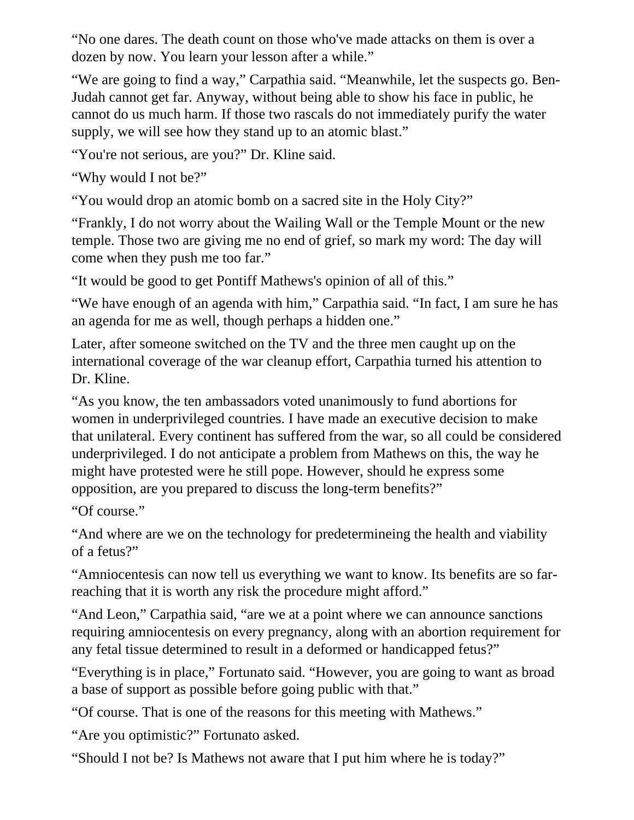"No one dares. The death count on those who've made attacks on them is over a dozen by now. You learn your lesson after a while."

"We are going to find a way," Carpathia said. "Meanwhile, let the suspects go. Ben-Judah cannot get far. Anyway, without being able to show his face in public, he cannot do us much harm. If those two rascals do not immediately purify the water supply, we will see how they stand up to an atomic blast."

"You're not serious, are you?" Dr. Kline said.

"Why would I not be?"

"You would drop an atomic bomb on a sacred site in the Holy City?"

"Frankly, I do not worry about the Wailing Wall or the Temple Mount or the new temple. Those two are giving me no end of grief, so mark my word: The day will come when they push me too far."

"It would be good to get Pontiff Mathews's opinion of all of this."

"We have enough of an agenda with him," Carpathia said. "In fact, I am sure he has an agenda for me as well, though perhaps a hidden one."

Later, after someone switched on the TV and the three men caught up on the international coverage of the war cleanup effort, Carpathia turned his attention to Dr. Kline.

"As you know, the ten ambassadors voted unanimously to fund abortions for women in underprivileged countries. I have made an executive decision to make that unilateral. Every continent has suffered from the war, so all could be considered underprivileged. I do not anticipate a problem from Mathews on this, the way he might have protested were he still pope. However, should he express some opposition, are you prepared to discuss the long-term benefits?"

"Of course."

"And where are we on the technology for predetermineing the health and viability of a fetus?"

"Amniocentesis can now tell us everything we want to know. Its benefits are so farreaching that it is worth any risk the procedure might afford."

"And Leon," Carpathia said, "are we at a point where we can announce sanctions requiring amniocentesis on every pregnancy, along with an abortion requirement for any fetal tissue determined to result in a deformed or handicapped fetus?"

"Everything is in place," Fortunato said. "However, you are going to want as broad a base of support as possible before going public with that."

"Of course. That is one of the reasons for this meeting with Mathews."

"Are you optimistic?" Fortunato asked.

"Should I not be? Is Mathews not aware that I put him where he is today?"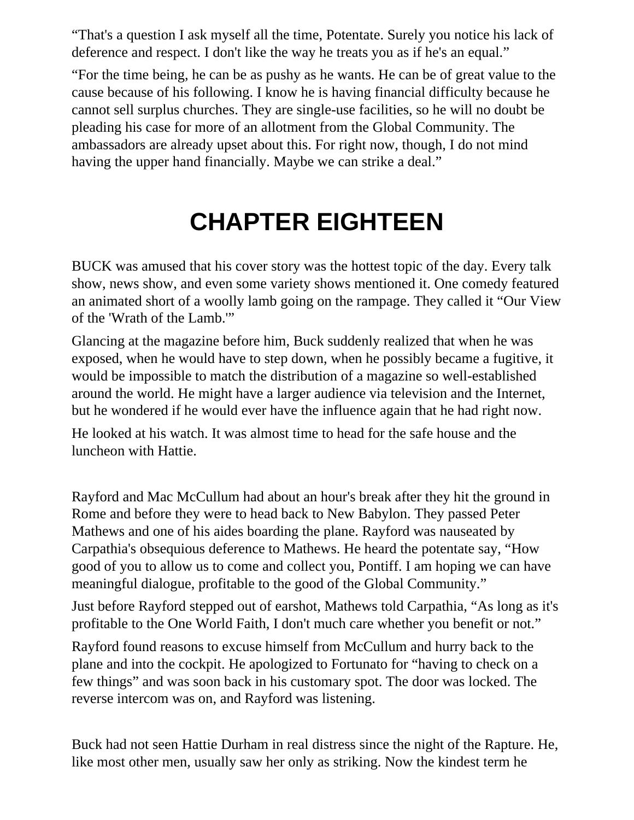"That's a question I ask myself all the time, Potentate. Surely you notice his lack of deference and respect. I don't like the way he treats you as if he's an equal."

"For the time being, he can be as pushy as he wants. He can be of great value to the cause because of his following. I know he is having financial difficulty because he cannot sell surplus churches. They are single-use facilities, so he will no doubt be pleading his case for more of an allotment from the Global Community. The ambassadors are already upset about this. For right now, though, I do not mind having the upper hand financially. Maybe we can strike a deal."

## **CHAPTER EIGHTEEN**

BUCK was amused that his cover story was the hottest topic of the day. Every talk show, news show, and even some variety shows mentioned it. One comedy featured an animated short of a woolly lamb going on the rampage. They called it "Our View of the 'Wrath of the Lamb.'"

Glancing at the magazine before him, Buck suddenly realized that when he was exposed, when he would have to step down, when he possibly became a fugitive, it would be impossible to match the distribution of a magazine so well-established around the world. He might have a larger audience via television and the Internet, but he wondered if he would ever have the influence again that he had right now.

He looked at his watch. It was almost time to head for the safe house and the luncheon with Hattie.

Rayford and Mac McCullum had about an hour's break after they hit the ground in Rome and before they were to head back to New Babylon. They passed Peter Mathews and one of his aides boarding the plane. Rayford was nauseated by Carpathia's obsequious deference to Mathews. He heard the potentate say, "How good of you to allow us to come and collect you, Pontiff. I am hoping we can have meaningful dialogue, profitable to the good of the Global Community."

Just before Rayford stepped out of earshot, Mathews told Carpathia, "As long as it's profitable to the One World Faith, I don't much care whether you benefit or not."

Rayford found reasons to excuse himself from McCullum and hurry back to the plane and into the cockpit. He apologized to Fortunato for "having to check on a few things" and was soon back in his customary spot. The door was locked. The reverse intercom was on, and Rayford was listening.

Buck had not seen Hattie Durham in real distress since the night of the Rapture. He, like most other men, usually saw her only as striking. Now the kindest term he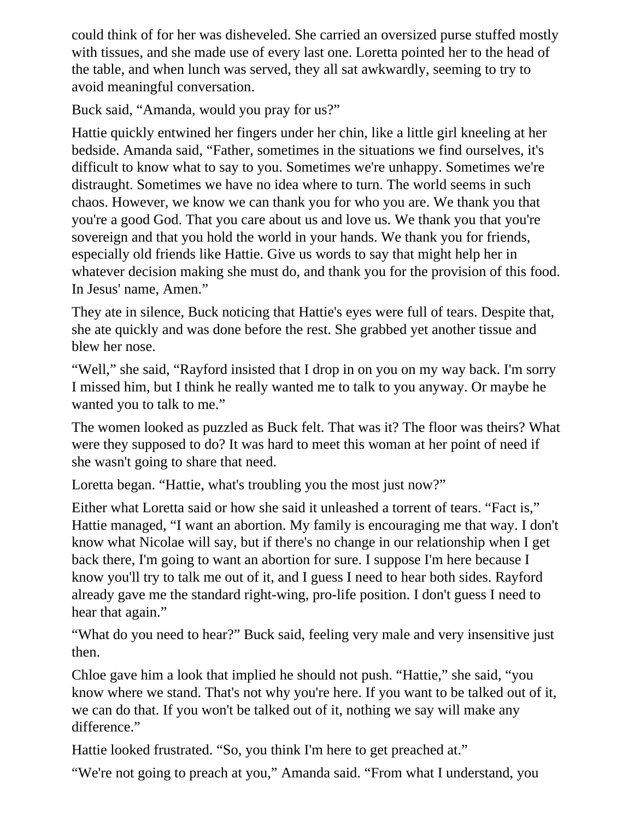could think of for her was disheveled. She carried an oversized purse stuffed mostly with tissues, and she made use of every last one. Loretta pointed her to the head of the table, and when lunch was served, they all sat awkwardly, seeming to try to avoid meaningful conversation.

Buck said, "Amanda, would you pray for us?"

Hattie quickly entwined her fingers under her chin, like a little girl kneeling at her bedside. Amanda said, "Father, sometimes in the situations we find ourselves, it's difficult to know what to say to you. Sometimes we're unhappy. Sometimes we're distraught. Sometimes we have no idea where to turn. The world seems in such chaos. However, we know we can thank you for who you are. We thank you that you're a good God. That you care about us and love us. We thank you that you're sovereign and that you hold the world in your hands. We thank you for friends, especially old friends like Hattie. Give us words to say that might help her in whatever decision making she must do, and thank you for the provision of this food. In Jesus' name, Amen."

They ate in silence, Buck noticing that Hattie's eyes were full of tears. Despite that, she ate quickly and was done before the rest. She grabbed yet another tissue and blew her nose.

"Well," she said, "Rayford insisted that I drop in on you on my way back. I'm sorry I missed him, but I think he really wanted me to talk to you anyway. Or maybe he wanted you to talk to me."

The women looked as puzzled as Buck felt. That was it? The floor was theirs? What were they supposed to do? It was hard to meet this woman at her point of need if she wasn't going to share that need.

Loretta began. "Hattie, what's troubling you the most just now?"

Either what Loretta said or how she said it unleashed a torrent of tears. "Fact is," Hattie managed, "I want an abortion. My family is encouraging me that way. I don't know what Nicolae will say, but if there's no change in our relationship when I get back there, I'm going to want an abortion for sure. I suppose I'm here because I know you'll try to talk me out of it, and I guess I need to hear both sides. Rayford already gave me the standard right-wing, pro-life position. I don't guess I need to hear that again."

"What do you need to hear?" Buck said, feeling very male and very insensitive just then.

Chloe gave him a look that implied he should not push. "Hattie," she said, "you know where we stand. That's not why you're here. If you want to be talked out of it, we can do that. If you won't be talked out of it, nothing we say will make any difference."

Hattie looked frustrated. "So, you think I'm here to get preached at."

"We're not going to preach at you," Amanda said. "From what I understand, you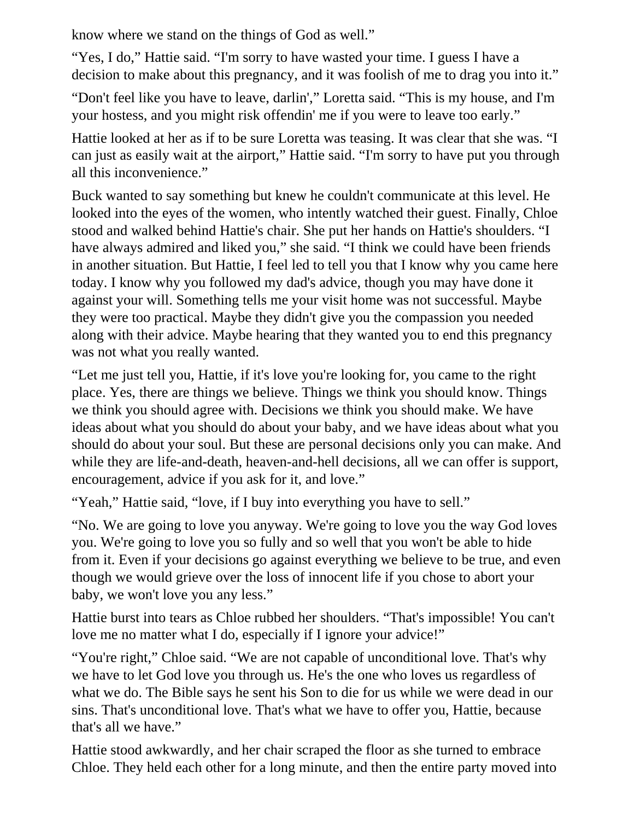know where we stand on the things of God as well."

"Yes, I do," Hattie said. "I'm sorry to have wasted your time. I guess I have a decision to make about this pregnancy, and it was foolish of me to drag you into it."

"Don't feel like you have to leave, darlin'," Loretta said. "This is my house, and I'm your hostess, and you might risk offendin' me if you were to leave too early."

Hattie looked at her as if to be sure Loretta was teasing. It was clear that she was. "I can just as easily wait at the airport," Hattie said. "I'm sorry to have put you through all this inconvenience."

Buck wanted to say something but knew he couldn't communicate at this level. He looked into the eyes of the women, who intently watched their guest. Finally, Chloe stood and walked behind Hattie's chair. She put her hands on Hattie's shoulders. "I have always admired and liked you," she said. "I think we could have been friends in another situation. But Hattie, I feel led to tell you that I know why you came here today. I know why you followed my dad's advice, though you may have done it against your will. Something tells me your visit home was not successful. Maybe they were too practical. Maybe they didn't give you the compassion you needed along with their advice. Maybe hearing that they wanted you to end this pregnancy was not what you really wanted.

"Let me just tell you, Hattie, if it's love you're looking for, you came to the right place. Yes, there are things we believe. Things we think you should know. Things we think you should agree with. Decisions we think you should make. We have ideas about what you should do about your baby, and we have ideas about what you should do about your soul. But these are personal decisions only you can make. And while they are life-and-death, heaven-and-hell decisions, all we can offer is support, encouragement, advice if you ask for it, and love."

"Yeah," Hattie said, "love, if I buy into everything you have to sell."

"No. We are going to love you anyway. We're going to love you the way God loves you. We're going to love you so fully and so well that you won't be able to hide from it. Even if your decisions go against everything we believe to be true, and even though we would grieve over the loss of innocent life if you chose to abort your baby, we won't love you any less."

Hattie burst into tears as Chloe rubbed her shoulders. "That's impossible! You can't love me no matter what I do, especially if I ignore your advice!"

"You're right," Chloe said. "We are not capable of unconditional love. That's why we have to let God love you through us. He's the one who loves us regardless of what we do. The Bible says he sent his Son to die for us while we were dead in our sins. That's unconditional love. That's what we have to offer you, Hattie, because that's all we have."

Hattie stood awkwardly, and her chair scraped the floor as she turned to embrace Chloe. They held each other for a long minute, and then the entire party moved into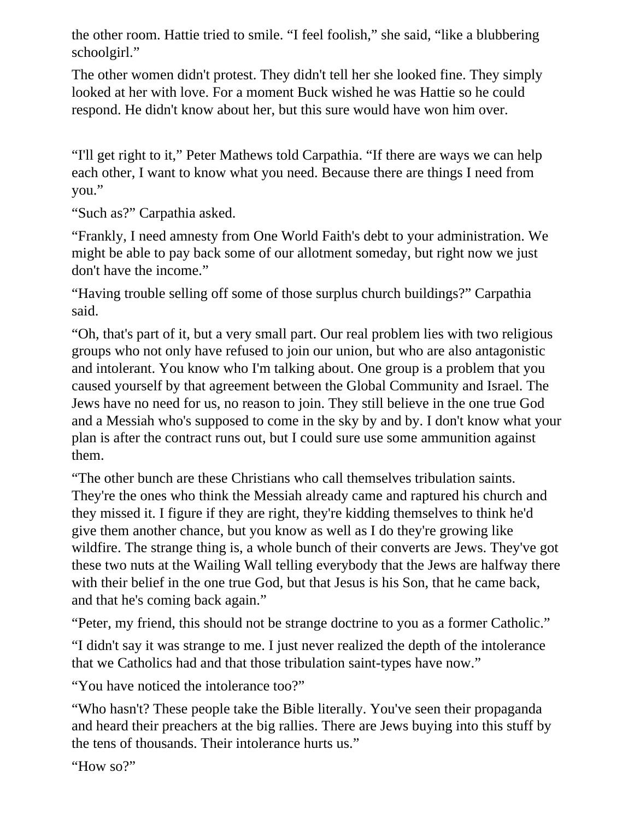the other room. Hattie tried to smile. "I feel foolish," she said, "like a blubbering schoolgirl."

The other women didn't protest. They didn't tell her she looked fine. They simply looked at her with love. For a moment Buck wished he was Hattie so he could respond. He didn't know about her, but this sure would have won him over.

"I'll get right to it," Peter Mathews told Carpathia. "If there are ways we can help each other, I want to know what you need. Because there are things I need from you."

"Such as?" Carpathia asked.

"Frankly, I need amnesty from One World Faith's debt to your administration. We might be able to pay back some of our allotment someday, but right now we just don't have the income."

"Having trouble selling off some of those surplus church buildings?" Carpathia said.

"Oh, that's part of it, but a very small part. Our real problem lies with two religious groups who not only have refused to join our union, but who are also antagonistic and intolerant. You know who I'm talking about. One group is a problem that you caused yourself by that agreement between the Global Community and Israel. The Jews have no need for us, no reason to join. They still believe in the one true God and a Messiah who's supposed to come in the sky by and by. I don't know what your plan is after the contract runs out, but I could sure use some ammunition against them.

"The other bunch are these Christians who call themselves tribulation saints. They're the ones who think the Messiah already came and raptured his church and they missed it. I figure if they are right, they're kidding themselves to think he'd give them another chance, but you know as well as I do they're growing like wildfire. The strange thing is, a whole bunch of their converts are Jews. They've got these two nuts at the Wailing Wall telling everybody that the Jews are halfway there with their belief in the one true God, but that Jesus is his Son, that he came back, and that he's coming back again."

"Peter, my friend, this should not be strange doctrine to you as a former Catholic."

"I didn't say it was strange to me. I just never realized the depth of the intolerance that we Catholics had and that those tribulation saint-types have now."

"You have noticed the intolerance too?"

"Who hasn't? These people take the Bible literally. You've seen their propaganda and heard their preachers at the big rallies. There are Jews buying into this stuff by the tens of thousands. Their intolerance hurts us."

"How so?"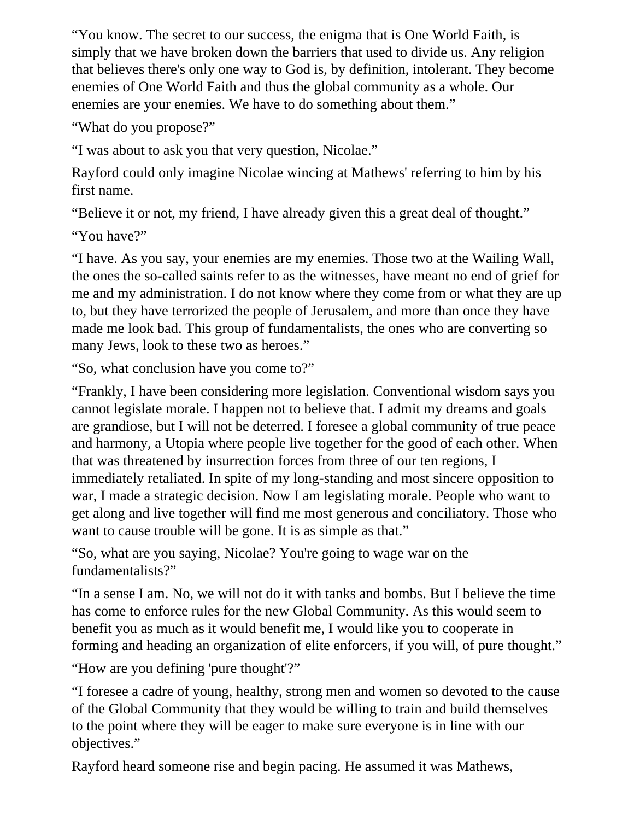"You know. The secret to our success, the enigma that is One World Faith, is simply that we have broken down the barriers that used to divide us. Any religion that believes there's only one way to God is, by definition, intolerant. They become enemies of One World Faith and thus the global community as a whole. Our enemies are your enemies. We have to do something about them."

"What do you propose?"

"I was about to ask you that very question, Nicolae."

Rayford could only imagine Nicolae wincing at Mathews' referring to him by his first name.

"Believe it or not, my friend, I have already given this a great deal of thought."

"You have?"

"I have. As you say, your enemies are my enemies. Those two at the Wailing Wall, the ones the so-called saints refer to as the witnesses, have meant no end of grief for me and my administration. I do not know where they come from or what they are up to, but they have terrorized the people of Jerusalem, and more than once they have made me look bad. This group of fundamentalists, the ones who are converting so many Jews, look to these two as heroes."

"So, what conclusion have you come to?"

"Frankly, I have been considering more legislation. Conventional wisdom says you cannot legislate morale. I happen not to believe that. I admit my dreams and goals are grandiose, but I will not be deterred. I foresee a global community of true peace and harmony, a Utopia where people live together for the good of each other. When that was threatened by insurrection forces from three of our ten regions, I immediately retaliated. In spite of my long-standing and most sincere opposition to war, I made a strategic decision. Now I am legislating morale. People who want to get along and live together will find me most generous and conciliatory. Those who want to cause trouble will be gone. It is as simple as that."

"So, what are you saying, Nicolae? You're going to wage war on the fundamentalists?"

"In a sense I am. No, we will not do it with tanks and bombs. But I believe the time has come to enforce rules for the new Global Community. As this would seem to benefit you as much as it would benefit me, I would like you to cooperate in forming and heading an organization of elite enforcers, if you will, of pure thought."

"How are you defining 'pure thought'?"

"I foresee a cadre of young, healthy, strong men and women so devoted to the cause of the Global Community that they would be willing to train and build themselves to the point where they will be eager to make sure everyone is in line with our objectives."

Rayford heard someone rise and begin pacing. He assumed it was Mathews,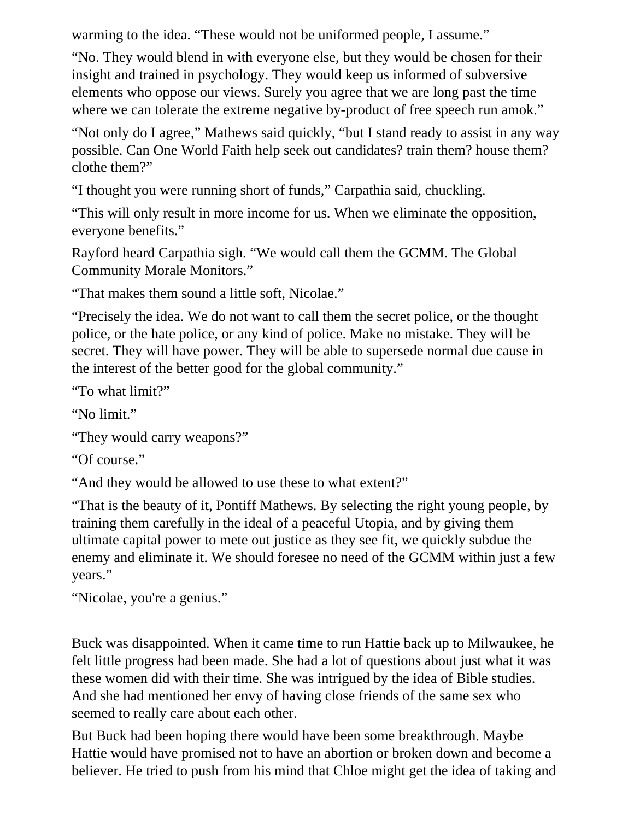warming to the idea. "These would not be uniformed people, I assume."

"No. They would blend in with everyone else, but they would be chosen for their insight and trained in psychology. They would keep us informed of subversive elements who oppose our views. Surely you agree that we are long past the time where we can tolerate the extreme negative by-product of free speech run amok."

"Not only do I agree," Mathews said quickly, "but I stand ready to assist in any way possible. Can One World Faith help seek out candidates? train them? house them? clothe them?"

"I thought you were running short of funds," Carpathia said, chuckling.

"This will only result in more income for us. When we eliminate the opposition, everyone benefits."

Rayford heard Carpathia sigh. "We would call them the GCMM. The Global Community Morale Monitors."

"That makes them sound a little soft, Nicolae."

"Precisely the idea. We do not want to call them the secret police, or the thought police, or the hate police, or any kind of police. Make no mistake. They will be secret. They will have power. They will be able to supersede normal due cause in the interest of the better good for the global community."

"To what limit?"

"No limit."

```
"They would carry weapons?"
```
"Of course."

"And they would be allowed to use these to what extent?"

"That is the beauty of it, Pontiff Mathews. By selecting the right young people, by training them carefully in the ideal of a peaceful Utopia, and by giving them ultimate capital power to mete out justice as they see fit, we quickly subdue the enemy and eliminate it. We should foresee no need of the GCMM within just a few years."

"Nicolae, you're a genius."

Buck was disappointed. When it came time to run Hattie back up to Milwaukee, he felt little progress had been made. She had a lot of questions about just what it was these women did with their time. She was intrigued by the idea of Bible studies. And she had mentioned her envy of having close friends of the same sex who seemed to really care about each other.

But Buck had been hoping there would have been some breakthrough. Maybe Hattie would have promised not to have an abortion or broken down and become a believer. He tried to push from his mind that Chloe might get the idea of taking and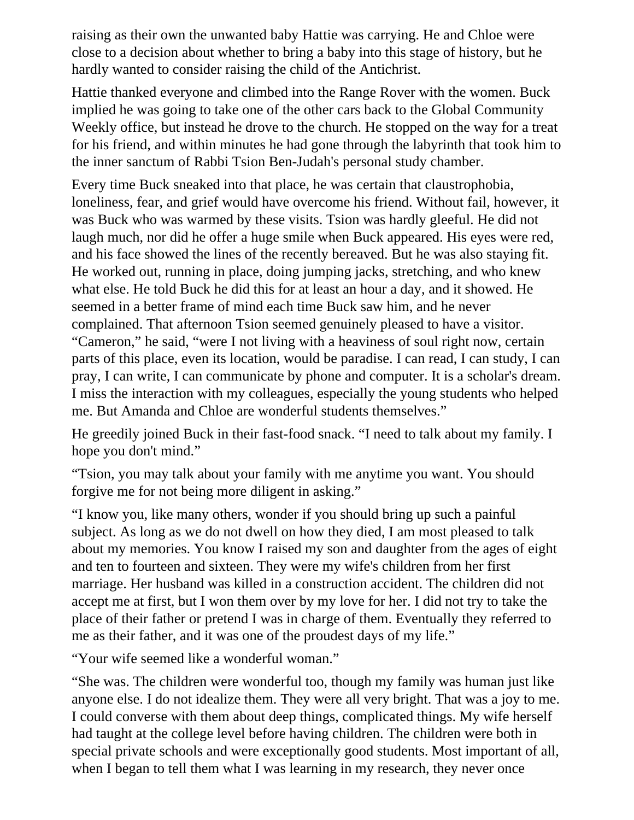raising as their own the unwanted baby Hattie was carrying. He and Chloe were close to a decision about whether to bring a baby into this stage of history, but he hardly wanted to consider raising the child of the Antichrist.

Hattie thanked everyone and climbed into the Range Rover with the women. Buck implied he was going to take one of the other cars back to the Global Community Weekly office, but instead he drove to the church. He stopped on the way for a treat for his friend, and within minutes he had gone through the labyrinth that took him to the inner sanctum of Rabbi Tsion Ben-Judah's personal study chamber.

Every time Buck sneaked into that place, he was certain that claustrophobia, loneliness, fear, and grief would have overcome his friend. Without fail, however, it was Buck who was warmed by these visits. Tsion was hardly gleeful. He did not laugh much, nor did he offer a huge smile when Buck appeared. His eyes were red, and his face showed the lines of the recently bereaved. But he was also staying fit. He worked out, running in place, doing jumping jacks, stretching, and who knew what else. He told Buck he did this for at least an hour a day, and it showed. He seemed in a better frame of mind each time Buck saw him, and he never complained. That afternoon Tsion seemed genuinely pleased to have a visitor. "Cameron," he said, "were I not living with a heaviness of soul right now, certain parts of this place, even its location, would be paradise. I can read, I can study, I can pray, I can write, I can communicate by phone and computer. It is a scholar's dream. I miss the interaction with my colleagues, especially the young students who helped me. But Amanda and Chloe are wonderful students themselves."

He greedily joined Buck in their fast-food snack. "I need to talk about my family. I hope you don't mind."

"Tsion, you may talk about your family with me anytime you want. You should forgive me for not being more diligent in asking."

"I know you, like many others, wonder if you should bring up such a painful subject. As long as we do not dwell on how they died, I am most pleased to talk about my memories. You know I raised my son and daughter from the ages of eight and ten to fourteen and sixteen. They were my wife's children from her first marriage. Her husband was killed in a construction accident. The children did not accept me at first, but I won them over by my love for her. I did not try to take the place of their father or pretend I was in charge of them. Eventually they referred to me as their father, and it was one of the proudest days of my life."

"Your wife seemed like a wonderful woman."

"She was. The children were wonderful too, though my family was human just like anyone else. I do not idealize them. They were all very bright. That was a joy to me. I could converse with them about deep things, complicated things. My wife herself had taught at the college level before having children. The children were both in special private schools and were exceptionally good students. Most important of all, when I began to tell them what I was learning in my research, they never once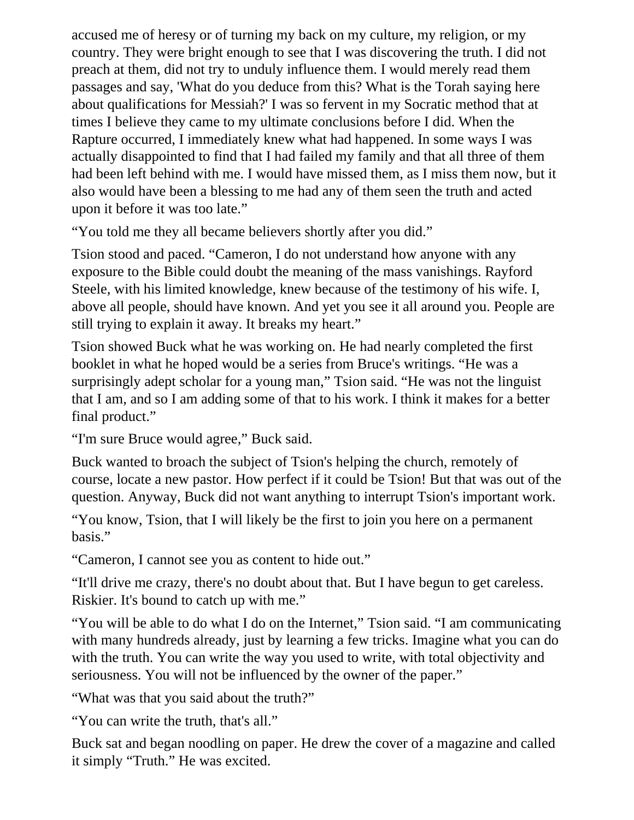accused me of heresy or of turning my back on my culture, my religion, or my country. They were bright enough to see that I was discovering the truth. I did not preach at them, did not try to unduly influence them. I would merely read them passages and say, 'What do you deduce from this? What is the Torah saying here about qualifications for Messiah?' I was so fervent in my Socratic method that at times I believe they came to my ultimate conclusions before I did. When the Rapture occurred, I immediately knew what had happened. In some ways I was actually disappointed to find that I had failed my family and that all three of them had been left behind with me. I would have missed them, as I miss them now, but it also would have been a blessing to me had any of them seen the truth and acted upon it before it was too late."

"You told me they all became believers shortly after you did."

Tsion stood and paced. "Cameron, I do not understand how anyone with any exposure to the Bible could doubt the meaning of the mass vanishings. Rayford Steele, with his limited knowledge, knew because of the testimony of his wife. I, above all people, should have known. And yet you see it all around you. People are still trying to explain it away. It breaks my heart."

Tsion showed Buck what he was working on. He had nearly completed the first booklet in what he hoped would be a series from Bruce's writings. "He was a surprisingly adept scholar for a young man," Tsion said. "He was not the linguist that I am, and so I am adding some of that to his work. I think it makes for a better final product."

"I'm sure Bruce would agree," Buck said.

Buck wanted to broach the subject of Tsion's helping the church, remotely of course, locate a new pastor. How perfect if it could be Tsion! But that was out of the question. Anyway, Buck did not want anything to interrupt Tsion's important work.

"You know, Tsion, that I will likely be the first to join you here on a permanent basis."

"Cameron, I cannot see you as content to hide out."

"It'll drive me crazy, there's no doubt about that. But I have begun to get careless. Riskier. It's bound to catch up with me."

"You will be able to do what I do on the Internet," Tsion said. "I am communicating with many hundreds already, just by learning a few tricks. Imagine what you can do with the truth. You can write the way you used to write, with total objectivity and seriousness. You will not be influenced by the owner of the paper."

"What was that you said about the truth?"

"You can write the truth, that's all."

Buck sat and began noodling on paper. He drew the cover of a magazine and called it simply "Truth." He was excited.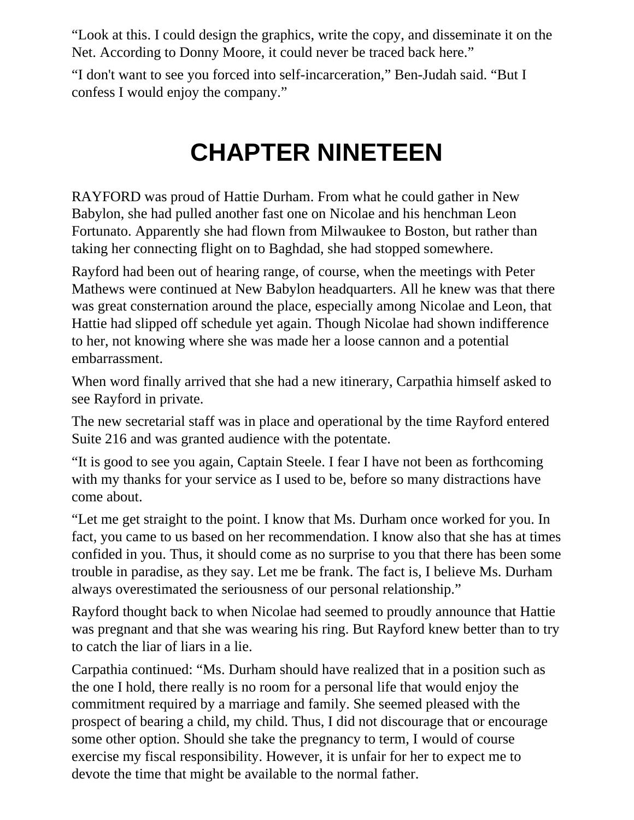"Look at this. I could design the graphics, write the copy, and disseminate it on the Net. According to Donny Moore, it could never be traced back here."

"I don't want to see you forced into self-incarceration," Ben-Judah said. "But I confess I would enjoy the company."

## **CHAPTER NINETEEN**

RAYFORD was proud of Hattie Durham. From what he could gather in New Babylon, she had pulled another fast one on Nicolae and his henchman Leon Fortunato. Apparently she had flown from Milwaukee to Boston, but rather than taking her connecting flight on to Baghdad, she had stopped somewhere.

Rayford had been out of hearing range, of course, when the meetings with Peter Mathews were continued at New Babylon headquarters. All he knew was that there was great consternation around the place, especially among Nicolae and Leon, that Hattie had slipped off schedule yet again. Though Nicolae had shown indifference to her, not knowing where she was made her a loose cannon and a potential embarrassment.

When word finally arrived that she had a new itinerary, Carpathia himself asked to see Rayford in private.

The new secretarial staff was in place and operational by the time Rayford entered Suite 216 and was granted audience with the potentate.

"It is good to see you again, Captain Steele. I fear I have not been as forthcoming with my thanks for your service as I used to be, before so many distractions have come about.

"Let me get straight to the point. I know that Ms. Durham once worked for you. In fact, you came to us based on her recommendation. I know also that she has at times confided in you. Thus, it should come as no surprise to you that there has been some trouble in paradise, as they say. Let me be frank. The fact is, I believe Ms. Durham always overestimated the seriousness of our personal relationship."

Rayford thought back to when Nicolae had seemed to proudly announce that Hattie was pregnant and that she was wearing his ring. But Rayford knew better than to try to catch the liar of liars in a lie.

Carpathia continued: "Ms. Durham should have realized that in a position such as the one I hold, there really is no room for a personal life that would enjoy the commitment required by a marriage and family. She seemed pleased with the prospect of bearing a child, my child. Thus, I did not discourage that or encourage some other option. Should she take the pregnancy to term, I would of course exercise my fiscal responsibility. However, it is unfair for her to expect me to devote the time that might be available to the normal father.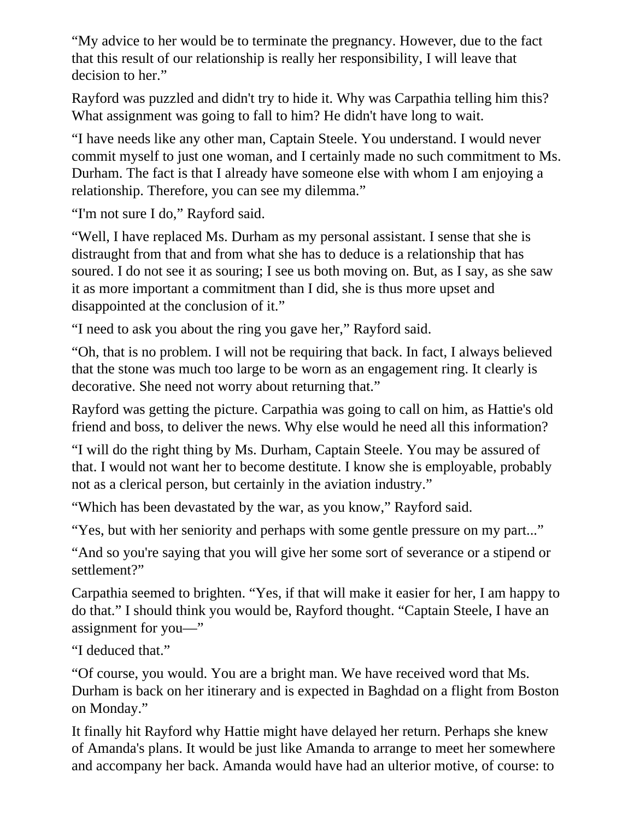"My advice to her would be to terminate the pregnancy. However, due to the fact that this result of our relationship is really her responsibility, I will leave that decision to her."

Rayford was puzzled and didn't try to hide it. Why was Carpathia telling him this? What assignment was going to fall to him? He didn't have long to wait.

"I have needs like any other man, Captain Steele. You understand. I would never commit myself to just one woman, and I certainly made no such commitment to Ms. Durham. The fact is that I already have someone else with whom I am enjoying a relationship. Therefore, you can see my dilemma."

"I'm not sure I do," Rayford said.

"Well, I have replaced Ms. Durham as my personal assistant. I sense that she is distraught from that and from what she has to deduce is a relationship that has soured. I do not see it as souring; I see us both moving on. But, as I say, as she saw it as more important a commitment than I did, she is thus more upset and disappointed at the conclusion of it."

"I need to ask you about the ring you gave her," Rayford said.

"Oh, that is no problem. I will not be requiring that back. In fact, I always believed that the stone was much too large to be worn as an engagement ring. It clearly is decorative. She need not worry about returning that."

Rayford was getting the picture. Carpathia was going to call on him, as Hattie's old friend and boss, to deliver the news. Why else would he need all this information?

"I will do the right thing by Ms. Durham, Captain Steele. You may be assured of that. I would not want her to become destitute. I know she is employable, probably not as a clerical person, but certainly in the aviation industry."

"Which has been devastated by the war, as you know," Rayford said.

"Yes, but with her seniority and perhaps with some gentle pressure on my part..."

"And so you're saying that you will give her some sort of severance or a stipend or settlement?"

Carpathia seemed to brighten. "Yes, if that will make it easier for her, I am happy to do that." I should think you would be, Rayford thought. "Captain Steele, I have an assignment for you—"

"I deduced that."

"Of course, you would. You are a bright man. We have received word that Ms. Durham is back on her itinerary and is expected in Baghdad on a flight from Boston on Monday."

It finally hit Rayford why Hattie might have delayed her return. Perhaps she knew of Amanda's plans. It would be just like Amanda to arrange to meet her somewhere and accompany her back. Amanda would have had an ulterior motive, of course: to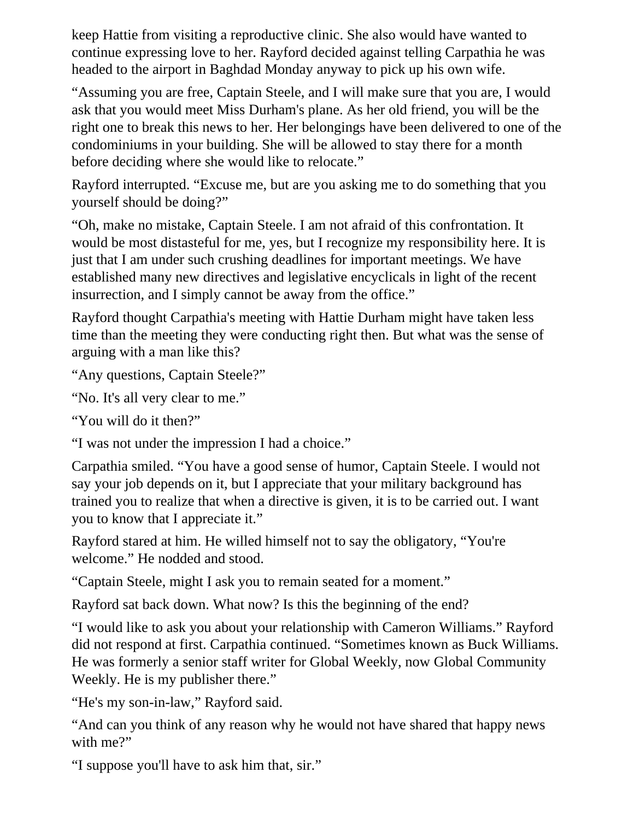keep Hattie from visiting a reproductive clinic. She also would have wanted to continue expressing love to her. Rayford decided against telling Carpathia he was headed to the airport in Baghdad Monday anyway to pick up his own wife.

"Assuming you are free, Captain Steele, and I will make sure that you are, I would ask that you would meet Miss Durham's plane. As her old friend, you will be the right one to break this news to her. Her belongings have been delivered to one of the condominiums in your building. She will be allowed to stay there for a month before deciding where she would like to relocate."

Rayford interrupted. "Excuse me, but are you asking me to do something that you yourself should be doing?"

"Oh, make no mistake, Captain Steele. I am not afraid of this confrontation. It would be most distasteful for me, yes, but I recognize my responsibility here. It is just that I am under such crushing deadlines for important meetings. We have established many new directives and legislative encyclicals in light of the recent insurrection, and I simply cannot be away from the office."

Rayford thought Carpathia's meeting with Hattie Durham might have taken less time than the meeting they were conducting right then. But what was the sense of arguing with a man like this?

"Any questions, Captain Steele?"

"No. It's all very clear to me."

"You will do it then?"

"I was not under the impression I had a choice."

Carpathia smiled. "You have a good sense of humor, Captain Steele. I would not say your job depends on it, but I appreciate that your military background has trained you to realize that when a directive is given, it is to be carried out. I want you to know that I appreciate it."

Rayford stared at him. He willed himself not to say the obligatory, "You're welcome." He nodded and stood.

"Captain Steele, might I ask you to remain seated for a moment."

Rayford sat back down. What now? Is this the beginning of the end?

"I would like to ask you about your relationship with Cameron Williams." Rayford did not respond at first. Carpathia continued. "Sometimes known as Buck Williams. He was formerly a senior staff writer for Global Weekly, now Global Community Weekly. He is my publisher there."

"He's my son-in-law," Rayford said.

"And can you think of any reason why he would not have shared that happy news with me?"

"I suppose you'll have to ask him that, sir."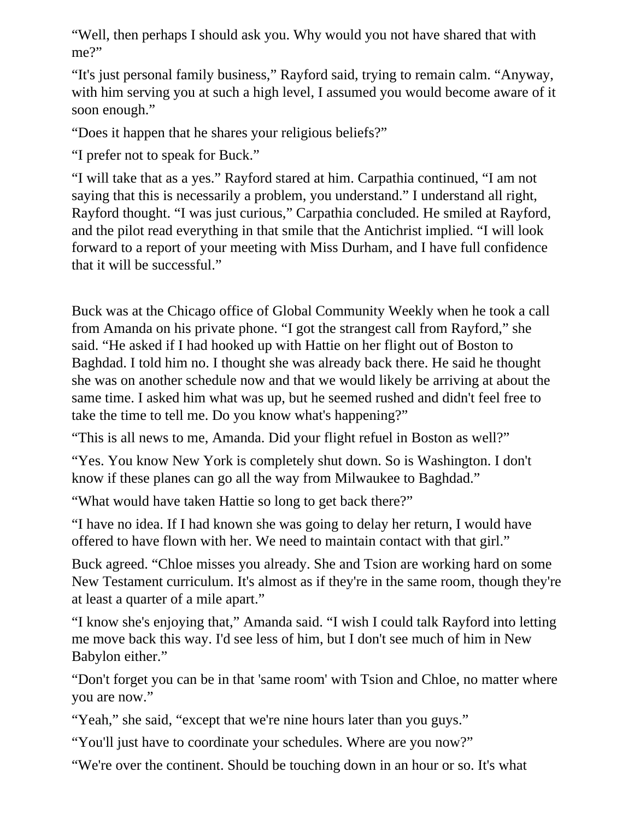"Well, then perhaps I should ask you. Why would you not have shared that with me?"

"It's just personal family business," Rayford said, trying to remain calm. "Anyway, with him serving you at such a high level, I assumed you would become aware of it soon enough."

"Does it happen that he shares your religious beliefs?"

"I prefer not to speak for Buck."

"I will take that as a yes." Rayford stared at him. Carpathia continued, "I am not saying that this is necessarily a problem, you understand." I understand all right, Rayford thought. "I was just curious," Carpathia concluded. He smiled at Rayford, and the pilot read everything in that smile that the Antichrist implied. "I will look forward to a report of your meeting with Miss Durham, and I have full confidence that it will be successful."

Buck was at the Chicago office of Global Community Weekly when he took a call from Amanda on his private phone. "I got the strangest call from Rayford," she said. "He asked if I had hooked up with Hattie on her flight out of Boston to Baghdad. I told him no. I thought she was already back there. He said he thought she was on another schedule now and that we would likely be arriving at about the same time. I asked him what was up, but he seemed rushed and didn't feel free to take the time to tell me. Do you know what's happening?"

"This is all news to me, Amanda. Did your flight refuel in Boston as well?"

"Yes. You know New York is completely shut down. So is Washington. I don't know if these planes can go all the way from Milwaukee to Baghdad."

"What would have taken Hattie so long to get back there?"

"I have no idea. If I had known she was going to delay her return, I would have offered to have flown with her. We need to maintain contact with that girl."

Buck agreed. "Chloe misses you already. She and Tsion are working hard on some New Testament curriculum. It's almost as if they're in the same room, though they're at least a quarter of a mile apart."

"I know she's enjoying that," Amanda said. "I wish I could talk Rayford into letting me move back this way. I'd see less of him, but I don't see much of him in New Babylon either."

"Don't forget you can be in that 'same room' with Tsion and Chloe, no matter where you are now."

"Yeah," she said, "except that we're nine hours later than you guys."

"You'll just have to coordinate your schedules. Where are you now?"

"We're over the continent. Should be touching down in an hour or so. It's what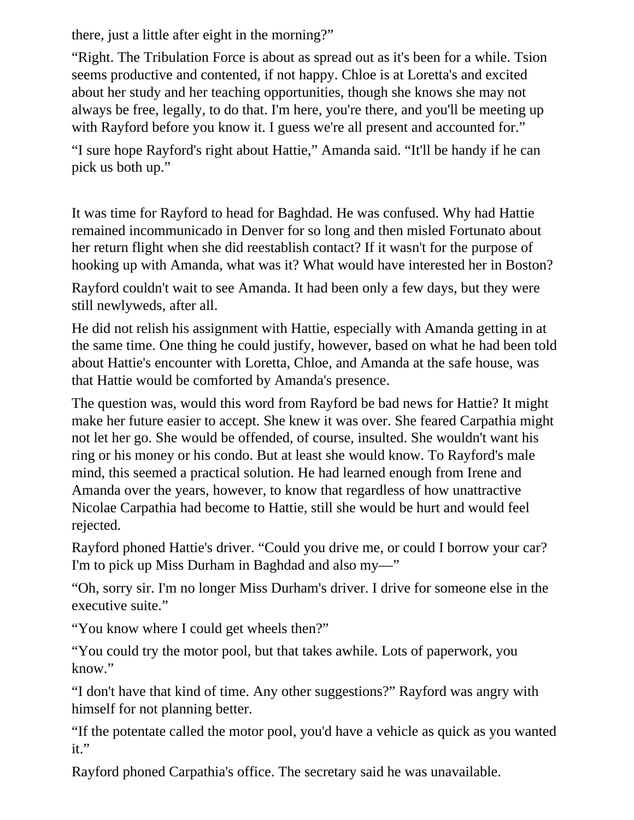there, just a little after eight in the morning?"

"Right. The Tribulation Force is about as spread out as it's been for a while. Tsion seems productive and contented, if not happy. Chloe is at Loretta's and excited about her study and her teaching opportunities, though she knows she may not always be free, legally, to do that. I'm here, you're there, and you'll be meeting up with Rayford before you know it. I guess we're all present and accounted for." "I sure hope Rayford's right about Hattie," Amanda said. "It'll be handy if he can pick us both up."

It was time for Rayford to head for Baghdad. He was confused. Why had Hattie remained incommunicado in Denver for so long and then misled Fortunato about her return flight when she did reestablish contact? If it wasn't for the purpose of hooking up with Amanda, what was it? What would have interested her in Boston?

Rayford couldn't wait to see Amanda. It had been only a few days, but they were still newlyweds, after all.

He did not relish his assignment with Hattie, especially with Amanda getting in at the same time. One thing he could justify, however, based on what he had been told about Hattie's encounter with Loretta, Chloe, and Amanda at the safe house, was that Hattie would be comforted by Amanda's presence.

The question was, would this word from Rayford be bad news for Hattie? It might make her future easier to accept. She knew it was over. She feared Carpathia might not let her go. She would be offended, of course, insulted. She wouldn't want his ring or his money or his condo. But at least she would know. To Rayford's male mind, this seemed a practical solution. He had learned enough from Irene and Amanda over the years, however, to know that regardless of how unattractive Nicolae Carpathia had become to Hattie, still she would be hurt and would feel rejected.

Rayford phoned Hattie's driver. "Could you drive me, or could I borrow your car? I'm to pick up Miss Durham in Baghdad and also my—"

"Oh, sorry sir. I'm no longer Miss Durham's driver. I drive for someone else in the executive suite."

"You know where I could get wheels then?"

"You could try the motor pool, but that takes awhile. Lots of paperwork, you know."

"I don't have that kind of time. Any other suggestions?" Rayford was angry with himself for not planning better.

"If the potentate called the motor pool, you'd have a vehicle as quick as you wanted it."

Rayford phoned Carpathia's office. The secretary said he was unavailable.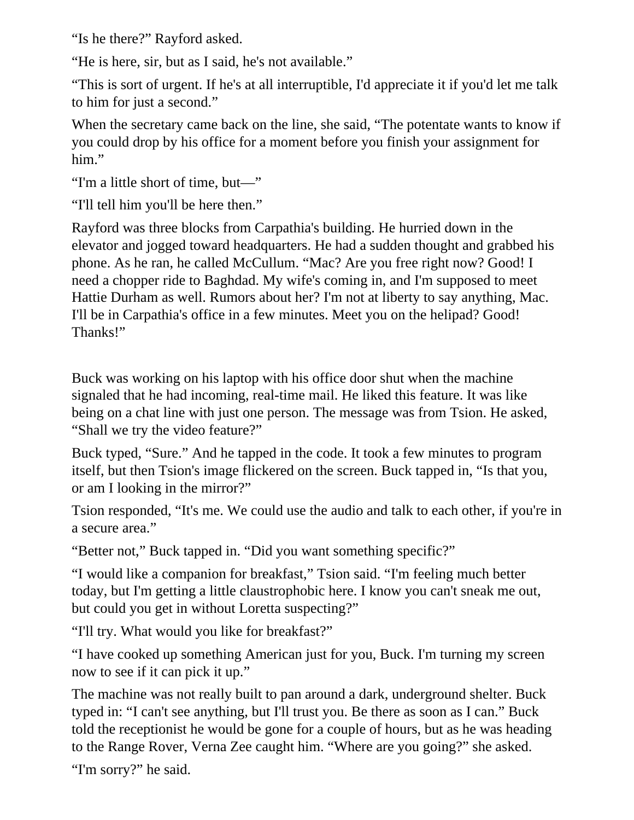"Is he there?" Rayford asked.

"He is here, sir, but as I said, he's not available."

"This is sort of urgent. If he's at all interruptible, I'd appreciate it if you'd let me talk to him for just a second."

When the secretary came back on the line, she said, "The potentate wants to know if you could drop by his office for a moment before you finish your assignment for him."

"I'm a little short of time, but—"

"I'll tell him you'll be here then."

Rayford was three blocks from Carpathia's building. He hurried down in the elevator and jogged toward headquarters. He had a sudden thought and grabbed his phone. As he ran, he called McCullum. "Mac? Are you free right now? Good! I need a chopper ride to Baghdad. My wife's coming in, and I'm supposed to meet Hattie Durham as well. Rumors about her? I'm not at liberty to say anything, Mac. I'll be in Carpathia's office in a few minutes. Meet you on the helipad? Good! Thanks!"

Buck was working on his laptop with his office door shut when the machine signaled that he had incoming, real-time mail. He liked this feature. It was like being on a chat line with just one person. The message was from Tsion. He asked, "Shall we try the video feature?"

Buck typed, "Sure." And he tapped in the code. It took a few minutes to program itself, but then Tsion's image flickered on the screen. Buck tapped in, "Is that you, or am I looking in the mirror?"

Tsion responded, "It's me. We could use the audio and talk to each other, if you're in a secure area."

"Better not," Buck tapped in. "Did you want something specific?"

"I would like a companion for breakfast," Tsion said. "I'm feeling much better today, but I'm getting a little claustrophobic here. I know you can't sneak me out, but could you get in without Loretta suspecting?"

"I'll try. What would you like for breakfast?"

"I have cooked up something American just for you, Buck. I'm turning my screen now to see if it can pick it up."

The machine was not really built to pan around a dark, underground shelter. Buck typed in: "I can't see anything, but I'll trust you. Be there as soon as I can." Buck told the receptionist he would be gone for a couple of hours, but as he was heading to the Range Rover, Verna Zee caught him. "Where are you going?" she asked.

"I'm sorry?" he said.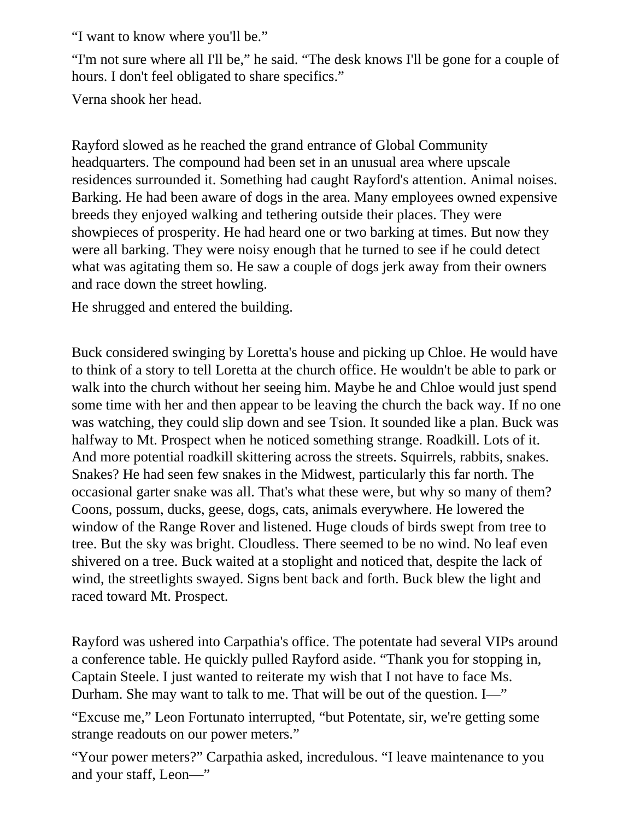"I want to know where you'll be."

"I'm not sure where all I'll be," he said. "The desk knows I'll be gone for a couple of hours. I don't feel obligated to share specifics."

Verna shook her head.

Rayford slowed as he reached the grand entrance of Global Community headquarters. The compound had been set in an unusual area where upscale residences surrounded it. Something had caught Rayford's attention. Animal noises. Barking. He had been aware of dogs in the area. Many employees owned expensive breeds they enjoyed walking and tethering outside their places. They were showpieces of prosperity. He had heard one or two barking at times. But now they were all barking. They were noisy enough that he turned to see if he could detect what was agitating them so. He saw a couple of dogs jerk away from their owners and race down the street howling.

He shrugged and entered the building.

Buck considered swinging by Loretta's house and picking up Chloe. He would have to think of a story to tell Loretta at the church office. He wouldn't be able to park or walk into the church without her seeing him. Maybe he and Chloe would just spend some time with her and then appear to be leaving the church the back way. If no one was watching, they could slip down and see Tsion. It sounded like a plan. Buck was halfway to Mt. Prospect when he noticed something strange. Roadkill. Lots of it. And more potential roadkill skittering across the streets. Squirrels, rabbits, snakes. Snakes? He had seen few snakes in the Midwest, particularly this far north. The occasional garter snake was all. That's what these were, but why so many of them? Coons, possum, ducks, geese, dogs, cats, animals everywhere. He lowered the window of the Range Rover and listened. Huge clouds of birds swept from tree to tree. But the sky was bright. Cloudless. There seemed to be no wind. No leaf even shivered on a tree. Buck waited at a stoplight and noticed that, despite the lack of wind, the streetlights swayed. Signs bent back and forth. Buck blew the light and raced toward Mt. Prospect.

Rayford was ushered into Carpathia's office. The potentate had several VIPs around a conference table. He quickly pulled Rayford aside. "Thank you for stopping in, Captain Steele. I just wanted to reiterate my wish that I not have to face Ms. Durham. She may want to talk to me. That will be out of the question. I—"

"Excuse me," Leon Fortunato interrupted, "but Potentate, sir, we're getting some strange readouts on our power meters."

"Your power meters?" Carpathia asked, incredulous. "I leave maintenance to you and your staff, Leon—"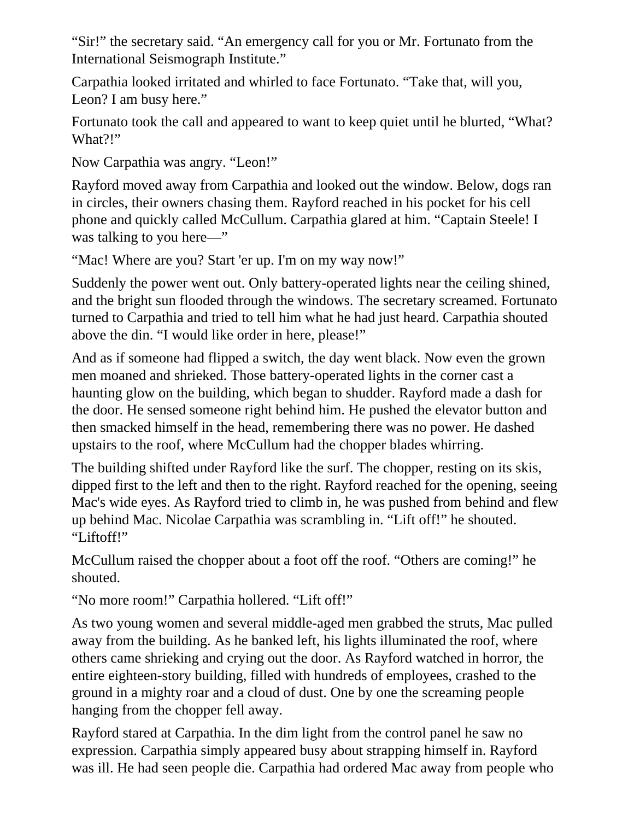"Sir!" the secretary said. "An emergency call for you or Mr. Fortunato from the International Seismograph Institute."

Carpathia looked irritated and whirled to face Fortunato. "Take that, will you, Leon? I am busy here."

Fortunato took the call and appeared to want to keep quiet until he blurted, "What? What?!"

Now Carpathia was angry. "Leon!"

Rayford moved away from Carpathia and looked out the window. Below, dogs ran in circles, their owners chasing them. Rayford reached in his pocket for his cell phone and quickly called McCullum. Carpathia glared at him. "Captain Steele! I was talking to you here—"

"Mac! Where are you? Start 'er up. I'm on my way now!"

Suddenly the power went out. Only battery-operated lights near the ceiling shined, and the bright sun flooded through the windows. The secretary screamed. Fortunato turned to Carpathia and tried to tell him what he had just heard. Carpathia shouted above the din. "I would like order in here, please!"

And as if someone had flipped a switch, the day went black. Now even the grown men moaned and shrieked. Those battery-operated lights in the corner cast a haunting glow on the building, which began to shudder. Rayford made a dash for the door. He sensed someone right behind him. He pushed the elevator button and then smacked himself in the head, remembering there was no power. He dashed upstairs to the roof, where McCullum had the chopper blades whirring.

The building shifted under Rayford like the surf. The chopper, resting on its skis, dipped first to the left and then to the right. Rayford reached for the opening, seeing Mac's wide eyes. As Rayford tried to climb in, he was pushed from behind and flew up behind Mac. Nicolae Carpathia was scrambling in. "Lift off!" he shouted. "Liftoff!"

McCullum raised the chopper about a foot off the roof. "Others are coming!" he shouted.

"No more room!" Carpathia hollered. "Lift off!"

As two young women and several middle-aged men grabbed the struts, Mac pulled away from the building. As he banked left, his lights illuminated the roof, where others came shrieking and crying out the door. As Rayford watched in horror, the entire eighteen-story building, filled with hundreds of employees, crashed to the ground in a mighty roar and a cloud of dust. One by one the screaming people hanging from the chopper fell away.

Rayford stared at Carpathia. In the dim light from the control panel he saw no expression. Carpathia simply appeared busy about strapping himself in. Rayford was ill. He had seen people die. Carpathia had ordered Mac away from people who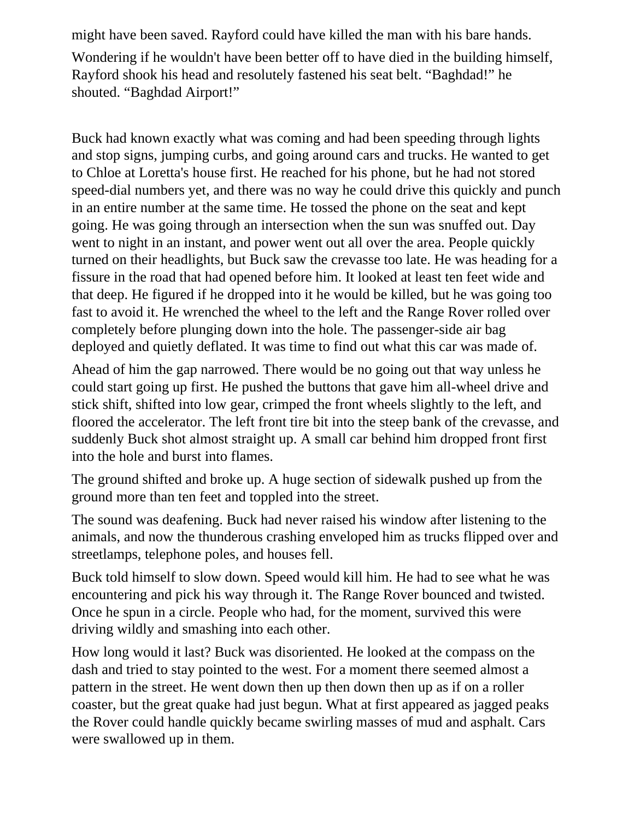might have been saved. Rayford could have killed the man with his bare hands.

Wondering if he wouldn't have been better off to have died in the building himself, Rayford shook his head and resolutely fastened his seat belt. "Baghdad!" he shouted. "Baghdad Airport!"

Buck had known exactly what was coming and had been speeding through lights and stop signs, jumping curbs, and going around cars and trucks. He wanted to get to Chloe at Loretta's house first. He reached for his phone, but he had not stored speed-dial numbers yet, and there was no way he could drive this quickly and punch in an entire number at the same time. He tossed the phone on the seat and kept going. He was going through an intersection when the sun was snuffed out. Day went to night in an instant, and power went out all over the area. People quickly turned on their headlights, but Buck saw the crevasse too late. He was heading for a fissure in the road that had opened before him. It looked at least ten feet wide and that deep. He figured if he dropped into it he would be killed, but he was going too fast to avoid it. He wrenched the wheel to the left and the Range Rover rolled over completely before plunging down into the hole. The passenger-side air bag deployed and quietly deflated. It was time to find out what this car was made of.

Ahead of him the gap narrowed. There would be no going out that way unless he could start going up first. He pushed the buttons that gave him all-wheel drive and stick shift, shifted into low gear, crimped the front wheels slightly to the left, and floored the accelerator. The left front tire bit into the steep bank of the crevasse, and suddenly Buck shot almost straight up. A small car behind him dropped front first into the hole and burst into flames.

The ground shifted and broke up. A huge section of sidewalk pushed up from the ground more than ten feet and toppled into the street.

The sound was deafening. Buck had never raised his window after listening to the animals, and now the thunderous crashing enveloped him as trucks flipped over and streetlamps, telephone poles, and houses fell.

Buck told himself to slow down. Speed would kill him. He had to see what he was encountering and pick his way through it. The Range Rover bounced and twisted. Once he spun in a circle. People who had, for the moment, survived this were driving wildly and smashing into each other.

How long would it last? Buck was disoriented. He looked at the compass on the dash and tried to stay pointed to the west. For a moment there seemed almost a pattern in the street. He went down then up then down then up as if on a roller coaster, but the great quake had just begun. What at first appeared as jagged peaks the Rover could handle quickly became swirling masses of mud and asphalt. Cars were swallowed up in them.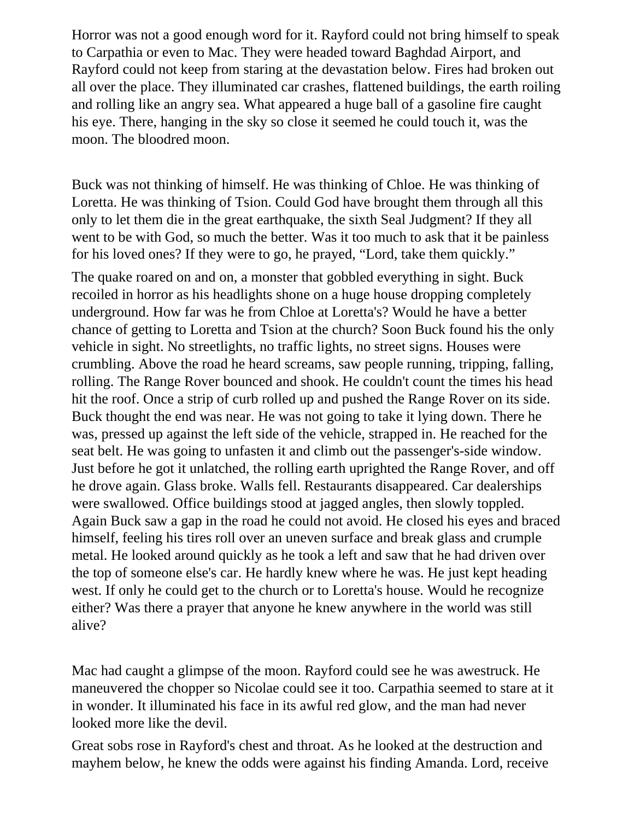Horror was not a good enough word for it. Rayford could not bring himself to speak to Carpathia or even to Mac. They were headed toward Baghdad Airport, and Rayford could not keep from staring at the devastation below. Fires had broken out all over the place. They illuminated car crashes, flattened buildings, the earth roiling and rolling like an angry sea. What appeared a huge ball of a gasoline fire caught his eye. There, hanging in the sky so close it seemed he could touch it, was the moon. The bloodred moon.

Buck was not thinking of himself. He was thinking of Chloe. He was thinking of Loretta. He was thinking of Tsion. Could God have brought them through all this only to let them die in the great earthquake, the sixth Seal Judgment? If they all went to be with God, so much the better. Was it too much to ask that it be painless for his loved ones? If they were to go, he prayed, "Lord, take them quickly."

The quake roared on and on, a monster that gobbled everything in sight. Buck recoiled in horror as his headlights shone on a huge house dropping completely underground. How far was he from Chloe at Loretta's? Would he have a better chance of getting to Loretta and Tsion at the church? Soon Buck found his the only vehicle in sight. No streetlights, no traffic lights, no street signs. Houses were crumbling. Above the road he heard screams, saw people running, tripping, falling, rolling. The Range Rover bounced and shook. He couldn't count the times his head hit the roof. Once a strip of curb rolled up and pushed the Range Rover on its side. Buck thought the end was near. He was not going to take it lying down. There he was, pressed up against the left side of the vehicle, strapped in. He reached for the seat belt. He was going to unfasten it and climb out the passenger's-side window. Just before he got it unlatched, the rolling earth uprighted the Range Rover, and off he drove again. Glass broke. Walls fell. Restaurants disappeared. Car dealerships were swallowed. Office buildings stood at jagged angles, then slowly toppled. Again Buck saw a gap in the road he could not avoid. He closed his eyes and braced himself, feeling his tires roll over an uneven surface and break glass and crumple metal. He looked around quickly as he took a left and saw that he had driven over the top of someone else's car. He hardly knew where he was. He just kept heading west. If only he could get to the church or to Loretta's house. Would he recognize either? Was there a prayer that anyone he knew anywhere in the world was still alive?

Mac had caught a glimpse of the moon. Rayford could see he was awestruck. He maneuvered the chopper so Nicolae could see it too. Carpathia seemed to stare at it in wonder. It illuminated his face in its awful red glow, and the man had never looked more like the devil.

Great sobs rose in Rayford's chest and throat. As he looked at the destruction and mayhem below, he knew the odds were against his finding Amanda. Lord, receive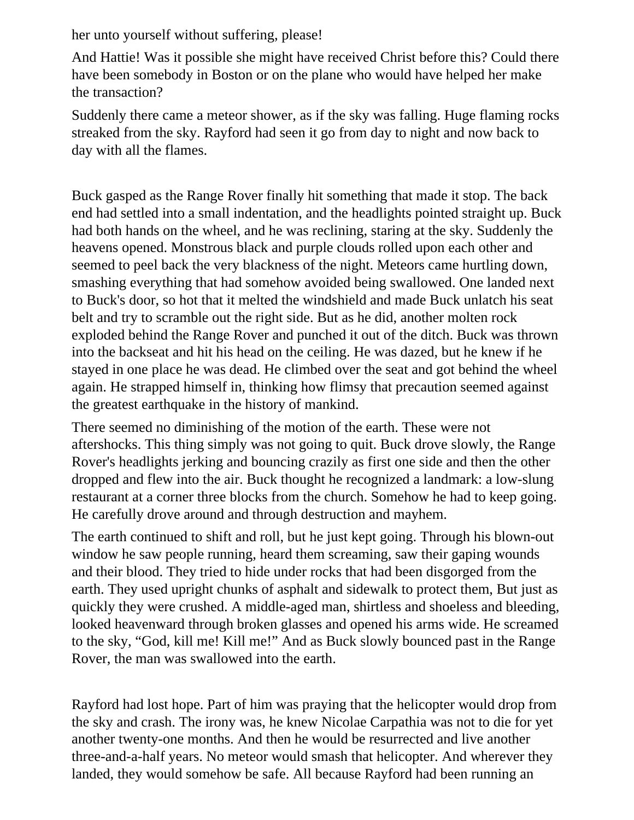her unto yourself without suffering, please!

And Hattie! Was it possible she might have received Christ before this? Could there have been somebody in Boston or on the plane who would have helped her make the transaction?

Suddenly there came a meteor shower, as if the sky was falling. Huge flaming rocks streaked from the sky. Rayford had seen it go from day to night and now back to day with all the flames.

Buck gasped as the Range Rover finally hit something that made it stop. The back end had settled into a small indentation, and the headlights pointed straight up. Buck had both hands on the wheel, and he was reclining, staring at the sky. Suddenly the heavens opened. Monstrous black and purple clouds rolled upon each other and seemed to peel back the very blackness of the night. Meteors came hurtling down, smashing everything that had somehow avoided being swallowed. One landed next to Buck's door, so hot that it melted the windshield and made Buck unlatch his seat belt and try to scramble out the right side. But as he did, another molten rock exploded behind the Range Rover and punched it out of the ditch. Buck was thrown into the backseat and hit his head on the ceiling. He was dazed, but he knew if he stayed in one place he was dead. He climbed over the seat and got behind the wheel again. He strapped himself in, thinking how flimsy that precaution seemed against the greatest earthquake in the history of mankind.

There seemed no diminishing of the motion of the earth. These were not aftershocks. This thing simply was not going to quit. Buck drove slowly, the Range Rover's headlights jerking and bouncing crazily as first one side and then the other dropped and flew into the air. Buck thought he recognized a landmark: a low-slung restaurant at a corner three blocks from the church. Somehow he had to keep going. He carefully drove around and through destruction and mayhem.

The earth continued to shift and roll, but he just kept going. Through his blown-out window he saw people running, heard them screaming, saw their gaping wounds and their blood. They tried to hide under rocks that had been disgorged from the earth. They used upright chunks of asphalt and sidewalk to protect them, But just as quickly they were crushed. A middle-aged man, shirtless and shoeless and bleeding, looked heavenward through broken glasses and opened his arms wide. He screamed to the sky, "God, kill me! Kill me!" And as Buck slowly bounced past in the Range Rover, the man was swallowed into the earth.

Rayford had lost hope. Part of him was praying that the helicopter would drop from the sky and crash. The irony was, he knew Nicolae Carpathia was not to die for yet another twenty-one months. And then he would be resurrected and live another three-and-a-half years. No meteor would smash that helicopter. And wherever they landed, they would somehow be safe. All because Rayford had been running an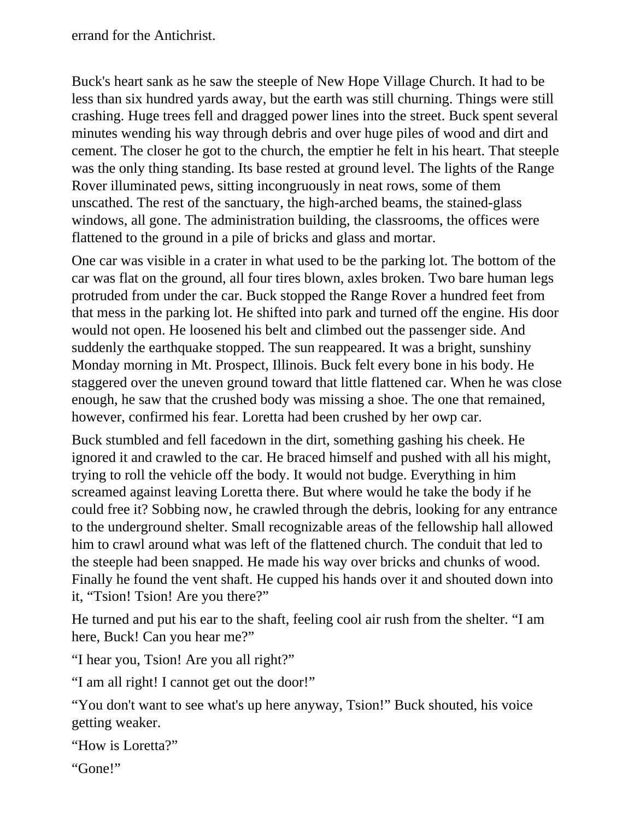errand for the Antichrist.

Buck's heart sank as he saw the steeple of New Hope Village Church. It had to be less than six hundred yards away, but the earth was still churning. Things were still crashing. Huge trees fell and dragged power lines into the street. Buck spent several minutes wending his way through debris and over huge piles of wood and dirt and cement. The closer he got to the church, the emptier he felt in his heart. That steeple was the only thing standing. Its base rested at ground level. The lights of the Range Rover illuminated pews, sitting incongruously in neat rows, some of them unscathed. The rest of the sanctuary, the high-arched beams, the stained-glass windows, all gone. The administration building, the classrooms, the offices were flattened to the ground in a pile of bricks and glass and mortar.

One car was visible in a crater in what used to be the parking lot. The bottom of the car was flat on the ground, all four tires blown, axles broken. Two bare human legs protruded from under the car. Buck stopped the Range Rover a hundred feet from that mess in the parking lot. He shifted into park and turned off the engine. His door would not open. He loosened his belt and climbed out the passenger side. And suddenly the earthquake stopped. The sun reappeared. It was a bright, sunshiny Monday morning in Mt. Prospect, Illinois. Buck felt every bone in his body. He staggered over the uneven ground toward that little flattened car. When he was close enough, he saw that the crushed body was missing a shoe. The one that remained, however, confirmed his fear. Loretta had been crushed by her owp car.

Buck stumbled and fell facedown in the dirt, something gashing his cheek. He ignored it and crawled to the car. He braced himself and pushed with all his might, trying to roll the vehicle off the body. It would not budge. Everything in him screamed against leaving Loretta there. But where would he take the body if he could free it? Sobbing now, he crawled through the debris, looking for any entrance to the underground shelter. Small recognizable areas of the fellowship hall allowed him to crawl around what was left of the flattened church. The conduit that led to the steeple had been snapped. He made his way over bricks and chunks of wood. Finally he found the vent shaft. He cupped his hands over it and shouted down into it, "Tsion! Tsion! Are you there?"

He turned and put his ear to the shaft, feeling cool air rush from the shelter. "I am here, Buck! Can you hear me?"

"I hear you, Tsion! Are you all right?"

"I am all right! I cannot get out the door!"

"You don't want to see what's up here anyway, Tsion!" Buck shouted, his voice getting weaker.

"How is Loretta?"

"Gone!"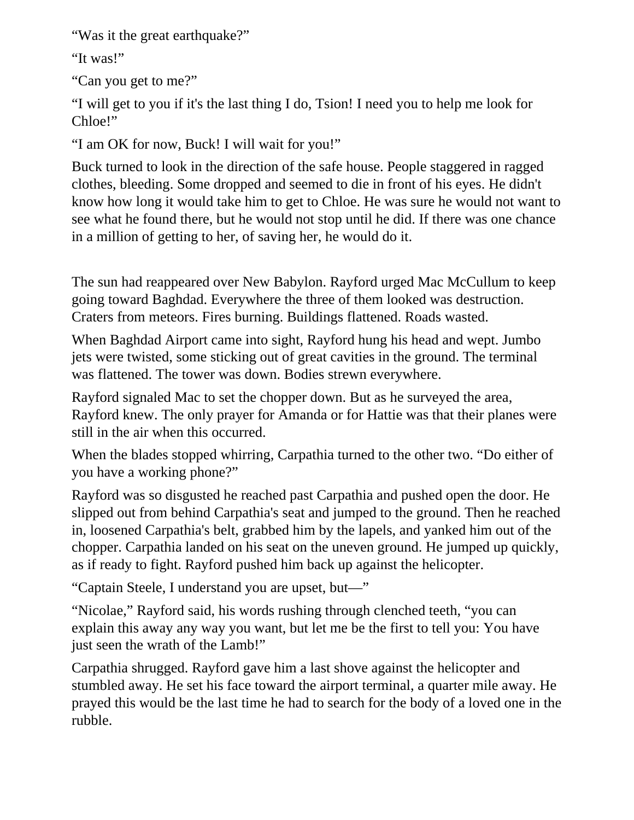"Was it the great earthquake?"

"It was!"

"Can you get to me?"

"I will get to you if it's the last thing I do, Tsion! I need you to help me look for Chloe!"

"I am OK for now, Buck! I will wait for you!"

Buck turned to look in the direction of the safe house. People staggered in ragged clothes, bleeding. Some dropped and seemed to die in front of his eyes. He didn't know how long it would take him to get to Chloe. He was sure he would not want to see what he found there, but he would not stop until he did. If there was one chance in a million of getting to her, of saving her, he would do it.

The sun had reappeared over New Babylon. Rayford urged Mac McCullum to keep going toward Baghdad. Everywhere the three of them looked was destruction. Craters from meteors. Fires burning. Buildings flattened. Roads wasted.

When Baghdad Airport came into sight, Rayford hung his head and wept. Jumbo jets were twisted, some sticking out of great cavities in the ground. The terminal was flattened. The tower was down. Bodies strewn everywhere.

Rayford signaled Mac to set the chopper down. But as he surveyed the area, Rayford knew. The only prayer for Amanda or for Hattie was that their planes were still in the air when this occurred.

When the blades stopped whirring, Carpathia turned to the other two. "Do either of you have a working phone?"

Rayford was so disgusted he reached past Carpathia and pushed open the door. He slipped out from behind Carpathia's seat and jumped to the ground. Then he reached in, loosened Carpathia's belt, grabbed him by the lapels, and yanked him out of the chopper. Carpathia landed on his seat on the uneven ground. He jumped up quickly, as if ready to fight. Rayford pushed him back up against the helicopter.

"Captain Steele, I understand you are upset, but—"

"Nicolae," Rayford said, his words rushing through clenched teeth, "you can explain this away any way you want, but let me be the first to tell you: You have just seen the wrath of the Lamb!"

Carpathia shrugged. Rayford gave him a last shove against the helicopter and stumbled away. He set his face toward the airport terminal, a quarter mile away. He prayed this would be the last time he had to search for the body of a loved one in the rubble.